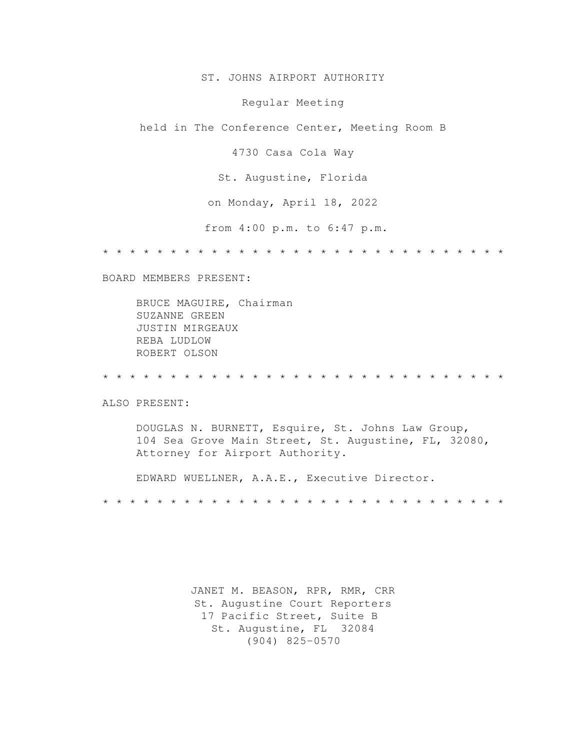ST. JOHNS AIRPORT AUTHORITY

Regular Meeting

held in The Conference Center, Meeting Room B

4730 Casa Cola Way

St. Augustine, Florida

on Monday, April 18, 2022

from 4:00 p.m. to 6:47 p.m.

\* \* \* \* \* \* \* \* \* \* \* \* \* \* \* \* \* \* \* \* \* \* \* \* \* \* \* \* \* \*

BOARD MEMBERS PRESENT:

 BRUCE MAGUIRE, Chairman SUZANNE GREEN JUSTIN MIRGEAUX REBA LUDLOW ROBERT OLSON

\* \* \* \* \* \* \* \* \* \* \* \* \* \* \* \* \* \* \* \* \* \* \* \* \* \* \* \* \* \*

ALSO PRESENT:

 DOUGLAS N. BURNETT, Esquire, St. Johns Law Group, 104 Sea Grove Main Street, St. Augustine, FL, 32080, Attorney for Airport Authority.

 EDWARD WUELLNER, A.A.E., Executive Director. \* \* \* \* \* \* \* \* \* \* \* \* \* \* \* \* \* \* \* \* \* \* \* \* \* \* \* \* \* \*

> JANET M. BEASON, RPR, RMR, CRR St. Augustine Court Reporters 17 Pacific Street, Suite B St. Augustine, FL 32084 (904) 825-0570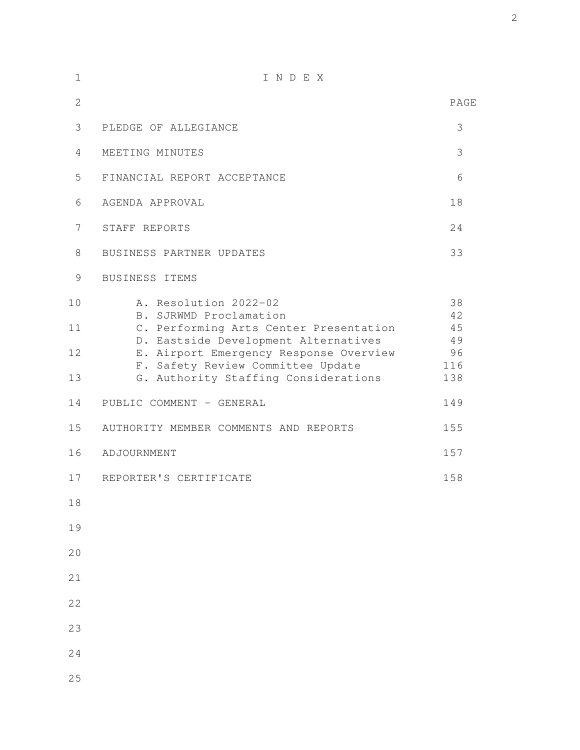| $\mathbf 1$                | INDEX                                                                                                                                                                                                                                                                                |                                                 |
|----------------------------|--------------------------------------------------------------------------------------------------------------------------------------------------------------------------------------------------------------------------------------------------------------------------------------|-------------------------------------------------|
| $\overline{2}$             |                                                                                                                                                                                                                                                                                      | PAGE                                            |
| 3                          | PLEDGE OF ALLEGIANCE                                                                                                                                                                                                                                                                 | 3                                               |
| 4                          | MEETING MINUTES                                                                                                                                                                                                                                                                      | 3                                               |
| 5                          | FINANCIAL REPORT ACCEPTANCE                                                                                                                                                                                                                                                          | 6                                               |
| 6                          | AGENDA APPROVAL                                                                                                                                                                                                                                                                      | 18                                              |
| 7                          | STAFF REPORTS                                                                                                                                                                                                                                                                        | 24                                              |
| $8\,$                      | BUSINESS PARTNER UPDATES                                                                                                                                                                                                                                                             | 33                                              |
| $\mathcal{G}$              | BUSINESS ITEMS                                                                                                                                                                                                                                                                       |                                                 |
| 10<br>11<br>12<br>13<br>14 | A. Resolution 2022-02<br>B. SJRWMD Proclamation<br>C. Performing Arts Center Presentation<br>D. Eastside Development Alternatives<br>E. Airport Emergency Response Overview<br>F. Safety Review Committee Update<br>G. Authority Staffing Considerations<br>PUBLIC COMMENT - GENERAL | 38<br>42<br>45<br>49<br>96<br>116<br>138<br>149 |
| 15                         | AUTHORITY MEMBER COMMENTS AND REPORTS                                                                                                                                                                                                                                                | 155                                             |
| 16                         | ADJOURNMENT                                                                                                                                                                                                                                                                          | 157                                             |
| 17                         | REPORTER'S CERTIFICATE                                                                                                                                                                                                                                                               | 158                                             |
| 18                         |                                                                                                                                                                                                                                                                                      |                                                 |
| 19                         |                                                                                                                                                                                                                                                                                      |                                                 |
| 20                         |                                                                                                                                                                                                                                                                                      |                                                 |
| 21                         |                                                                                                                                                                                                                                                                                      |                                                 |
| 22                         |                                                                                                                                                                                                                                                                                      |                                                 |
| 23                         |                                                                                                                                                                                                                                                                                      |                                                 |
| 24                         |                                                                                                                                                                                                                                                                                      |                                                 |
| 25                         |                                                                                                                                                                                                                                                                                      |                                                 |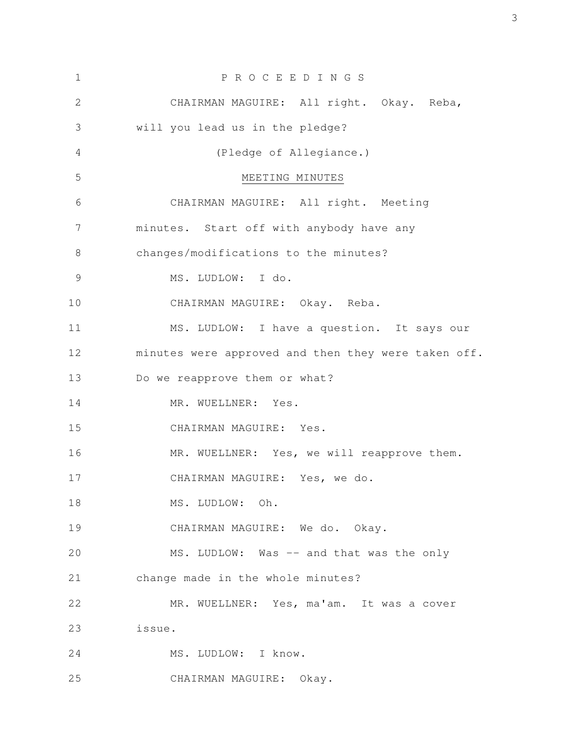| $\mathbf 1$ | P R O C E E D I N G S                               |  |  |
|-------------|-----------------------------------------------------|--|--|
| 2           | CHAIRMAN MAGUIRE: All right. Okay. Reba,            |  |  |
| 3           | will you lead us in the pledge?                     |  |  |
| 4           | (Pledge of Allegiance.)                             |  |  |
| 5           | MEETING MINUTES                                     |  |  |
| 6           | CHAIRMAN MAGUIRE: All right. Meeting                |  |  |
| 7           | minutes. Start off with anybody have any            |  |  |
| 8           | changes/modifications to the minutes?               |  |  |
| 9           | MS. LUDLOW: I do.                                   |  |  |
| 10          | CHAIRMAN MAGUIRE: Okay. Reba.                       |  |  |
| 11          | MS. LUDLOW: I have a question. It says our          |  |  |
| 12          | minutes were approved and then they were taken off. |  |  |
| 13          | Do we reapprove them or what?                       |  |  |
| 14          | MR. WUELLNER: Yes.                                  |  |  |
| 15          | CHAIRMAN MAGUIRE: Yes.                              |  |  |
| 16          | MR. WUELLNER: Yes, we will reapprove them.          |  |  |
| 17          | CHAIRMAN MAGUIRE: Yes, we do.                       |  |  |
| 18          | MS. LUDLOW: Oh.                                     |  |  |
| 19          | CHAIRMAN MAGUIRE: We do. Okay.                      |  |  |
| 20          | MS. LUDLOW: Was -- and that was the only            |  |  |
| 21          | change made in the whole minutes?                   |  |  |
| 22          | MR. WUELLNER: Yes, ma'am. It was a cover            |  |  |
| 23          | issue.                                              |  |  |
| 24          | MS. LUDLOW: I know.                                 |  |  |
| 25          | CHAIRMAN MAGUIRE: Okay.                             |  |  |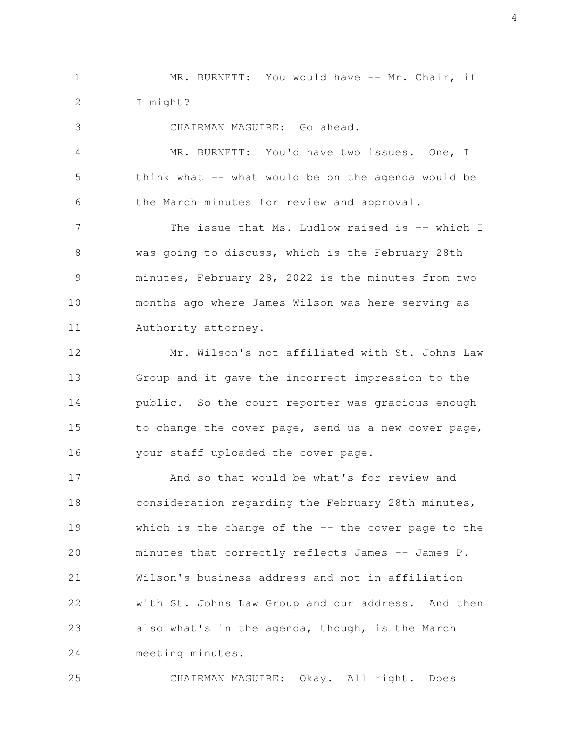MR. BURNETT: You would have -- Mr. Chair, if I might? 1 2

CHAIRMAN MAGUIRE: Go ahead. MR. BURNETT: You'd have two issues. One, I think what  $-$  what would be on the agenda would be the March minutes for review and approval. The issue that Ms. Ludlow raised is -- which I was going to discuss, which is the February 28th minutes, February 28, 2022 is the minutes from two months ago where James Wilson was here serving as Authority attorney. Mr. Wilson's not affiliated with St. Johns Law Group and it gave the incorrect impression to the 3 4 5 6 7 8 9 10 11 12 13

public. So the court reporter was gracious enough to change the cover page, send us a new cover page, your staff uploaded the cover page. 14 15 16

And so that would be what's for review and consideration regarding the February 28th minutes, which is the change of the  $-$ - the cover page to the minutes that correctly reflects James -- James P. Wilson's business address and not in affiliation with St. Johns Law Group and our address. And then also what's in the agenda, though, is the March meeting minutes. 17 18 19 20 21 22 23 24

CHAIRMAN MAGUIRE: Okay. All right. Does 25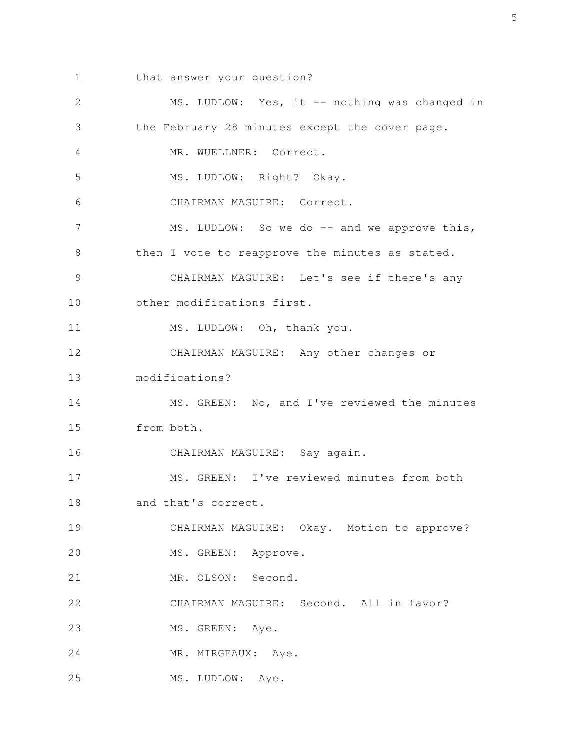that answer your question? 1

MS. LUDLOW: Yes, it -- nothing was changed in the February 28 minutes except the cover page. MR. WUELLNER: Correct. MS. LUDLOW: Right? Okay. CHAIRMAN MAGUIRE: Correct. MS. LUDLOW: So we do -- and we approve this, then I vote to reapprove the minutes as stated. CHAIRMAN MAGUIRE: Let's see if there's any other modifications first. MS. LUDLOW: Oh, thank you. CHAIRMAN MAGUIRE: Any other changes or modifications? MS. GREEN: No, and I've reviewed the minutes from both. CHAIRMAN MAGUIRE: Say again. MS. GREEN: I've reviewed minutes from both and that's correct. CHAIRMAN MAGUIRE: Okay. Motion to approve? MS. GREEN: Approve. MR. OLSON: Second. CHAIRMAN MAGUIRE: Second. All in favor? MS. GREEN: Aye. MR. MIRGEAUX: Aye. MS. LUDLOW: Aye. 2 3 4 5 6 7 8 9 10 11 12 13 14 15 16 17 18 19 20 21 22 23 24 25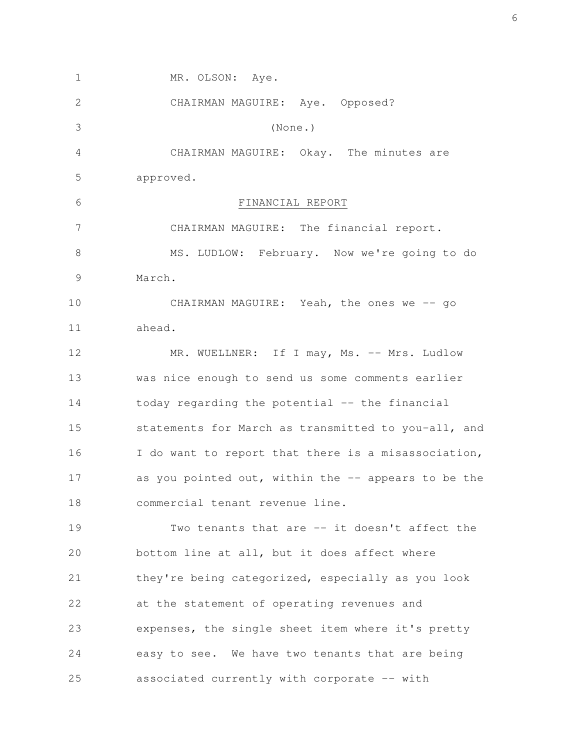MR. OLSON: Aye. CHAIRMAN MAGUIRE: Aye. Opposed? (None.) CHAIRMAN MAGUIRE: Okay. The minutes are approved. FINANCIAL REPORT CHAIRMAN MAGUIRE: The financial report. MS. LUDLOW: February. Now we're going to do March. CHAIRMAN MAGUIRE: Yeah, the ones we -- go ahead. MR. WUELLNER: If I may, Ms. -- Mrs. Ludlow was nice enough to send us some comments earlier today regarding the potential -- the financial statements for March as transmitted to you-all, and I do want to report that there is a misassociation, as you pointed out, within the  $-$  appears to be the commercial tenant revenue line. Two tenants that are -- it doesn't affect the bottom line at all, but it does affect where they're being categorized, especially as you look at the statement of operating revenues and expenses, the single sheet item where it's pretty easy to see. We have two tenants that are being associated currently with corporate -- with 1 2 3 4 5 6 7 8 9 10 11 12 13 14 15 16 17 18 19 20 21 22 23 24 25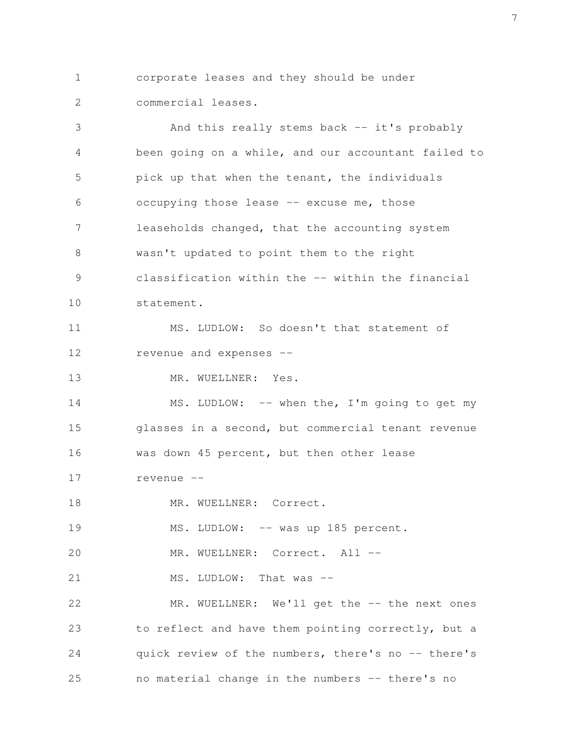corporate leases and they should be under commercial leases. 1 2

And this really stems back -- it's probably been going on a while, and our accountant failed to pick up that when the tenant, the individuals occupying those lease -- excuse me, those leaseholds changed, that the accounting system wasn't updated to point them to the right classification within the -- within the financial statement. MS. LUDLOW: So doesn't that statement of revenue and expenses -- MR. WUELLNER: Yes. MS. LUDLOW: -- when the, I'm going to get my glasses in a second, but commercial tenant revenue was down 45 percent, but then other lease revenue -- MR. WUELLNER: Correct. MS. LUDLOW: -- was up 185 percent. MR. WUELLNER: Correct. All --MS. LUDLOW: That was --MR. WUELLNER: We'll get the -- the next ones to reflect and have them pointing correctly, but a quick review of the numbers, there's no -- there's no material change in the numbers -- there's no 3 4 5 6 7 8 9 10 11 12 13 14 15 16 17 18 19 20 21 22 23 24 25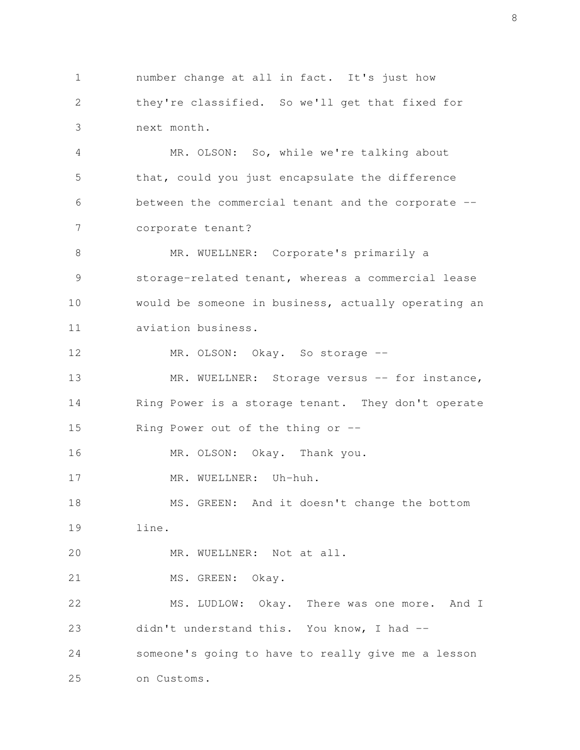number change at all in fact. It's just how they're classified. So we'll get that fixed for next month. 1 2 3

MR. OLSON: So, while we're talking about that, could you just encapsulate the difference between the commercial tenant and the corporate - corporate tenant? 4 5 6 7

MR. WUELLNER: Corporate's primarily a storage-related tenant, whereas a commercial lease would be someone in business, actually operating an aviation business. 8 9 10 11

MR. OLSON: Okay. So storage --12

MR. WUELLNER: Storage versus -- for instance, Ring Power is a storage tenant. They don't operate Ring Power out of the thing or  $-$ 13 14 15

MR. OLSON: Okay. Thank you. 16

MR. WUELLNER: Uh-huh. 17

MS. GREEN: And it doesn't change the bottom line. 18 19

MR. WUELLNER: Not at all. 20

MS. GREEN: Okay. 21

on Customs.

25

MS. LUDLOW: Okay. There was one more. And I didn't understand this. You know, I had - someone's going to have to really give me a lesson 22 23 24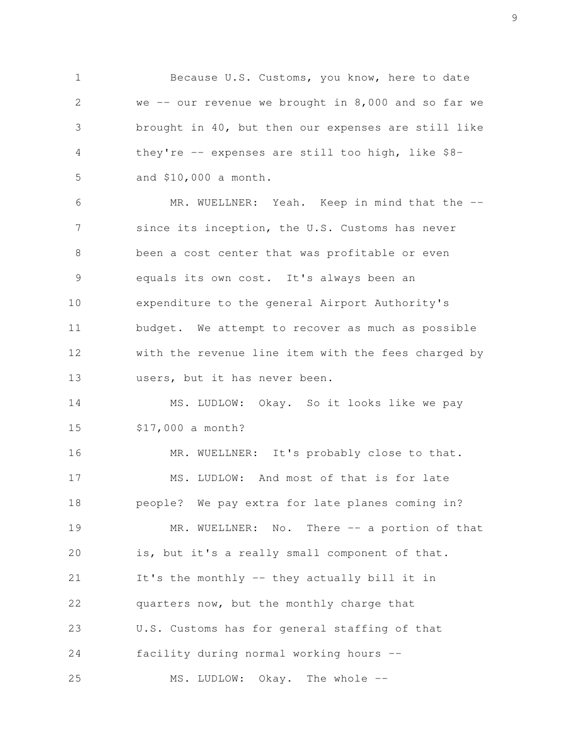Because U.S. Customs, you know, here to date we  $--$  our revenue we brought in 8,000 and so far we brought in 40, but then our expenses are still like they're -- expenses are still too high, like \$8 and \$10,000 a month. 1 2 3 4 5

MR. WUELLNER: Yeah. Keep in mind that the -since its inception, the U.S. Customs has never been a cost center that was profitable or even equals its own cost. It's always been an expenditure to the general Airport Authority's budget. We attempt to recover as much as possible with the revenue line item with the fees charged by users, but it has never been. 6 7 8 9 10 11 12 13

MS. LUDLOW: Okay. So it looks like we pay \$17,000 a month? 14 15

MR. WUELLNER: It's probably close to that. MS. LUDLOW: And most of that is for late people? We pay extra for late planes coming in? MR. WUELLNER: No. There -- a portion of that is, but it's a really small component of that. It's the monthly -- they actually bill it in quarters now, but the monthly charge that U.S. Customs has for general staffing of that facility during normal working hours -- MS. LUDLOW: Okay. The whole --16 17 18 19 20 21 22 23 24 25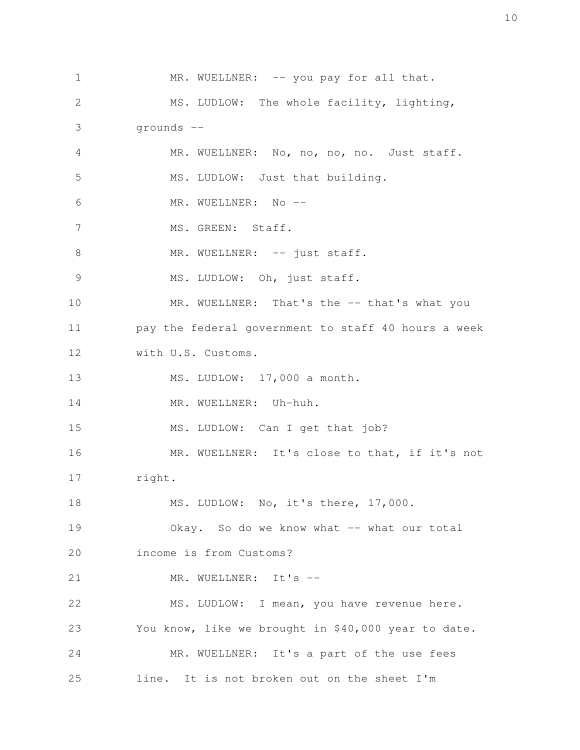MR. WUELLNER: -- you pay for all that. MS. LUDLOW: The whole facility, lighting, grounds -- MR. WUELLNER: No, no, no, no. Just staff. MS. LUDLOW: Just that building. MR. WUELLNER: No --MS. GREEN: Staff. MR. WUELLNER: -- just staff. MS. LUDLOW: Oh, just staff. MR. WUELLNER: That's the -- that's what you pay the federal government to staff 40 hours a week with U.S. Customs. MS. LUDLOW: 17,000 a month. MR. WUELLNER: Uh-huh. MS. LUDLOW: Can I get that job? MR. WUELLNER: It's close to that, if it's not right. MS. LUDLOW: No, it's there, 17,000. Okay. So do we know what -- what our total income is from Customs? MR. WUELLNER: It's --MS. LUDLOW: I mean, you have revenue here. You know, like we brought in \$40,000 year to date. MR. WUELLNER: It's a part of the use fees line. It is not broken out on the sheet I'm 1 2 3 4 5 6 7 8 9 10 11 12 13 14 15 16 17 18 19 20 21 22 23 24 25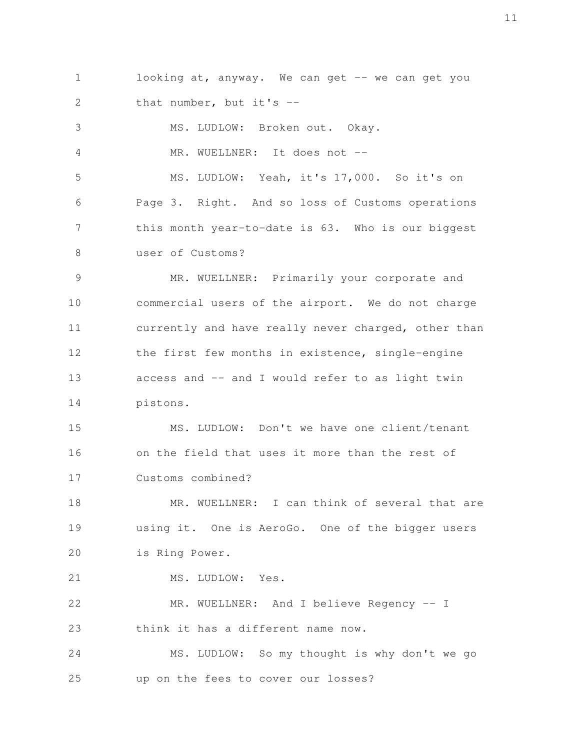looking at, anyway. We can get -- we can get you that number, but it's -- 1 2

MS. LUDLOW: Broken out. Okay. MR. WUELLNER: It does not --MS. LUDLOW: Yeah, it's 17,000. So it's on Page 3. Right. And so loss of Customs operations this month year-to-date is 63. Who is our biggest user of Customs? 3 4 5 6 7 8

MR. WUELLNER: Primarily your corporate and commercial users of the airport. We do not charge currently and have really never charged, other than the first few months in existence, single-engine access and -- and I would refer to as light twin pistons. 9 10 11 12 13 14

MS. LUDLOW: Don't we have one client/tenant on the field that uses it more than the rest of Customs combined? 15 16 17

MR. WUELLNER: I can think of several that are using it. One is AeroGo. One of the bigger users is Ring Power. 18 19 20

MS. LUDLOW: Yes. 21

MR. WUELLNER: And I believe Regency -- I think it has a different name now. 22 23

MS. LUDLOW: So my thought is why don't we go up on the fees to cover our losses? 24 25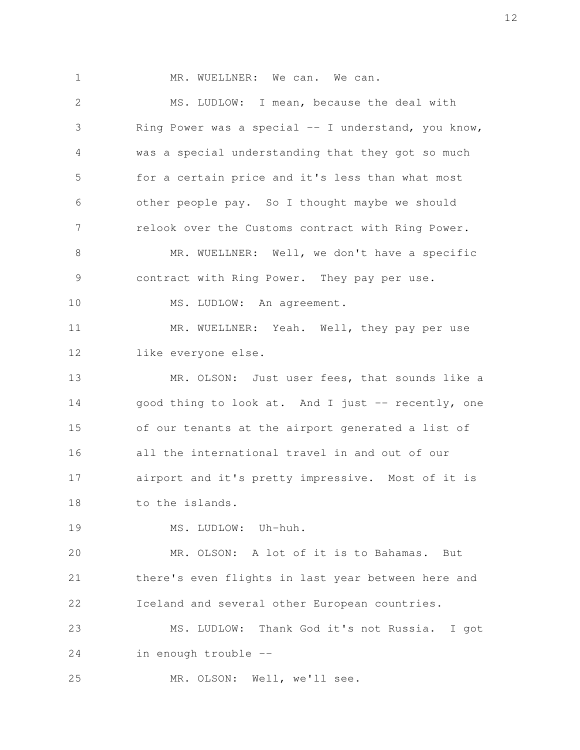MR. WUELLNER: We can. We can. MS. LUDLOW: I mean, because the deal with Ring Power was a special  $-$  I understand, you know, was a special understanding that they got so much for a certain price and it's less than what most other people pay. So I thought maybe we should relook over the Customs contract with Ring Power. MR. WUELLNER: Well, we don't have a specific contract with Ring Power. They pay per use. MS. LUDLOW: An agreement. MR. WUELLNER: Yeah. Well, they pay per use like everyone else. MR. OLSON: Just user fees, that sounds like a good thing to look at. And I just -- recently, one of our tenants at the airport generated a list of all the international travel in and out of our airport and it's pretty impressive. Most of it is to the islands. MS. LUDLOW: Uh-huh. MR. OLSON: A lot of it is to Bahamas. But there's even flights in last year between here and Iceland and several other European countries. MS. LUDLOW: Thank God it's not Russia. I got 1 2 3 4 5 6 7 8 9 10 11 12 13 14 15 16 17 18 19 20 21 22 23

in enough trouble -- 24

MR. OLSON: Well, we'll see. 25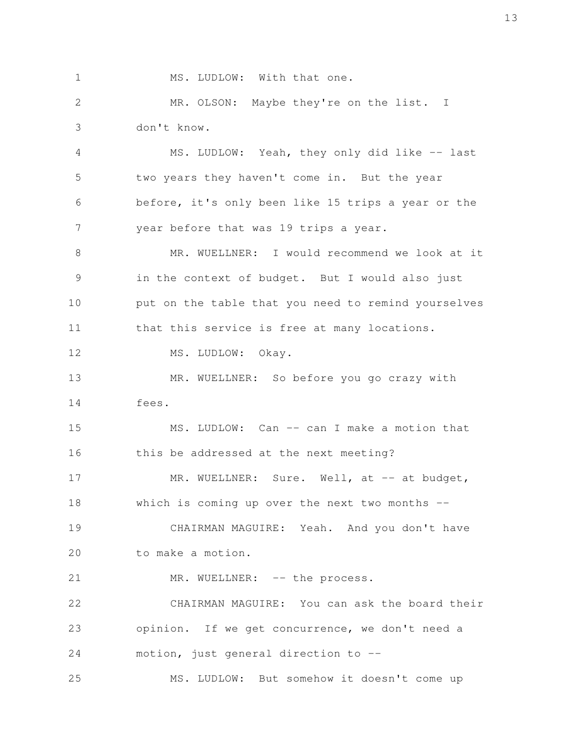MS. LUDLOW: With that one.

1

MR. OLSON: Maybe they're on the list. I don't know. 2 3

MS. LUDLOW: Yeah, they only did like -- last two years they haven't come in. But the year before, it's only been like 15 trips a year or the year before that was 19 trips a year. 4 5 6 7

MR. WUELLNER: I would recommend we look at it in the context of budget. But I would also just put on the table that you need to remind yourselves that this service is free at many locations. 8 9 10 11

MS. LUDLOW: Okay. 12

MR. WUELLNER: So before you go crazy with fees. 13 14

MS. LUDLOW: Can -- can I make a motion that this be addressed at the next meeting? MR. WUELLNER: Sure. Well, at -- at budget, which is coming up over the next two months  $-$ 15 16 17 18

CHAIRMAN MAGUIRE: Yeah. And you don't have to make a motion. 19 20

MR. WUELLNER: -- the process. 21

CHAIRMAN MAGUIRE: You can ask the board their opinion. If we get concurrence, we don't need a motion, just general direction to -- 22 23 24

MS. LUDLOW: But somehow it doesn't come up 25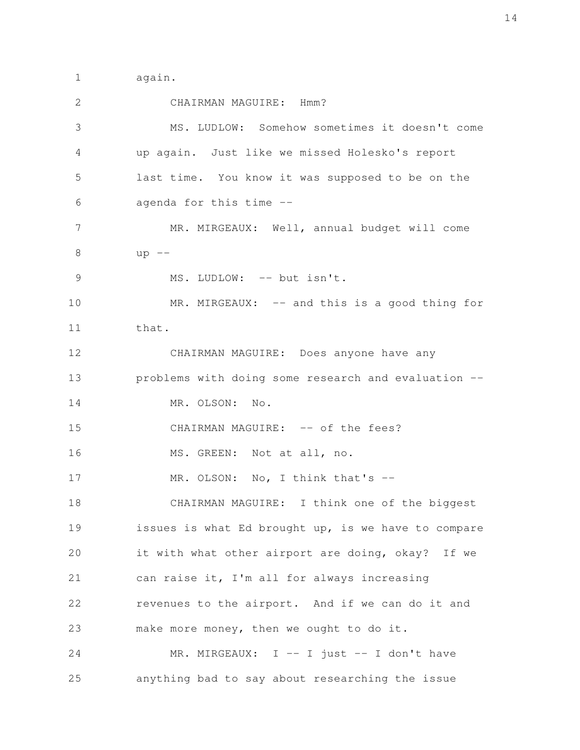again. 1

CHAIRMAN MAGUIRE: Hmm? MS. LUDLOW: Somehow sometimes it doesn't come up again. Just like we missed Holesko's report last time. You know it was supposed to be on the agenda for this time -- MR. MIRGEAUX: Well, annual budget will come  $up$   $--$ MS. LUDLOW: -- but isn't. MR. MIRGEAUX: -- and this is a good thing for that. CHAIRMAN MAGUIRE: Does anyone have any problems with doing some research and evaluation -- MR. OLSON: No. CHAIRMAN MAGUIRE: -- of the fees? MS. GREEN: Not at all, no. MR. OLSON: No, I think that's --CHAIRMAN MAGUIRE: I think one of the biggest issues is what Ed brought up, is we have to compare it with what other airport are doing, okay? If we can raise it, I'm all for always increasing revenues to the airport. And if we can do it and make more money, then we ought to do it. MR. MIRGEAUX: I -- I just -- I don't have anything bad to say about researching the issue 2 3 4 5 6 7 8 9 10 11 12 13 14 15 16 17 18 19 20 21 22 23 24 25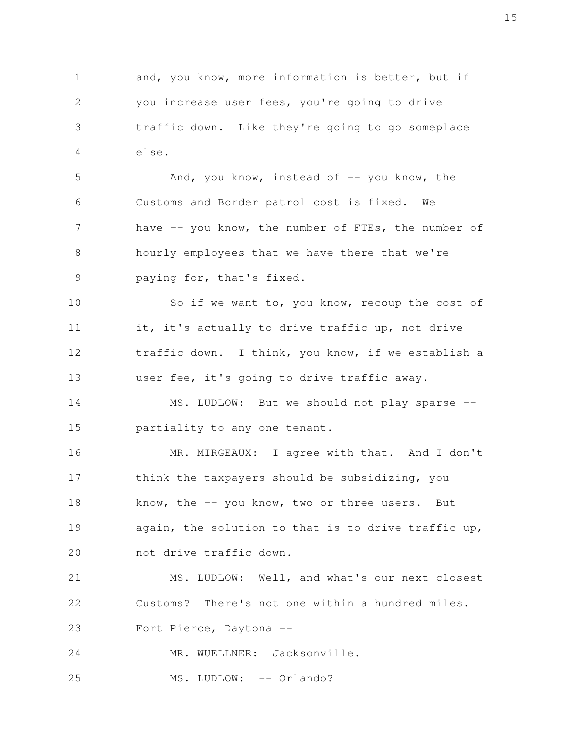and, you know, more information is better, but if you increase user fees, you're going to drive traffic down. Like they're going to go someplace else. 1 2 3 4

And, you know, instead of  $-$ - you know, the Customs and Border patrol cost is fixed. We have -- you know, the number of FTEs, the number of hourly employees that we have there that we're paying for, that's fixed. 5 6 7 8 9

So if we want to, you know, recoup the cost of it, it's actually to drive traffic up, not drive traffic down. I think, you know, if we establish a user fee, it's going to drive traffic away. 10 11 12 13

MS. LUDLOW: But we should not play sparse -partiality to any one tenant. 14 15

MR. MIRGEAUX: I agree with that. And I don't think the taxpayers should be subsidizing, you know, the -- you know, two or three users. But again, the solution to that is to drive traffic up, not drive traffic down. 16 17 18 19 20

MS. LUDLOW: Well, and what's our next closest Customs? There's not one within a hundred miles. Fort Pierce, Daytona -- 21 22 23

MR. WUELLNER: Jacksonville. 24

MS. LUDLOW: -- Orlando? 25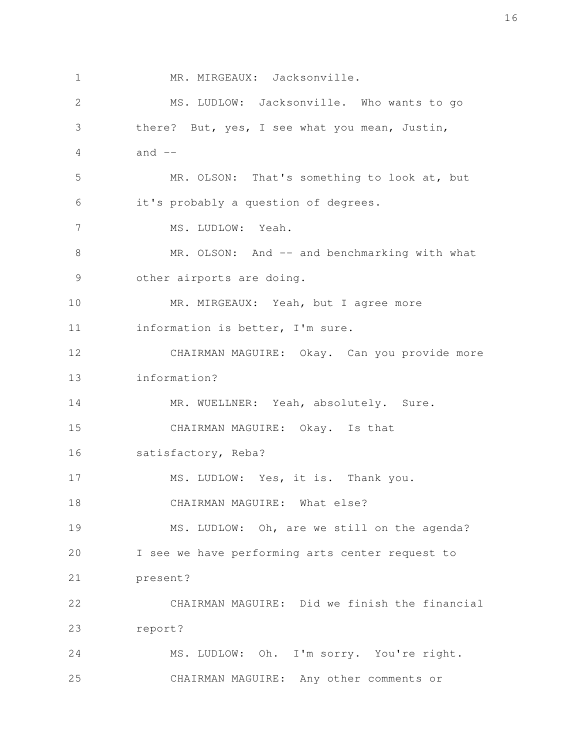MR. MIRGEAUX: Jacksonville. MS. LUDLOW: Jacksonville. Who wants to go there? But, yes, I see what you mean, Justin, and  $--$ MR. OLSON: That's something to look at, but it's probably a question of degrees. MS. LUDLOW: Yeah. MR. OLSON: And -- and benchmarking with what other airports are doing. MR. MIRGEAUX: Yeah, but I agree more information is better, I'm sure. CHAIRMAN MAGUIRE: Okay. Can you provide more information? MR. WUELLNER: Yeah, absolutely. Sure. CHAIRMAN MAGUIRE: Okay. Is that satisfactory, Reba? MS. LUDLOW: Yes, it is. Thank you. CHAIRMAN MAGUIRE: What else? MS. LUDLOW: Oh, are we still on the agenda? I see we have performing arts center request to present? CHAIRMAN MAGUIRE: Did we finish the financial report? MS. LUDLOW: Oh. I'm sorry. You're right. CHAIRMAN MAGUIRE: Any other comments or 1 2 3 4 5 6 7 8 9 10 11 12 13 14 15 16 17 18 19 20 21 22 23 24 25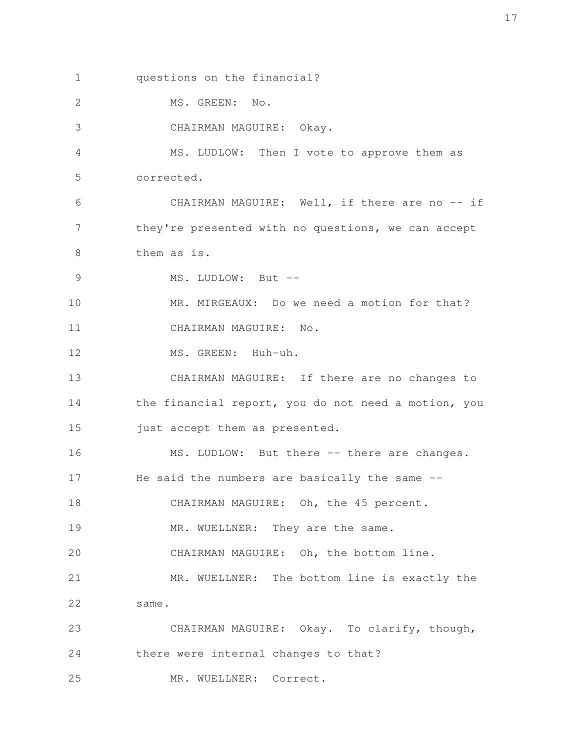questions on the financial? 1

MS. GREEN: No. 2

CHAIRMAN MAGUIRE: Okay. 3

MS. LUDLOW: Then I vote to approve them as corrected. 4 5

CHAIRMAN MAGUIRE: Well, if there are no -- if they're presented with no questions, we can accept them as is. 6 7 8

MS. LUDLOW: But --9

MR. MIRGEAUX: Do we need a motion for that? CHAIRMAN MAGUIRE: No. 10 11

MS. GREEN: Huh-uh. 12

CHAIRMAN MAGUIRE: If there are no changes to the financial report, you do not need a motion, you just accept them as presented. 13 14 15

MS. LUDLOW: But there -- there are changes. He said the numbers are basically the same --16 17

CHAIRMAN MAGUIRE: Oh, the 45 percent. 18

MR. WUELLNER: They are the same. 19

CHAIRMAN MAGUIRE: Oh, the bottom line. 20

MR. WUELLNER: The bottom line is exactly the same. 21 22

CHAIRMAN MAGUIRE: Okay. To clarify, though, there were internal changes to that? MR. WUELLNER: Correct. 23 24 25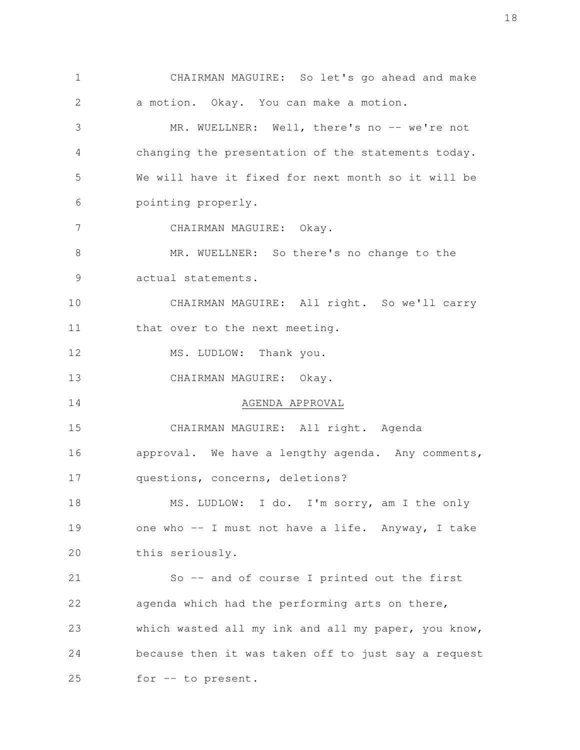CHAIRMAN MAGUIRE: So let's go ahead and make a motion. Okay. You can make a motion. MR. WUELLNER: Well, there's no -- we're not changing the presentation of the statements today. We will have it fixed for next month so it will be pointing properly. CHAIRMAN MAGUIRE: Okay. MR. WUELLNER: So there's no change to the actual statements. CHAIRMAN MAGUIRE: All right. So we'll carry that over to the next meeting. MS. LUDLOW: Thank you. CHAIRMAN MAGUIRE: Okay. AGENDA APPROVAL CHAIRMAN MAGUIRE: All right. Agenda approval. We have a lengthy agenda. Any comments, questions, concerns, deletions? MS. LUDLOW: I do. I'm sorry, am I the only one who -- I must not have a life. Anyway, I take this seriously. So -- and of course I printed out the first agenda which had the performing arts on there, which wasted all my ink and all my paper, you know, because then it was taken off to just say a request for -- to present. 1 2 3 4 5 6 7 8 9 10 11 12 13 14 15 16 17 18 19 20 21 22 23 24 25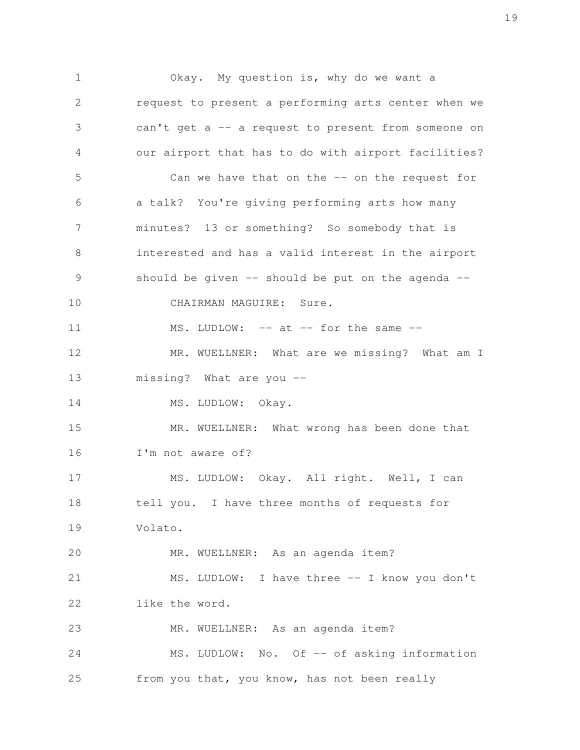Okay. My question is, why do we want a request to present a performing arts center when we can't get a -- a request to present from someone on our airport that has to do with airport facilities? Can we have that on the -- on the request for a talk? You're giving performing arts how many minutes? 13 or something? So somebody that is interested and has a valid interest in the airport should be given  $-$  should be put on the agenda  $-$ CHAIRMAN MAGUIRE: Sure. MS. LUDLOW: -- at -- for the same --MR. WUELLNER: What are we missing? What am I missing? What are you -- MS. LUDLOW: Okay. MR. WUELLNER: What wrong has been done that I'm not aware of? MS. LUDLOW: Okay. All right. Well, I can tell you. I have three months of requests for Volato. MR. WUELLNER: As an agenda item? MS. LUDLOW: I have three -- I know you don't like the word. MR. WUELLNER: As an agenda item? MS. LUDLOW: No. Of -- of asking information from you that, you know, has not been really 1 2 3 4 5 6 7 8 9 10 11 12 13 14 15 16 17 18 19 20 21 22 23 24 25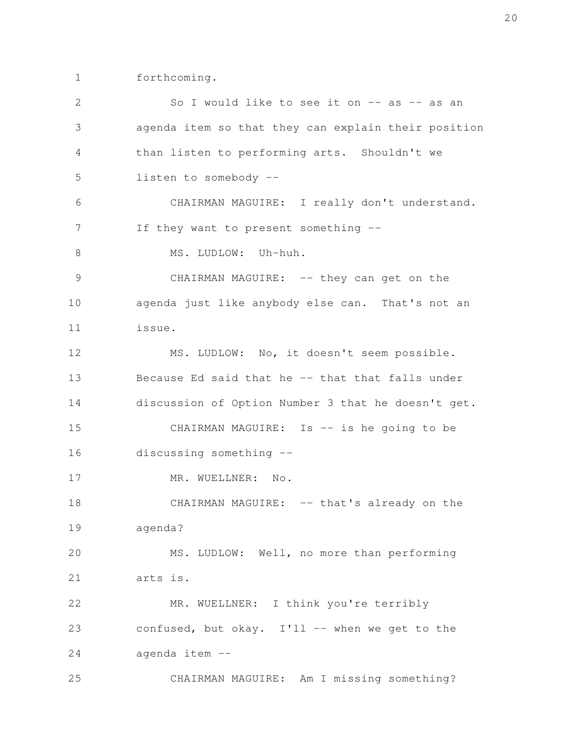forthcoming. 1

| 2             | So I would like to see it on -- as -- as an         |
|---------------|-----------------------------------------------------|
| 3             | agenda item so that they can explain their position |
| 4             | than listen to performing arts. Shouldn't we        |
| 5             | listen to somebody --                               |
| 6             | CHAIRMAN MAGUIRE: I really don't understand.        |
| 7             | If they want to present something --                |
| $8\,$         | MS. LUDLOW: Uh-huh.                                 |
| $\mathcal{G}$ | CHAIRMAN MAGUIRE: -- they can get on the            |
| 10            | agenda just like anybody else can. That's not an    |
| 11            | issue.                                              |
| 12            | MS. LUDLOW: No, it doesn't seem possible.           |
| 13            | Because Ed said that he -- that that falls under    |
| 14            | discussion of Option Number 3 that he doesn't get.  |
| 15            | CHAIRMAN MAGUIRE: Is -- is he going to be           |
| 16            | discussing something --                             |
| 17            | MR. WUELLNER: No.                                   |
| 18            | CHAIRMAN MAGUIRE: -- that's already on the          |
| 19            | agenda?                                             |
| 20            | MS. LUDLOW: Well, no more than performing           |
| 21            | arts is.                                            |
| 22            | MR. WUELLNER: I think you're terribly               |
| 23            | confused, but okay. I'll -- when we get to the      |
| 24            | agenda item --                                      |
| 25            | CHAIRMAN MAGUIRE: Am I missing something?           |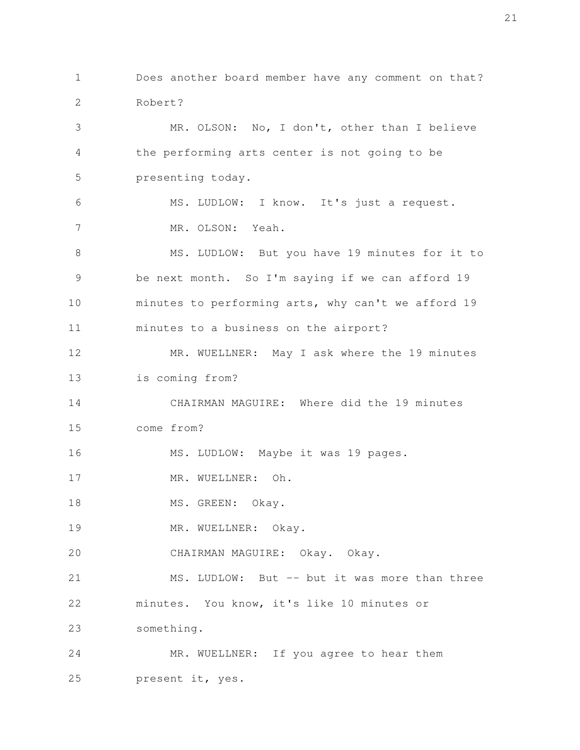Does another board member have any comment on that? Robert? MR. OLSON: No, I don't, other than I believe the performing arts center is not going to be presenting today. MS. LUDLOW: I know. It's just a request. MR. OLSON: Yeah. MS. LUDLOW: But you have 19 minutes for it to be next month. So I'm saying if we can afford 19 minutes to performing arts, why can't we afford 19 minutes to a business on the airport? MR. WUELLNER: May I ask where the 19 minutes is coming from? CHAIRMAN MAGUIRE: Where did the 19 minutes come from? MS. LUDLOW: Maybe it was 19 pages. MR. WUELLNER: Oh. MS. GREEN: Okay. MR. WUELLNER: Okay. CHAIRMAN MAGUIRE: Okay. Okay. MS. LUDLOW: But -- but it was more than three minutes. You know, it's like 10 minutes or something. MR. WUELLNER: If you agree to hear them present it, yes. 1 2 3 4 5 6 7 8 9 10 11 12 13 14 15 16 17 18 19 20 21 22 23 24 25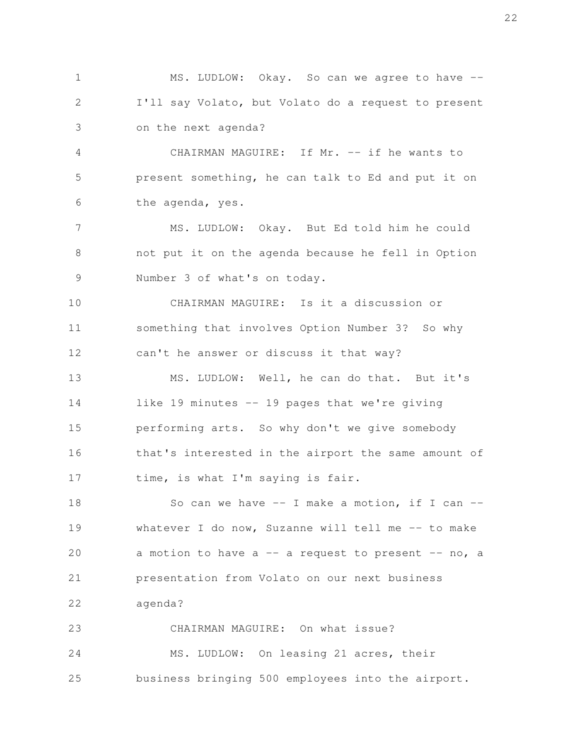MS. LUDLOW: Okay. So can we agree to have --I'll say Volato, but Volato do a request to present on the next agenda? 1 2 3

CHAIRMAN MAGUIRE: If Mr. -- if he wants to present something, he can talk to Ed and put it on the agenda, yes. 4 5 6

MS. LUDLOW: Okay. But Ed told him he could not put it on the agenda because he fell in Option Number 3 of what's on today. 7 8 9

CHAIRMAN MAGUIRE: Is it a discussion or something that involves Option Number 3? So why can't he answer or discuss it that way? 10 11 12

MS. LUDLOW: Well, he can do that. But it's like 19 minutes -- 19 pages that we're giving performing arts. So why don't we give somebody that's interested in the airport the same amount of time, is what I'm saying is fair. 13 14 15 16 17

So can we have  $--$  I make a motion, if I can  $-$ whatever I do now, Suzanne will tell me -- to make a motion to have a  $-$  a request to present  $-$  no, a presentation from Volato on our next business agenda? 18 19 20 21 22

CHAIRMAN MAGUIRE: On what issue? MS. LUDLOW: On leasing 21 acres, their business bringing 500 employees into the airport. 23 24 25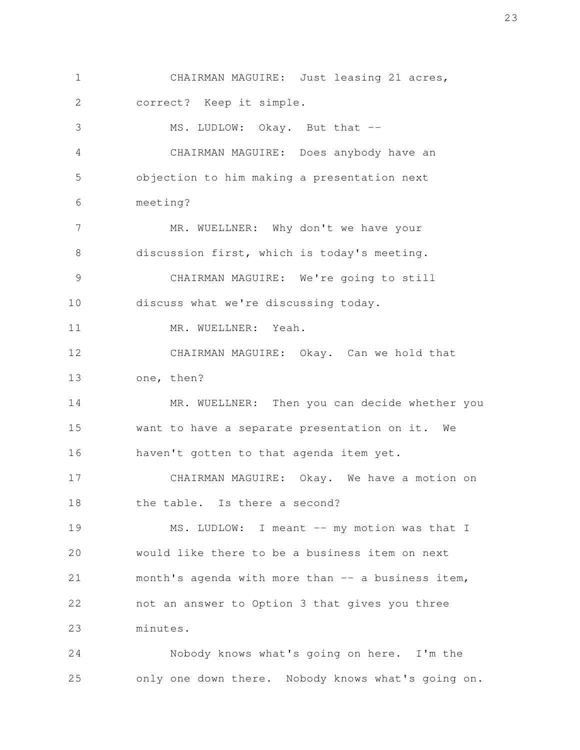CHAIRMAN MAGUIRE: Just leasing 21 acres, correct? Keep it simple. MS. LUDLOW: Okay. But that --CHAIRMAN MAGUIRE: Does anybody have an objection to him making a presentation next meeting? MR. WUELLNER: Why don't we have your discussion first, which is today's meeting. CHAIRMAN MAGUIRE: We're going to still discuss what we're discussing today. MR. WUELLNER: Yeah. CHAIRMAN MAGUIRE: Okay. Can we hold that one, then? MR. WUELLNER: Then you can decide whether you want to have a separate presentation on it. We haven't gotten to that agenda item yet. CHAIRMAN MAGUIRE: Okay. We have a motion on the table. Is there a second? MS. LUDLOW: I meant -- my motion was that I would like there to be a business item on next month's agenda with more than -- a business item, not an answer to Option 3 that gives you three minutes. 1 2 3 4 5 6 7 8 9 10 11 12 13 14 15 16 17 18 19 20 21 22 23

Nobody knows what's going on here. I'm the only one down there. Nobody knows what's going on. 24 25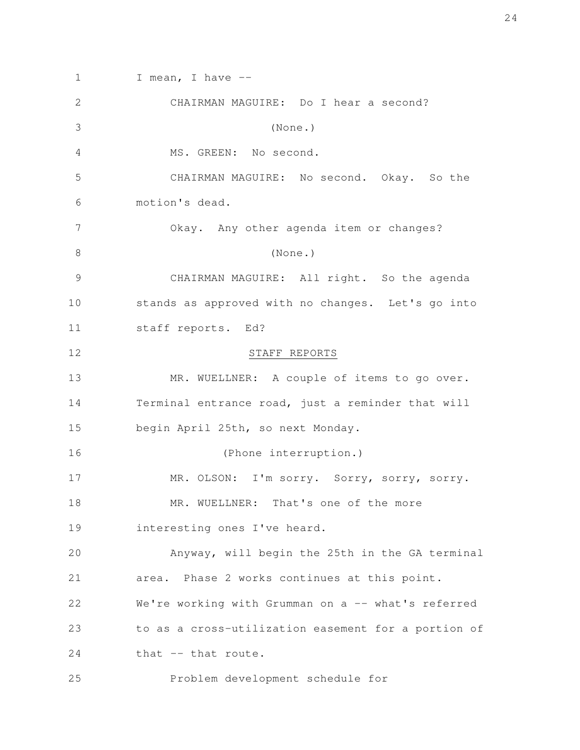I mean, I have  $-$ CHAIRMAN MAGUIRE: Do I hear a second? (None.) MS. GREEN: No second. CHAIRMAN MAGUIRE: No second. Okay. So the motion's dead. Okay. Any other agenda item or changes? (None.) CHAIRMAN MAGUIRE: All right. So the agenda stands as approved with no changes. Let's go into staff reports. Ed? STAFF REPORTS MR. WUELLNER: A couple of items to go over. Terminal entrance road, just a reminder that will begin April 25th, so next Monday. (Phone interruption.) MR. OLSON: I'm sorry. Sorry, sorry, sorry. MR. WUELLNER: That's one of the more interesting ones I've heard. Anyway, will begin the 25th in the GA terminal area. Phase 2 works continues at this point. We're working with Grumman on a -- what's referred to as a cross-utilization easement for a portion of that -- that route. Problem development schedule for 1 2 3 4 5 6 7 8 9 10 11 12 13 14 15 16 17 18 19 20 21 22 23 24 25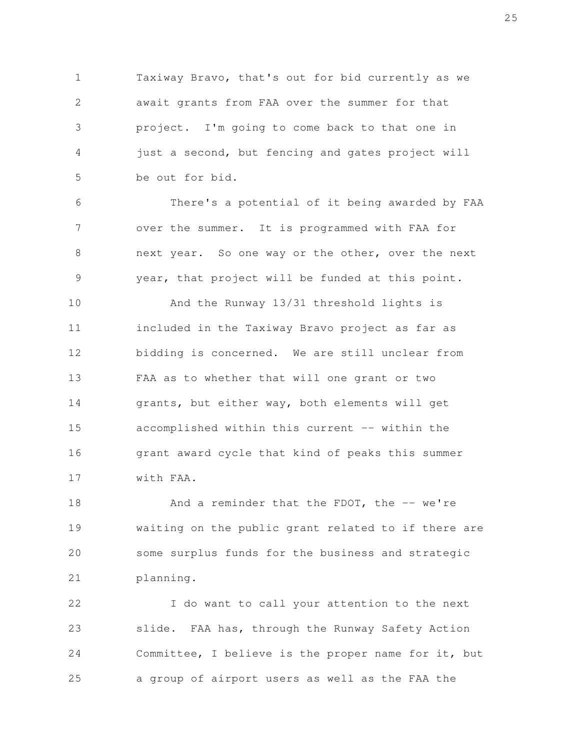Taxiway Bravo, that's out for bid currently as we await grants from FAA over the summer for that project. I'm going to come back to that one in just a second, but fencing and gates project will be out for bid. 1 2 3 4 5

There's a potential of it being awarded by FAA over the summer. It is programmed with FAA for next year. So one way or the other, over the next year, that project will be funded at this point. 6 7 8 9

And the Runway 13/31 threshold lights is included in the Taxiway Bravo project as far as bidding is concerned. We are still unclear from FAA as to whether that will one grant or two grants, but either way, both elements will get accomplished within this current -- within the grant award cycle that kind of peaks this summer with FAA. 10 11 12 13 14 15 16 17

And a reminder that the FDOT, the  $-$  we're waiting on the public grant related to if there are some surplus funds for the business and strategic planning. 18 19 20 21

I do want to call your attention to the next slide. FAA has, through the Runway Safety Action Committee, I believe is the proper name for it, but a group of airport users as well as the FAA the 22 23 24 25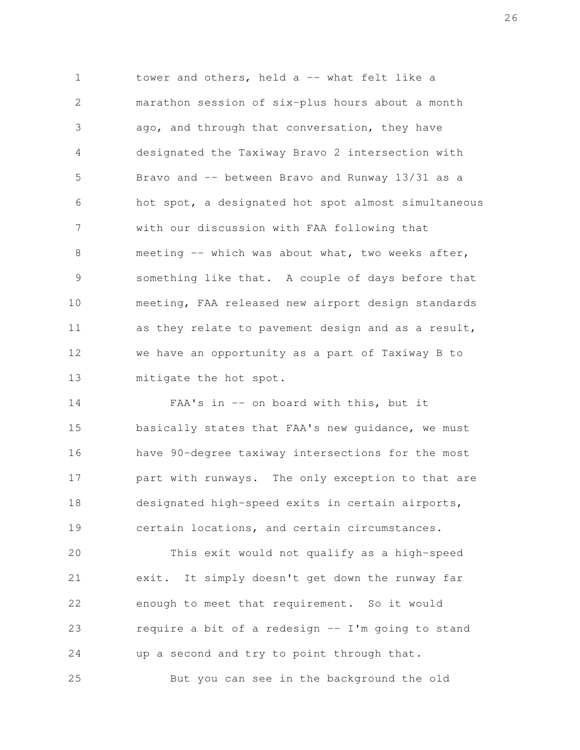tower and others, held a -- what felt like a marathon session of six-plus hours about a month ago, and through that conversation, they have designated the Taxiway Bravo 2 intersection with Bravo and -- between Bravo and Runway 13/31 as a hot spot, a designated hot spot almost simultaneous with our discussion with FAA following that meeting -- which was about what, two weeks after, something like that. A couple of days before that meeting, FAA released new airport design standards as they relate to pavement design and as a result, we have an opportunity as a part of Taxiway B to mitigate the hot spot. 1 2 3 4 5 6 7 8 9 10 11 12 13

FAA's in -- on board with this, but it basically states that FAA's new guidance, we must have 90-degree taxiway intersections for the most part with runways. The only exception to that are designated high-speed exits in certain airports, certain locations, and certain circumstances. 14 15 16 17 18 19

This exit would not qualify as a high-speed exit. It simply doesn't get down the runway far enough to meet that requirement. So it would require a bit of a redesign -- I'm going to stand up a second and try to point through that. But you can see in the background the old 20 21 22 23 24 25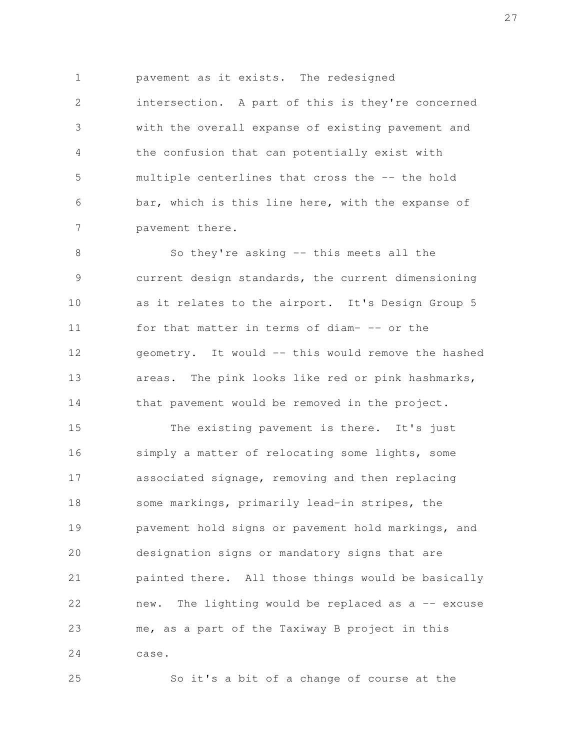pavement as it exists. The redesigned intersection. A part of this is they're concerned with the overall expanse of existing pavement and the confusion that can potentially exist with multiple centerlines that cross the -- the hold bar, which is this line here, with the expanse of 1 2 3 4 5 6

pavement there. 7

So they're asking -- this meets all the current design standards, the current dimensioning as it relates to the airport. It's Design Group 5 for that matter in terms of diam- -- or the geometry. It would -- this would remove the hashed areas. The pink looks like red or pink hashmarks, that pavement would be removed in the project. 8 9 10 11 12 13 14

The existing pavement is there. It's just simply a matter of relocating some lights, some associated signage, removing and then replacing some markings, primarily lead-in stripes, the pavement hold signs or pavement hold markings, and designation signs or mandatory signs that are painted there. All those things would be basically new. The lighting would be replaced as  $a - -$  excuse me, as a part of the Taxiway B project in this case. 15 16 17 18 19 20 21 22 23 24

25

So it's a bit of a change of course at the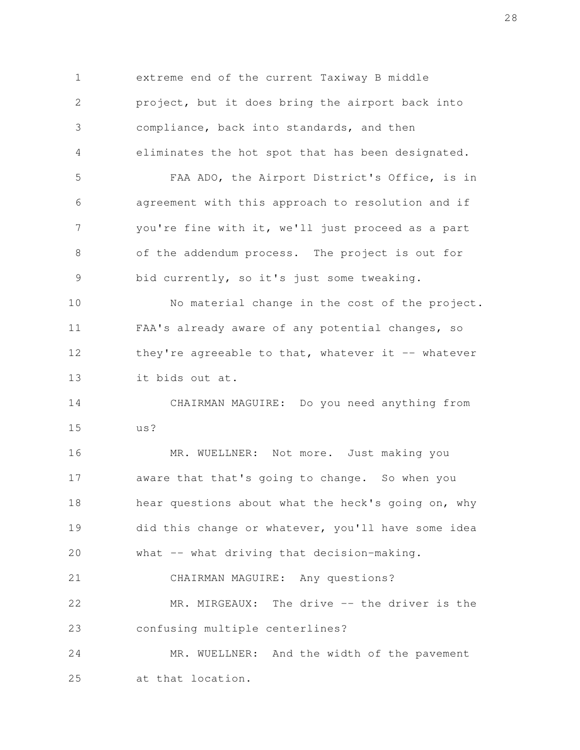extreme end of the current Taxiway B middle project, but it does bring the airport back into compliance, back into standards, and then eliminates the hot spot that has been designated. FAA ADO, the Airport District's Office, is in agreement with this approach to resolution and if you're fine with it, we'll just proceed as a part of the addendum process. The project is out for bid currently, so it's just some tweaking. No material change in the cost of the project. FAA's already aware of any potential changes, so they're agreeable to that, whatever it  $-$ - whatever it bids out at. CHAIRMAN MAGUIRE: Do you need anything from us? MR. WUELLNER: Not more. Just making you aware that that's going to change. So when you hear questions about what the heck's going on, why did this change or whatever, you'll have some idea what -- what driving that decision-making. CHAIRMAN MAGUIRE: Any questions? MR. MIRGEAUX: The drive -- the driver is the confusing multiple centerlines? MR. WUELLNER: And the width of the pavement at that location. 1 2 3 4 5 6 7 8 9 10 11 12 13 14 15 16 17 18 19 20 21 22 23 24 25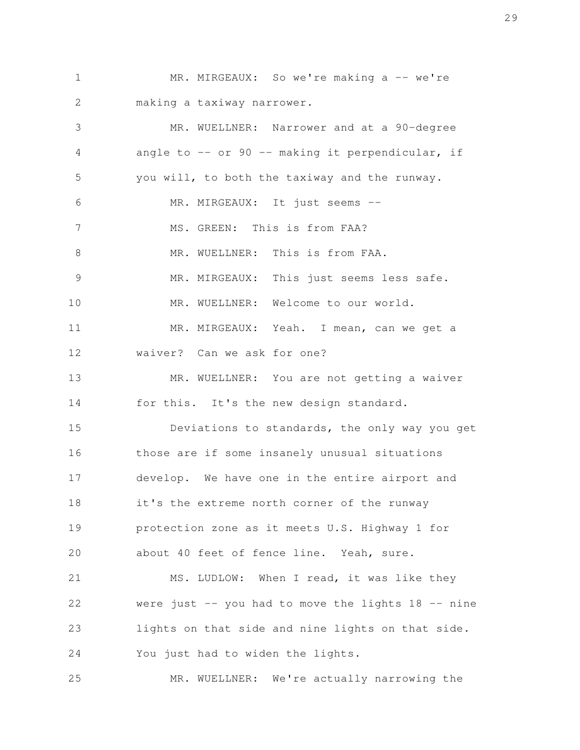MR. MIRGEAUX: So we're making a -- we're making a taxiway narrower. 1 2

MR. WUELLNER: Narrower and at a 90-degree angle to  $--$  or 90  $--$  making it perpendicular, if you will, to both the taxiway and the runway. MR. MIRGEAUX: It just seems --MS. GREEN: This is from FAA? MR. WUELLNER: This is from FAA. MR. MIRGEAUX: This just seems less safe. MR. WUELLNER: Welcome to our world. MR. MIRGEAUX: Yeah. I mean, can we get a waiver? Can we ask for one? MR. WUELLNER: You are not getting a waiver for this. It's the new design standard. Deviations to standards, the only way you get those are if some insanely unusual situations develop. We have one in the entire airport and it's the extreme north corner of the runway protection zone as it meets U.S. Highway 1 for about 40 feet of fence line. Yeah, sure. MS. LUDLOW: When I read, it was like they were just  $-$  you had to move the lights 18  $-$  nine lights on that side and nine lights on that side. You just had to widen the lights. 3 4 5 6 7 8 9 10 11 12 13 14 15 16 17 18 19 20 21 22 23 24

MR. WUELLNER: We're actually narrowing the 25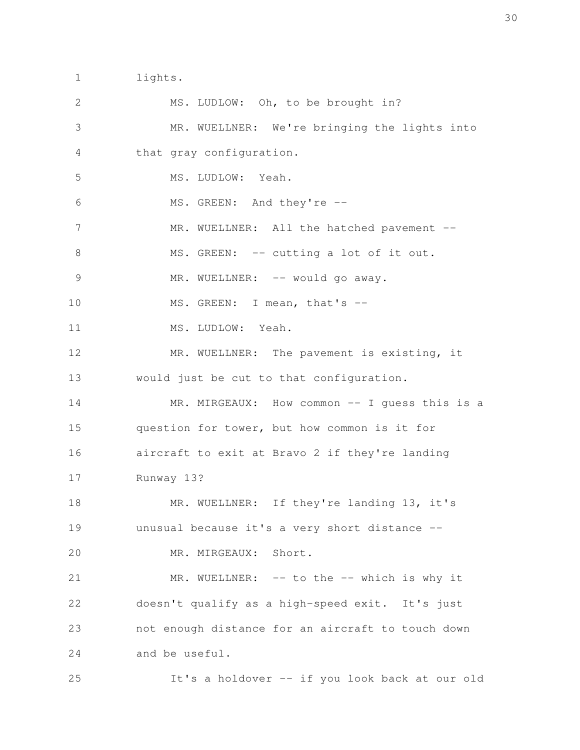lights. 1

MS. LUDLOW: Oh, to be brought in? MR. WUELLNER: We're bringing the lights into that gray configuration. MS. LUDLOW: Yeah. MS. GREEN: And they're -- MR. WUELLNER: All the hatched pavement --MS. GREEN: -- cutting a lot of it out. MR. WUELLNER: -- would go away. MS. GREEN: I mean, that's --MS. LUDLOW: Yeah. MR. WUELLNER: The pavement is existing, it would just be cut to that configuration. MR. MIRGEAUX: How common -- I guess this is a question for tower, but how common is it for aircraft to exit at Bravo 2 if they're landing Runway 13? MR. WUELLNER: If they're landing 13, it's unusual because it's a very short distance -- MR. MIRGEAUX: Short. MR. WUELLNER: -- to the -- which is why it doesn't qualify as a high-speed exit. It's just not enough distance for an aircraft to touch down and be useful. 2 3 4 5 6 7 8 9 10 11 12 13 14 15 16 17 18 19 20 21 22 23 24

It's a holdover -- if you look back at our old 25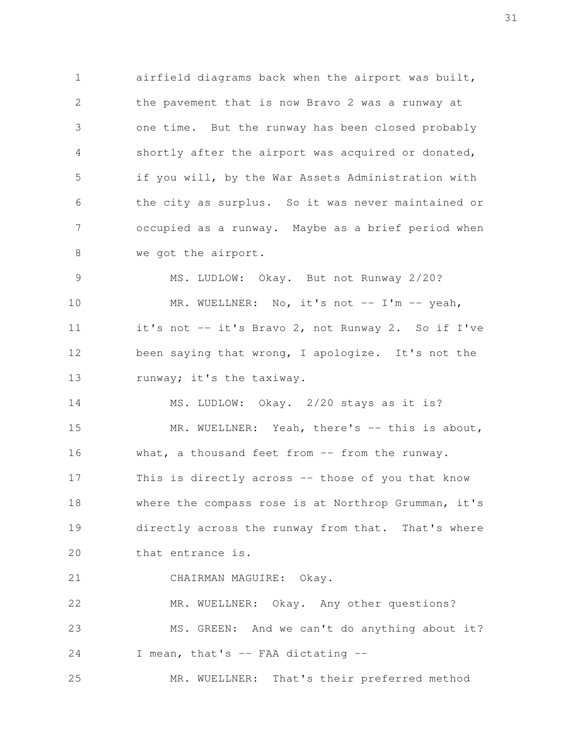airfield diagrams back when the airport was built, the pavement that is now Bravo 2 was a runway at one time. But the runway has been closed probably shortly after the airport was acquired or donated, if you will, by the War Assets Administration with the city as surplus. So it was never maintained or occupied as a runway. Maybe as a brief period when we got the airport. 1 2 3 4 5 6 7 8

MS. LUDLOW: Okay. But not Runway 2/20? MR. WUELLNER: No, it's not  $--$  I'm  $--$  yeah, it's not -- it's Bravo 2, not Runway 2. So if I've been saying that wrong, I apologize. It's not the runway; it's the taxiway. 9 10 11 12 13

MS. LUDLOW: Okay. 2/20 stays as it is? MR. WUELLNER: Yeah, there's -- this is about, what, a thousand feet from -- from the runway. This is directly across -- those of you that know where the compass rose is at Northrop Grumman, it's directly across the runway from that. That's where that entrance is. 14 15 16 17 18 19 20

CHAIRMAN MAGUIRE: Okay. 21

MR. WUELLNER: Okay. Any other questions? MS. GREEN: And we can't do anything about it? I mean, that's -- FAA dictating -- 22 23 24

MR. WUELLNER: That's their preferred method 25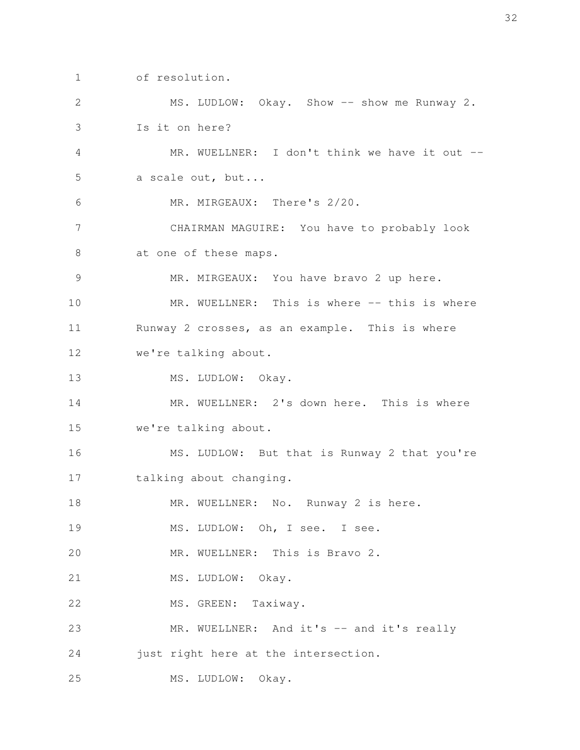of resolution. 1

MS. LUDLOW: Okay. Show -- show me Runway 2. Is it on here? MR. WUELLNER: I don't think we have it out -a scale out, but... MR. MIRGEAUX: There's 2/20. CHAIRMAN MAGUIRE: You have to probably look at one of these maps. MR. MIRGEAUX: You have bravo 2 up here. MR. WUELLNER: This is where -- this is where Runway 2 crosses, as an example. This is where we're talking about. MS. LUDLOW: Okay. MR. WUELLNER: 2's down here. This is where we're talking about. MS. LUDLOW: But that is Runway 2 that you're talking about changing. MR. WUELLNER: No. Runway 2 is here. MS. LUDLOW: Oh, I see. I see. MR. WUELLNER: This is Bravo 2. MS. LUDLOW: Okay. MS. GREEN: Taxiway. MR. WUELLNER: And it's -- and it's really just right here at the intersection. MS. LUDLOW: Okay. 2 3 4 5 6 7 8 9 10 11 12 13 14 15 16 17 18 19 20 21 22 23 24 25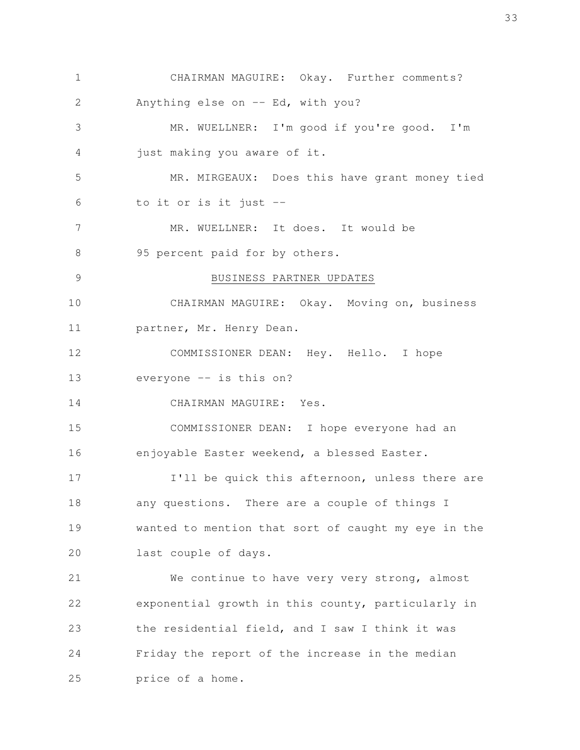CHAIRMAN MAGUIRE: Okay. Further comments? Anything else on  $--$  Ed, with you? MR. WUELLNER: I'm good if you're good. I'm just making you aware of it. MR. MIRGEAUX: Does this have grant money tied to it or is it just -- MR. WUELLNER: It does. It would be 95 percent paid for by others. BUSINESS PARTNER UPDATES CHAIRMAN MAGUIRE: Okay. Moving on, business partner, Mr. Henry Dean. COMMISSIONER DEAN: Hey. Hello. I hope everyone -- is this on? CHAIRMAN MAGUIRE: Yes. COMMISSIONER DEAN: I hope everyone had an enjoyable Easter weekend, a blessed Easter. I'll be quick this afternoon, unless there are any questions. There are a couple of things I wanted to mention that sort of caught my eye in the last couple of days. We continue to have very very strong, almost exponential growth in this county, particularly in the residential field, and I saw I think it was Friday the report of the increase in the median price of a home. 1 2 3 4 5 6 7 8 9 10 11 12 13 14 15 16 17 18 19 20 21 22 23 24 25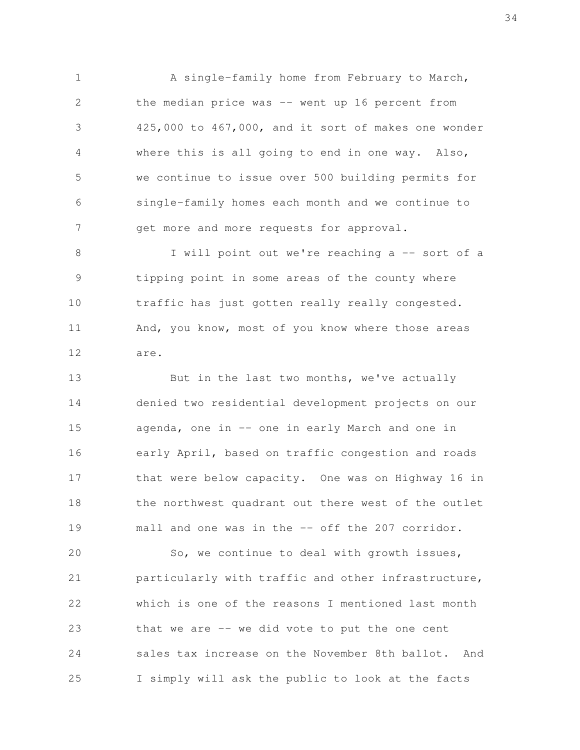A single-family home from February to March, the median price was -- went up 16 percent from 425,000 to 467,000, and it sort of makes one wonder where this is all going to end in one way. Also, we continue to issue over 500 building permits for single-family homes each month and we continue to get more and more requests for approval. 1 2 3 4 5 6 7

I will point out we're reaching a -- sort of a tipping point in some areas of the county where traffic has just gotten really really congested. And, you know, most of you know where those areas are. 8 9 10 11 12

But in the last two months, we've actually denied two residential development projects on our agenda, one in -- one in early March and one in early April, based on traffic congestion and roads that were below capacity. One was on Highway 16 in the northwest quadrant out there west of the outlet mall and one was in the -- off the 207 corridor. 13 14 15 16 17 18 19

So, we continue to deal with growth issues, particularly with traffic and other infrastructure, which is one of the reasons I mentioned last month that we are  $-$  we did vote to put the one cent sales tax increase on the November 8th ballot. And I simply will ask the public to look at the facts 20 21 22 23 24 25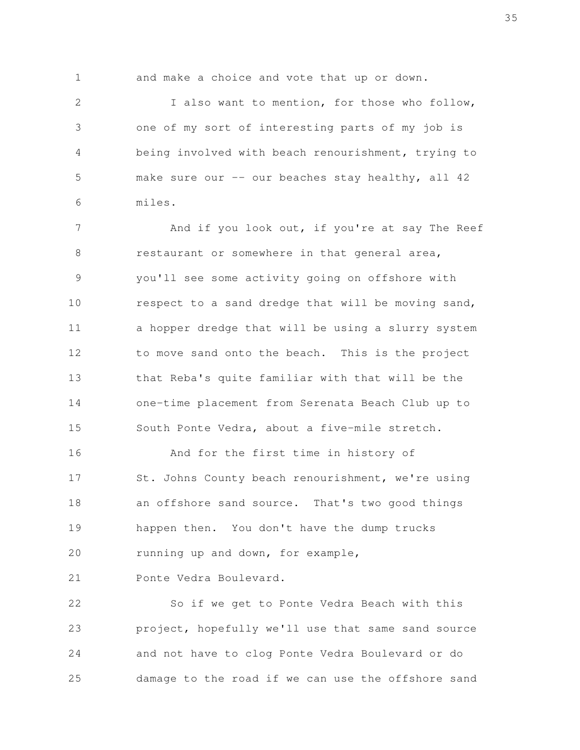1

and make a choice and vote that up or down.

I also want to mention, for those who follow, one of my sort of interesting parts of my job is being involved with beach renourishment, trying to make sure our  $-$ - our beaches stay healthy, all 42 miles. 2 3 4 5 6

And if you look out, if you're at say The Reef restaurant or somewhere in that general area, you'll see some activity going on offshore with respect to a sand dredge that will be moving sand, a hopper dredge that will be using a slurry system to move sand onto the beach. This is the project that Reba's quite familiar with that will be the one-time placement from Serenata Beach Club up to South Ponte Vedra, about a five-mile stretch. 7 8 9 10 11 12 13 14 15

And for the first time in history of St. Johns County beach renourishment, we're using an offshore sand source. That's two good things happen then. You don't have the dump trucks running up and down, for example, 16 17 18 19 20

Ponte Vedra Boulevard. 21

So if we get to Ponte Vedra Beach with this project, hopefully we'll use that same sand source and not have to clog Ponte Vedra Boulevard or do damage to the road if we can use the offshore sand 22 23 24 25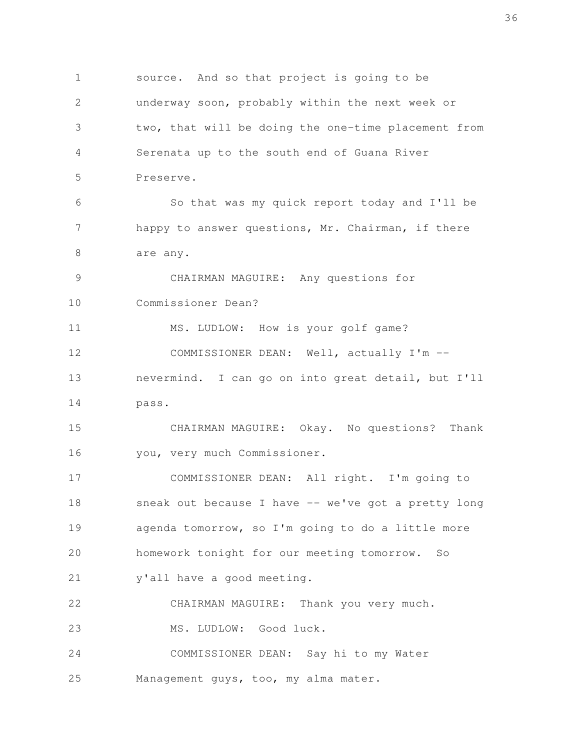source. And so that project is going to be underway soon, probably within the next week or two, that will be doing the one-time placement from Serenata up to the south end of Guana River Preserve. So that was my quick report today and I'll be happy to answer questions, Mr. Chairman, if there are any. CHAIRMAN MAGUIRE: Any questions for Commissioner Dean? MS. LUDLOW: How is your golf game? COMMISSIONER DEAN: Well, actually I'm - nevermind. I can go on into great detail, but I'll pass. CHAIRMAN MAGUIRE: Okay. No questions? Thank you, very much Commissioner. COMMISSIONER DEAN: All right. I'm going to sneak out because I have -- we've got a pretty long agenda tomorrow, so I'm going to do a little more homework tonight for our meeting tomorrow. So y'all have a good meeting. CHAIRMAN MAGUIRE: Thank you very much. MS. LUDLOW: Good luck. COMMISSIONER DEAN: Say hi to my Water Management guys, too, my alma mater. 1 2 3 4 5 6 7 8 9 10 11 12 13 14 15 16 17 18 19 20 21 22 23 24 25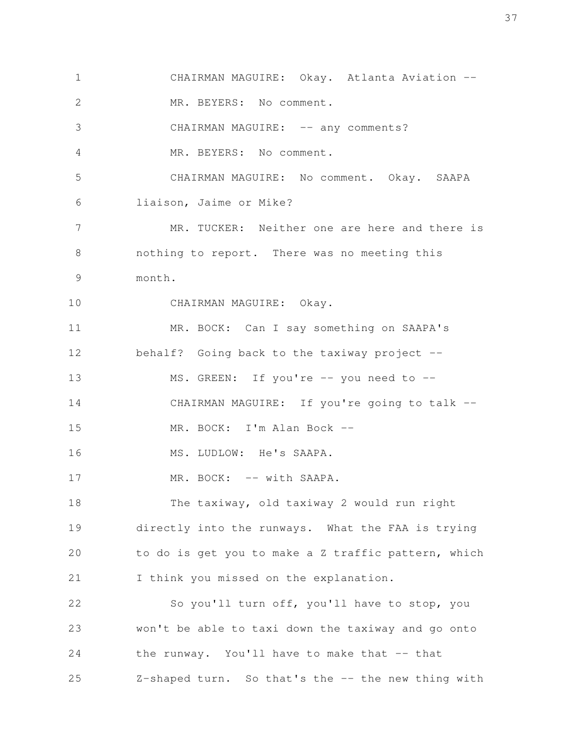CHAIRMAN MAGUIRE: Okay. Atlanta Aviation --MR. BEYERS: No comment. CHAIRMAN MAGUIRE: -- any comments? MR. BEYERS: No comment. CHAIRMAN MAGUIRE: No comment. Okay. SAAPA liaison, Jaime or Mike? MR. TUCKER: Neither one are here and there is nothing to report. There was no meeting this month. CHAIRMAN MAGUIRE: Okay. MR. BOCK: Can I say something on SAAPA's behalf? Going back to the taxiway project -- MS. GREEN: If you're -- you need to --CHAIRMAN MAGUIRE: If you're going to talk --MR. BOCK: I'm Alan Bock -- MS. LUDLOW: He's SAAPA. MR. BOCK: -- with SAAPA. The taxiway, old taxiway 2 would run right directly into the runways. What the FAA is trying to do is get you to make a Z traffic pattern, which I think you missed on the explanation. So you'll turn off, you'll have to stop, you won't be able to taxi down the taxiway and go onto the runway. You'll have to make that -- that Z-shaped turn. So that's the -- the new thing with 1 2 3 4 5 6 7 8 9 10 11 12 13 14 15 16 17 18 19 20 21 22 23 24 25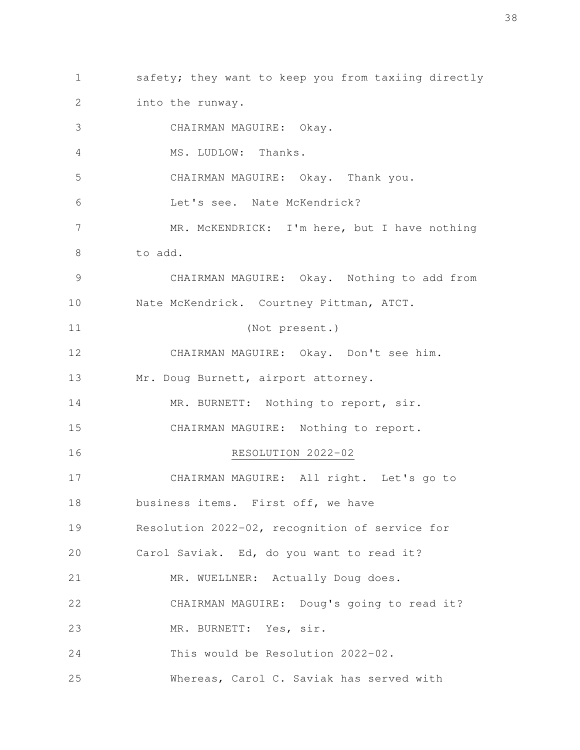safety; they want to keep you from taxiing directly into the runway. 1 2

CHAIRMAN MAGUIRE: Okay. MS. LUDLOW: Thanks. CHAIRMAN MAGUIRE: Okay. Thank you. Let's see. Nate McKendrick? MR. McKENDRICK: I'm here, but I have nothing to add. CHAIRMAN MAGUIRE: Okay. Nothing to add from Nate McKendrick. Courtney Pittman, ATCT. (Not present.) CHAIRMAN MAGUIRE: Okay. Don't see him. Mr. Doug Burnett, airport attorney. MR. BURNETT: Nothing to report, sir. CHAIRMAN MAGUIRE: Nothing to report. RESOLUTION 2022-02 CHAIRMAN MAGUIRE: All right. Let's go to business items. First off, we have Resolution 2022-02, recognition of service for Carol Saviak. Ed, do you want to read it? MR. WUELLNER: Actually Doug does. CHAIRMAN MAGUIRE: Doug's going to read it? MR. BURNETT: Yes, sir. This would be Resolution 2022-02. Whereas, Carol C. Saviak has served with 3 4 5 6 7 8 9 10 11 12 13 14 15 16 17 18 19 20 21 22 23 24 25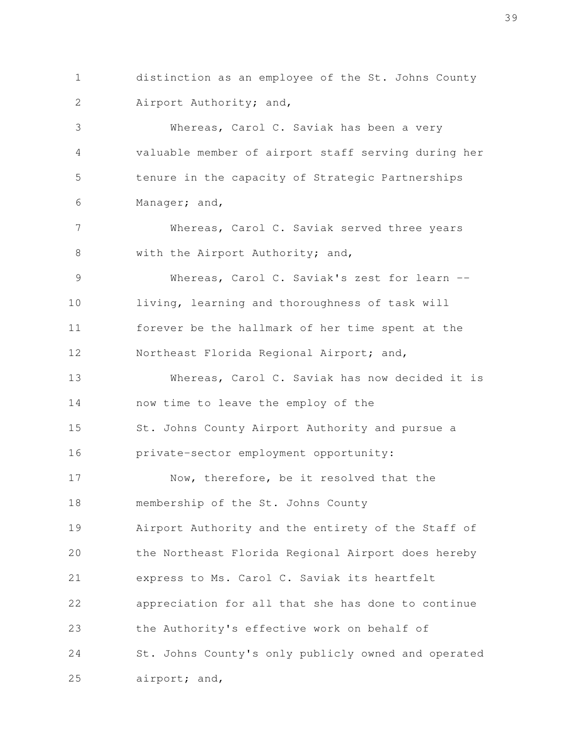distinction as an employee of the St. Johns County Airport Authority; and, 1 2

Whereas, Carol C. Saviak has been a very valuable member of airport staff serving during her tenure in the capacity of Strategic Partnerships Manager; and, 3 4 5 6

Whereas, Carol C. Saviak served three years with the Airport Authority; and, 7 8

Whereas, Carol C. Saviak's zest for learn -living, learning and thoroughness of task will forever be the hallmark of her time spent at the Northeast Florida Regional Airport; and, 9 10 11 12

Whereas, Carol C. Saviak has now decided it is now time to leave the employ of the St. Johns County Airport Authority and pursue a private-sector employment opportunity: Now, therefore, be it resolved that the membership of the St. Johns County Airport Authority and the entirety of the Staff of 13 14 15 16 17 18 19

the Northeast Florida Regional Airport does hereby express to Ms. Carol C. Saviak its heartfelt appreciation for all that she has done to continue the Authority's effective work on behalf of St. Johns County's only publicly owned and operated airport; and, 20 21 22 23 24 25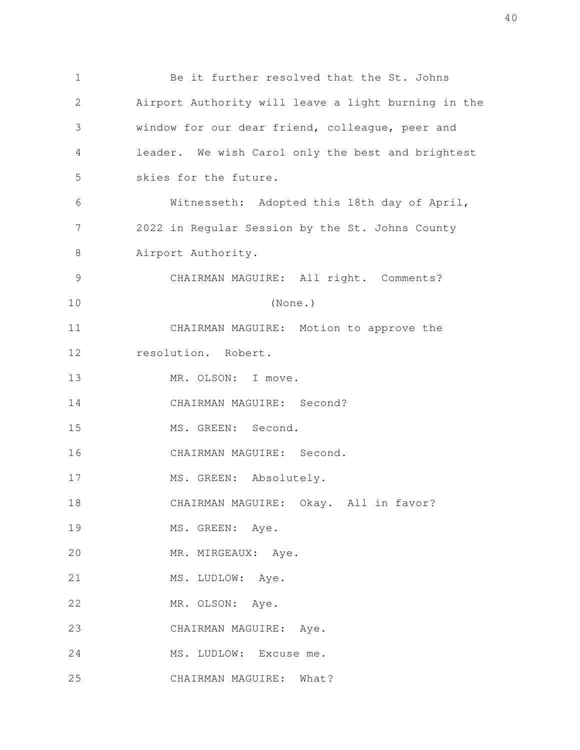Be it further resolved that the St. Johns Airport Authority will leave a light burning in the window for our dear friend, colleague, peer and leader. We wish Carol only the best and brightest skies for the future. Witnesseth: Adopted this 18th day of April, 2022 in Regular Session by the St. Johns County Airport Authority. CHAIRMAN MAGUIRE: All right. Comments? (None.) CHAIRMAN MAGUIRE: Motion to approve the resolution. Robert. MR. OLSON: I move. CHAIRMAN MAGUIRE: Second? MS. GREEN: Second. CHAIRMAN MAGUIRE: Second. MS. GREEN: Absolutely. CHAIRMAN MAGUIRE: Okay. All in favor? MS. GREEN: Aye. MR. MIRGEAUX: Aye. MS. LUDLOW: Aye. MR. OLSON: Aye. CHAIRMAN MAGUIRE: Aye. MS. LUDLOW: Excuse me. CHAIRMAN MAGUIRE: What? 1 2 3 4 5 6 7 8 9 10 11 12 13 14 15 16 17 18 19 20 21 22 23 24 25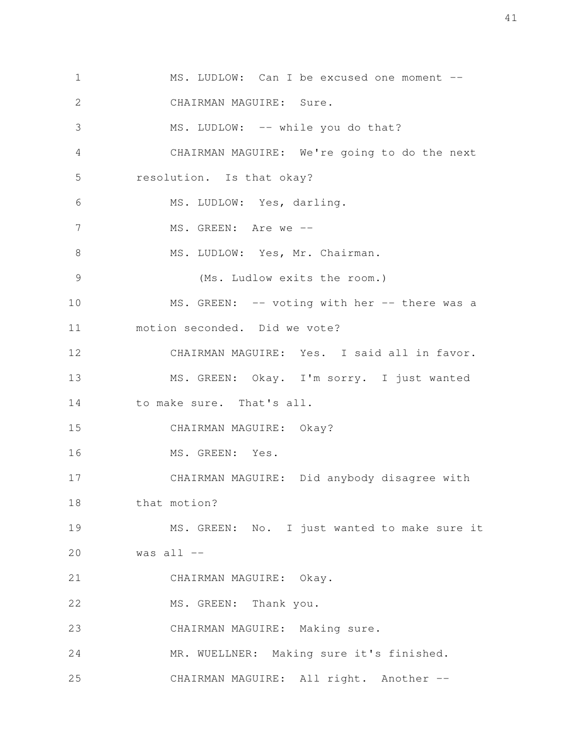MS. LUDLOW: Can I be excused one moment --CHAIRMAN MAGUIRE: Sure. MS. LUDLOW: -- while you do that? CHAIRMAN MAGUIRE: We're going to do the next resolution. Is that okay? MS. LUDLOW: Yes, darling. MS. GREEN: Are we --MS. LUDLOW: Yes, Mr. Chairman. (Ms. Ludlow exits the room.) MS. GREEN: -- voting with her -- there was a motion seconded. Did we vote? CHAIRMAN MAGUIRE: Yes. I said all in favor. MS. GREEN: Okay. I'm sorry. I just wanted to make sure. That's all. CHAIRMAN MAGUIRE: Okay? MS. GREEN: Yes. CHAIRMAN MAGUIRE: Did anybody disagree with that motion? MS. GREEN: No. I just wanted to make sure it was all -- CHAIRMAN MAGUIRE: Okay. MS. GREEN: Thank you. CHAIRMAN MAGUIRE: Making sure. MR. WUELLNER: Making sure it's finished. CHAIRMAN MAGUIRE: All right. Another -- 1 2 3 4 5 6 7 8 9 10 11 12 13 14 15 16 17 18 19 20 21 22 23 24 25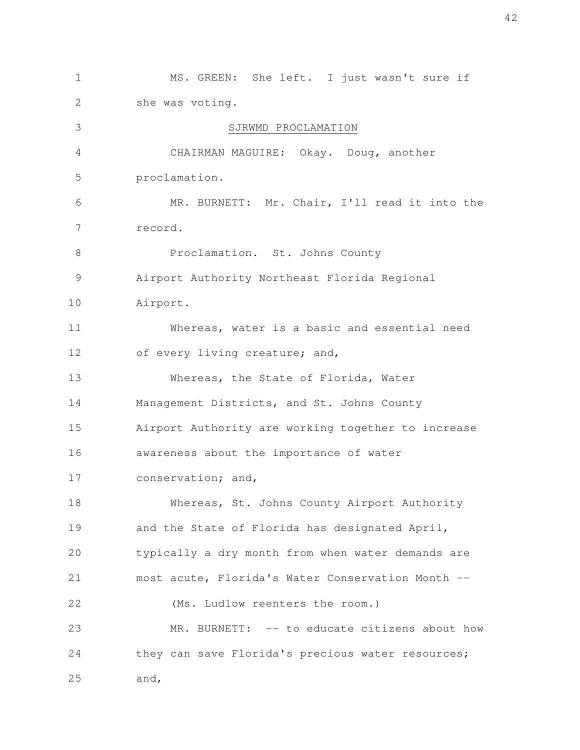MS. GREEN: She left. I just wasn't sure if she was voting. SJRWMD PROCLAMATION CHAIRMAN MAGUIRE: Okay. Doug, another proclamation. MR. BURNETT: Mr. Chair, I'll read it into the record. Proclamation. St. Johns County Airport Authority Northeast Florida Regional Airport. Whereas, water is a basic and essential need of every living creature; and, Whereas, the State of Florida, Water Management Districts, and St. Johns County Airport Authority are working together to increase awareness about the importance of water conservation; and, Whereas, St. Johns County Airport Authority and the State of Florida has designated April, typically a dry month from when water demands are most acute, Florida's Water Conservation Month -- (Ms. Ludlow reenters the room.) MR. BURNETT: -- to educate citizens about how they can save Florida's precious water resources; and, 1 2 3 4 5 6 7 8 9 10 11 12 13 14 15 16 17 18 19 20 21 22 23 24 25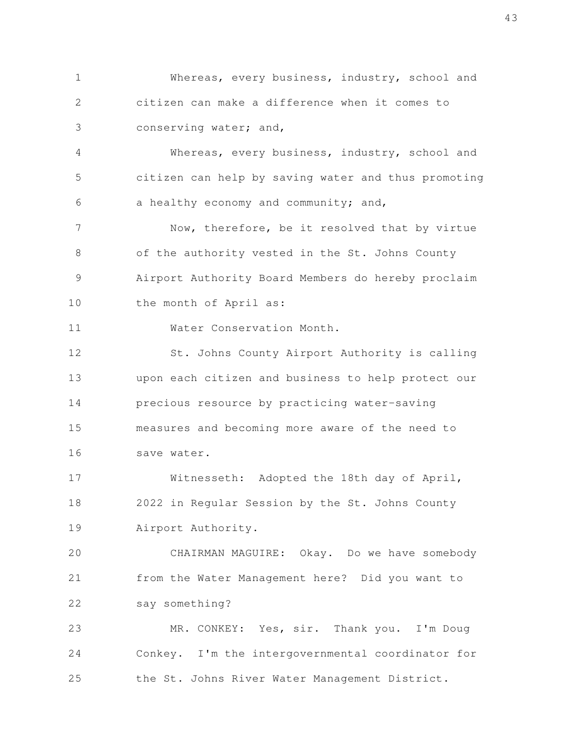Whereas, every business, industry, school and citizen can make a difference when it comes to conserving water; and, 1 2 3

Whereas, every business, industry, school and citizen can help by saving water and thus promoting a healthy economy and community; and, 4 5 6

Now, therefore, be it resolved that by virtue of the authority vested in the St. Johns County Airport Authority Board Members do hereby proclaim the month of April as: 7 8 9 10

Water Conservation Month. 11

St. Johns County Airport Authority is calling upon each citizen and business to help protect our precious resource by practicing water-saving measures and becoming more aware of the need to save water. 12 13 14 15 16

Witnesseth: Adopted the 18th day of April, 2022 in Regular Session by the St. Johns County Airport Authority. 17 18 19

CHAIRMAN MAGUIRE: Okay. Do we have somebody from the Water Management here? Did you want to say something? 20 21 22

MR. CONKEY: Yes, sir. Thank you. I'm Doug Conkey. I'm the intergovernmental coordinator for the St. Johns River Water Management District. 23 24 25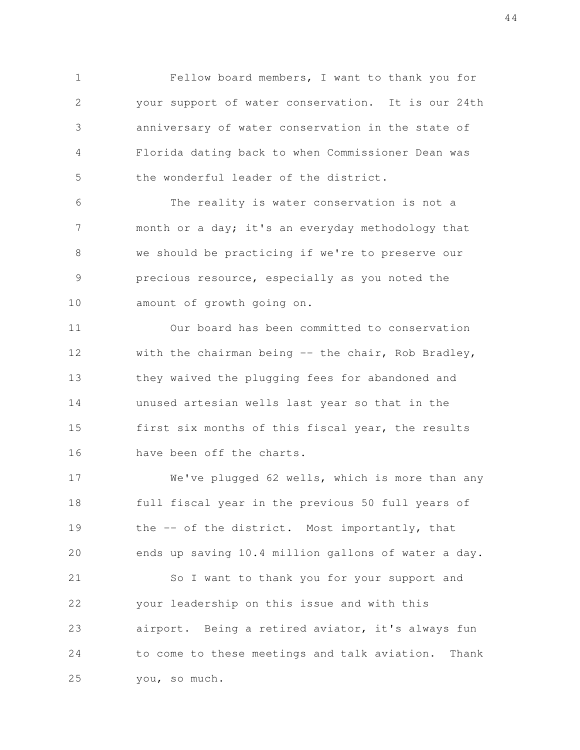Fellow board members, I want to thank you for your support of water conservation. It is our 24th anniversary of water conservation in the state of Florida dating back to when Commissioner Dean was the wonderful leader of the district. 1 2 3 4 5

The reality is water conservation is not a month or a day; it's an everyday methodology that we should be practicing if we're to preserve our precious resource, especially as you noted the amount of growth going on. 6 7 8 9 10

Our board has been committed to conservation with the chairman being  $-$  the chair, Rob Bradley, they waived the plugging fees for abandoned and unused artesian wells last year so that in the first six months of this fiscal year, the results have been off the charts. 11 12 13 14 15 16

We've plugged 62 wells, which is more than any full fiscal year in the previous 50 full years of the -- of the district. Most importantly, that ends up saving 10.4 million gallons of water a day. So I want to thank you for your support and your leadership on this issue and with this airport. Being a retired aviator, it's always fun to come to these meetings and talk aviation. Thank you, so much. 17 18 19 20 21 22 23 24 25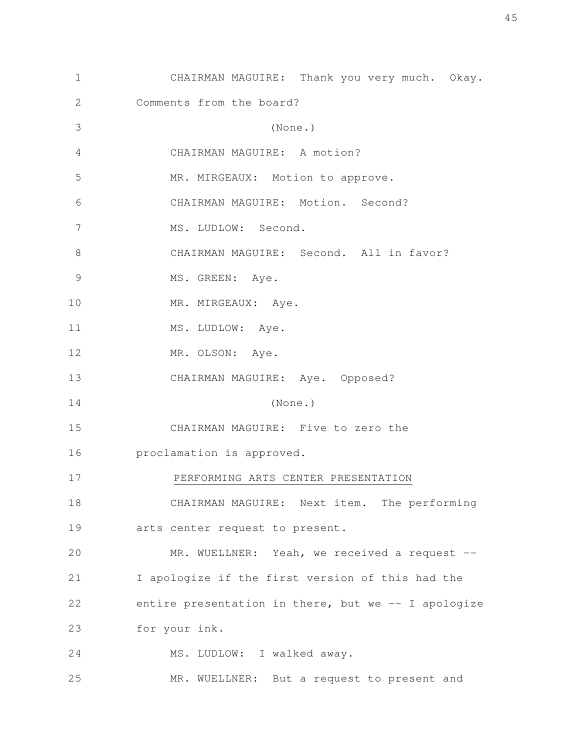| $\mathbf 1$ | CHAIRMAN MAGUIRE: Thank you very much. Okay.        |
|-------------|-----------------------------------------------------|
| 2           | Comments from the board?                            |
| 3           | (None.)                                             |
| 4           | CHAIRMAN MAGUIRE: A motion?                         |
| 5           | MR. MIRGEAUX: Motion to approve.                    |
| 6           | CHAIRMAN MAGUIRE: Motion. Second?                   |
| 7           | MS. LUDLOW: Second.                                 |
| 8           | CHAIRMAN MAGUIRE: Second. All in favor?             |
| 9           | MS. GREEN: Aye.                                     |
| 10          | MR. MIRGEAUX: Aye.                                  |
| 11          | MS. LUDLOW: Aye.                                    |
| 12          | MR. OLSON: Aye.                                     |
| 13          | CHAIRMAN MAGUIRE: Aye. Opposed?                     |
| 14          | (None.)                                             |
| 15          | CHAIRMAN MAGUIRE: Five to zero the                  |
| 16          | proclamation is approved.                           |
| 17          | PERFORMING ARTS CENTER PRESENTATION                 |
| 18          | CHAIRMAN MAGUIRE: Next item. The performing         |
| 19          | arts center request to present.                     |
| 20          | MR. WUELLNER: Yeah, we received a request --        |
| 21          | I apologize if the first version of this had the    |
| 22          | entire presentation in there, but we -- I apologize |
| 23          | for your ink.                                       |
| 24          | MS. LUDLOW: I walked away.                          |
| 25          | MR. WUELLNER: But a request to present and          |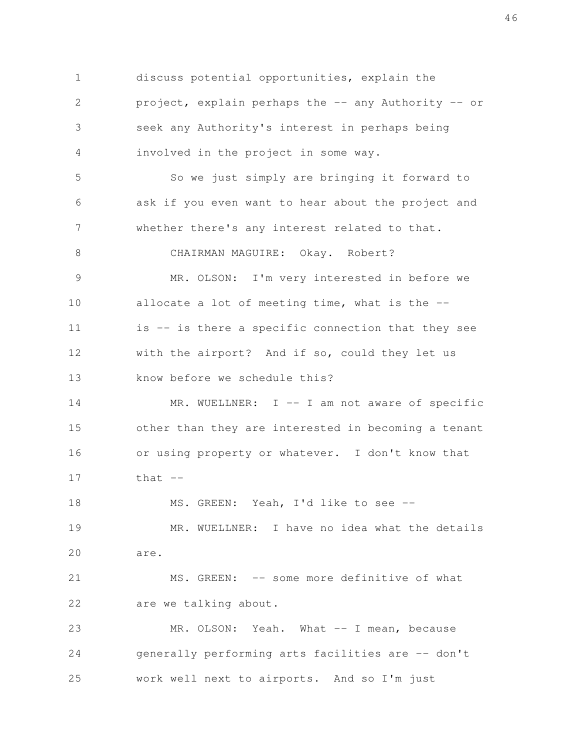discuss potential opportunities, explain the project, explain perhaps the -- any Authority -- or seek any Authority's interest in perhaps being involved in the project in some way. So we just simply are bringing it forward to ask if you even want to hear about the project and whether there's any interest related to that. CHAIRMAN MAGUIRE: Okay. Robert? MR. OLSON: I'm very interested in before we allocate a lot of meeting time, what is the - is -- is there a specific connection that they see with the airport? And if so, could they let us know before we schedule this? MR. WUELLNER: I -- I am not aware of specific other than they are interested in becoming a tenant or using property or whatever. I don't know that that  $--$ MS. GREEN: Yeah, I'd like to see -- MR. WUELLNER: I have no idea what the details are. MS. GREEN: -- some more definitive of what are we talking about. MR. OLSON: Yeah. What -- I mean, because generally performing arts facilities are -- don't work well next to airports. And so I'm just 1 2 3 4 5 6 7 8 9 10 11 12 13 14 15 16 17 18 19 20 21 22 23 24 25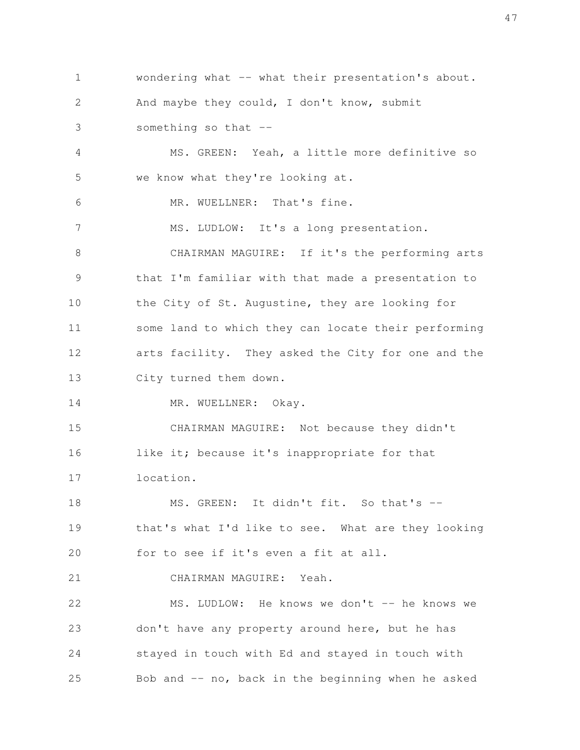wondering what -- what their presentation's about. And maybe they could, I don't know, submit something so that  $-$  1 2 3

MS. GREEN: Yeah, a little more definitive so we know what they're looking at. MR. WUELLNER: That's fine. MS. LUDLOW: It's a long presentation. CHAIRMAN MAGUIRE: If it's the performing arts that I'm familiar with that made a presentation to the City of St. Augustine, they are looking for some land to which they can locate their performing arts facility. They asked the City for one and the City turned them down. 4 5 6 7 8 9 10 11 12 13

MR. WUELLNER: Okay. 14

CHAIRMAN MAGUIRE: Not because they didn't like it; because it's inappropriate for that location. 15 16 17

MS. GREEN: It didn't fit. So that's -that's what I'd like to see. What are they looking for to see if it's even a fit at all. 18 19 20

CHAIRMAN MAGUIRE: Yeah. 21

MS. LUDLOW: He knows we don't -- he knows we don't have any property around here, but he has stayed in touch with Ed and stayed in touch with Bob and -- no, back in the beginning when he asked 22 23 24 25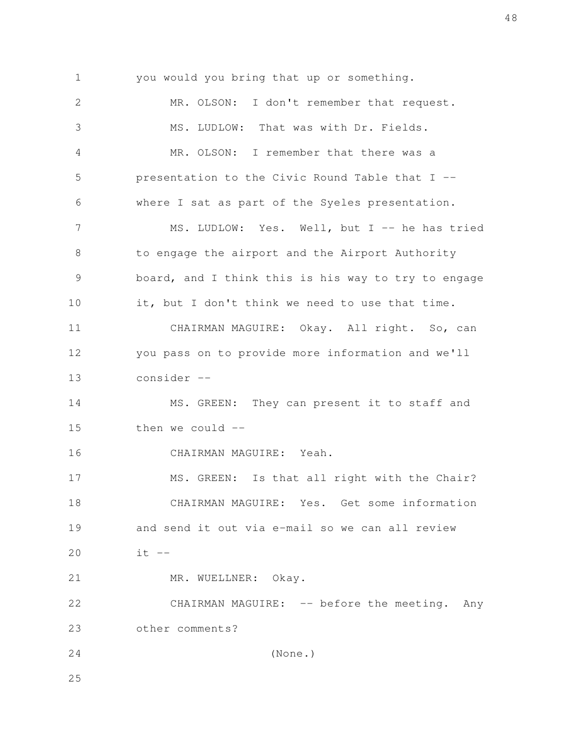you would you bring that up or something. MR. OLSON: I don't remember that request. MS. LUDLOW: That was with Dr. Fields. MR. OLSON: I remember that there was a presentation to the Civic Round Table that I - where I sat as part of the Syeles presentation. MS. LUDLOW: Yes. Well, but I -- he has tried to engage the airport and the Airport Authority board, and I think this is his way to try to engage it, but I don't think we need to use that time. CHAIRMAN MAGUIRE: Okay. All right. So, can you pass on to provide more information and we'll consider -- MS. GREEN: They can present it to staff and then we could -- CHAIRMAN MAGUIRE: Yeah. MS. GREEN: Is that all right with the Chair? CHAIRMAN MAGUIRE: Yes. Get some information and send it out via e-mail so we can all review  $it$   $--$ MR. WUELLNER: Okay. CHAIRMAN MAGUIRE: -- before the meeting. Any other comments? (None.) 1 2 3 4 5 6 7 8 9 10 11 12 13 14 15 16 17 18 19 20 21 22 23 24 25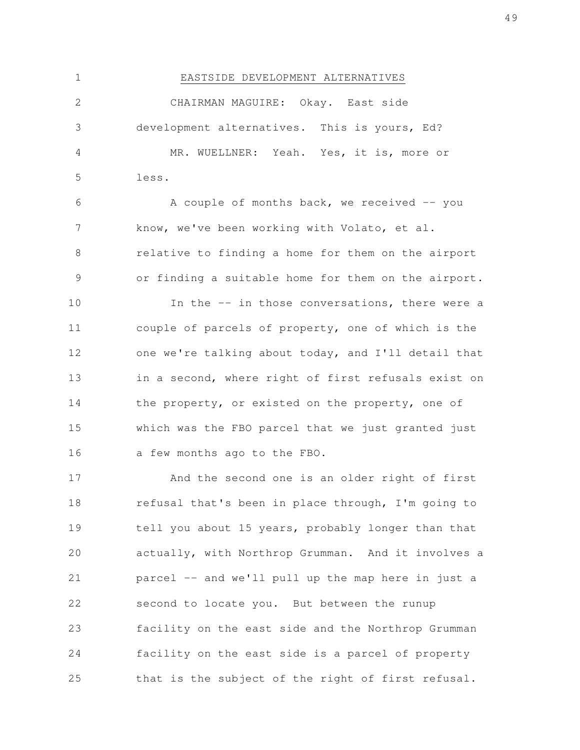EASTSIDE DEVELOPMENT ALTERNATIVES CHAIRMAN MAGUIRE: Okay. East side development alternatives. This is yours, Ed? MR. WUELLNER: Yeah. Yes, it is, more or less. A couple of months back, we received  $-$  you know, we've been working with Volato, et al. relative to finding a home for them on the airport or finding a suitable home for them on the airport. In the -- in those conversations, there were a couple of parcels of property, one of which is the one we're talking about today, and I'll detail that in a second, where right of first refusals exist on the property, or existed on the property, one of which was the FBO parcel that we just granted just a few months ago to the FBO. 1 2 3 4 5 6 7 8 9 10 11 12 13 14 15 16

And the second one is an older right of first refusal that's been in place through, I'm going to tell you about 15 years, probably longer than that actually, with Northrop Grumman. And it involves a parcel -- and we'll pull up the map here in just a second to locate you. But between the runup facility on the east side and the Northrop Grumman facility on the east side is a parcel of property that is the subject of the right of first refusal. 17 18 19 20 21 22 23 24 25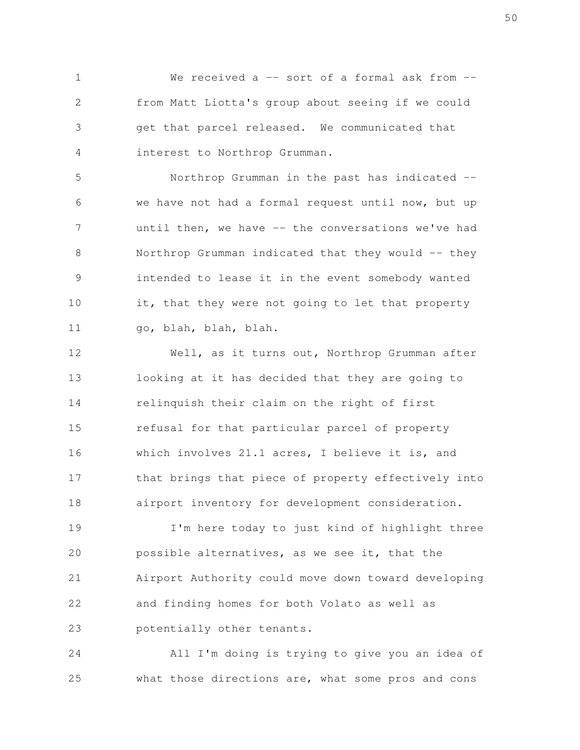We received a  $-$  sort of a formal ask from  $$ from Matt Liotta's group about seeing if we could get that parcel released. We communicated that interest to Northrop Grumman. 1 2 3 4

Northrop Grumman in the past has indicated - we have not had a formal request until now, but up until then, we have -- the conversations we've had Northrop Grumman indicated that they would -- they intended to lease it in the event somebody wanted it, that they were not going to let that property go, blah, blah, blah. 5 6 7 8 9 10 11

Well, as it turns out, Northrop Grumman after looking at it has decided that they are going to relinquish their claim on the right of first refusal for that particular parcel of property which involves 21.1 acres, I believe it is, and that brings that piece of property effectively into airport inventory for development consideration. 12 13 14 15 16 17 18

I'm here today to just kind of highlight three possible alternatives, as we see it, that the Airport Authority could move down toward developing and finding homes for both Volato as well as potentially other tenants. 19 20 21 22 23

All I'm doing is trying to give you an idea of what those directions are, what some pros and cons 24 25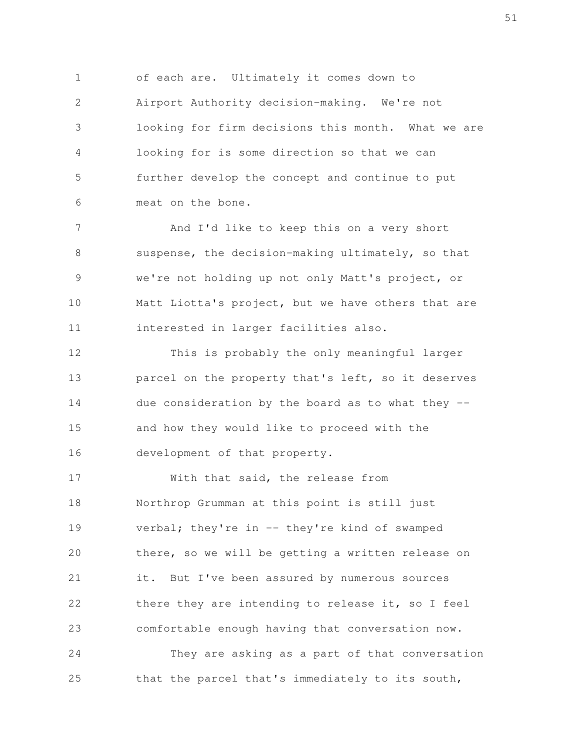of each are. Ultimately it comes down to Airport Authority decision-making. We're not looking for firm decisions this month. What we are looking for is some direction so that we can further develop the concept and continue to put meat on the bone. 1 2 3 4 5 6

And I'd like to keep this on a very short suspense, the decision-making ultimately, so that we're not holding up not only Matt's project, or Matt Liotta's project, but we have others that are interested in larger facilities also. 7 8 9 10 11

This is probably the only meaningful larger parcel on the property that's left, so it deserves due consideration by the board as to what they  $$ and how they would like to proceed with the development of that property. 12 13 14 15 16

With that said, the release from Northrop Grumman at this point is still just verbal; they're in -- they're kind of swamped there, so we will be getting a written release on it. But I've been assured by numerous sources there they are intending to release it, so I feel comfortable enough having that conversation now. 17 18 19 20 21 22 23

They are asking as a part of that conversation that the parcel that's immediately to its south, 24 25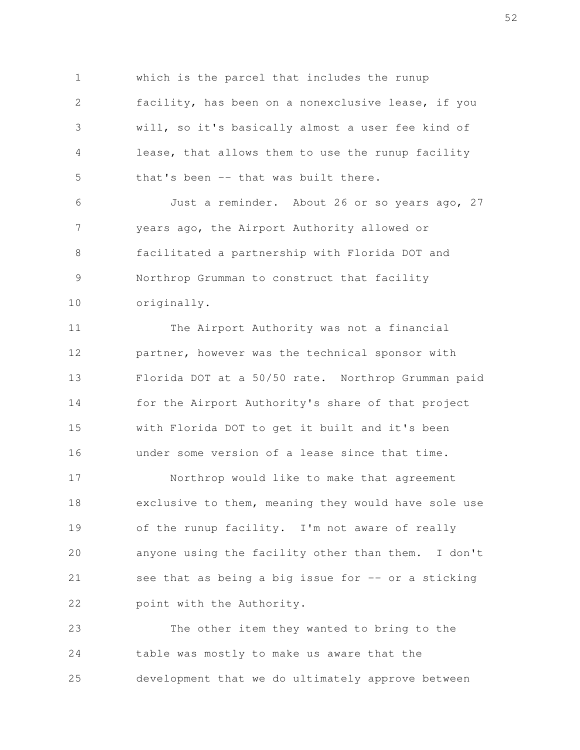which is the parcel that includes the runup facility, has been on a nonexclusive lease, if you will, so it's basically almost a user fee kind of lease, that allows them to use the runup facility that's been -- that was built there. 1 2 3 4 5

Just a reminder. About 26 or so years ago, 27 years ago, the Airport Authority allowed or facilitated a partnership with Florida DOT and Northrop Grumman to construct that facility originally. 6 7 8 9 10

The Airport Authority was not a financial partner, however was the technical sponsor with Florida DOT at a 50/50 rate. Northrop Grumman paid for the Airport Authority's share of that project with Florida DOT to get it built and it's been under some version of a lease since that time. 11 12 13 14 15 16

Northrop would like to make that agreement exclusive to them, meaning they would have sole use of the runup facility. I'm not aware of really anyone using the facility other than them. I don't see that as being a big issue for  $-$  or a sticking point with the Authority. 17 18 19 20 21 22

The other item they wanted to bring to the table was mostly to make us aware that the development that we do ultimately approve between 23 24 25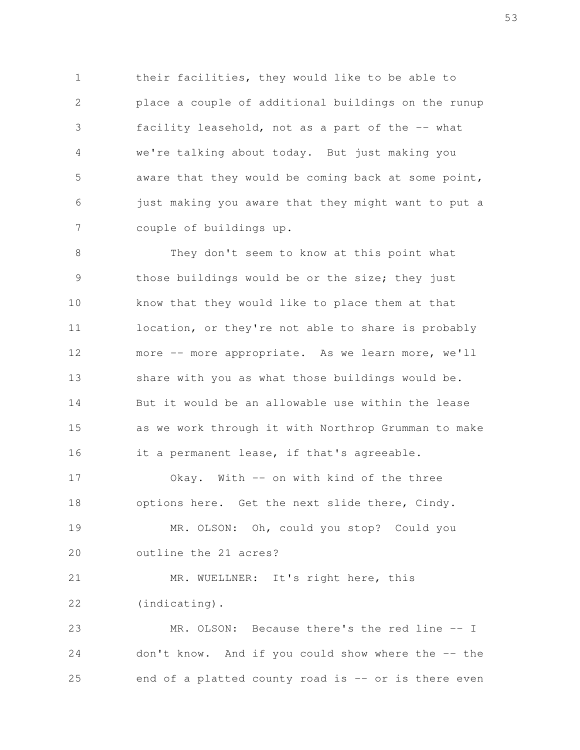their facilities, they would like to be able to place a couple of additional buildings on the runup facility leasehold, not as a part of the -- what we're talking about today. But just making you aware that they would be coming back at some point, just making you aware that they might want to put a couple of buildings up. 1 2 3 4 5 6 7

They don't seem to know at this point what those buildings would be or the size; they just know that they would like to place them at that location, or they're not able to share is probably more -- more appropriate. As we learn more, we'll share with you as what those buildings would be. But it would be an allowable use within the lease as we work through it with Northrop Grumman to make it a permanent lease, if that's agreeable. 8 9 10 11 12 13 14 15 16

Okay. With -- on with kind of the three options here. Get the next slide there, Cindy. MR. OLSON: Oh, could you stop? Could you 17 18 19

outline the 21 acres? 20

MR. WUELLNER: It's right here, this (indicating). 21 22

MR. OLSON: Because there's the red line -- I don't know. And if you could show where the -- the end of a platted county road is -- or is there even 23 24 25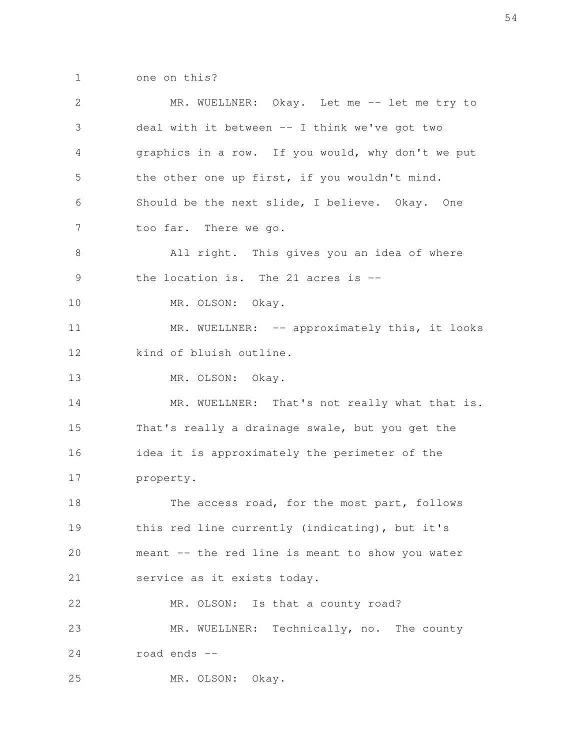one on this? 1

MR. WUELLNER: Okay. Let me -- let me try to deal with it between -- I think we've got two graphics in a row. If you would, why don't we put the other one up first, if you wouldn't mind. Should be the next slide, I believe. Okay. One too far. There we go. All right. This gives you an idea of where the location is. The 21 acres is -- MR. OLSON: Okay. MR. WUELLNER: -- approximately this, it looks kind of bluish outline. MR. OLSON: Okay. MR. WUELLNER: That's not really what that is. That's really a drainage swale, but you get the idea it is approximately the perimeter of the property. The access road, for the most part, follows this red line currently (indicating), but it's meant -- the red line is meant to show you water service as it exists today. MR. OLSON: Is that a county road? MR. WUELLNER: Technically, no. The county road ends -- MR. OLSON: Okay. 2 3 4 5 6 7 8 9 10 11 12 13 14 15 16 17 18 19 20 21 22 23 24 25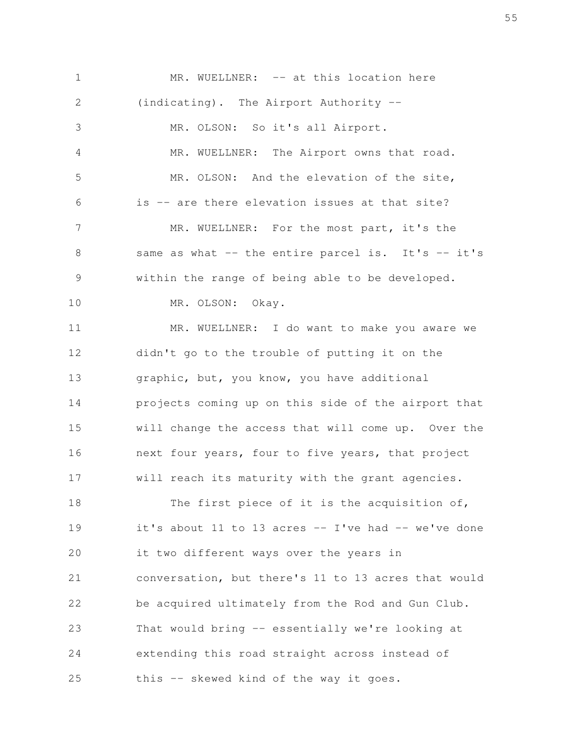MR. WUELLNER: -- at this location here (indicating). The Airport Authority -- MR. OLSON: So it's all Airport. MR. WUELLNER: The Airport owns that road. MR. OLSON: And the elevation of the site, is -- are there elevation issues at that site? MR. WUELLNER: For the most part, it's the same as what -- the entire parcel is. It's -- it's within the range of being able to be developed. MR. OLSON: Okay. MR. WUELLNER: I do want to make you aware we didn't go to the trouble of putting it on the graphic, but, you know, you have additional projects coming up on this side of the airport that will change the access that will come up. Over the next four years, four to five years, that project will reach its maturity with the grant agencies. The first piece of it is the acquisition of, it's about 11 to 13 acres  $-$  I've had  $-$  we've done it two different ways over the years in conversation, but there's 11 to 13 acres that would be acquired ultimately from the Rod and Gun Club. That would bring -- essentially we're looking at extending this road straight across instead of this -- skewed kind of the way it goes. 1 2 3 4 5 6 7 8 9 10 11 12 13 14 15 16 17 18 19 20 21 22 23 24 25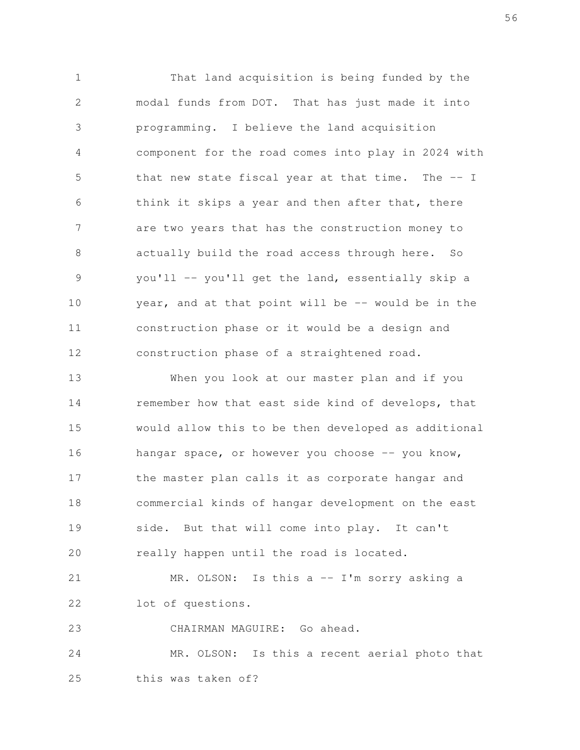That land acquisition is being funded by the modal funds from DOT. That has just made it into programming. I believe the land acquisition component for the road comes into play in 2024 with that new state fiscal year at that time. The  $-1$ think it skips a year and then after that, there are two years that has the construction money to actually build the road access through here. So you'll -- you'll get the land, essentially skip a year, and at that point will be -- would be in the construction phase or it would be a design and construction phase of a straightened road. 1 2 3 4 5 6 7 8 9 10 11 12

When you look at our master plan and if you remember how that east side kind of develops, that would allow this to be then developed as additional hangar space, or however you choose -- you know, the master plan calls it as corporate hangar and commercial kinds of hangar development on the east side. But that will come into play. It can't really happen until the road is located. 13 14 15 16 17 18 19 20

MR. OLSON: Is this a -- I'm sorry asking a lot of questions. 21 22

CHAIRMAN MAGUIRE: Go ahead. 23

MR. OLSON: Is this a recent aerial photo that this was taken of? 24 25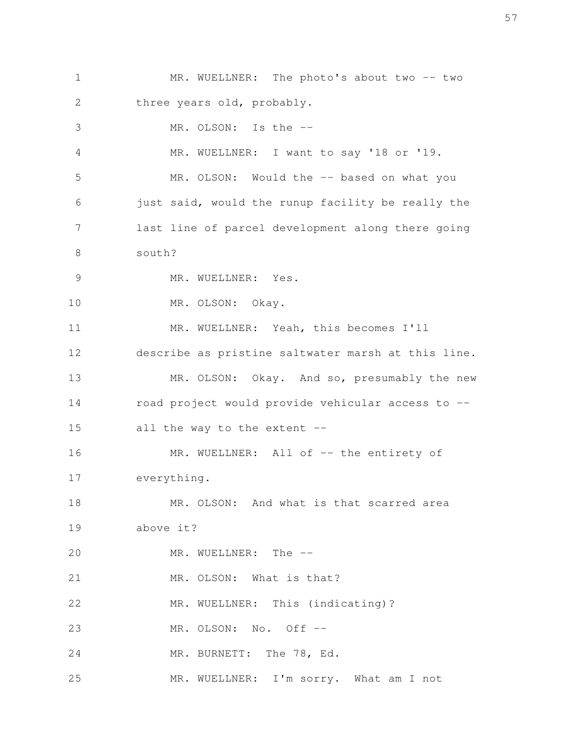MR. WUELLNER: The photo's about two -- two three years old, probably. MR. OLSON: Is the -- MR. WUELLNER: I want to say '18 or '19. MR. OLSON: Would the -- based on what you just said, would the runup facility be really the last line of parcel development along there going south? MR. WUELLNER: Yes. MR. OLSON: Okay. MR. WUELLNER: Yeah, this becomes I'll describe as pristine saltwater marsh at this line. MR. OLSON: Okay. And so, presumably the new road project would provide vehicular access to - all the way to the extent -- MR. WUELLNER: All of -- the entirety of everything. MR. OLSON: And what is that scarred area above it? MR. WUELLNER: The --MR. OLSON: What is that? MR. WUELLNER: This (indicating)? MR. OLSON: No. Off -- MR. BURNETT: The 78, Ed. MR. WUELLNER: I'm sorry. What am I not 1 2 3 4 5 6 7 8 9 10 11 12 13 14 15 16 17 18 19 20 21 22 23 24 25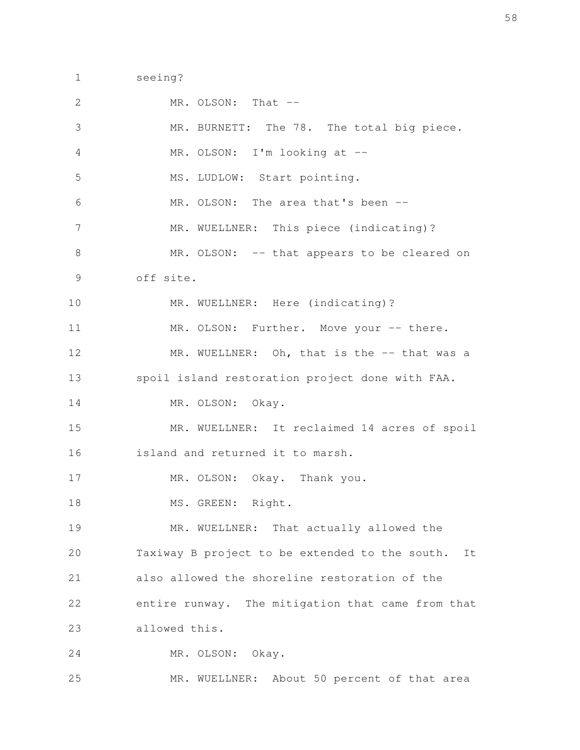seeing? 1

| $\mathbf{2}$   | MR. OLSON: That --                                   |
|----------------|------------------------------------------------------|
| $\mathfrak{Z}$ | MR. BURNETT: The 78. The total big piece.            |
| 4              | MR. OLSON: I'm looking at --                         |
| 5              | MS. LUDLOW: Start pointing.                          |
| 6              | MR. OLSON: The area that's been --                   |
| 7              | MR. WUELLNER: This piece (indicating)?               |
| $\,8\,$        | MR. OLSON: -- that appears to be cleared on          |
| 9              | off site.                                            |
| 10             | MR. WUELLNER: Here (indicating)?                     |
| 11             | MR. OLSON: Further. Move your -- there.              |
| 12             | MR. WUELLNER: Oh, that is the -- that was a          |
| 13             | spoil island restoration project done with FAA.      |
| 14             | MR. OLSON: Okay.                                     |
| 15             | MR. WUELLNER: It reclaimed 14 acres of spoil         |
| 16             | island and returned it to marsh.                     |
| 17             | MR. OLSON: Okay. Thank you.                          |
| 18             | MS. GREEN: Right.                                    |
| 19             | MR. WUELLNER: That actually allowed the              |
| 20             | Taxiway B project to be extended to the south.<br>It |
| 21             | also allowed the shoreline restoration of the        |
| 22             | entire runway. The mitigation that came from that    |
| 23             | allowed this.                                        |
| 24             | MR. OLSON: Okay.                                     |
| 25             | MR. WUELLNER: About 50 percent of that area          |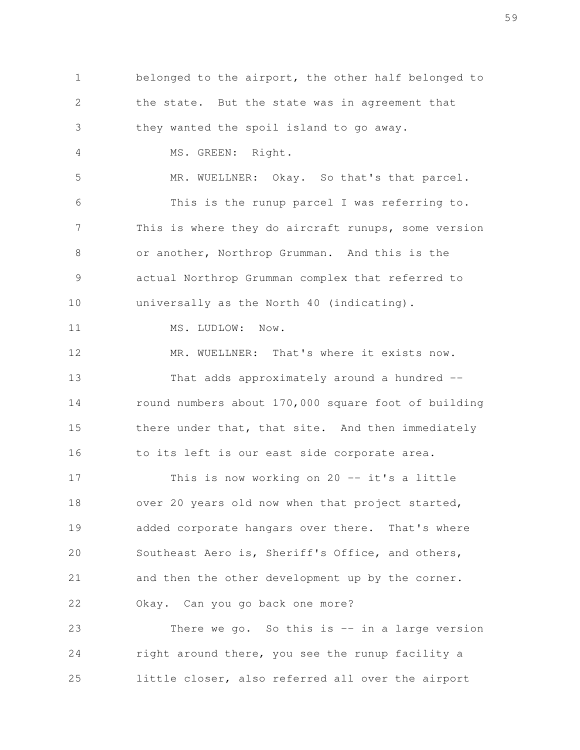belonged to the airport, the other half belonged to the state. But the state was in agreement that they wanted the spoil island to go away. MS. GREEN: Right. MR. WUELLNER: Okay. So that's that parcel. This is the runup parcel I was referring to. This is where they do aircraft runups, some version or another, Northrop Grumman. And this is the actual Northrop Grumman complex that referred to universally as the North 40 (indicating). MS. LUDLOW: Now. MR. WUELLNER: That's where it exists now. That adds approximately around a hundred -round numbers about 170,000 square foot of building there under that, that site. And then immediately to its left is our east side corporate area. This is now working on  $20 - - it's$  a little over 20 years old now when that project started, added corporate hangars over there. That's where Southeast Aero is, Sheriff's Office, and others, and then the other development up by the corner. Okay. Can you go back one more? There we go. So this is  $-$  in a large version right around there, you see the runup facility a little closer, also referred all over the airport 1 2 3 4 5 6 7 8 9 10 11 12 13 14 15 16 17 18 19 20 21 22 23 24 25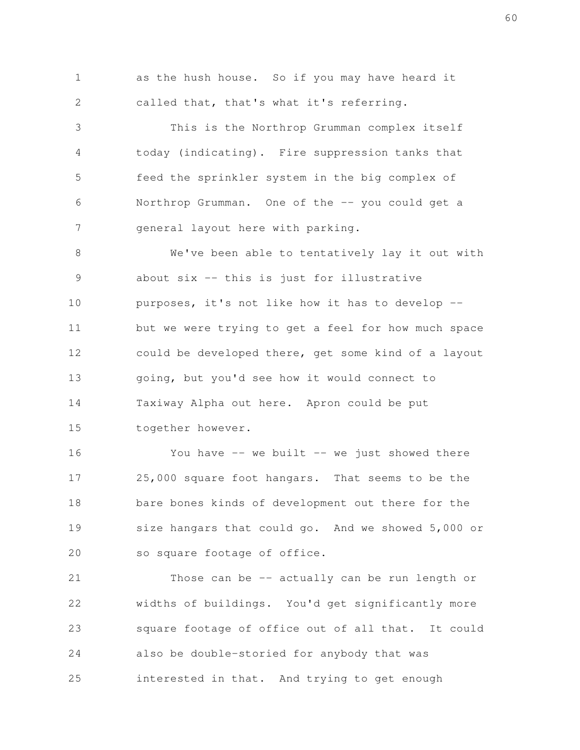as the hush house. So if you may have heard it called that, that's what it's referring. 1 2

This is the Northrop Grumman complex itself today (indicating). Fire suppression tanks that feed the sprinkler system in the big complex of Northrop Grumman. One of the -- you could get a general layout here with parking. 3 4 5 6 7

We've been able to tentatively lay it out with about six -- this is just for illustrative purposes, it's not like how it has to develop - but we were trying to get a feel for how much space could be developed there, get some kind of a layout going, but you'd see how it would connect to Taxiway Alpha out here. Apron could be put together however. 8 9 10 11 12 13 14 15

You have  $--$  we built  $--$  we just showed there 25,000 square foot hangars. That seems to be the bare bones kinds of development out there for the size hangars that could go. And we showed 5,000 or so square footage of office. 16 17 18 19 20

Those can be -- actually can be run length or widths of buildings. You'd get significantly more square footage of office out of all that. It could also be double-storied for anybody that was interested in that. And trying to get enough 21 22 23 24 25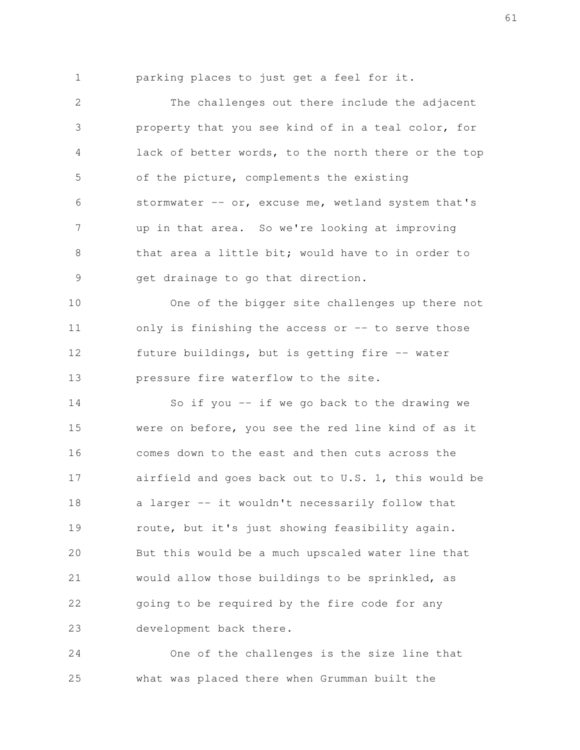1

parking places to just get a feel for it.

The challenges out there include the adjacent property that you see kind of in a teal color, for lack of better words, to the north there or the top of the picture, complements the existing stormwater -- or, excuse me, wetland system that's up in that area. So we're looking at improving that area a little bit; would have to in order to get drainage to go that direction. 2 3 4 5 6 7 8 9

One of the bigger site challenges up there not only is finishing the access or -- to serve those future buildings, but is getting fire -- water pressure fire waterflow to the site. 10 11 12 13

So if you  $-$  if we go back to the drawing we were on before, you see the red line kind of as it comes down to the east and then cuts across the airfield and goes back out to U.S. 1, this would be a larger -- it wouldn't necessarily follow that route, but it's just showing feasibility again. But this would be a much upscaled water line that would allow those buildings to be sprinkled, as going to be required by the fire code for any development back there. 14 15 16 17 18 19 20 21 22 23

One of the challenges is the size line that what was placed there when Grumman built the 24 25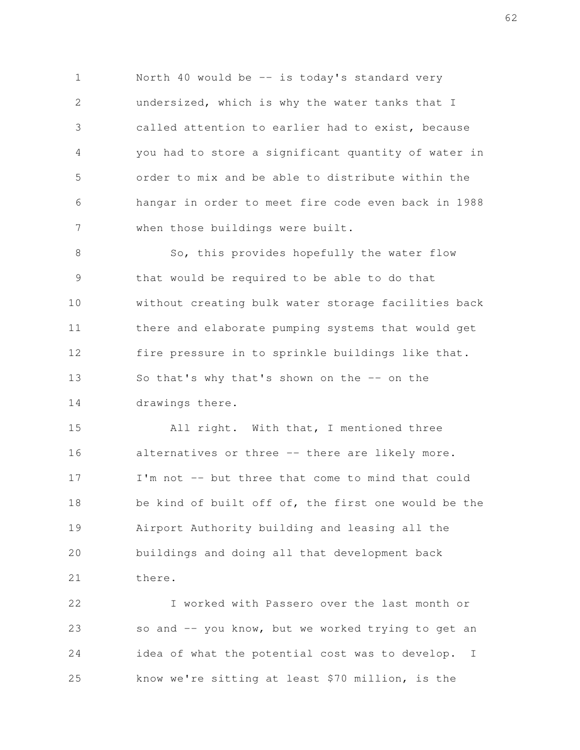North 40 would be -- is today's standard very undersized, which is why the water tanks that I called attention to earlier had to exist, because you had to store a significant quantity of water in order to mix and be able to distribute within the hangar in order to meet fire code even back in 1988 when those buildings were built. 1 2 3 4 5 6 7

So, this provides hopefully the water flow that would be required to be able to do that without creating bulk water storage facilities back there and elaborate pumping systems that would get fire pressure in to sprinkle buildings like that. So that's why that's shown on the -- on the drawings there. 8 9 10 11 12 13 14

All right. With that, I mentioned three alternatives or three -- there are likely more. I'm not -- but three that come to mind that could be kind of built off of, the first one would be the Airport Authority building and leasing all the buildings and doing all that development back there. 15 16 17 18 19 20 21

I worked with Passero over the last month or so and -- you know, but we worked trying to get an idea of what the potential cost was to develop. I know we're sitting at least \$70 million, is the 22 23 24 25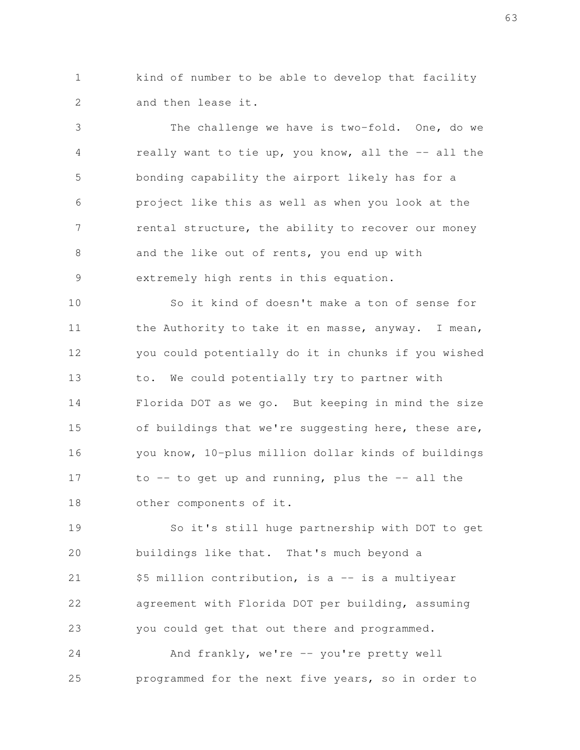kind of number to be able to develop that facility and then lease it. 1 2

The challenge we have is two-fold. One, do we really want to tie up, you know, all the -- all the bonding capability the airport likely has for a project like this as well as when you look at the rental structure, the ability to recover our money and the like out of rents, you end up with extremely high rents in this equation. 3 4 5 6 7 8 9

So it kind of doesn't make a ton of sense for the Authority to take it en masse, anyway. I mean, you could potentially do it in chunks if you wished to. We could potentially try to partner with Florida DOT as we go. But keeping in mind the size of buildings that we're suggesting here, these are, you know, 10-plus million dollar kinds of buildings to  $-$  to get up and running, plus the  $-$  all the other components of it. 10 11 12 13 14 15 16 17 18

So it's still huge partnership with DOT to get buildings like that. That's much beyond a \$5 million contribution, is a -- is a multiyear agreement with Florida DOT per building, assuming you could get that out there and programmed. 19 20 21 22 23

And frankly, we're -- you're pretty well programmed for the next five years, so in order to 24 25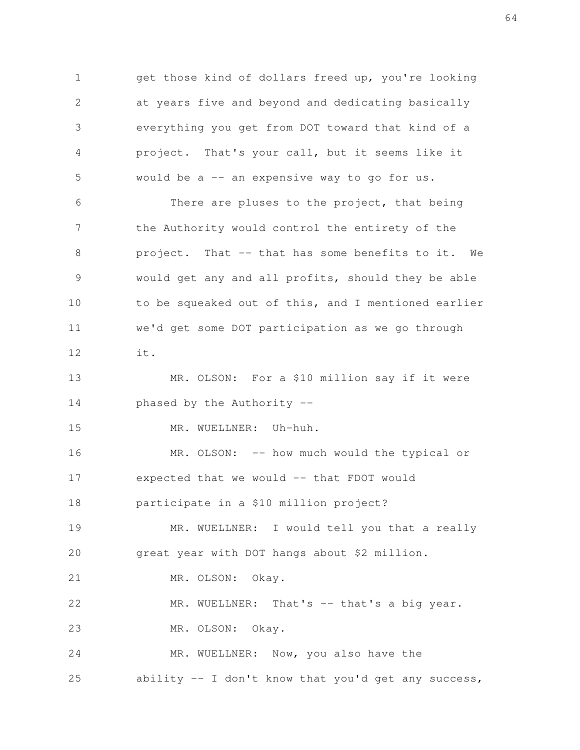get those kind of dollars freed up, you're looking at years five and beyond and dedicating basically everything you get from DOT toward that kind of a project. That's your call, but it seems like it would be a -- an expensive way to go for us. There are pluses to the project, that being the Authority would control the entirety of the 1 2 3 4 5 6 7

project. That -- that has some benefits to it. We would get any and all profits, should they be able to be squeaked out of this, and I mentioned earlier we'd get some DOT participation as we go through it. 8 9 10 11 12

MR. OLSON: For a \$10 million say if it were phased by the Authority -- 13 14

MR. WUELLNER: Uh-huh.

15

MR. OLSON: -- how much would the typical or expected that we would -- that FDOT would participate in a \$10 million project? 16 17 18

MR. WUELLNER: I would tell you that a really great year with DOT hangs about \$2 million. 19 20

MR. OLSON: Okay. 21

MR. WUELLNER: That's -- that's a big year. MR. OLSON: Okay. 22 23

MR. WUELLNER: Now, you also have the ability  $-$  I don't know that you'd get any success, 24 25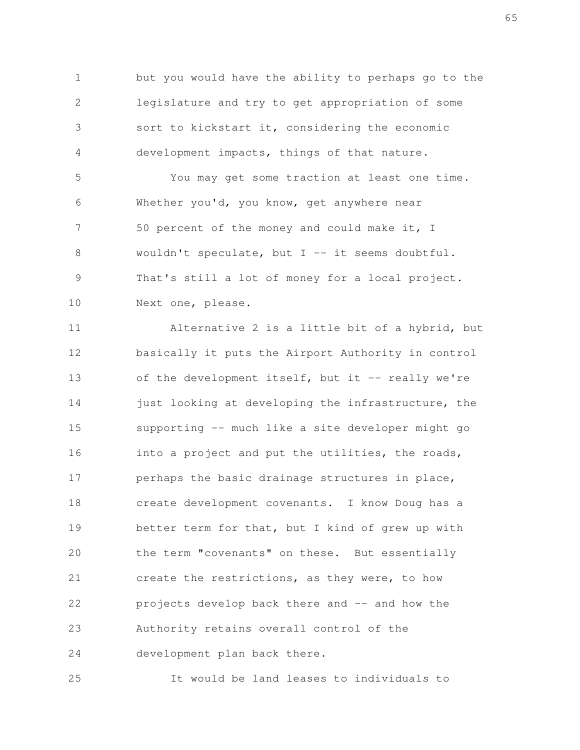but you would have the ability to perhaps go to the legislature and try to get appropriation of some sort to kickstart it, considering the economic development impacts, things of that nature. 1 2 3 4

You may get some traction at least one time. Whether you'd, you know, get anywhere near 50 percent of the money and could make it, I wouldn't speculate, but  $I$  -- it seems doubtful. That's still a lot of money for a local project. Next one, please. 5 6 7 8 9 10

Alternative 2 is a little bit of a hybrid, but basically it puts the Airport Authority in control of the development itself, but it  $-$  really we're just looking at developing the infrastructure, the supporting -- much like a site developer might go into a project and put the utilities, the roads, perhaps the basic drainage structures in place, create development covenants. I know Doug has a better term for that, but I kind of grew up with the term "covenants" on these. But essentially create the restrictions, as they were, to how projects develop back there and -- and how the Authority retains overall control of the development plan back there. 11 12 13 14 15 16 17 18 19 20 21 22 23 24

It would be land leases to individuals to 25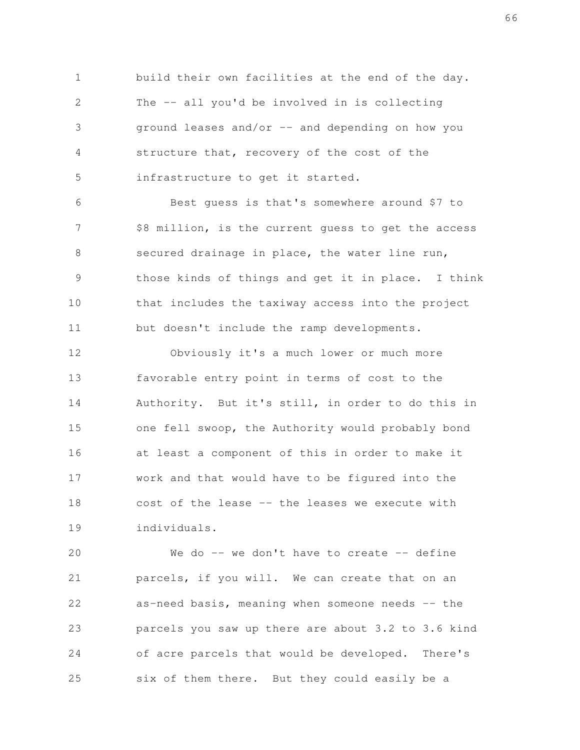build their own facilities at the end of the day. The -- all you'd be involved in is collecting ground leases and/or -- and depending on how you structure that, recovery of the cost of the infrastructure to get it started. 1 2 3 4 5

Best guess is that's somewhere around \$7 to \$8 million, is the current guess to get the access secured drainage in place, the water line run, those kinds of things and get it in place. I think that includes the taxiway access into the project but doesn't include the ramp developments. 6 7 8 9 10 11

Obviously it's a much lower or much more favorable entry point in terms of cost to the Authority. But it's still, in order to do this in one fell swoop, the Authority would probably bond at least a component of this in order to make it work and that would have to be figured into the cost of the lease -- the leases we execute with individuals. 12 13 14 15 16 17 18 19

We do  $-$  we don't have to create  $-$  define parcels, if you will. We can create that on an as-need basis, meaning when someone needs -- the parcels you saw up there are about 3.2 to 3.6 kind of acre parcels that would be developed. There's six of them there. But they could easily be a 20 21 22 23 24 25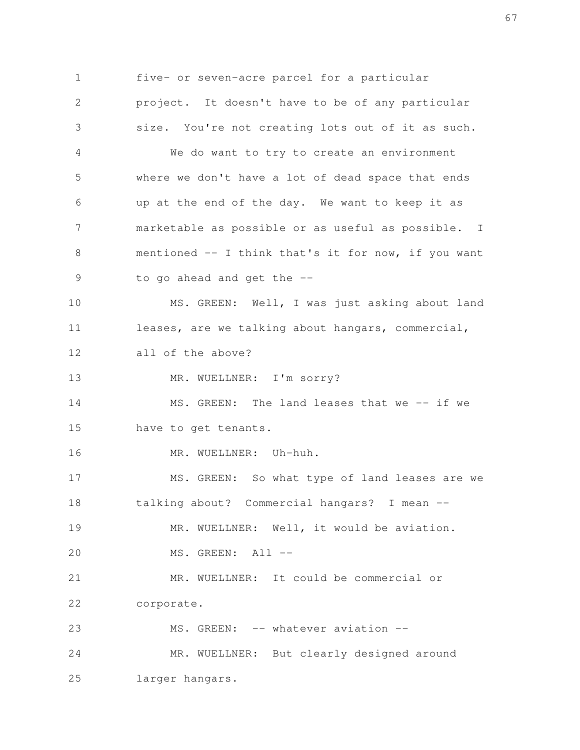five- or seven-acre parcel for a particular project. It doesn't have to be of any particular size. You're not creating lots out of it as such. We do want to try to create an environment where we don't have a lot of dead space that ends up at the end of the day. We want to keep it as marketable as possible or as useful as possible. I mentioned -- I think that's it for now, if you want to go ahead and get the -- MS. GREEN: Well, I was just asking about land leases, are we talking about hangars, commercial, all of the above? MR. WUELLNER: I'm sorry? MS. GREEN: The land leases that we -- if we have to get tenants. MR. WUELLNER: Uh-huh. MS. GREEN: So what type of land leases are we talking about? Commercial hangars? I mean -- MR. WUELLNER: Well, it would be aviation. MS. GREEN: All --MR. WUELLNER: It could be commercial or corporate. MS. GREEN: -- whatever aviation --MR. WUELLNER: But clearly designed around larger hangars. 1 2 3 4 5 6 7 8 9 10 11 12 13 14 15 16 17 18 19 20 21 22 23 24 25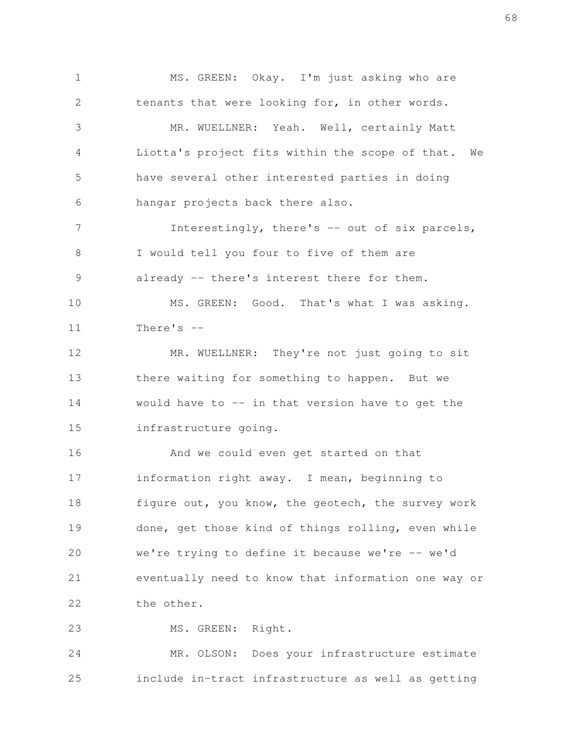MS. GREEN: Okay. I'm just asking who are tenants that were looking for, in other words. MR. WUELLNER: Yeah. Well, certainly Matt Liotta's project fits within the scope of that. We have several other interested parties in doing hangar projects back there also. Interestingly, there's -- out of six parcels, I would tell you four to five of them are already -- there's interest there for them. MS. GREEN: Good. That's what I was asking. There's -- MR. WUELLNER: They're not just going to sit there waiting for something to happen. But we would have to  $-$  in that version have to get the infrastructure going. And we could even get started on that information right away. I mean, beginning to figure out, you know, the geotech, the survey work done, get those kind of things rolling, even while we're trying to define it because we're -- we'd eventually need to know that information one way or the other. MS. GREEN: Right. 1 2 3 4 5 6 7 8 9 10 11 12 13 14 15 16 17 18 19 20 21 22 23

MR. OLSON: Does your infrastructure estimate include in-tract infrastructure as well as getting 24 25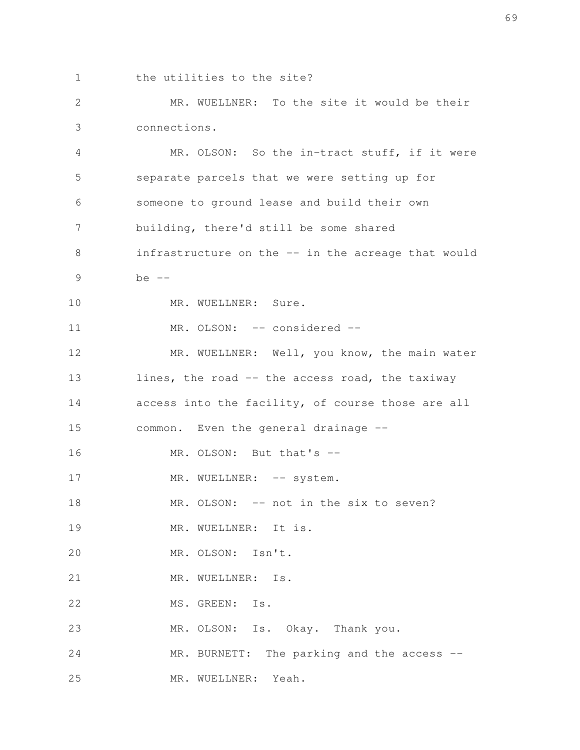1

the utilities to the site?

MR. WUELLNER: To the site it would be their connections. 2 3

MR. OLSON: So the in-tract stuff, if it were separate parcels that we were setting up for someone to ground lease and build their own building, there'd still be some shared infrastructure on the -- in the acreage that would be -- MR. WUELLNER: Sure. MR. OLSON: -- considered --MR. WUELLNER: Well, you know, the main water lines, the road -- the access road, the taxiway access into the facility, of course those are all common. Even the general drainage -- MR. OLSON: But that's --MR. WUELLNER: -- system. MR. OLSON: -- not in the six to seven? MR. WUELLNER: It is. MR. OLSON: Isn't. MR. WUELLNER: Is. MS. GREEN: Is. MR. OLSON: Is. Okay. Thank you. MR. BURNETT: The parking and the access --MR. WUELLNER: Yeah. 4 5 6 7 8 9 10 11 12 13 14 15 16 17 18 19 20 21 22 23 24 25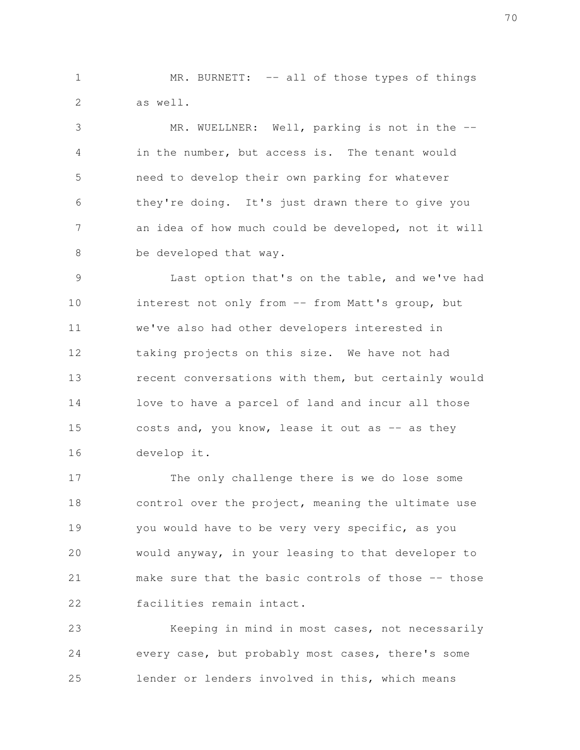MR. BURNETT: -- all of those types of things as well. 1 2

MR. WUELLNER: Well, parking is not in the -in the number, but access is. The tenant would need to develop their own parking for whatever they're doing. It's just drawn there to give you an idea of how much could be developed, not it will be developed that way. 3 4 5 6 7 8

Last option that's on the table, and we've had interest not only from -- from Matt's group, but we've also had other developers interested in taking projects on this size. We have not had recent conversations with them, but certainly would love to have a parcel of land and incur all those costs and, you know, lease it out as  $-$  as they develop it. 9 10 11 12 13 14 15 16

The only challenge there is we do lose some control over the project, meaning the ultimate use you would have to be very very specific, as you would anyway, in your leasing to that developer to make sure that the basic controls of those -- those facilities remain intact. 17 18 19 20 21 22

Keeping in mind in most cases, not necessarily every case, but probably most cases, there's some lender or lenders involved in this, which means 23 24 25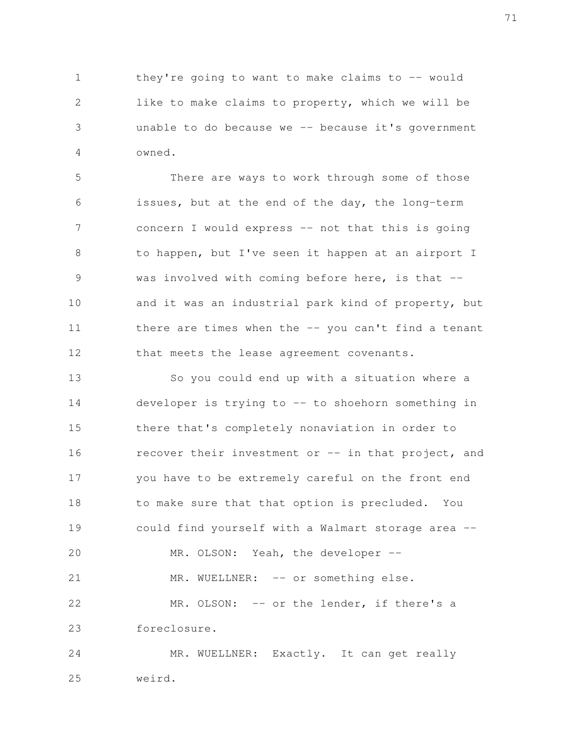they're going to want to make claims to  $-$ - would like to make claims to property, which we will be unable to do because we  $-$ - because it's government owned. 1 2 3 4

There are ways to work through some of those issues, but at the end of the day, the long-term concern I would express -- not that this is going to happen, but I've seen it happen at an airport I was involved with coming before here, is that  $$ and it was an industrial park kind of property, but there are times when the -- you can't find a tenant that meets the lease agreement covenants. 5 6 7 8 9 10 11 12

So you could end up with a situation where a developer is trying to -- to shoehorn something in there that's completely nonaviation in order to recover their investment or -- in that project, and you have to be extremely careful on the front end to make sure that that option is precluded. You could find yourself with a Walmart storage area -- MR. OLSON: Yeah, the developer --MR. WUELLNER: -- or something else. MR. OLSON: -- or the lender, if there's a foreclosure. MR. WUELLNER: Exactly. It can get really 13 14 15 16 17 18 19 20 21 22 23 24

weird. 25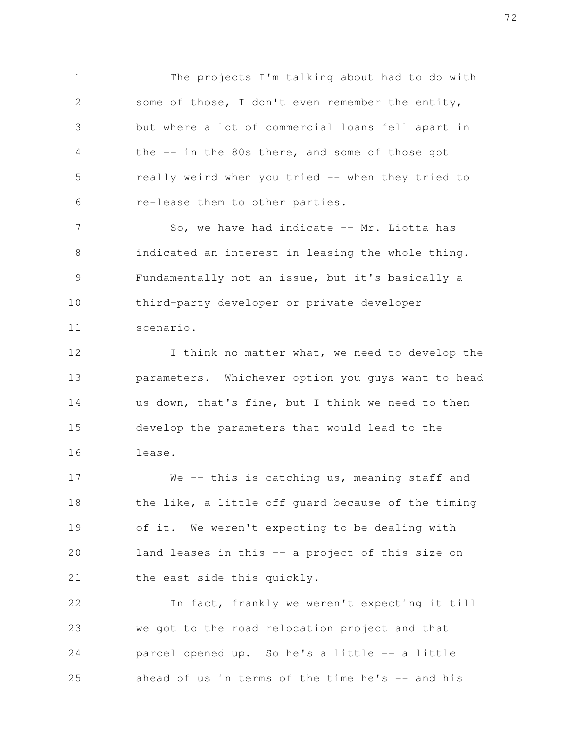The projects I'm talking about had to do with some of those, I don't even remember the entity, but where a lot of commercial loans fell apart in the -- in the 80s there, and some of those got really weird when you tried -- when they tried to re-lease them to other parties. 1 2 3 4 5 6

So, we have had indicate -- Mr. Liotta has indicated an interest in leasing the whole thing. Fundamentally not an issue, but it's basically a third-party developer or private developer scenario. 7 8 9 10 11

I think no matter what, we need to develop the parameters. Whichever option you guys want to head us down, that's fine, but I think we need to then develop the parameters that would lead to the lease. 12 13 14 15 16

We -- this is catching us, meaning staff and the like, a little off guard because of the timing of it. We weren't expecting to be dealing with land leases in this -- a project of this size on the east side this quickly. 17 18 19 20 21

In fact, frankly we weren't expecting it till we got to the road relocation project and that parcel opened up. So he's a little -- a little ahead of us in terms of the time he's  $-$  and his 22 23 24 25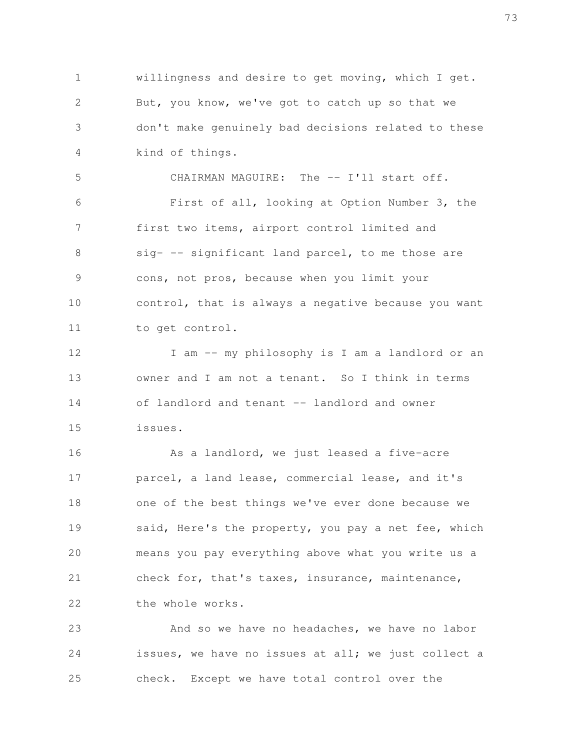willingness and desire to get moving, which I get. But, you know, we've got to catch up so that we don't make genuinely bad decisions related to these kind of things. 1 2 3 4

CHAIRMAN MAGUIRE: The -- I'll start off. First of all, looking at Option Number 3, the first two items, airport control limited and sig- -- significant land parcel, to me those are cons, not pros, because when you limit your control, that is always a negative because you want to get control. 5 6 7 8 9 10 11

I am -- my philosophy is I am a landlord or an owner and I am not a tenant. So I think in terms of landlord and tenant -- landlord and owner issues. 12 13 14 15

As a landlord, we just leased a five-acre parcel, a land lease, commercial lease, and it's one of the best things we've ever done because we said, Here's the property, you pay a net fee, which means you pay everything above what you write us a check for, that's taxes, insurance, maintenance, the whole works. 16 17 18 19 20 21 22

And so we have no headaches, we have no labor issues, we have no issues at all; we just collect a check. Except we have total control over the 23 24 25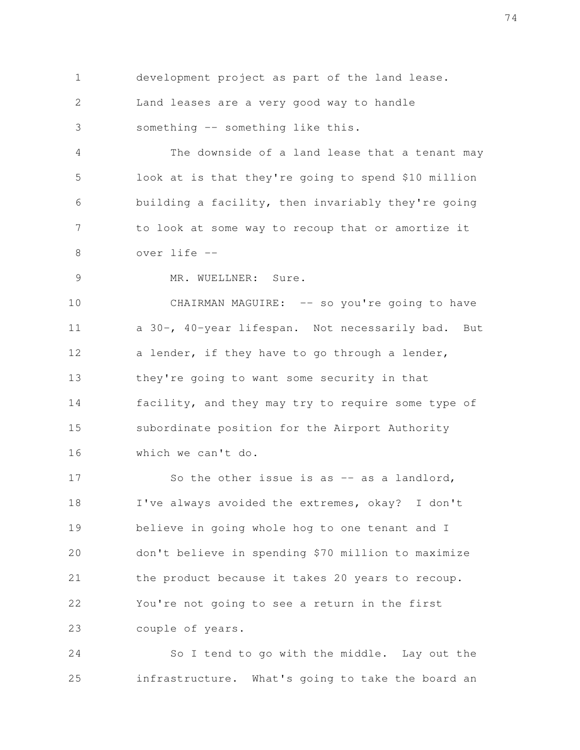development project as part of the land lease. 1

Land leases are a very good way to handle 2

something -- something like this. 3

The downside of a land lease that a tenant may look at is that they're going to spend \$10 million building a facility, then invariably they're going to look at some way to recoup that or amortize it over life -- 4 5 6 7 8

9

MR. WUELLNER: Sure.

CHAIRMAN MAGUIRE: -- so you're going to have a 30-, 40-year lifespan. Not necessarily bad. But a lender, if they have to go through a lender, they're going to want some security in that facility, and they may try to require some type of subordinate position for the Airport Authority which we can't do. 10 11 12 13 14 15 16

So the other issue is as -- as a landlord, I've always avoided the extremes, okay? I don't believe in going whole hog to one tenant and I don't believe in spending \$70 million to maximize the product because it takes 20 years to recoup. You're not going to see a return in the first couple of years. 17 18 19 20 21 22 23

So I tend to go with the middle. Lay out the infrastructure. What's going to take the board an 24 25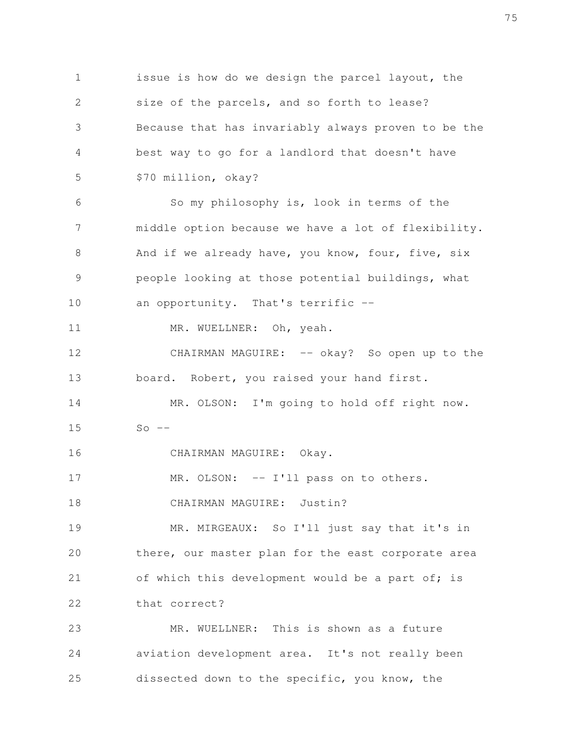issue is how do we design the parcel layout, the size of the parcels, and so forth to lease? Because that has invariably always proven to be the best way to go for a landlord that doesn't have \$70 million, okay? So my philosophy is, look in terms of the middle option because we have a lot of flexibility. And if we already have, you know, four, five, six people looking at those potential buildings, what an opportunity. That's terrific -- MR. WUELLNER: Oh, yeah. CHAIRMAN MAGUIRE: -- okay? So open up to the board. Robert, you raised your hand first. MR. OLSON: I'm going to hold off right now.  $So$   $--$ CHAIRMAN MAGUIRE: Okay. MR. OLSON: -- I'll pass on to others. CHAIRMAN MAGUIRE: Justin? MR. MIRGEAUX: So I'll just say that it's in there, our master plan for the east corporate area of which this development would be a part of; is that correct? MR. WUELLNER: This is shown as a future aviation development area. It's not really been dissected down to the specific, you know, the 1 2 3 4 5 6 7 8 9 10 11 12 13 14 15 16 17 18 19 20 21 22 23 24 25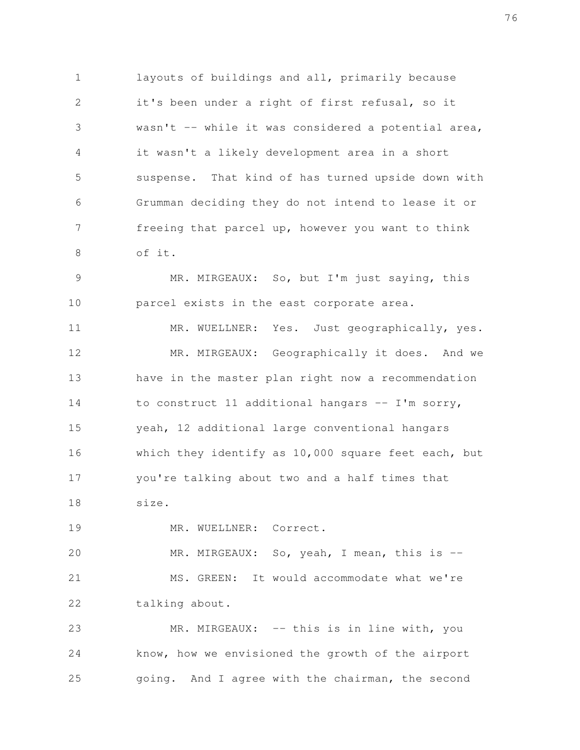layouts of buildings and all, primarily because it's been under a right of first refusal, so it wasn't -- while it was considered a potential area, it wasn't a likely development area in a short suspense. That kind of has turned upside down with Grumman deciding they do not intend to lease it or freeing that parcel up, however you want to think of it. 1 2 3 4 5 6 7 8

MR. MIRGEAUX: So, but I'm just saying, this parcel exists in the east corporate area. 9 10

MR. WUELLNER: Yes. Just geographically, yes. MR. MIRGEAUX: Geographically it does. And we have in the master plan right now a recommendation to construct 11 additional hangars -- I'm sorry, yeah, 12 additional large conventional hangars which they identify as 10,000 square feet each, but you're talking about two and a half times that size. 11 12 13 14 15 16 17 18

MR. WUELLNER: Correct. 19

MR. MIRGEAUX: So, yeah, I mean, this is --MS. GREEN: It would accommodate what we're talking about. 20 21 22

MR. MIRGEAUX: -- this is in line with, you know, how we envisioned the growth of the airport going. And I agree with the chairman, the second 23 24 25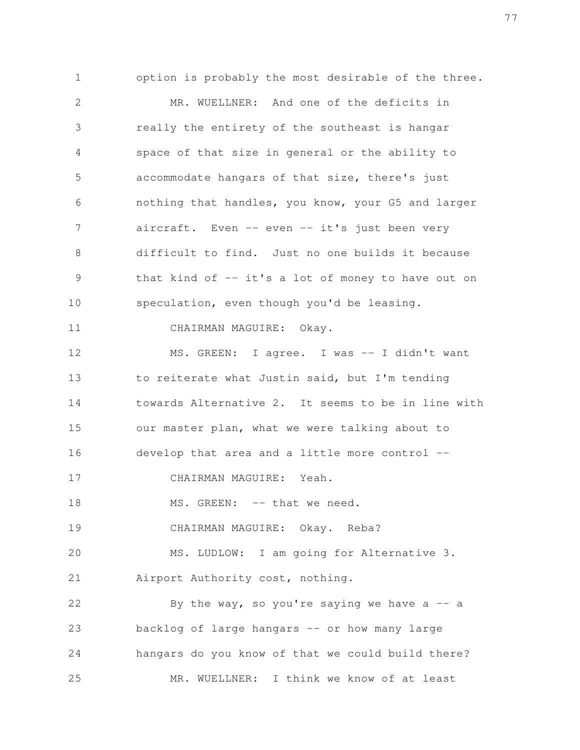option is probably the most desirable of the three. MR. WUELLNER: And one of the deficits in really the entirety of the southeast is hangar space of that size in general or the ability to accommodate hangars of that size, there's just nothing that handles, you know, your G5 and larger aircraft. Even -- even -- it's just been very difficult to find. Just no one builds it because that kind of -- it's a lot of money to have out on speculation, even though you'd be leasing. CHAIRMAN MAGUIRE: Okay. MS. GREEN: I agree. I was -- I didn't want to reiterate what Justin said, but I'm tending towards Alternative 2. It seems to be in line with our master plan, what we were talking about to develop that area and a little more control -- CHAIRMAN MAGUIRE: Yeah. MS. GREEN: -- that we need. CHAIRMAN MAGUIRE: Okay. Reba? MS. LUDLOW: I am going for Alternative 3. Airport Authority cost, nothing. By the way, so you're saying we have a  $-$  a backlog of large hangars -- or how many large hangars do you know of that we could build there? MR. WUELLNER: I think we know of at least 1 2 3 4 5 6 7 8 9 10 11 12 13 14 15 16 17 18 19 20 21 22 23 24 25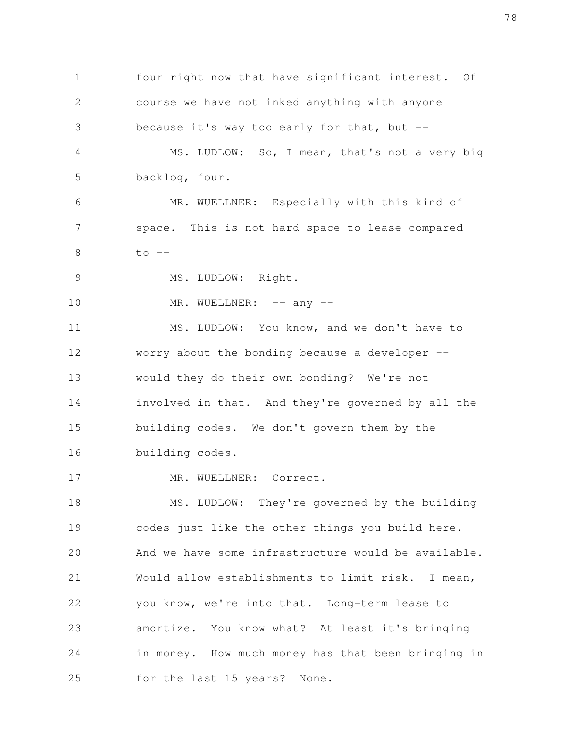four right now that have significant interest. Of course we have not inked anything with anyone because it's way too early for that, but -- MS. LUDLOW: So, I mean, that's not a very big backlog, four. MR. WUELLNER: Especially with this kind of space. This is not hard space to lease compared  $to$   $--$ MS. LUDLOW: Right. MR. WUELLNER: -- any --MS. LUDLOW: You know, and we don't have to worry about the bonding because a developer - would they do their own bonding? We're not involved in that. And they're governed by all the building codes. We don't govern them by the building codes. MR. WUELLNER: Correct. MS. LUDLOW: They're governed by the building codes just like the other things you build here. And we have some infrastructure would be available. Would allow establishments to limit risk. I mean, you know, we're into that. Long-term lease to amortize. You know what? At least it's bringing in money. How much money has that been bringing in for the last 15 years? None. 1 2 3 4 5 6 7 8 9 10 11 12 13 14 15 16 17 18 19 20 21 22 23 24 25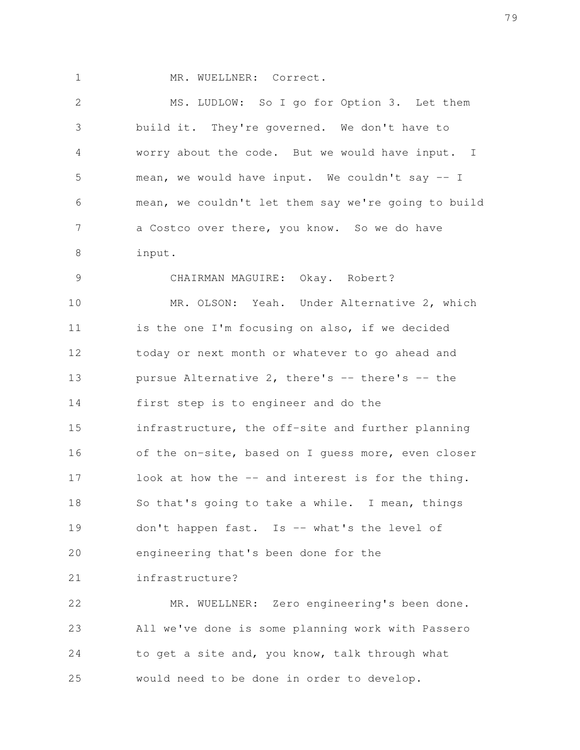1

MR. WUELLNER: Correct.

MS. LUDLOW: So I go for Option 3. Let them build it. They're governed. We don't have to worry about the code. But we would have input. I mean, we would have input. We couldn't say -- I mean, we couldn't let them say we're going to build a Costco over there, you know. So we do have input. CHAIRMAN MAGUIRE: Okay. Robert? MR. OLSON: Yeah. Under Alternative 2, which 2 3 4 5 6 7 8 9 10

is the one I'm focusing on also, if we decided today or next month or whatever to go ahead and pursue Alternative 2, there's -- there's -- the first step is to engineer and do the infrastructure, the off-site and further planning of the on-site, based on I guess more, even closer look at how the -- and interest is for the thing. So that's going to take a while. I mean, things don't happen fast. Is -- what's the level of engineering that's been done for the 11 12 13 14 15 16 17 18 19 20

infrastructure? 21

MR. WUELLNER: Zero engineering's been done. All we've done is some planning work with Passero to get a site and, you know, talk through what would need to be done in order to develop. 22 23 24 25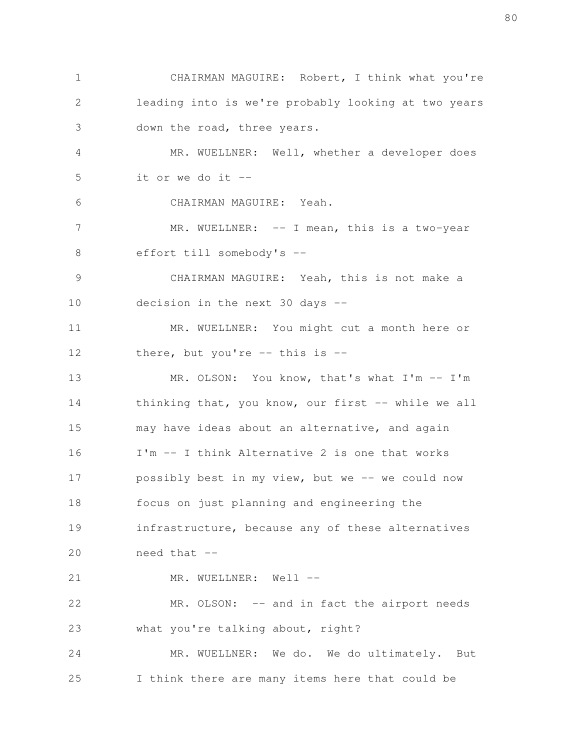CHAIRMAN MAGUIRE: Robert, I think what you're leading into is we're probably looking at two years down the road, three years. MR. WUELLNER: Well, whether a developer does it or we do it  $-$ CHAIRMAN MAGUIRE: Yeah. MR. WUELLNER: -- I mean, this is a two-year effort till somebody's -- CHAIRMAN MAGUIRE: Yeah, this is not make a decision in the next 30 days -- MR. WUELLNER: You might cut a month here or there, but you're  $-$  this is  $-$ MR. OLSON: You know, that's what I'm -- I'm thinking that, you know, our first -- while we all may have ideas about an alternative, and again I'm -- I think Alternative 2 is one that works possibly best in my view, but we -- we could now focus on just planning and engineering the infrastructure, because any of these alternatives need that -- MR. WUELLNER: Well --MR. OLSON: -- and in fact the airport needs what you're talking about, right? MR. WUELLNER: We do. We do ultimately. But I think there are many items here that could be 1 2 3 4 5 6 7 8 9 10 11 12 13 14 15 16 17 18 19 20 21 22 23 24 25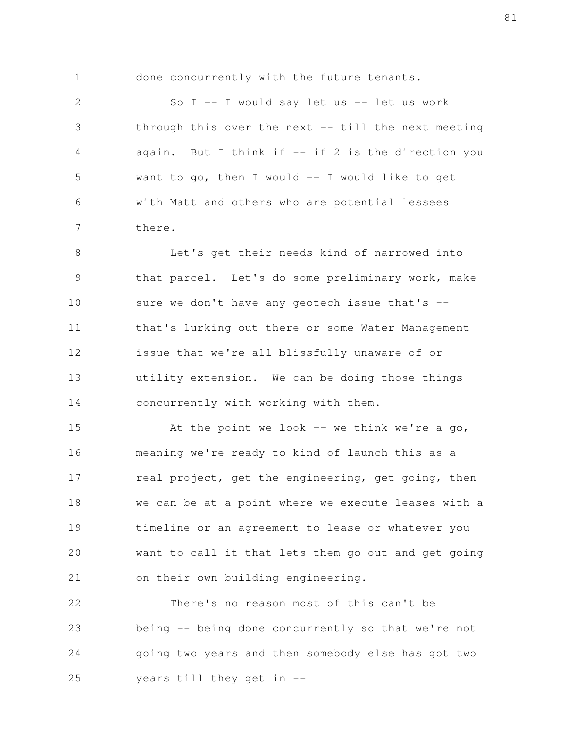1

done concurrently with the future tenants.

So  $I$  -- I would say let us -- let us work through this over the next  $-$  till the next meeting again. But I think if  $-$  if 2 is the direction you want to go, then I would -- I would like to get with Matt and others who are potential lessees there. 2 3 4 5 6 7

Let's get their needs kind of narrowed into that parcel. Let's do some preliminary work, make sure we don't have any geotech issue that's -that's lurking out there or some Water Management issue that we're all blissfully unaware of or utility extension. We can be doing those things concurrently with working with them. 8 9 10 11 12 13 14

At the point we look  $-$  we think we're a go, meaning we're ready to kind of launch this as a real project, get the engineering, get going, then we can be at a point where we execute leases with a timeline or an agreement to lease or whatever you want to call it that lets them go out and get going on their own building engineering. 15 16 17 18 19 20 21

There's no reason most of this can't be being -- being done concurrently so that we're not going two years and then somebody else has got two years till they get in -- 22 23 24 25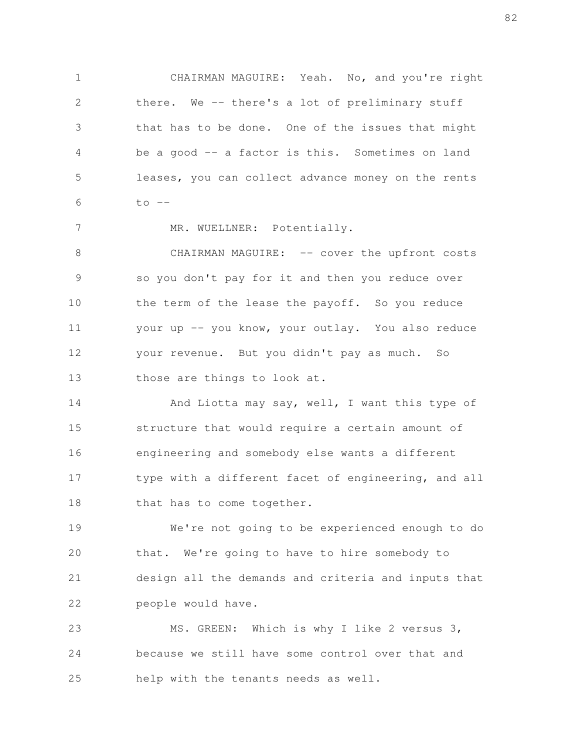CHAIRMAN MAGUIRE: Yeah. No, and you're right there. We -- there's a lot of preliminary stuff that has to be done. One of the issues that might be a good -- a factor is this. Sometimes on land leases, you can collect advance money on the rents  $to$   $--$  1 2 3 4 5 6

MR. WUELLNER: Potentially.

7

CHAIRMAN MAGUIRE: -- cover the upfront costs so you don't pay for it and then you reduce over the term of the lease the payoff. So you reduce your up -- you know, your outlay. You also reduce your revenue. But you didn't pay as much. So those are things to look at. 8 9 10 11 12 13

And Liotta may say, well, I want this type of structure that would require a certain amount of engineering and somebody else wants a different type with a different facet of engineering, and all that has to come together. 14 15 16 17 18

We're not going to be experienced enough to do that. We're going to have to hire somebody to design all the demands and criteria and inputs that people would have. 19 20 21 22

MS. GREEN: Which is why I like 2 versus 3, because we still have some control over that and help with the tenants needs as well. 23 24 25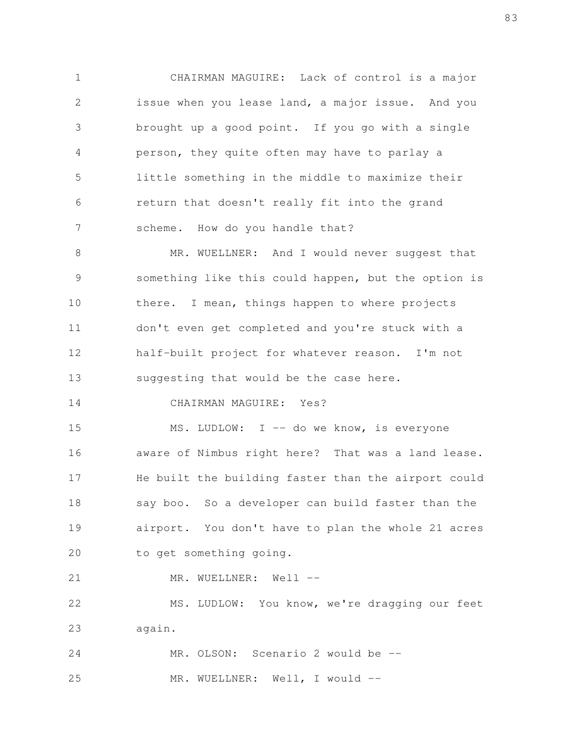CHAIRMAN MAGUIRE: Lack of control is a major issue when you lease land, a major issue. And you brought up a good point. If you go with a single person, they quite often may have to parlay a little something in the middle to maximize their return that doesn't really fit into the grand scheme. How do you handle that? 1 2 3 4 5 6 7

MR. WUELLNER: And I would never suggest that something like this could happen, but the option is there. I mean, things happen to where projects don't even get completed and you're stuck with a half-built project for whatever reason. I'm not suggesting that would be the case here. 8 9 10 11 12 13

CHAIRMAN MAGUIRE: Yes? 14

MS. LUDLOW: I -- do we know, is everyone aware of Nimbus right here? That was a land lease. He built the building faster than the airport could say boo. So a developer can build faster than the airport. You don't have to plan the whole 21 acres to get something going. 15 16 17 18 19 20

MR. WUELLNER: Well --21

MS. LUDLOW: You know, we're dragging our feet again. 22 23

MR. OLSON: Scenario 2 would be --MR. WUELLNER: Well, I would --24 25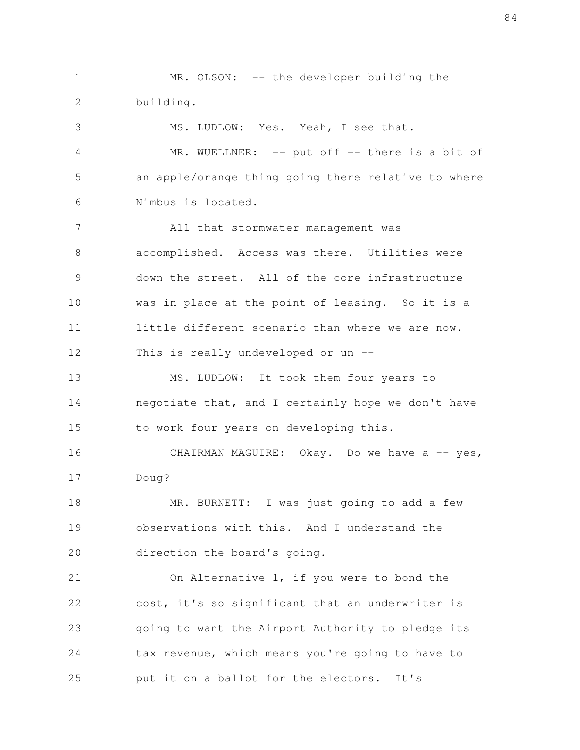MR. OLSON: -- the developer building the building. 1 2

MS. LUDLOW: Yes. Yeah, I see that.

3

MR. WUELLNER: -- put off -- there is a bit of an apple/orange thing going there relative to where Nimbus is located. 4 5 6

All that stormwater management was accomplished. Access was there. Utilities were down the street. All of the core infrastructure was in place at the point of leasing. So it is a little different scenario than where we are now. This is really undeveloped or un -- 7 8 9 10 11 12

MS. LUDLOW: It took them four years to negotiate that, and I certainly hope we don't have to work four years on developing this. 13 14 15

CHAIRMAN MAGUIRE: Okay. Do we have a -- yes, Doug? 16 17

MR. BURNETT: I was just going to add a few observations with this. And I understand the direction the board's going. 18 19 20

On Alternative 1, if you were to bond the cost, it's so significant that an underwriter is going to want the Airport Authority to pledge its tax revenue, which means you're going to have to put it on a ballot for the electors. It's 21 22 23 24 25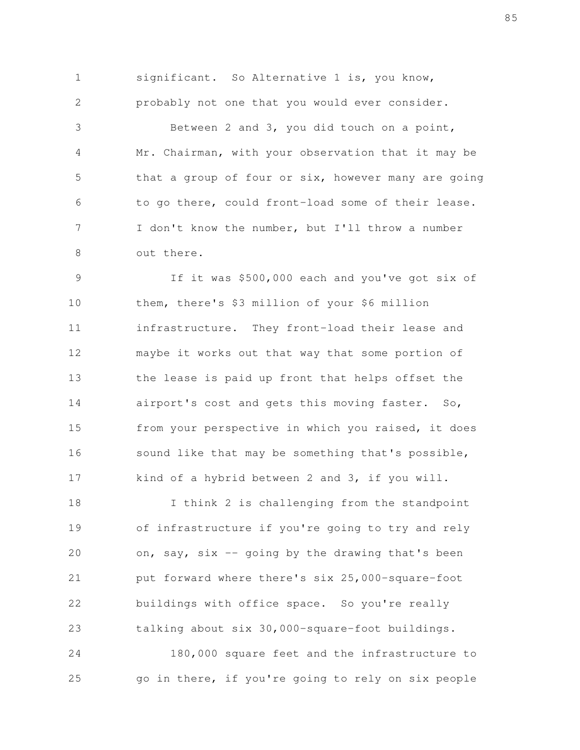significant. So Alternative 1 is, you know, probably not one that you would ever consider. Between 2 and 3, you did touch on a point, Mr. Chairman, with your observation that it may be that a group of four or six, however many are going to go there, could front-load some of their lease. I don't know the number, but I'll throw a number out there. 1 2 3 4 5 6 7 8

If it was \$500,000 each and you've got six of them, there's \$3 million of your \$6 million infrastructure. They front-load their lease and maybe it works out that way that some portion of the lease is paid up front that helps offset the airport's cost and gets this moving faster. So, from your perspective in which you raised, it does sound like that may be something that's possible, kind of a hybrid between 2 and 3, if you will. 9 10 11 12 13 14 15 16 17

I think 2 is challenging from the standpoint of infrastructure if you're going to try and rely on, say, six -- going by the drawing that's been put forward where there's six 25,000-square-foot buildings with office space. So you're really talking about six 30,000-square-foot buildings. 18 19 20 21 22 23

180,000 square feet and the infrastructure to go in there, if you're going to rely on six people 24 25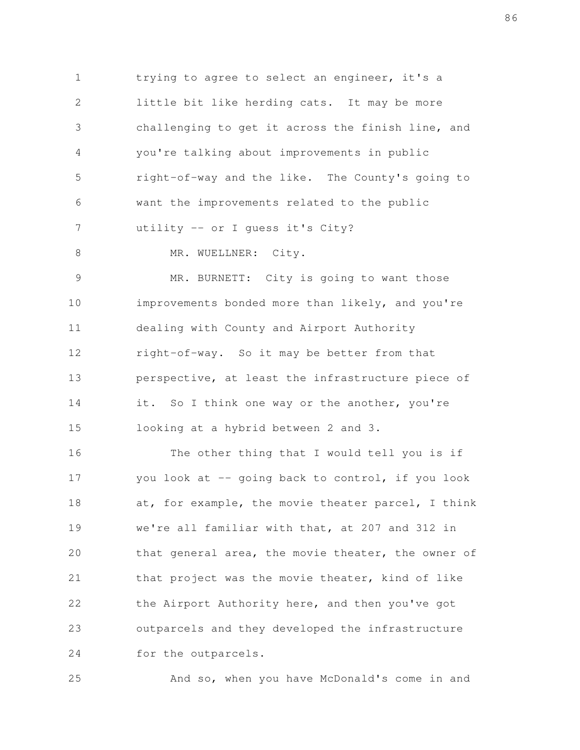trying to agree to select an engineer, it's a little bit like herding cats. It may be more challenging to get it across the finish line, and you're talking about improvements in public right-of-way and the like. The County's going to want the improvements related to the public utility -- or I guess it's City? 1 2 3 4 5 6 7

8

MR. WUELLNER: City.

MR. BURNETT: City is going to want those improvements bonded more than likely, and you're dealing with County and Airport Authority right-of-way. So it may be better from that perspective, at least the infrastructure piece of it. So I think one way or the another, you're looking at a hybrid between 2 and 3. 9 10 11 12 13 14 15

The other thing that I would tell you is if you look at -- going back to control, if you look at, for example, the movie theater parcel, I think we're all familiar with that, at 207 and 312 in that general area, the movie theater, the owner of that project was the movie theater, kind of like the Airport Authority here, and then you've got outparcels and they developed the infrastructure for the outparcels. 16 17 18 19 20 21 22 23 24

25

And so, when you have McDonald's come in and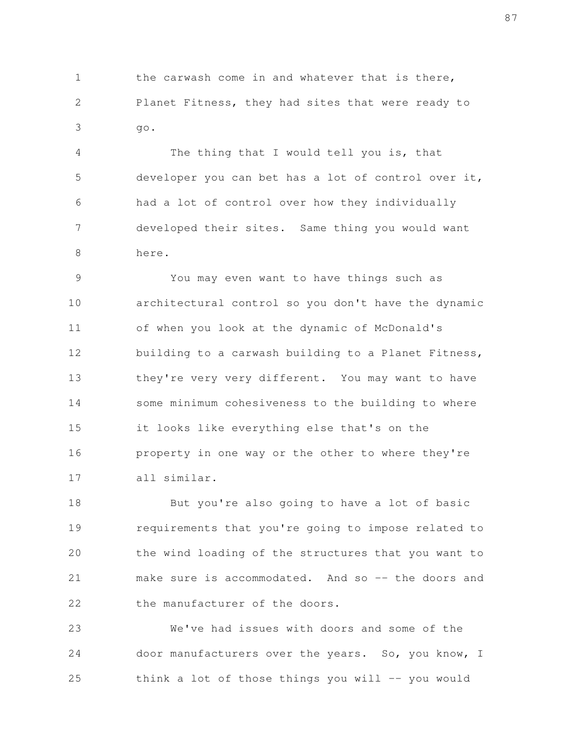the carwash come in and whatever that is there, Planet Fitness, they had sites that were ready to go. 1 2 3

The thing that I would tell you is, that developer you can bet has a lot of control over it, had a lot of control over how they individually developed their sites. Same thing you would want here. 4 5 6 7 8

You may even want to have things such as architectural control so you don't have the dynamic of when you look at the dynamic of McDonald's building to a carwash building to a Planet Fitness, they're very very different. You may want to have some minimum cohesiveness to the building to where it looks like everything else that's on the property in one way or the other to where they're all similar. 9 10 11 12 13 14 15 16 17

But you're also going to have a lot of basic requirements that you're going to impose related to the wind loading of the structures that you want to make sure is accommodated. And so -- the doors and the manufacturer of the doors. 18 19 20 21 22

We've had issues with doors and some of the door manufacturers over the years. So, you know, I think a lot of those things you will  $-$ - you would 23 24 25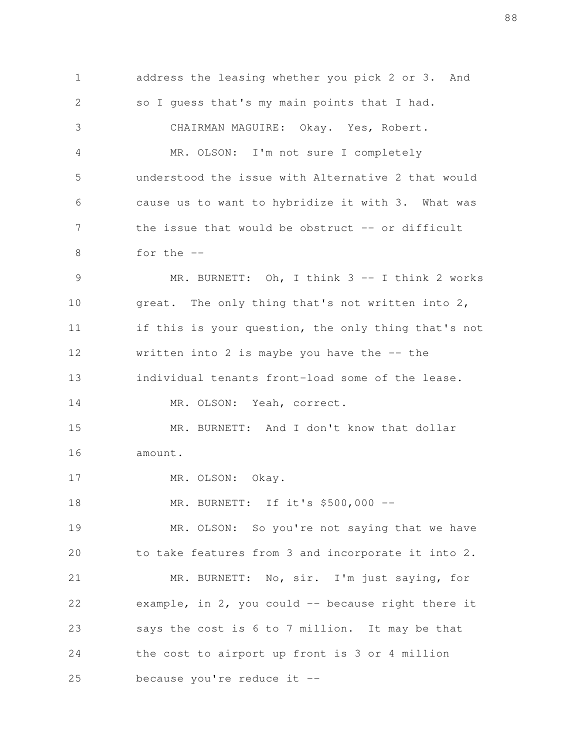address the leasing whether you pick 2 or 3. And so I guess that's my main points that I had. CHAIRMAN MAGUIRE: Okay. Yes, Robert. MR. OLSON: I'm not sure I completely understood the issue with Alternative 2 that would cause us to want to hybridize it with 3. What was the issue that would be obstruct  $-$  or difficult for the -- MR. BURNETT: Oh, I think 3 -- I think 2 works great. The only thing that's not written into 2, if this is your question, the only thing that's not written into 2 is maybe you have the  $-$ - the individual tenants front-load some of the lease. MR. OLSON: Yeah, correct. MR. BURNETT: And I don't know that dollar amount. MR. OLSON: Okay. MR. BURNETT: If it's \$500,000 -- MR. OLSON: So you're not saying that we have to take features from 3 and incorporate it into 2. MR. BURNETT: No, sir. I'm just saying, for example, in  $2$ , you could  $-$  because right there it says the cost is 6 to 7 million. It may be that the cost to airport up front is 3 or 4 million because you're reduce it -- 1 2 3 4 5 6 7 8 9 10 11 12 13 14 15 16 17 18 19 20 21 22 23 24 25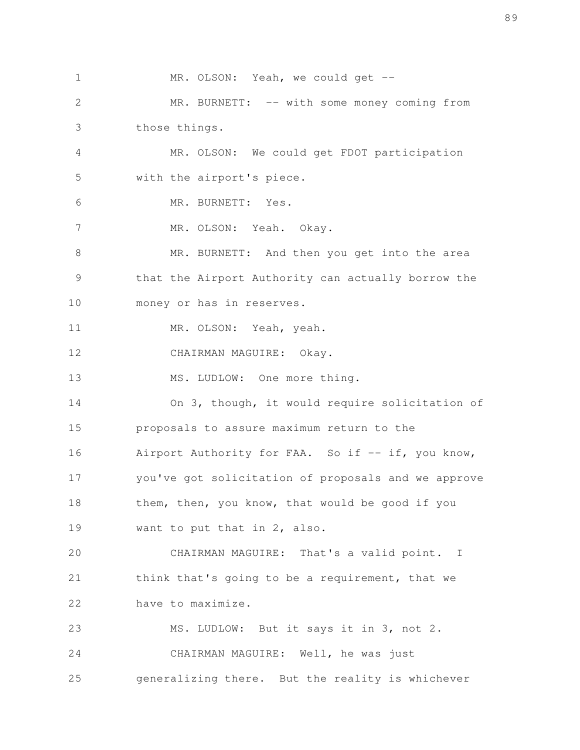MR. OLSON: Yeah, we could get --MR. BURNETT: -- with some money coming from those things. MR. OLSON: We could get FDOT participation with the airport's piece. MR. BURNETT: Yes. MR. OLSON: Yeah. Okay. MR. BURNETT: And then you get into the area that the Airport Authority can actually borrow the money or has in reserves. MR. OLSON: Yeah, yeah. CHAIRMAN MAGUIRE: Okay. MS. LUDLOW: One more thing. On 3, though, it would require solicitation of proposals to assure maximum return to the Airport Authority for FAA. So if -- if, you know, you've got solicitation of proposals and we approve them, then, you know, that would be good if you want to put that in 2, also. CHAIRMAN MAGUIRE: That's a valid point. I think that's going to be a requirement, that we have to maximize. MS. LUDLOW: But it says it in 3, not 2. CHAIRMAN MAGUIRE: Well, he was just generalizing there. But the reality is whichever 1 2 3 4 5 6 7 8 9 10 11 12 13 14 15 16 17 18 19 20 21 22 23 24 25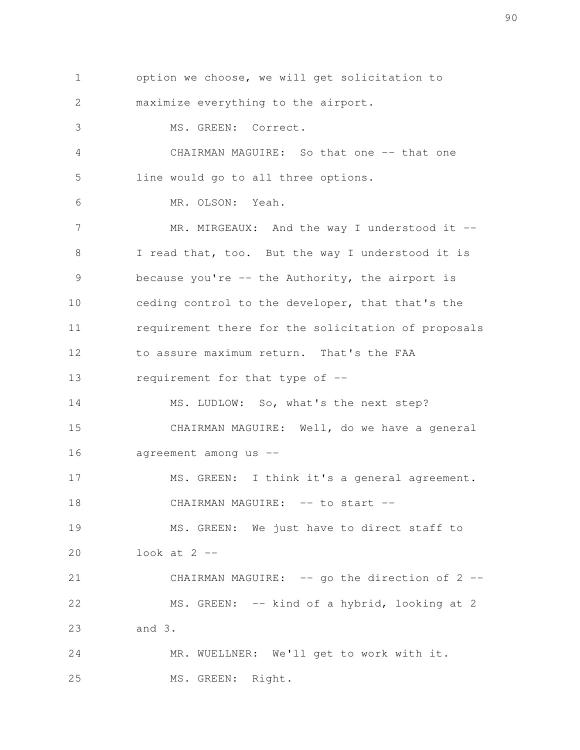option we choose, we will get solicitation to maximize everything to the airport. MS. GREEN: Correct. CHAIRMAN MAGUIRE: So that one -- that one line would go to all three options. MR. OLSON: Yeah. MR. MIRGEAUX: And the way I understood it --I read that, too. But the way I understood it is because you're -- the Authority, the airport is ceding control to the developer, that that's the requirement there for the solicitation of proposals to assure maximum return. That's the FAA requirement for that type of -- MS. LUDLOW: So, what's the next step? CHAIRMAN MAGUIRE: Well, do we have a general agreement among us -- MS. GREEN: I think it's a general agreement. CHAIRMAN MAGUIRE: -- to start --MS. GREEN: We just have to direct staff to look at  $2$   $-$ CHAIRMAN MAGUIRE: -- go the direction of 2 --MS. GREEN: -- kind of a hybrid, looking at 2 and 3. MR. WUELLNER: We'll get to work with it. MS. GREEN: Right. 1 2 3 4 5 6 7 8 9 10 11 12 13 14 15 16 17 18 19 20 21 22 23 24 25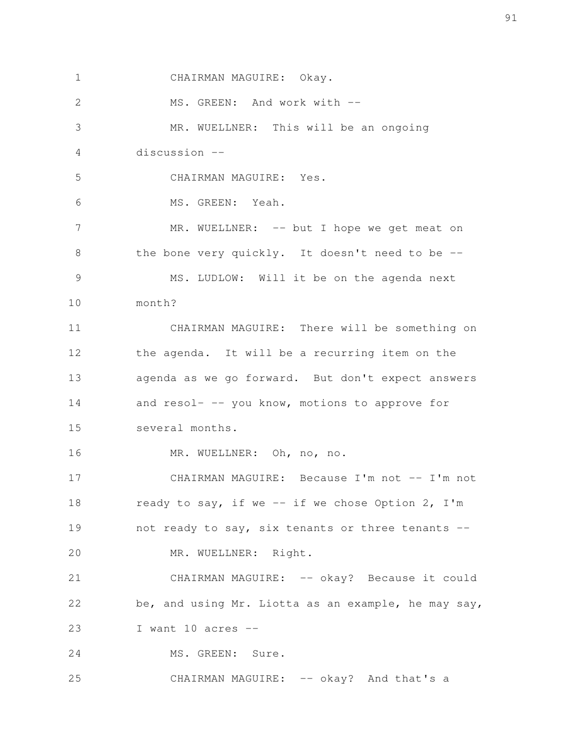CHAIRMAN MAGUIRE: Okay. MS. GREEN: And work with --MR. WUELLNER: This will be an ongoing discussion -- CHAIRMAN MAGUIRE: Yes. MS. GREEN: Yeah. MR. WUELLNER: -- but I hope we get meat on the bone very quickly. It doesn't need to be -- MS. LUDLOW: Will it be on the agenda next month? CHAIRMAN MAGUIRE: There will be something on the agenda. It will be a recurring item on the agenda as we go forward. But don't expect answers and resol- -- you know, motions to approve for several months. MR. WUELLNER: Oh, no, no. CHAIRMAN MAGUIRE: Because I'm not -- I'm not ready to say, if we  $--$  if we chose Option 2, I'm not ready to say, six tenants or three tenants -- MR. WUELLNER: Right. CHAIRMAN MAGUIRE: -- okay? Because it could be, and using Mr. Liotta as an example, he may say, I want  $10$  acres  $-$ MS. GREEN: Sure. CHAIRMAN MAGUIRE: -- okay? And that's a 1 2 3 4 5 6 7 8 9 10 11 12 13 14 15 16 17 18 19 20 21 22 23 24 25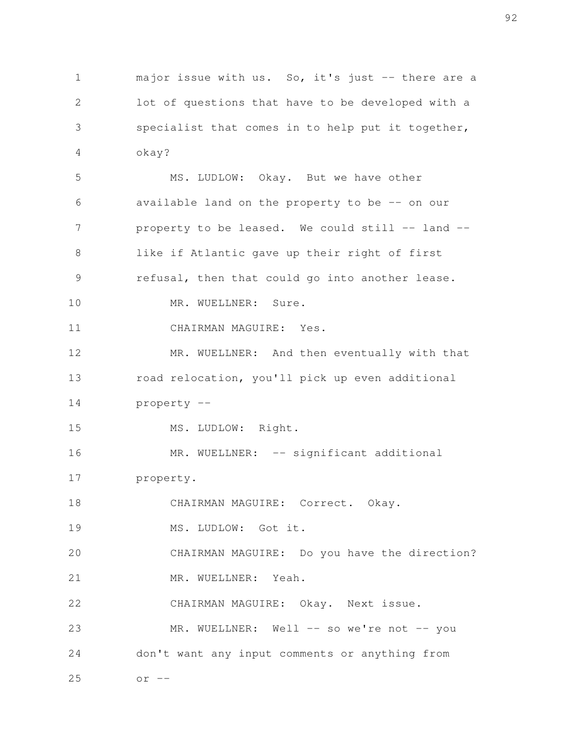major issue with us. So, it's just -- there are a lot of questions that have to be developed with a specialist that comes in to help put it together, okay? 1 2 3 4

MS. LUDLOW: Okay. But we have other available land on the property to be -- on our property to be leased. We could still -- land -like if Atlantic gave up their right of first refusal, then that could go into another lease. MR. WUELLNER: Sure. CHAIRMAN MAGUIRE: Yes. MR. WUELLNER: And then eventually with that road relocation, you'll pick up even additional property -- MS. LUDLOW: Right. MR. WUELLNER: -- significant additional property. CHAIRMAN MAGUIRE: Correct. Okay. MS. LUDLOW: Got it. CHAIRMAN MAGUIRE: Do you have the direction? MR. WUELLNER: Yeah. CHAIRMAN MAGUIRE: Okay. Next issue. MR. WUELLNER: Well -- so we're not -- you don't want any input comments or anything from  $or --$  5 6 7 8 9 10 11 12 13 14 15 16 17 18 19 20 21 22 23 24 25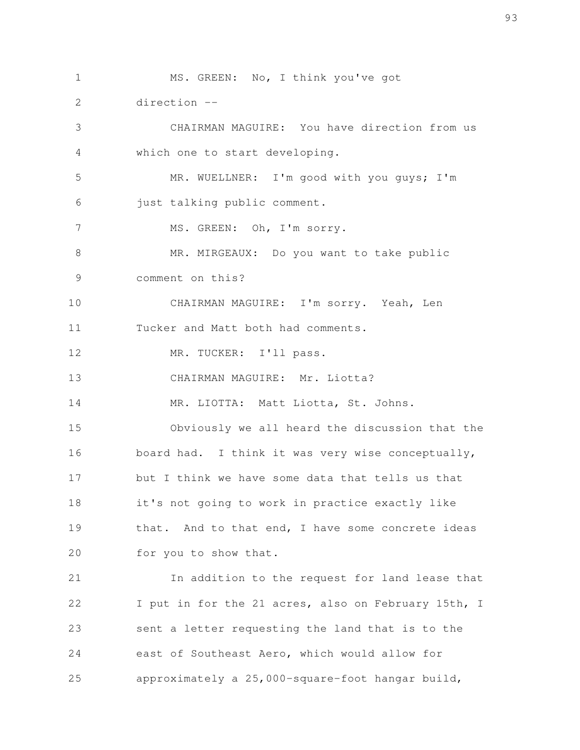MS. GREEN: No, I think you've got direction -- CHAIRMAN MAGUIRE: You have direction from us which one to start developing. MR. WUELLNER: I'm good with you guys; I'm just talking public comment. MS. GREEN: Oh, I'm sorry. MR. MIRGEAUX: Do you want to take public comment on this? CHAIRMAN MAGUIRE: I'm sorry. Yeah, Len Tucker and Matt both had comments. MR. TUCKER: I'll pass. CHAIRMAN MAGUIRE: Mr. Liotta? MR. LIOTTA: Matt Liotta, St. Johns. Obviously we all heard the discussion that the board had. I think it was very wise conceptually, but I think we have some data that tells us that it's not going to work in practice exactly like that. And to that end, I have some concrete ideas for you to show that. In addition to the request for land lease that I put in for the 21 acres, also on February 15th, I sent a letter requesting the land that is to the east of Southeast Aero, which would allow for 1 2 3 4 5 6 7 8 9 10 11 12 13 14 15 16 17 18 19 20 21 22 23 24

approximately a 25,000-square-foot hangar build,

25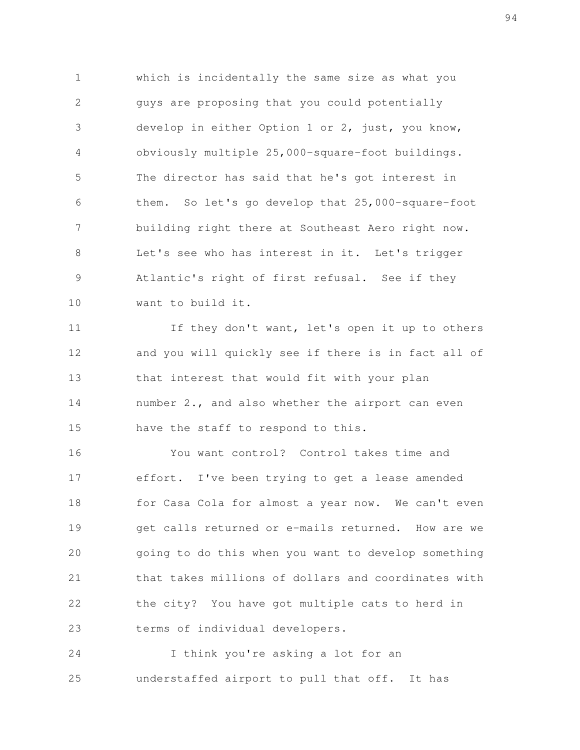which is incidentally the same size as what you guys are proposing that you could potentially develop in either Option 1 or 2, just, you know, obviously multiple 25,000-square-foot buildings. The director has said that he's got interest in them. So let's go develop that 25,000-square-foot building right there at Southeast Aero right now. Let's see who has interest in it. Let's trigger Atlantic's right of first refusal. See if they want to build it. 1 2 3 4 5 6 7 8 9 10

If they don't want, let's open it up to others and you will quickly see if there is in fact all of that interest that would fit with your plan number 2., and also whether the airport can even have the staff to respond to this. 11 12 13 14 15

You want control? Control takes time and effort. I've been trying to get a lease amended for Casa Cola for almost a year now. We can't even get calls returned or e-mails returned. How are we going to do this when you want to develop something that takes millions of dollars and coordinates with the city? You have got multiple cats to herd in terms of individual developers. 16 17 18 19 20 21 22 23

I think you're asking a lot for an understaffed airport to pull that off. It has 24 25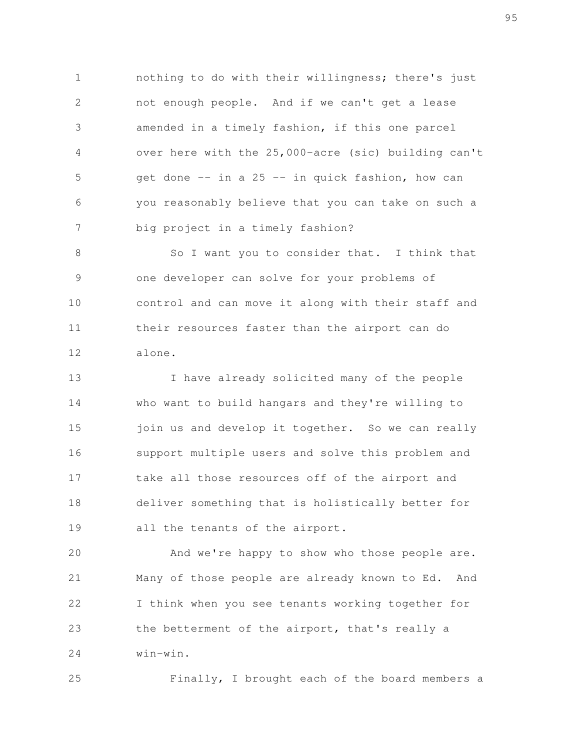nothing to do with their willingness; there's just not enough people. And if we can't get a lease amended in a timely fashion, if this one parcel over here with the 25,000-acre (sic) building can't get done -- in a 25 -- in quick fashion, how can you reasonably believe that you can take on such a big project in a timely fashion? 1 2 3 4 5 6 7

So I want you to consider that. I think that one developer can solve for your problems of control and can move it along with their staff and their resources faster than the airport can do alone. 8 9 10 11 12

I have already solicited many of the people who want to build hangars and they're willing to join us and develop it together. So we can really support multiple users and solve this problem and take all those resources off of the airport and deliver something that is holistically better for all the tenants of the airport. 13 14 15 16 17 18 19

And we're happy to show who those people are. Many of those people are already known to Ed. And I think when you see tenants working together for the betterment of the airport, that's really a win-win. 20 21 22 23 24

25

Finally, I brought each of the board members a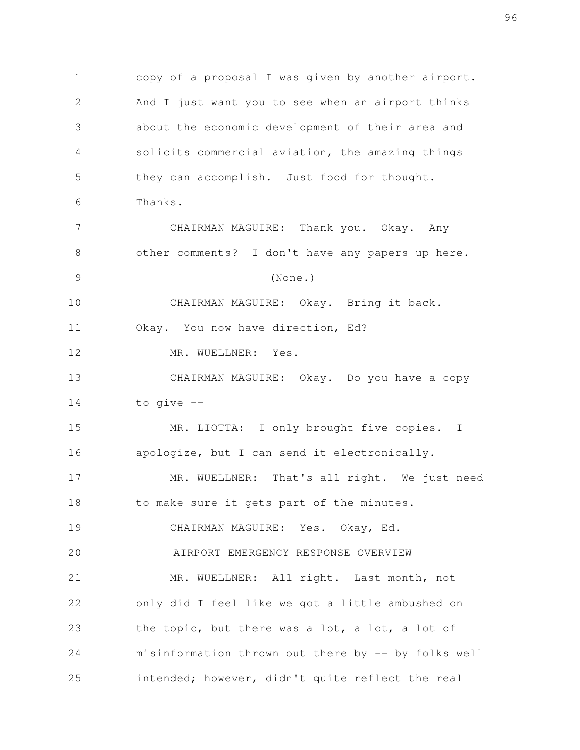copy of a proposal I was given by another airport. And I just want you to see when an airport thinks about the economic development of their area and solicits commercial aviation, the amazing things they can accomplish. Just food for thought. Thanks. CHAIRMAN MAGUIRE: Thank you. Okay. Any other comments? I don't have any papers up here. (None.) CHAIRMAN MAGUIRE: Okay. Bring it back. Okay. You now have direction, Ed? MR. WUELLNER: Yes. CHAIRMAN MAGUIRE: Okay. Do you have a copy to give -- MR. LIOTTA: I only brought five copies. I apologize, but I can send it electronically. MR. WUELLNER: That's all right. We just need to make sure it gets part of the minutes. CHAIRMAN MAGUIRE: Yes. Okay, Ed. AIRPORT EMERGENCY RESPONSE OVERVIEW MR. WUELLNER: All right. Last month, not only did I feel like we got a little ambushed on the topic, but there was a lot, a lot, a lot of misinformation thrown out there by -- by folks well intended; however, didn't quite reflect the real 1 2 3 4 5 6 7 8 9 10 11 12 13 14 15 16 17 18 19 20 21 22 23 24 25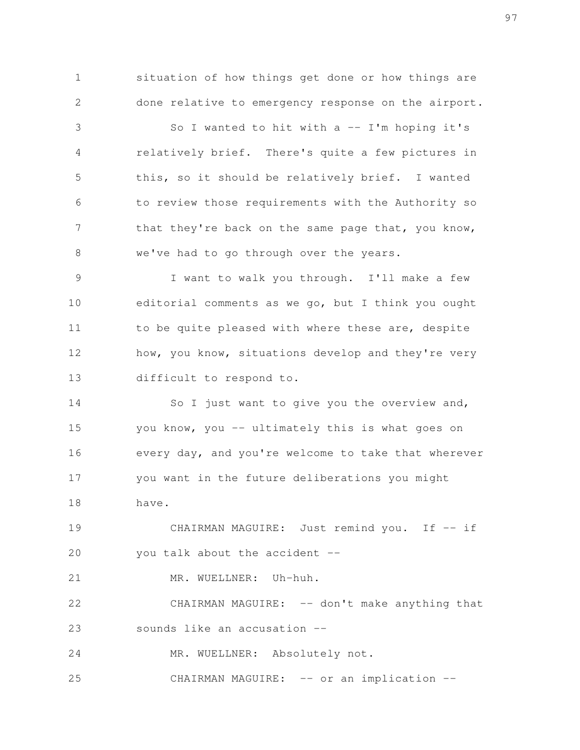situation of how things get done or how things are done relative to emergency response on the airport.

1

2

So I wanted to hit with  $a$  -- I'm hoping it's relatively brief. There's quite a few pictures in this, so it should be relatively brief. I wanted to review those requirements with the Authority so that they're back on the same page that, you know, we've had to go through over the years. 3 4 5 6 7 8

I want to walk you through. I'll make a few editorial comments as we go, but I think you ought to be quite pleased with where these are, despite how, you know, situations develop and they're very difficult to respond to. 9 10 11 12 13

So I just want to give you the overview and, you know, you -- ultimately this is what goes on every day, and you're welcome to take that wherever you want in the future deliberations you might have. 14 15 16 17 18

CHAIRMAN MAGUIRE: Just remind you. If -- if you talk about the accident -- 19 20

MR. WUELLNER: Uh-huh. 21

CHAIRMAN MAGUIRE: -- don't make anything that sounds like an accusation -- 22 23

MR. WUELLNER: Absolutely not. 24

CHAIRMAN MAGUIRE: -- or an implication --25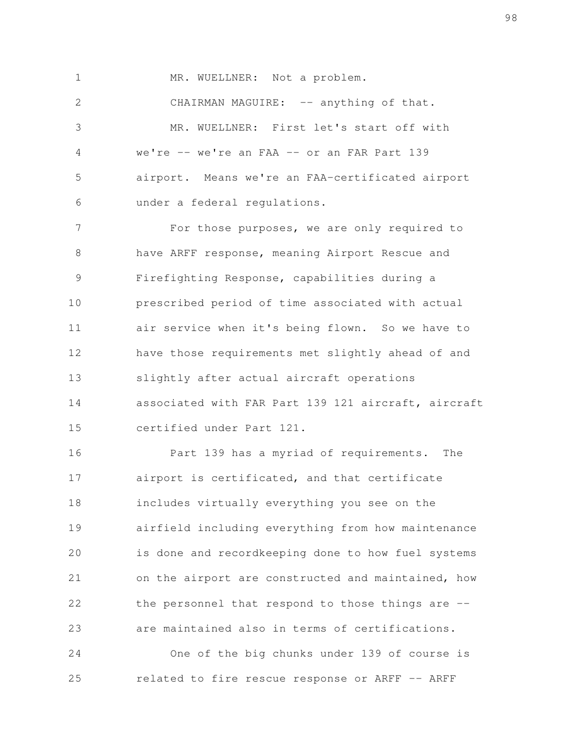MR. WUELLNER: Not a problem. CHAIRMAN MAGUIRE: -- anything of that. MR. WUELLNER: First let's start off with we're -- we're an FAA -- or an FAR Part 139 airport. Means we're an FAA-certificated airport under a federal regulations. 1 2 3 4 5 6

For those purposes, we are only required to have ARFF response, meaning Airport Rescue and Firefighting Response, capabilities during a prescribed period of time associated with actual air service when it's being flown. So we have to have those requirements met slightly ahead of and slightly after actual aircraft operations associated with FAR Part 139 121 aircraft, aircraft certified under Part 121. 7 8 9 10 11 12 13 14 15

Part 139 has a myriad of requirements. The airport is certificated, and that certificate includes virtually everything you see on the airfield including everything from how maintenance is done and recordkeeping done to how fuel systems on the airport are constructed and maintained, how the personnel that respond to those things are - are maintained also in terms of certifications. 16 17 18 19 20 21 22 23

One of the big chunks under 139 of course is related to fire rescue response or ARFF -- ARFF 24 25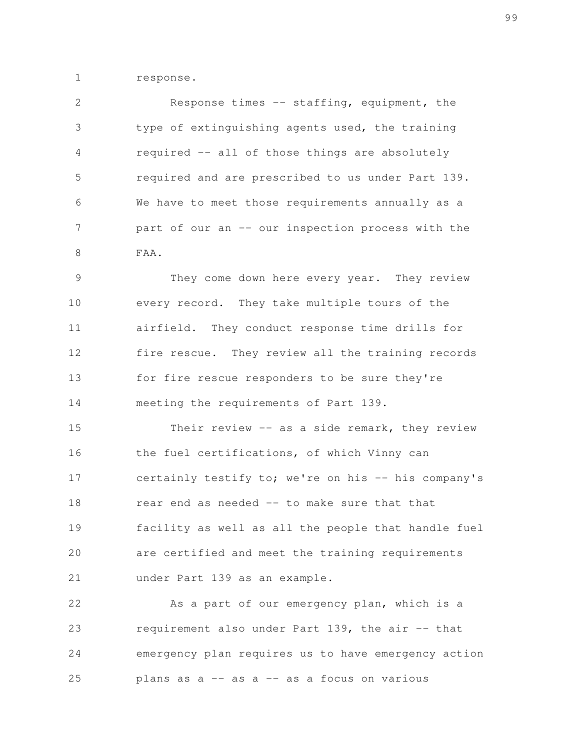response. 1

Response times -- staffing, equipment, the type of extinguishing agents used, the training required -- all of those things are absolutely required and are prescribed to us under Part 139. We have to meet those requirements annually as a part of our an -- our inspection process with the FAA. 2 3 4 5 6 7 8

They come down here every year. They review every record. They take multiple tours of the airfield. They conduct response time drills for fire rescue. They review all the training records for fire rescue responders to be sure they're meeting the requirements of Part 139. 9 10 11 12 13 14

Their review -- as a side remark, they review the fuel certifications, of which Vinny can certainly testify to; we're on his -- his company's rear end as needed -- to make sure that that facility as well as all the people that handle fuel are certified and meet the training requirements under Part 139 as an example. 15 16 17 18 19 20 21

As a part of our emergency plan, which is a requirement also under Part 139, the air -- that emergency plan requires us to have emergency action plans as  $a$  -- as  $a$  -- as a focus on various 22 23 24 25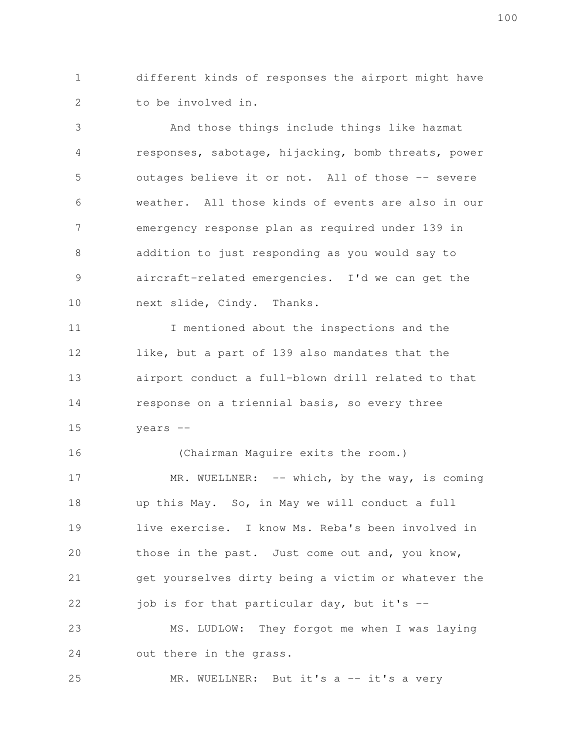different kinds of responses the airport might have to be involved in. 1 2

And those things include things like hazmat responses, sabotage, hijacking, bomb threats, power outages believe it or not. All of those -- severe weather. All those kinds of events are also in our emergency response plan as required under 139 in addition to just responding as you would say to aircraft-related emergencies. I'd we can get the next slide, Cindy. Thanks. 3 4 5 6 7 8 9 10

I mentioned about the inspections and the like, but a part of 139 also mandates that the airport conduct a full-blown drill related to that response on a triennial basis, so every three years -- 11 12 13 14 15

(Chairman Maguire exits the room.) MR. WUELLNER:  $--$  which, by the way, is coming up this May. So, in May we will conduct a full live exercise. I know Ms. Reba's been involved in those in the past. Just come out and, you know, get yourselves dirty being a victim or whatever the job is for that particular day, but it's -- MS. LUDLOW: They forgot me when I was laying out there in the grass. 16 17 18 19 20 21 22 23 24

MR. WUELLNER: But it's a -- it's a very 25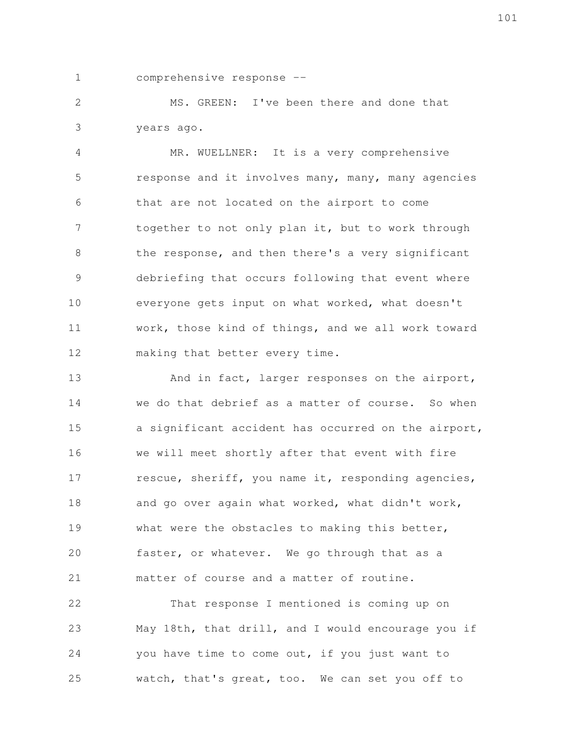1

comprehensive response --

MS. GREEN: I've been there and done that years ago. 2 3

MR. WUELLNER: It is a very comprehensive response and it involves many, many, many agencies that are not located on the airport to come together to not only plan it, but to work through the response, and then there's a very significant debriefing that occurs following that event where everyone gets input on what worked, what doesn't work, those kind of things, and we all work toward making that better every time. 4 5 6 7 8 9 10 11 12

And in fact, larger responses on the airport, we do that debrief as a matter of course. So when a significant accident has occurred on the airport, we will meet shortly after that event with fire rescue, sheriff, you name it, responding agencies, and go over again what worked, what didn't work, what were the obstacles to making this better, faster, or whatever. We go through that as a matter of course and a matter of routine. 13 14 15 16 17 18 19 20 21

That response I mentioned is coming up on May 18th, that drill, and I would encourage you if you have time to come out, if you just want to watch, that's great, too. We can set you off to 22 23 24 25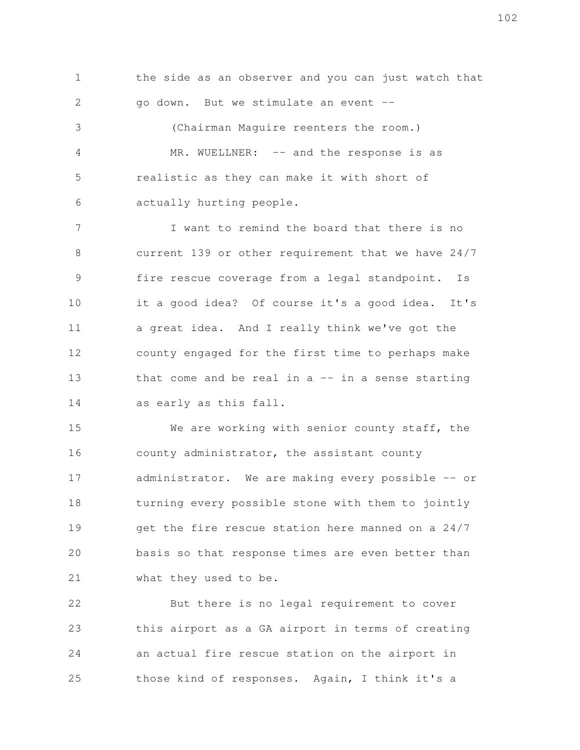the side as an observer and you can just watch that go down. But we stimulate an event -- (Chairman Maguire reenters the room.) MR. WUELLNER: -- and the response is as realistic as they can make it with short of 1 2 3 4 5

actually hurting people.

6

I want to remind the board that there is no current 139 or other requirement that we have 24/7 fire rescue coverage from a legal standpoint. Is it a good idea? Of course it's a good idea. It's a great idea. And I really think we've got the county engaged for the first time to perhaps make that come and be real in  $a$  -- in a sense starting as early as this fall. 7 8 9 10 11 12 13 14

We are working with senior county staff, the county administrator, the assistant county administrator. We are making every possible -- or turning every possible stone with them to jointly get the fire rescue station here manned on a 24/7 basis so that response times are even better than what they used to be. 15 16 17 18 19 20 21

But there is no legal requirement to cover this airport as a GA airport in terms of creating an actual fire rescue station on the airport in those kind of responses. Again, I think it's a 22 23 24 25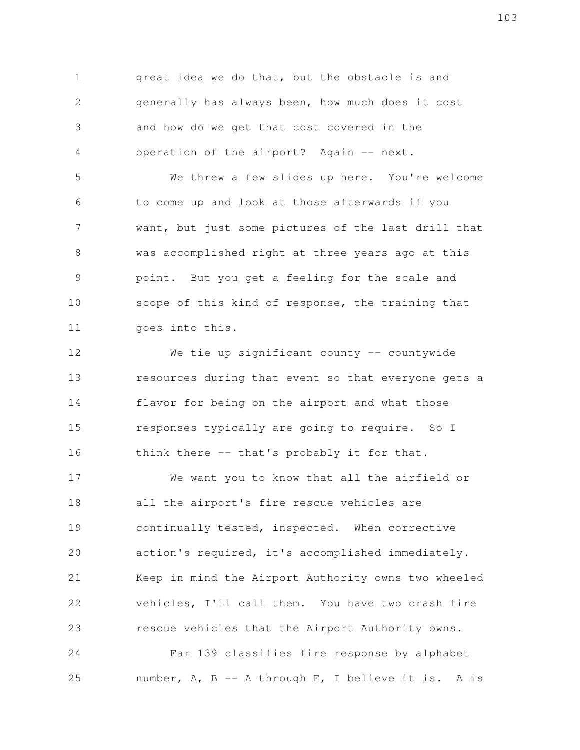great idea we do that, but the obstacle is and generally has always been, how much does it cost and how do we get that cost covered in the operation of the airport? Again -- next. 1 2 3 4

We threw a few slides up here. You're welcome to come up and look at those afterwards if you want, but just some pictures of the last drill that was accomplished right at three years ago at this point. But you get a feeling for the scale and scope of this kind of response, the training that goes into this. 5 6 7 8 9 10 11

We tie up significant county -- countywide resources during that event so that everyone gets a flavor for being on the airport and what those responses typically are going to require. So I think there -- that's probably it for that. 12 13 14 15 16

We want you to know that all the airfield or all the airport's fire rescue vehicles are continually tested, inspected. When corrective action's required, it's accomplished immediately. Keep in mind the Airport Authority owns two wheeled vehicles, I'll call them. You have two crash fire rescue vehicles that the Airport Authority owns. 17 18 19 20 21 22 23

Far 139 classifies fire response by alphabet number, A, B -- A through F, I believe it is. A is 24 25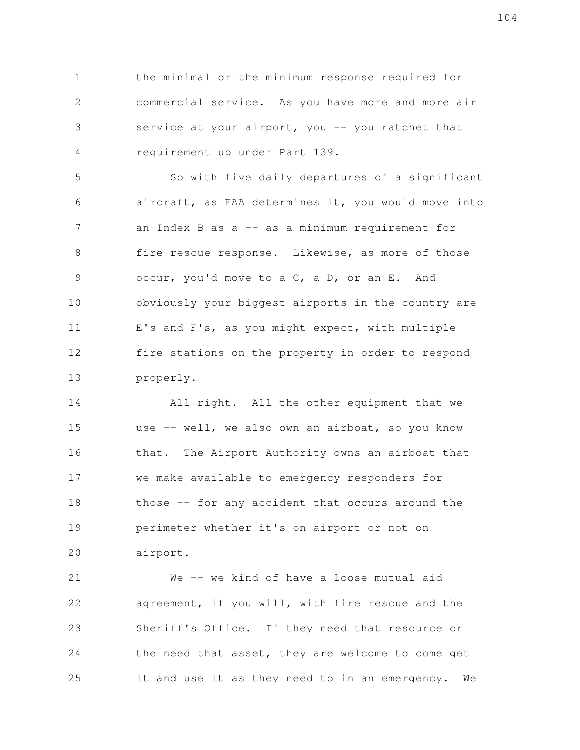the minimal or the minimum response required for commercial service. As you have more and more air service at your airport, you -- you ratchet that requirement up under Part 139. 1 2 3 4

So with five daily departures of a significant aircraft, as FAA determines it, you would move into an Index B as  $a$  -- as a minimum requirement for fire rescue response. Likewise, as more of those occur, you'd move to a C, a D, or an E. And obviously your biggest airports in the country are E's and F's, as you might expect, with multiple fire stations on the property in order to respond properly. 5 6 7 8 9 10 11 12 13

All right. All the other equipment that we use -- well, we also own an airboat, so you know that. The Airport Authority owns an airboat that we make available to emergency responders for those -- for any accident that occurs around the perimeter whether it's on airport or not on airport. 14 15 16 17 18 19 20

We -- we kind of have a loose mutual aid agreement, if you will, with fire rescue and the Sheriff's Office. If they need that resource or the need that asset, they are welcome to come get it and use it as they need to in an emergency. We 21 22 23 24 25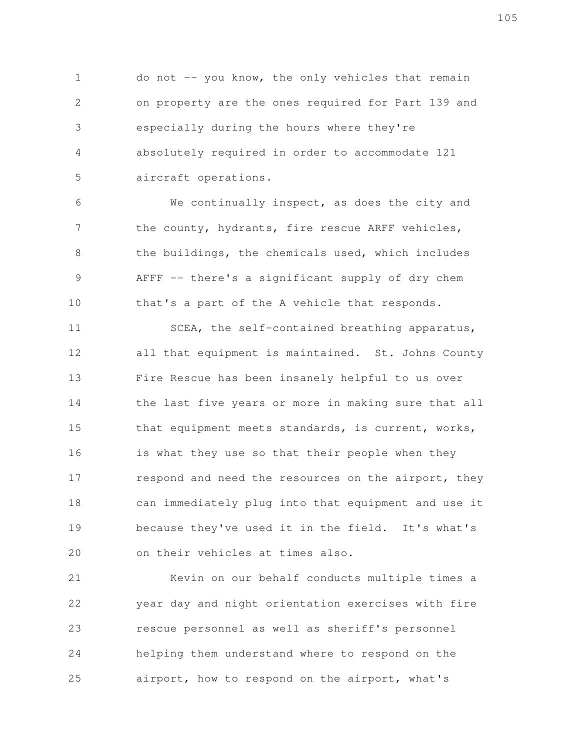do not -- you know, the only vehicles that remain on property are the ones required for Part 139 and especially during the hours where they're absolutely required in order to accommodate 121 aircraft operations. 1 2 3 4 5

We continually inspect, as does the city and the county, hydrants, fire rescue ARFF vehicles, the buildings, the chemicals used, which includes AFFF -- there's a significant supply of dry chem that's a part of the A vehicle that responds. 6 7 8 9 10

SCEA, the self-contained breathing apparatus, all that equipment is maintained. St. Johns County Fire Rescue has been insanely helpful to us over the last five years or more in making sure that all that equipment meets standards, is current, works, is what they use so that their people when they respond and need the resources on the airport, they can immediately plug into that equipment and use it because they've used it in the field. It's what's on their vehicles at times also. 11 12 13 14 15 16 17 18 19 20

Kevin on our behalf conducts multiple times a year day and night orientation exercises with fire rescue personnel as well as sheriff's personnel helping them understand where to respond on the airport, how to respond on the airport, what's 21 22 23 24 25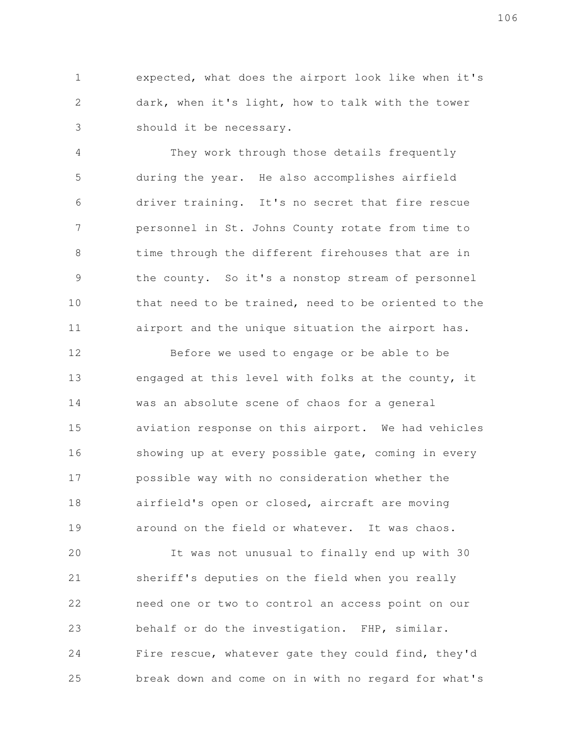expected, what does the airport look like when it's dark, when it's light, how to talk with the tower should it be necessary. 1 2 3

They work through those details frequently during the year. He also accomplishes airfield driver training. It's no secret that fire rescue personnel in St. Johns County rotate from time to time through the different firehouses that are in the county. So it's a nonstop stream of personnel that need to be trained, need to be oriented to the airport and the unique situation the airport has. 4 5 6 7 8 9 10 11

Before we used to engage or be able to be engaged at this level with folks at the county, it was an absolute scene of chaos for a general aviation response on this airport. We had vehicles showing up at every possible gate, coming in every possible way with no consideration whether the airfield's open or closed, aircraft are moving around on the field or whatever. It was chaos. 12 13 14 15 16 17 18 19

It was not unusual to finally end up with 30 sheriff's deputies on the field when you really need one or two to control an access point on our behalf or do the investigation. FHP, similar. Fire rescue, whatever gate they could find, they'd break down and come on in with no regard for what's 20 21 22 23 24 25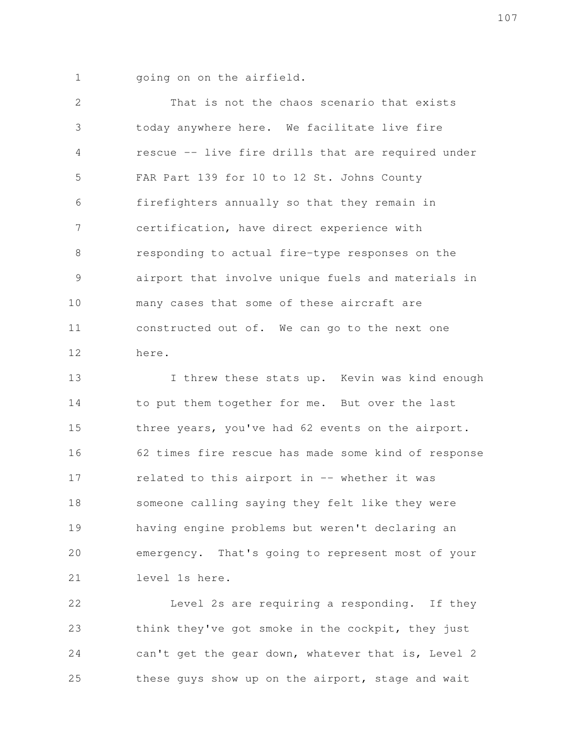going on on the airfield. 1

That is not the chaos scenario that exists today anywhere here. We facilitate live fire rescue -- live fire drills that are required under FAR Part 139 for 10 to 12 St. Johns County firefighters annually so that they remain in certification, have direct experience with responding to actual fire-type responses on the airport that involve unique fuels and materials in many cases that some of these aircraft are constructed out of. We can go to the next one here. 2 3 4 5 6 7 8 9 10 11 12

I threw these stats up. Kevin was kind enough to put them together for me. But over the last three years, you've had 62 events on the airport. 62 times fire rescue has made some kind of response related to this airport in -- whether it was someone calling saying they felt like they were having engine problems but weren't declaring an emergency. That's going to represent most of your level 1s here. 13 14 15 16 17 18 19 20 21

Level 2s are requiring a responding. If they think they've got smoke in the cockpit, they just can't get the gear down, whatever that is, Level 2 these guys show up on the airport, stage and wait 22 23 24 25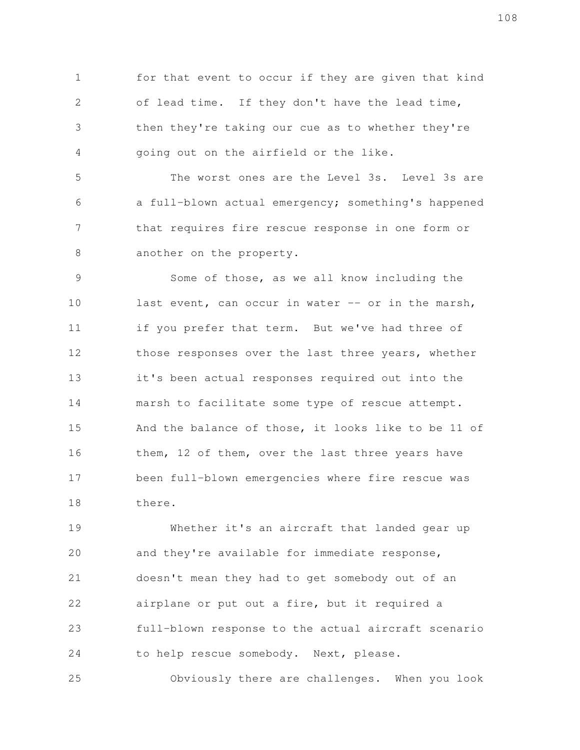for that event to occur if they are given that kind of lead time. If they don't have the lead time, then they're taking our cue as to whether they're going out on the airfield or the like. 1 2 3 4

The worst ones are the Level 3s. Level 3s are a full-blown actual emergency; something's happened that requires fire rescue response in one form or another on the property. 5 6 7 8

Some of those, as we all know including the last event, can occur in water  $--$  or in the marsh, if you prefer that term. But we've had three of those responses over the last three years, whether it's been actual responses required out into the marsh to facilitate some type of rescue attempt. And the balance of those, it looks like to be 11 of them, 12 of them, over the last three years have been full-blown emergencies where fire rescue was there. 9 10 11 12 13 14 15 16 17 18

Whether it's an aircraft that landed gear up and they're available for immediate response, doesn't mean they had to get somebody out of an airplane or put out a fire, but it required a full-blown response to the actual aircraft scenario to help rescue somebody. Next, please. 19 20 21 22 23 24

Obviously there are challenges. When you look 25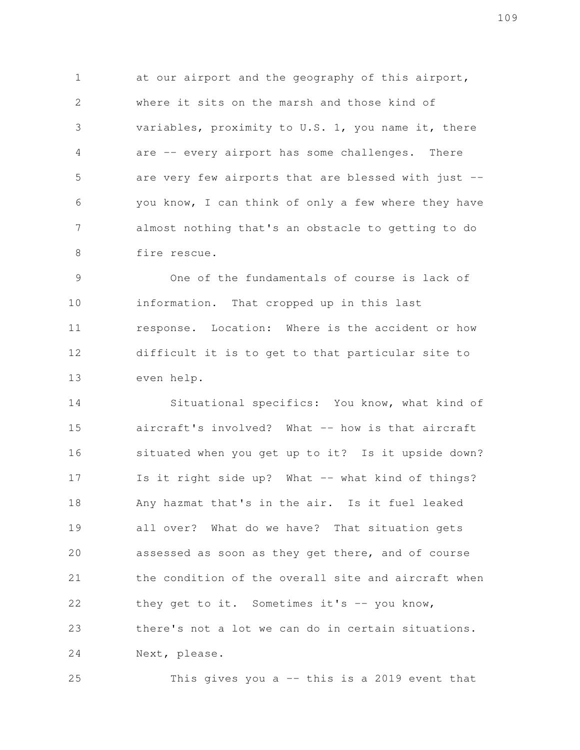at our airport and the geography of this airport, where it sits on the marsh and those kind of variables, proximity to U.S. 1, you name it, there are -- every airport has some challenges. There are very few airports that are blessed with just - you know, I can think of only a few where they have almost nothing that's an obstacle to getting to do fire rescue. 1 2 3 4 5 6 7 8

One of the fundamentals of course is lack of information. That cropped up in this last response. Location: Where is the accident or how difficult it is to get to that particular site to even help. 9 10 11 12 13

Situational specifics: You know, what kind of aircraft's involved? What -- how is that aircraft situated when you get up to it? Is it upside down? Is it right side up? What -- what kind of things? Any hazmat that's in the air. Is it fuel leaked all over? What do we have? That situation gets assessed as soon as they get there, and of course the condition of the overall site and aircraft when they get to it. Sometimes it's -- you know, there's not a lot we can do in certain situations. Next, please. 14 15 16 17 18 19 20 21 22 23 24

This gives you a -- this is a 2019 event that 25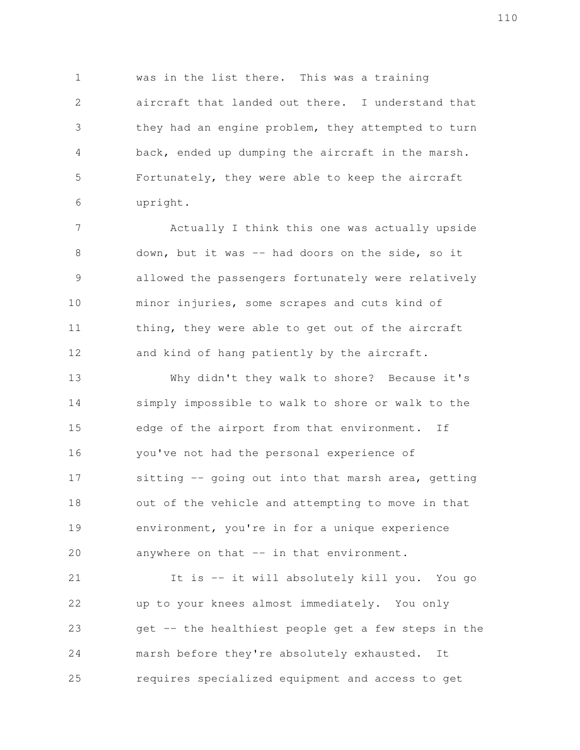was in the list there. This was a training aircraft that landed out there. I understand that they had an engine problem, they attempted to turn back, ended up dumping the aircraft in the marsh. Fortunately, they were able to keep the aircraft upright. 1 2 3 4 5 6

Actually I think this one was actually upside down, but it was -- had doors on the side, so it allowed the passengers fortunately were relatively minor injuries, some scrapes and cuts kind of thing, they were able to get out of the aircraft and kind of hang patiently by the aircraft. 7 8 9 10 11 12

Why didn't they walk to shore? Because it's simply impossible to walk to shore or walk to the edge of the airport from that environment. If you've not had the personal experience of sitting -- going out into that marsh area, getting out of the vehicle and attempting to move in that environment, you're in for a unique experience anywhere on that -- in that environment. 13 14 15 16 17 18 19 20

It is -- it will absolutely kill you. You go up to your knees almost immediately. You only get -- the healthiest people get a few steps in the marsh before they're absolutely exhausted. It requires specialized equipment and access to get 21 22 23 24 25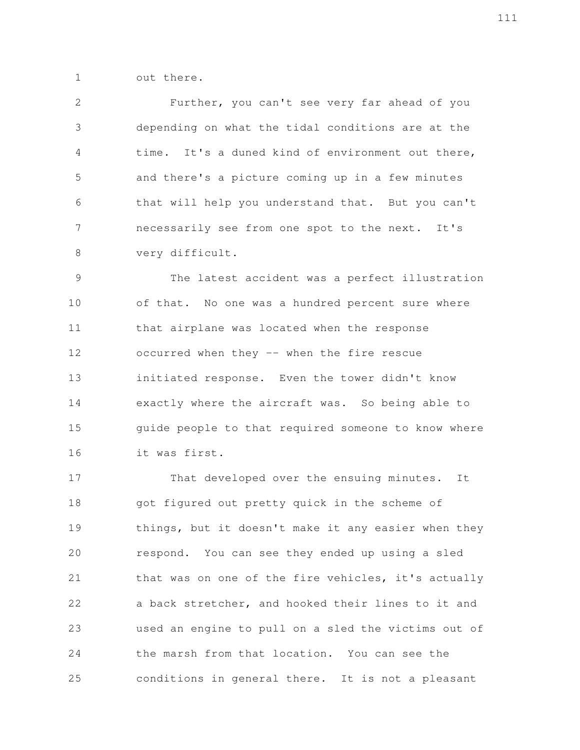out there. 1

Further, you can't see very far ahead of you depending on what the tidal conditions are at the time. It's a duned kind of environment out there, and there's a picture coming up in a few minutes that will help you understand that. But you can't necessarily see from one spot to the next. It's very difficult. 2 3 4 5 6 7 8

The latest accident was a perfect illustration of that. No one was a hundred percent sure where that airplane was located when the response occurred when they -- when the fire rescue initiated response. Even the tower didn't know exactly where the aircraft was. So being able to guide people to that required someone to know where it was first. 9 10 11 12 13 14 15 16

That developed over the ensuing minutes. It got figured out pretty quick in the scheme of things, but it doesn't make it any easier when they respond. You can see they ended up using a sled that was on one of the fire vehicles, it's actually a back stretcher, and hooked their lines to it and used an engine to pull on a sled the victims out of the marsh from that location. You can see the conditions in general there. It is not a pleasant 17 18 19 20 21 22 23 24 25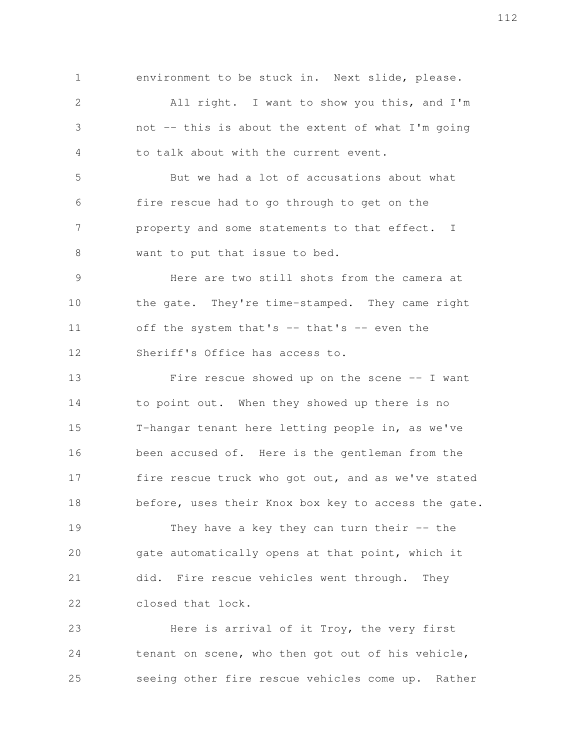environment to be stuck in. Next slide, please. All right. I want to show you this, and I'm not -- this is about the extent of what I'm going to talk about with the current event. But we had a lot of accusations about what fire rescue had to go through to get on the property and some statements to that effect. I want to put that issue to bed. Here are two still shots from the camera at the gate. They're time-stamped. They came right off the system that's -- that's -- even the Sheriff's Office has access to. Fire rescue showed up on the scene  $-$ - I want to point out. When they showed up there is no T-hangar tenant here letting people in, as we've been accused of. Here is the gentleman from the fire rescue truck who got out, and as we've stated before, uses their Knox box key to access the gate. They have a key they can turn their  $-$ - the gate automatically opens at that point, which it 1 2 3 4 5 6 7 8 9 10 11 12 13 14 15 16 17 18 19 20

did. Fire rescue vehicles went through. They closed that lock. 21 22

Here is arrival of it Troy, the very first tenant on scene, who then got out of his vehicle, seeing other fire rescue vehicles come up. Rather 23 24 25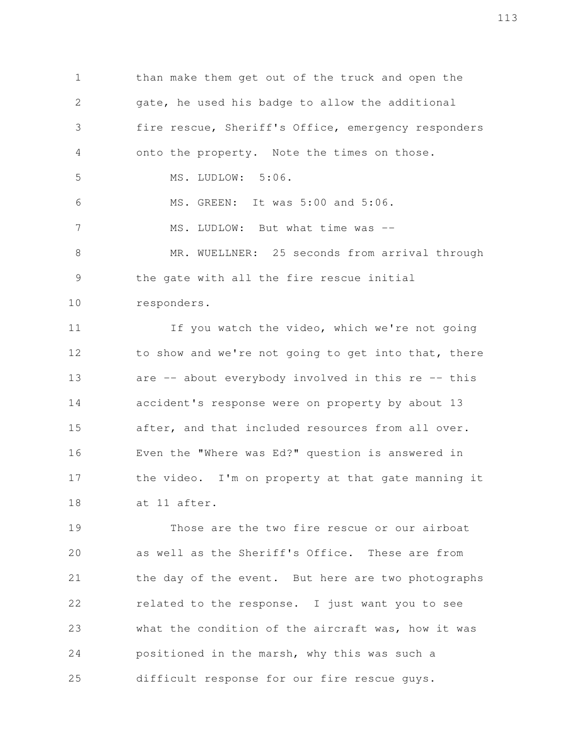than make them get out of the truck and open the gate, he used his badge to allow the additional fire rescue, Sheriff's Office, emergency responders onto the property. Note the times on those. MS. LUDLOW: 5:06. MS. GREEN: It was 5:00 and 5:06. MS. LUDLOW: But what time was --MR. WUELLNER: 25 seconds from arrival through the gate with all the fire rescue initial responders. 1 2 3 4 5 6 7 8 9 10

If you watch the video, which we're not going to show and we're not going to get into that, there are  $-$  about everybody involved in this re  $-$  this accident's response were on property by about 13 after, and that included resources from all over. Even the "Where was Ed?" question is answered in the video. I'm on property at that gate manning it at 11 after. 11 12 13 14 15 16 17 18

Those are the two fire rescue or our airboat as well as the Sheriff's Office. These are from the day of the event. But here are two photographs related to the response. I just want you to see what the condition of the aircraft was, how it was positioned in the marsh, why this was such a difficult response for our fire rescue guys. 19 20 21 22 23 24 25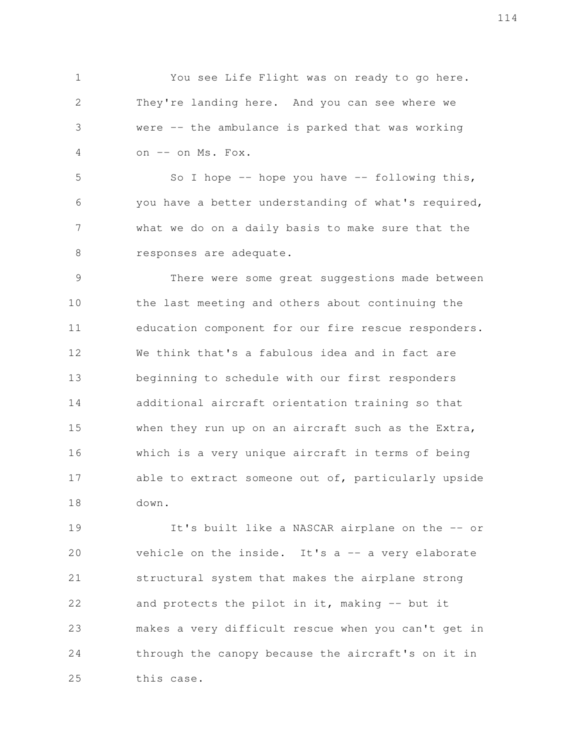You see Life Flight was on ready to go here. They're landing here. And you can see where we were -- the ambulance is parked that was working on -- on Ms. Fox. 1 2 3 4

So I hope  $-$ - hope you have  $-$  following this, you have a better understanding of what's required, what we do on a daily basis to make sure that the responses are adequate. 5 6 7 8

There were some great suggestions made between the last meeting and others about continuing the education component for our fire rescue responders. We think that's a fabulous idea and in fact are beginning to schedule with our first responders additional aircraft orientation training so that when they run up on an aircraft such as the Extra, which is a very unique aircraft in terms of being able to extract someone out of, particularly upside down. 9 10 11 12 13 14 15 16 17 18

It's built like a NASCAR airplane on the -- or vehicle on the inside. It's  $a$  -- a very elaborate structural system that makes the airplane strong and protects the pilot in it, making  $-$  but it makes a very difficult rescue when you can't get in through the canopy because the aircraft's on it in this case. 19 20 21 22 23 24 25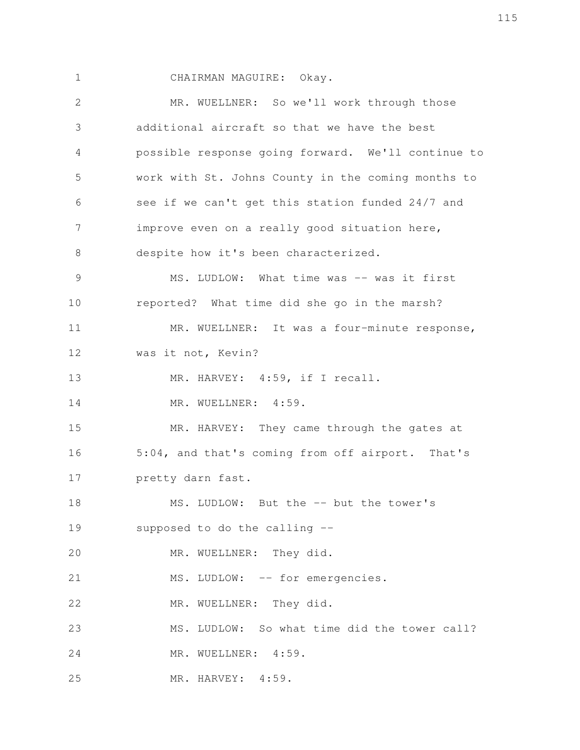1

CHAIRMAN MAGUIRE: Okay.

MR. WUELLNER: So we'll work through those additional aircraft so that we have the best possible response going forward. We'll continue to work with St. Johns County in the coming months to see if we can't get this station funded 24/7 and improve even on a really good situation here, despite how it's been characterized. MS. LUDLOW: What time was -- was it first reported? What time did she go in the marsh? MR. WUELLNER: It was a four-minute response, was it not, Kevin? MR. HARVEY: 4:59, if I recall. MR. WUELLNER: 4:59. MR. HARVEY: They came through the gates at 5:04, and that's coming from off airport. That's pretty darn fast. MS. LUDLOW: But the -- but the tower's supposed to do the calling -- MR. WUELLNER: They did. MS. LUDLOW: -- for emergencies. MR. WUELLNER: They did. MS. LUDLOW: So what time did the tower call? MR. WUELLNER: 4:59. MR. HARVEY: 4:59. 2 3 4 5 6 7 8 9 10 11 12 13 14 15 16 17 18 19 20 21 22 23 24 25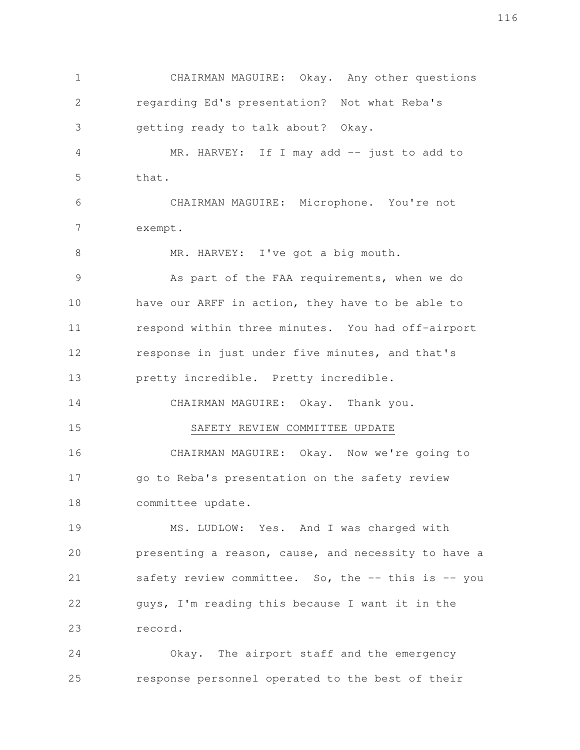CHAIRMAN MAGUIRE: Okay. Any other questions regarding Ed's presentation? Not what Reba's getting ready to talk about? Okay. MR. HARVEY: If I may add -- just to add to that. CHAIRMAN MAGUIRE: Microphone. You're not exempt. MR. HARVEY: I've got a big mouth. As part of the FAA requirements, when we do have our ARFF in action, they have to be able to respond within three minutes. You had off-airport response in just under five minutes, and that's pretty incredible. Pretty incredible. CHAIRMAN MAGUIRE: Okay. Thank you. SAFETY REVIEW COMMITTEE UPDATE CHAIRMAN MAGUIRE: Okay. Now we're going to go to Reba's presentation on the safety review committee update. MS. LUDLOW: Yes. And I was charged with presenting a reason, cause, and necessity to have a safety review committee. So, the  $--$  this is  $--$  you guys, I'm reading this because I want it in the record. Okay. The airport staff and the emergency response personnel operated to the best of their 1 2 3 4 5 6 7 8 9 10 11 12 13 14 15 16 17 18 19 20 21 22 23 24 25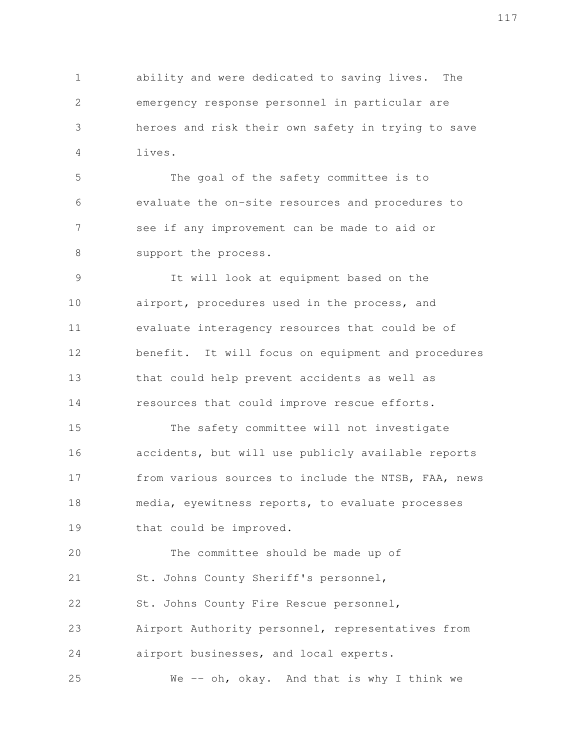ability and were dedicated to saving lives. The emergency response personnel in particular are heroes and risk their own safety in trying to save lives. 1 2 3 4

The goal of the safety committee is to evaluate the on-site resources and procedures to see if any improvement can be made to aid or support the process. 5 6 7 8

It will look at equipment based on the airport, procedures used in the process, and evaluate interagency resources that could be of benefit. It will focus on equipment and procedures that could help prevent accidents as well as resources that could improve rescue efforts. 9 10 11 12 13 14

The safety committee will not investigate accidents, but will use publicly available reports from various sources to include the NTSB, FAA, news media, eyewitness reports, to evaluate processes that could be improved. 15 16 17 18 19

The committee should be made up of St. Johns County Sheriff's personnel, St. Johns County Fire Rescue personnel, Airport Authority personnel, representatives from 20 21 22 23

airport businesses, and local experts. 24

We -- oh, okay. And that is why I think we 25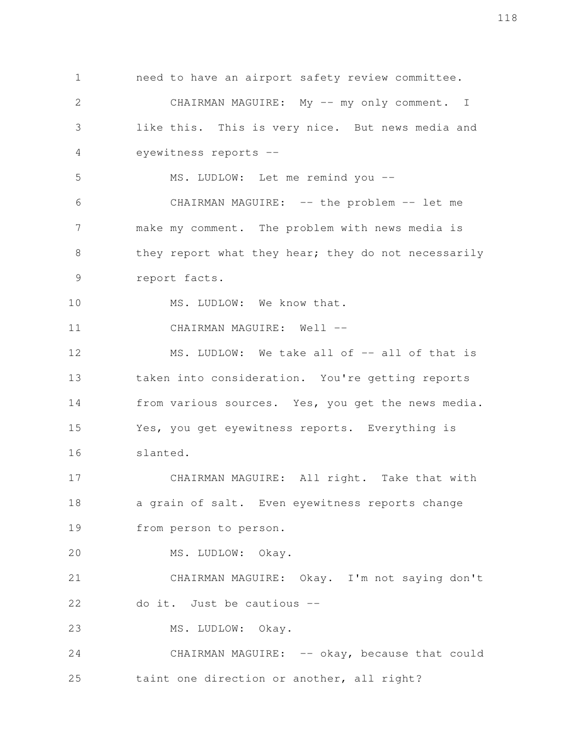need to have an airport safety review committee. CHAIRMAN MAGUIRE: My -- my only comment. I like this. This is very nice. But news media and eyewitness reports -- MS. LUDLOW: Let me remind you --CHAIRMAN MAGUIRE: -- the problem -- let me make my comment. The problem with news media is they report what they hear; they do not necessarily report facts. MS. LUDLOW: We know that. CHAIRMAN MAGUIRE: Well --MS. LUDLOW: We take all of -- all of that is taken into consideration. You're getting reports from various sources. Yes, you get the news media. Yes, you get eyewitness reports. Everything is slanted. CHAIRMAN MAGUIRE: All right. Take that with a grain of salt. Even eyewitness reports change from person to person. MS. LUDLOW: Okay. CHAIRMAN MAGUIRE: Okay. I'm not saying don't do it. Just be cautious -- MS. LUDLOW: Okay. CHAIRMAN MAGUIRE: -- okay, because that could taint one direction or another, all right? 1 2 3 4 5 6 7 8 9 10 11 12 13 14 15 16 17 18 19 20 21 22 23 24 25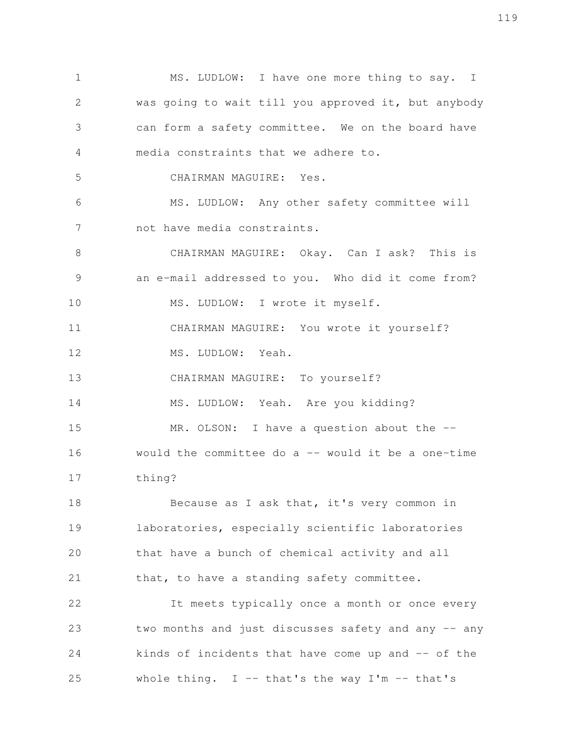MS. LUDLOW: I have one more thing to say. I was going to wait till you approved it, but anybody can form a safety committee. We on the board have media constraints that we adhere to. CHAIRMAN MAGUIRE: Yes. MS. LUDLOW: Any other safety committee will not have media constraints. CHAIRMAN MAGUIRE: Okay. Can I ask? This is an e-mail addressed to you. Who did it come from? MS. LUDLOW: I wrote it myself. CHAIRMAN MAGUIRE: You wrote it yourself? MS. LUDLOW: Yeah. CHAIRMAN MAGUIRE: To yourself? MS. LUDLOW: Yeah. Are you kidding? MR. OLSON: I have a question about the -would the committee do a  $--$  would it be a one-time thing? Because as I ask that, it's very common in laboratories, especially scientific laboratories that have a bunch of chemical activity and all that, to have a standing safety committee. It meets typically once a month or once every two months and just discusses safety and any -- any kinds of incidents that have come up and -- of the whole thing.  $I$  -- that's the way  $I'm$  -- that's 1 2 3 4 5 6 7 8 9 10 11 12 13 14 15 16 17 18 19 20 21 22 23 24 25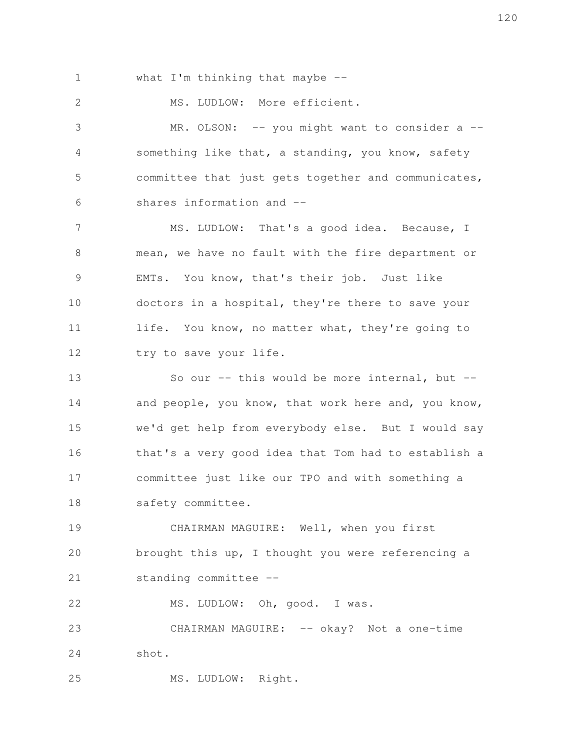what I'm thinking that maybe --1

MS. LUDLOW: More efficient. 2

MR. OLSON: -- you might want to consider a -something like that, a standing, you know, safety committee that just gets together and communicates, shares information and -- 3 4 5 6

MS. LUDLOW: That's a good idea. Because, I mean, we have no fault with the fire department or EMTs. You know, that's their job. Just like doctors in a hospital, they're there to save your life. You know, no matter what, they're going to try to save your life. 7 8 9 10 11 12

So our  $-$  this would be more internal, but  $$ and people, you know, that work here and, you know, we'd get help from everybody else. But I would say that's a very good idea that Tom had to establish a committee just like our TPO and with something a safety committee. 13 14 15 16 17 18

CHAIRMAN MAGUIRE: Well, when you first brought this up, I thought you were referencing a standing committee -- 19 20 21

MS. LUDLOW: Oh, good. I was. 22

CHAIRMAN MAGUIRE: -- okay? Not a one-time shot. 23 24

MS. LUDLOW: Right. 25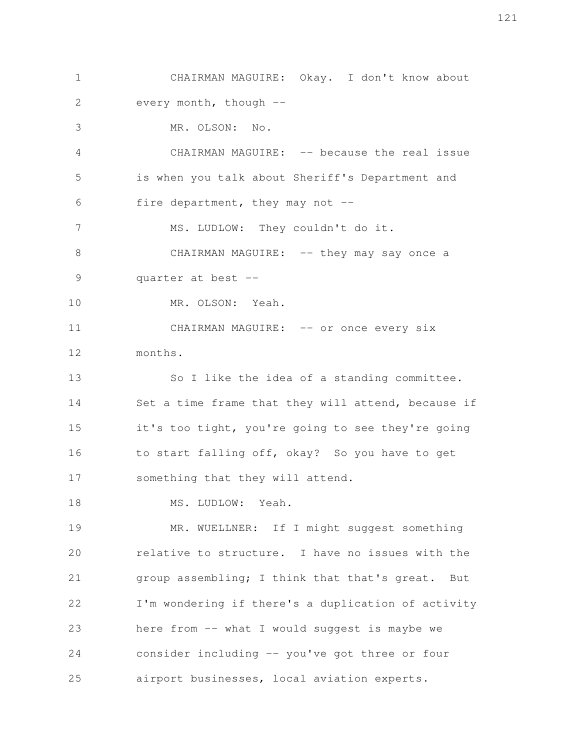CHAIRMAN MAGUIRE: Okay. I don't know about every month, though --MR. OLSON: No. CHAIRMAN MAGUIRE: -- because the real issue is when you talk about Sheriff's Department and fire department, they may not  $-$ MS. LUDLOW: They couldn't do it. CHAIRMAN MAGUIRE: -- they may say once a quarter at best -- MR. OLSON: Yeah. CHAIRMAN MAGUIRE: -- or once every six months. So I like the idea of a standing committee. Set a time frame that they will attend, because if it's too tight, you're going to see they're going to start falling off, okay? So you have to get something that they will attend. MS. LUDLOW: Yeah. MR. WUELLNER: If I might suggest something relative to structure. I have no issues with the group assembling; I think that that's great. But I'm wondering if there's a duplication of activity here from -- what I would suggest is maybe we consider including -- you've got three or four airport businesses, local aviation experts. 1 2 3 4 5 6 7 8 9 10 11 12 13 14 15 16 17 18 19 20 21 22 23 24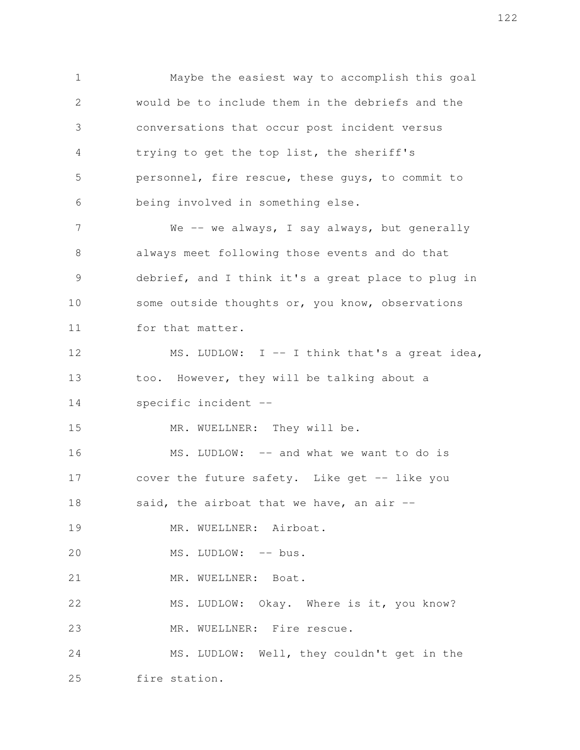Maybe the easiest way to accomplish this goal would be to include them in the debriefs and the conversations that occur post incident versus trying to get the top list, the sheriff's personnel, fire rescue, these guys, to commit to being involved in something else. We -- we always, I say always, but generally always meet following those events and do that debrief, and I think it's a great place to plug in some outside thoughts or, you know, observations for that matter. MS. LUDLOW: I -- I think that's a great idea, too. However, they will be talking about a specific incident -- MR. WUELLNER: They will be. MS. LUDLOW: -- and what we want to do is cover the future safety. Like get -- like you said, the airboat that we have, an air  $-$ MR. WUELLNER: Airboat. MS. LUDLOW: -- bus. MR. WUELLNER: Boat. MS. LUDLOW: Okay. Where is it, you know? MR. WUELLNER: Fire rescue. MS. LUDLOW: Well, they couldn't get in the fire station. 1 2 3 4 5 6 7 8 9 10 11 12 13 14 15 16 17 18 19 20 21 22 23 24 25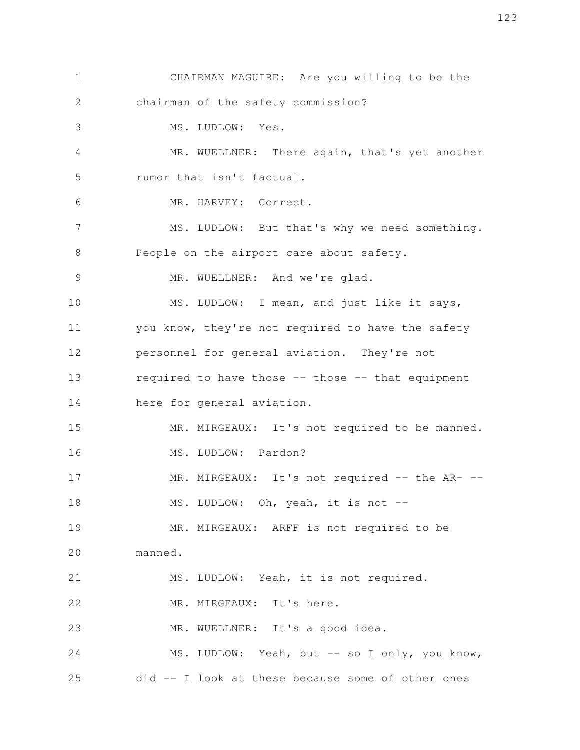CHAIRMAN MAGUIRE: Are you willing to be the chairman of the safety commission? MS. LUDLOW: Yes. MR. WUELLNER: There again, that's yet another rumor that isn't factual. MR. HARVEY: Correct. MS. LUDLOW: But that's why we need something. People on the airport care about safety. MR. WUELLNER: And we're glad. MS. LUDLOW: I mean, and just like it says, you know, they're not required to have the safety personnel for general aviation. They're not required to have those -- those -- that equipment here for general aviation. MR. MIRGEAUX: It's not required to be manned. MS. LUDLOW: Pardon? MR. MIRGEAUX: It's not required -- the AR- --MS. LUDLOW: Oh, yeah, it is not -- MR. MIRGEAUX: ARFF is not required to be manned. MS. LUDLOW: Yeah, it is not required. MR. MIRGEAUX: It's here. MR. WUELLNER: It's a good idea. MS. LUDLOW: Yeah, but -- so I only, you know, did -- I look at these because some of other ones 1 2 3 4 5 6 7 8 9 10 11 12 13 14 15 16 17 18 19 20 21 22 23 24 25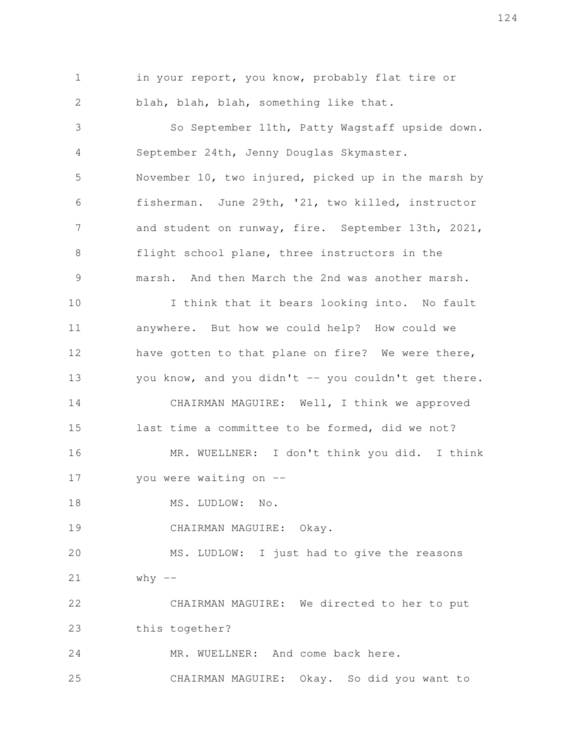in your report, you know, probably flat tire or blah, blah, blah, something like that. So September 11th, Patty Wagstaff upside down. September 24th, Jenny Douglas Skymaster. November 10, two injured, picked up in the marsh by fisherman. June 29th, '21, two killed, instructor and student on runway, fire. September 13th, 2021, flight school plane, three instructors in the marsh. And then March the 2nd was another marsh. I think that it bears looking into. No fault anywhere. But how we could help? How could we have gotten to that plane on fire? We were there, you know, and you didn't -- you couldn't get there. CHAIRMAN MAGUIRE: Well, I think we approved last time a committee to be formed, did we not? MR. WUELLNER: I don't think you did. I think you were waiting on -- MS. LUDLOW: No. CHAIRMAN MAGUIRE: Okay. MS. LUDLOW: I just had to give the reasons  $why$  --CHAIRMAN MAGUIRE: We directed to her to put this together? MR. WUELLNER: And come back here. CHAIRMAN MAGUIRE: Okay. So did you want to 1 2 3 4 5 6 7 8 9 10 11 12 13 14 15 16 17 18 19 20 21 22 23 24 25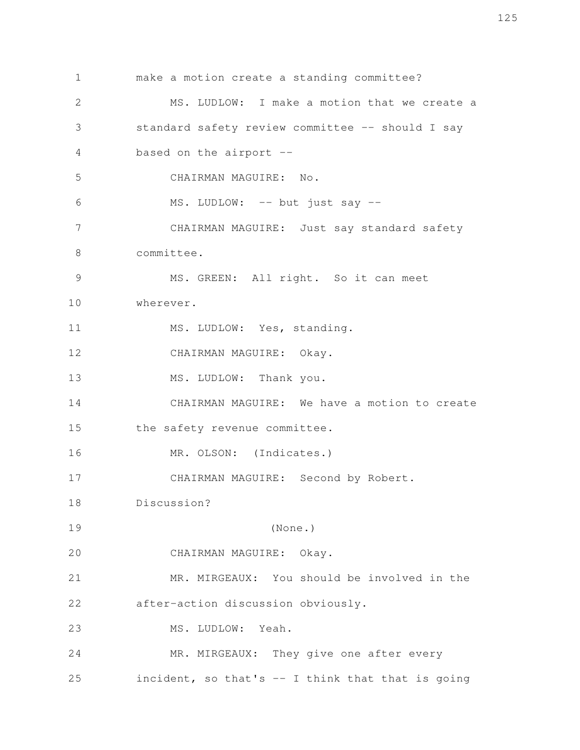make a motion create a standing committee? MS. LUDLOW: I make a motion that we create a standard safety review committee -- should I say based on the airport -- CHAIRMAN MAGUIRE: No. MS. LUDLOW: -- but just say --CHAIRMAN MAGUIRE: Just say standard safety committee. MS. GREEN: All right. So it can meet wherever. MS. LUDLOW: Yes, standing. CHAIRMAN MAGUIRE: Okay. MS. LUDLOW: Thank you. CHAIRMAN MAGUIRE: We have a motion to create the safety revenue committee. MR. OLSON: (Indicates.) CHAIRMAN MAGUIRE: Second by Robert. Discussion? (None.) CHAIRMAN MAGUIRE: Okay. MR. MIRGEAUX: You should be involved in the after-action discussion obviously. MS. LUDLOW: Yeah. MR. MIRGEAUX: They give one after every incident, so that's  $-$  I think that that is going 1 2 3 4 5 6 7 8 9 10 11 12 13 14 15 16 17 18 19 20 21 22 23 24 25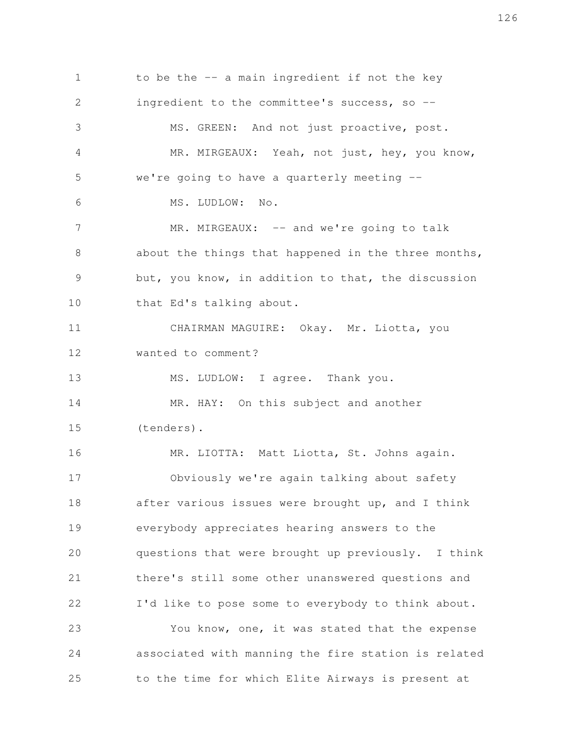to be the -- a main ingredient if not the key ingredient to the committee's success, so --MS. GREEN: And not just proactive, post. MR. MIRGEAUX: Yeah, not just, hey, you know, we're going to have a quarterly meeting -- MS. LUDLOW: No. MR. MIRGEAUX: -- and we're going to talk about the things that happened in the three months, but, you know, in addition to that, the discussion that Ed's talking about. CHAIRMAN MAGUIRE: Okay. Mr. Liotta, you wanted to comment? MS. LUDLOW: I agree. Thank you. MR. HAY: On this subject and another (tenders). MR. LIOTTA: Matt Liotta, St. Johns again. Obviously we're again talking about safety after various issues were brought up, and I think everybody appreciates hearing answers to the questions that were brought up previously. I think there's still some other unanswered questions and I'd like to pose some to everybody to think about. You know, one, it was stated that the expense associated with manning the fire station is related to the time for which Elite Airways is present at 1 2 3 4 5 6 7 8 9 10 11 12 13 14 15 16 17 18 19 20 21 22 23 24 25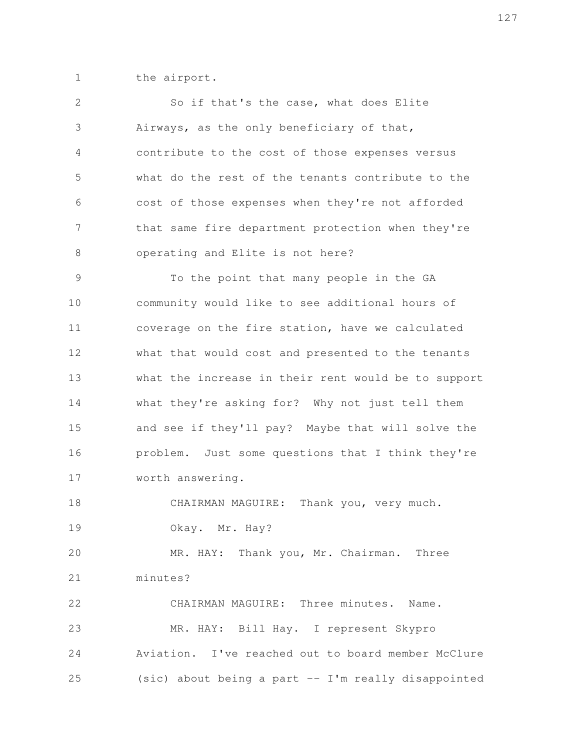the airport. 1

| $\mathbf{2}$  | So if that's the case, what does Elite              |
|---------------|-----------------------------------------------------|
| 3             | Airways, as the only beneficiary of that,           |
| 4             | contribute to the cost of those expenses versus     |
| 5             | what do the rest of the tenants contribute to the   |
| 6             | cost of those expenses when they're not afforded    |
| 7             | that same fire department protection when they're   |
| 8             | operating and Elite is not here?                    |
| $\mathcal{G}$ | To the point that many people in the GA             |
| 10            | community would like to see additional hours of     |
| 11            | coverage on the fire station, have we calculated    |
| 12            | what that would cost and presented to the tenants   |
| 13            | what the increase in their rent would be to support |
| 14            | what they're asking for? Why not just tell them     |
| 15            | and see if they'll pay? Maybe that will solve the   |
| 16            | problem. Just some questions that I think they're   |
| 17            | worth answering.                                    |
| 18            | CHAIRMAN MAGUIRE:<br>Thank you, very much.          |
| 19            | Okay. Mr. Hay?                                      |
| 20            | MR. HAY: Thank you, Mr. Chairman. Three             |
| 21            | minutes?                                            |
| 22            | CHAIRMAN MAGUIRE: Three minutes. Name.              |
| 23            | MR. HAY: Bill Hay. I represent Skypro               |
| 24            | Aviation. I've reached out to board member McClure  |
| 25            | (sic) about being a part -- I'm really disappointed |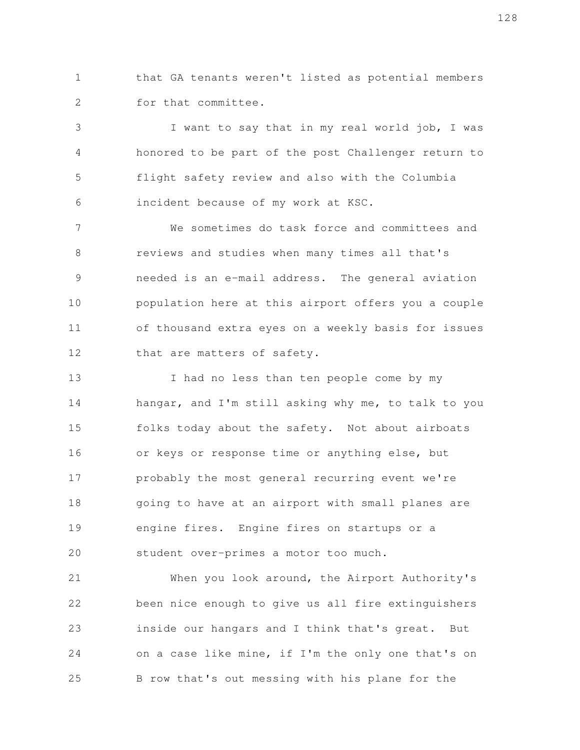that GA tenants weren't listed as potential members for that committee. 1 2

I want to say that in my real world job, I was honored to be part of the post Challenger return to flight safety review and also with the Columbia incident because of my work at KSC. 3 4 5 6

We sometimes do task force and committees and reviews and studies when many times all that's needed is an e-mail address. The general aviation population here at this airport offers you a couple of thousand extra eyes on a weekly basis for issues that are matters of safety. 7 8 9 10 11 12

I had no less than ten people come by my hangar, and I'm still asking why me, to talk to you folks today about the safety. Not about airboats or keys or response time or anything else, but probably the most general recurring event we're going to have at an airport with small planes are engine fires. Engine fires on startups or a student over-primes a motor too much. 13 14 15 16 17 18 19 20

When you look around, the Airport Authority's been nice enough to give us all fire extinguishers inside our hangars and I think that's great. But on a case like mine, if I'm the only one that's on B row that's out messing with his plane for the 21 22 23 24 25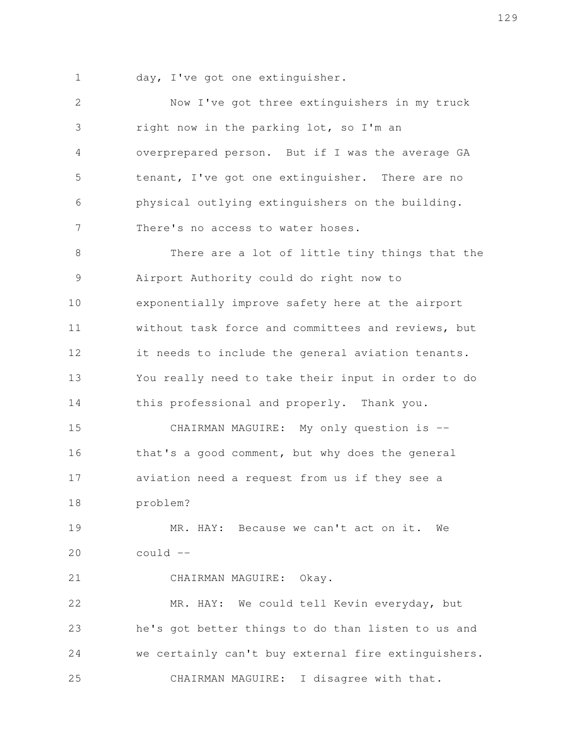day, I've got one extinguisher. 1

Now I've got three extinguishers in my truck right now in the parking lot, so I'm an overprepared person. But if I was the average GA tenant, I've got one extinguisher. There are no physical outlying extinguishers on the building. There's no access to water hoses. There are a lot of little tiny things that the Airport Authority could do right now to exponentially improve safety here at the airport without task force and committees and reviews, but it needs to include the general aviation tenants. You really need to take their input in order to do this professional and properly. Thank you. CHAIRMAN MAGUIRE: My only question is - that's a good comment, but why does the general aviation need a request from us if they see a problem? MR. HAY: Because we can't act on it. We could -- CHAIRMAN MAGUIRE: Okay. MR. HAY: We could tell Kevin everyday, but he's got better things to do than listen to us and we certainly can't buy external fire extinguishers. 2 3 4 5 6 7 8 9 10 11 12 13 14 15 16 17 18 19 20 21 22 23 24

CHAIRMAN MAGUIRE: I disagree with that. 25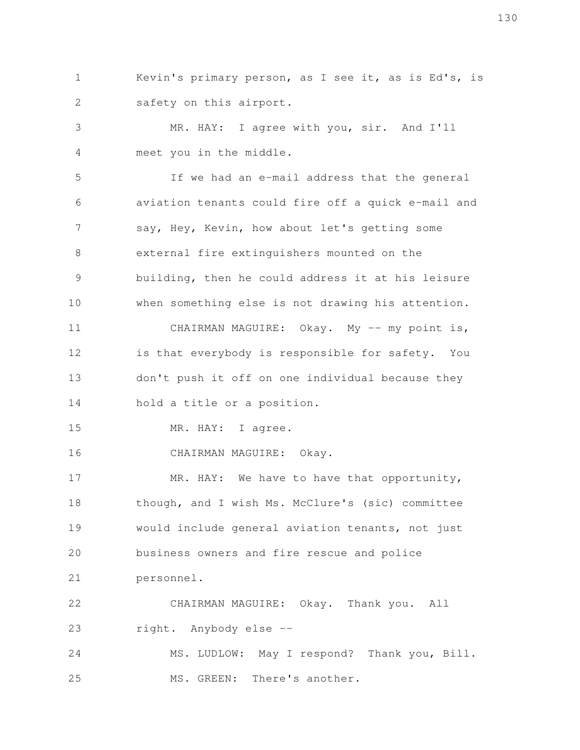Kevin's primary person, as I see it, as is Ed's, is safety on this airport. 1 2

MR. HAY: I agree with you, sir. And I'll meet you in the middle. 3 4

If we had an e-mail address that the general aviation tenants could fire off a quick e-mail and say, Hey, Kevin, how about let's getting some external fire extinguishers mounted on the building, then he could address it at his leisure when something else is not drawing his attention. CHAIRMAN MAGUIRE: Okay. My -- my point is, is that everybody is responsible for safety. You don't push it off on one individual because they hold a title or a position. 5 6 7 8 9 10 11 12 13 14

MR. HAY: I agree. 15

CHAIRMAN MAGUIRE: Okay. 16

MR. HAY: We have to have that opportunity, though, and I wish Ms. McClure's (sic) committee would include general aviation tenants, not just business owners and fire rescue and police personnel. 17 18 19 20 21

CHAIRMAN MAGUIRE: Okay. Thank you. All right. Anybody else -- 22 23

MS. LUDLOW: May I respond? Thank you, Bill. MS. GREEN: There's another. 24 25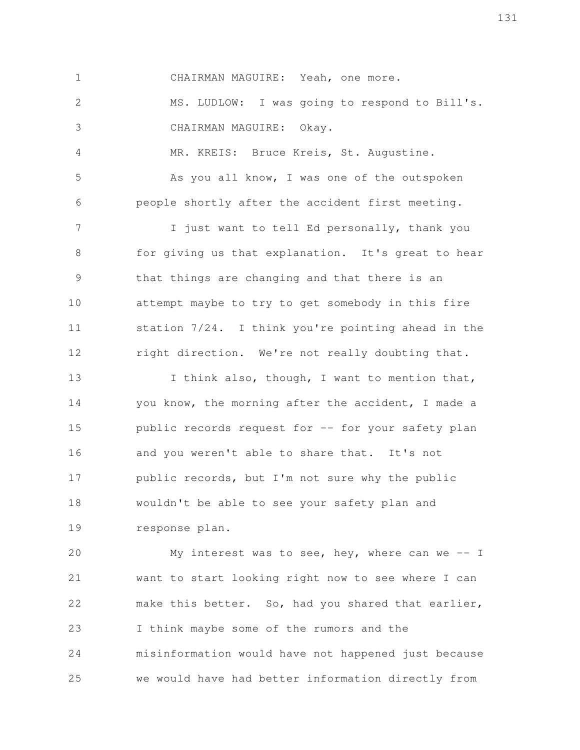CHAIRMAN MAGUIRE: Yeah, one more. MS. LUDLOW: I was going to respond to Bill's. CHAIRMAN MAGUIRE: Okay. MR. KREIS: Bruce Kreis, St. Augustine. As you all know, I was one of the outspoken people shortly after the accident first meeting. I just want to tell Ed personally, thank you for giving us that explanation. It's great to hear that things are changing and that there is an attempt maybe to try to get somebody in this fire station 7/24. I think you're pointing ahead in the right direction. We're not really doubting that. 1 2 3 4 5 6 7 8 9 10 11 12

I think also, though, I want to mention that, you know, the morning after the accident, I made a public records request for -- for your safety plan and you weren't able to share that. It's not public records, but I'm not sure why the public wouldn't be able to see your safety plan and response plan. 13 14 15 16 17 18 19

My interest was to see, hey, where can we  $-$  I want to start looking right now to see where I can make this better. So, had you shared that earlier, I think maybe some of the rumors and the misinformation would have not happened just because we would have had better information directly from 20 21 22 23 24 25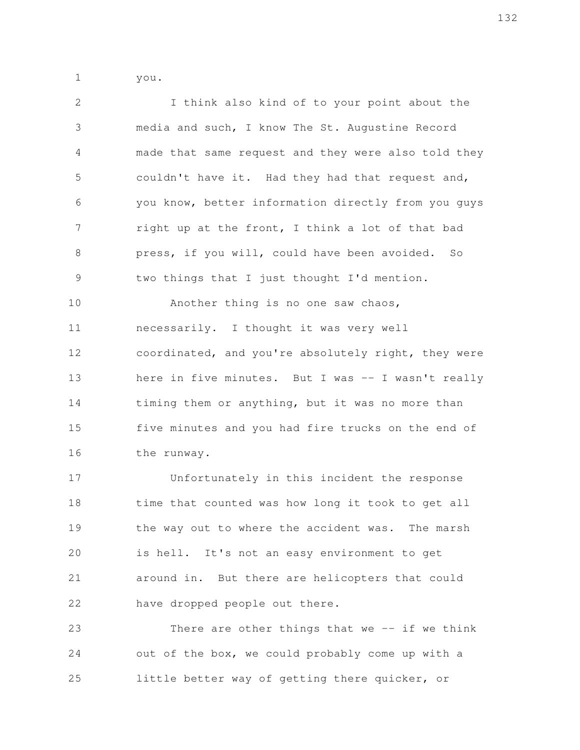you. 1

I think also kind of to your point about the media and such, I know The St. Augustine Record made that same request and they were also told they couldn't have it. Had they had that request and, you know, better information directly from you guys right up at the front, I think a lot of that bad press, if you will, could have been avoided. So two things that I just thought I'd mention. Another thing is no one saw chaos, necessarily. I thought it was very well coordinated, and you're absolutely right, they were here in five minutes. But I was -- I wasn't really timing them or anything, but it was no more than five minutes and you had fire trucks on the end of the runway. Unfortunately in this incident the response time that counted was how long it took to get all 2 3 4 5 6 7 8 9 10 11 12 13 14 15 16 17 18

the way out to where the accident was. The marsh is hell. It's not an easy environment to get around in. But there are helicopters that could have dropped people out there. 19 20 21 22

There are other things that we  $-$ - if we think out of the box, we could probably come up with a little better way of getting there quicker, or 23 24 25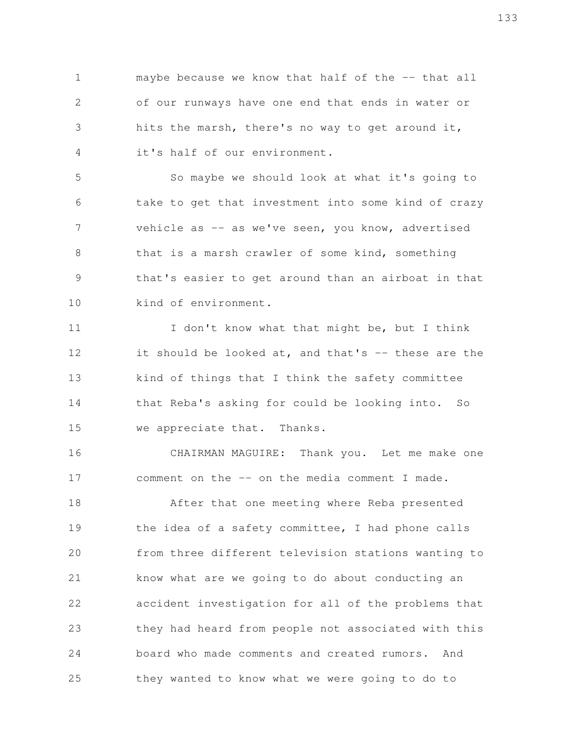maybe because we know that half of the -- that all of our runways have one end that ends in water or hits the marsh, there's no way to get around it, it's half of our environment. 1 2 3 4

So maybe we should look at what it's going to take to get that investment into some kind of crazy vehicle as -- as we've seen, you know, advertised that is a marsh crawler of some kind, something that's easier to get around than an airboat in that kind of environment. 5 6 7 8 9 10

I don't know what that might be, but I think it should be looked at, and that's  $-$  these are the kind of things that I think the safety committee that Reba's asking for could be looking into. So we appreciate that. Thanks. 11 12 13 14 15

CHAIRMAN MAGUIRE: Thank you. Let me make one comment on the -- on the media comment I made. 16 17

After that one meeting where Reba presented the idea of a safety committee, I had phone calls from three different television stations wanting to know what are we going to do about conducting an accident investigation for all of the problems that they had heard from people not associated with this board who made comments and created rumors. And they wanted to know what we were going to do to 18 19 20 21 22 23 24 25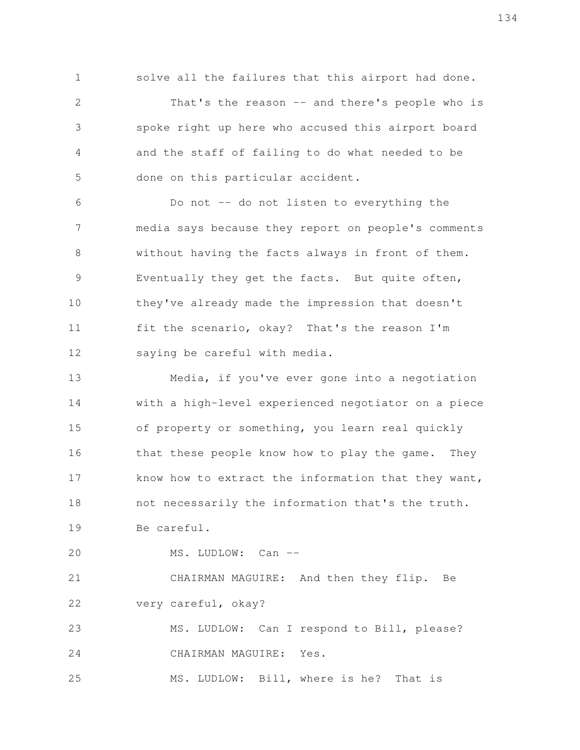solve all the failures that this airport had done.

That's the reason -- and there's people who is spoke right up here who accused this airport board and the staff of failing to do what needed to be done on this particular accident. 2 3 4 5

Do not -- do not listen to everything the media says because they report on people's comments without having the facts always in front of them. Eventually they get the facts. But quite often, they've already made the impression that doesn't fit the scenario, okay? That's the reason I'm saying be careful with media. 6 7 8 9 10 11 12

Media, if you've ever gone into a negotiation with a high-level experienced negotiator on a piece of property or something, you learn real quickly that these people know how to play the game. They know how to extract the information that they want, not necessarily the information that's the truth. Be careful. 13 14 15 16 17 18 19

MS. LUDLOW: Can --20

1

CHAIRMAN MAGUIRE: And then they flip. Be very careful, okay? 21 22

MS. LUDLOW: Can I respond to Bill, please? CHAIRMAN MAGUIRE: Yes. 23 24

MS. LUDLOW: Bill, where is he? That is 25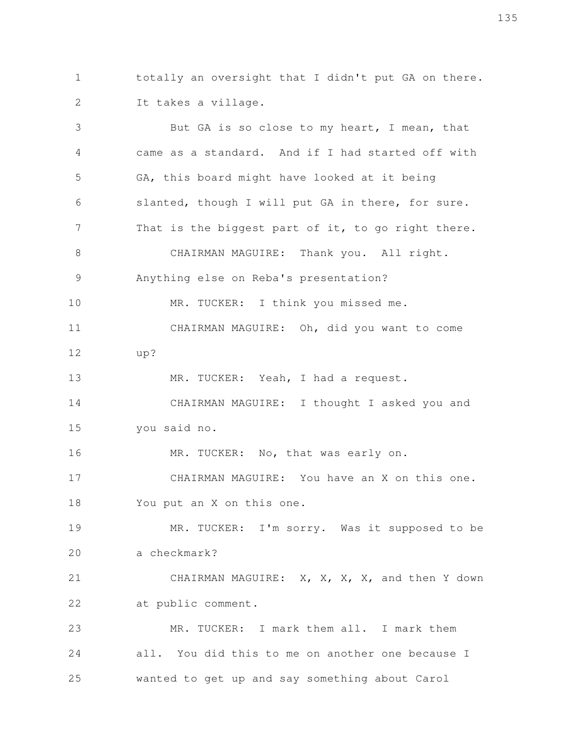totally an oversight that I didn't put GA on there. It takes a village. 1 2

But GA is so close to my heart, I mean, that came as a standard. And if I had started off with GA, this board might have looked at it being slanted, though I will put GA in there, for sure. That is the biggest part of it, to go right there. CHAIRMAN MAGUIRE: Thank you. All right. Anything else on Reba's presentation? MR. TUCKER: I think you missed me. CHAIRMAN MAGUIRE: Oh, did you want to come up? MR. TUCKER: Yeah, I had a request. CHAIRMAN MAGUIRE: I thought I asked you and you said no. MR. TUCKER: No, that was early on. CHAIRMAN MAGUIRE: You have an X on this one. You put an X on this one. MR. TUCKER: I'm sorry. Was it supposed to be a checkmark? CHAIRMAN MAGUIRE: X, X, X, X, and then Y down at public comment. MR. TUCKER: I mark them all. I mark them all. You did this to me on another one because I wanted to get up and say something about Carol 3 4 5 6 7 8 9 10 11 12 13 14 15 16 17 18 19 20 21 22 23 24 25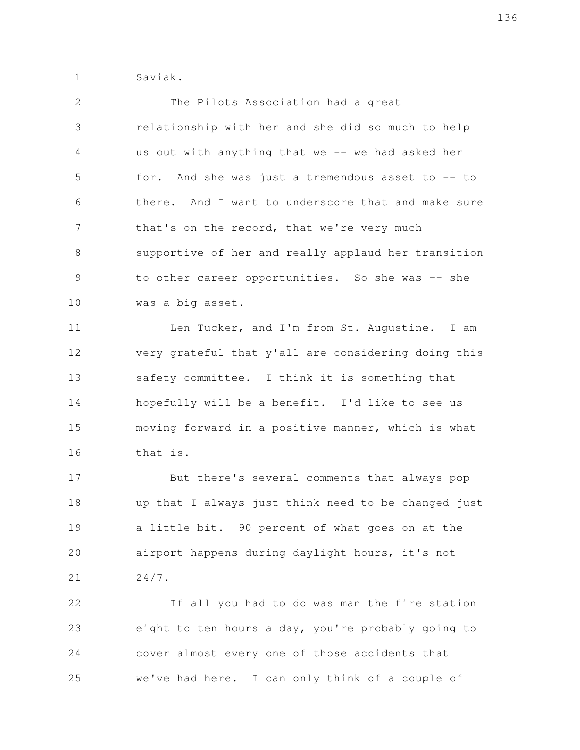Saviak. 1

2

| 3             | relationship with her and she did so much to help   |
|---------------|-----------------------------------------------------|
| 4             | us out with anything that we -- we had asked her    |
| 5             | for. And she was just a tremendous asset to -- to   |
| 6             | there. And I want to underscore that and make sure  |
| 7             | that's on the record, that we're very much          |
| 8             | supportive of her and really applaud her transition |
| $\mathcal{G}$ | to other career opportunities. So she was -- she    |
| 10            | was a big asset.                                    |
| 11            | Len Tucker, and I'm from St. Augustine. I am        |
| 12            | very grateful that y'all are considering doing this |
| 13            | safety committee. I think it is something that      |
| 14            | hopefully will be a benefit. I'd like to see us     |
| 15            | moving forward in a positive manner, which is what  |
| 16            | that is.                                            |
| 17            | But there's several comments that always pop        |
| 18            | up that I always just think need to be changed just |
| 19            | a little bit. 90 percent of what goes on at the     |
| 20            | airport happens during daylight hours, it's not     |
| 21            | $24/7$ .                                            |
| 22            | If all you had to do was man the fire station       |
| 23            | eight to ten hours a day, you're probably going to  |
| 24            | cover almost every one of those accidents that      |
| 25            | we've had here. I can only think of a couple of     |

The Pilots Association had a great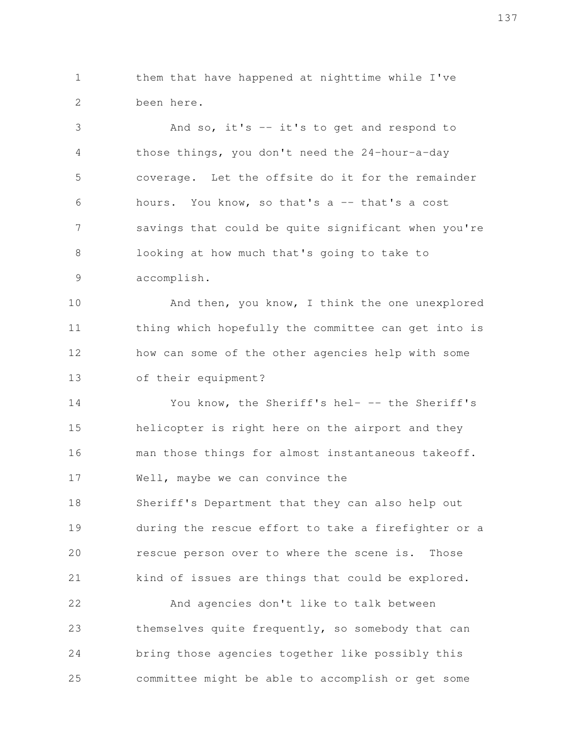them that have happened at nighttime while I've been here. 1 2

And so, it's -- it's to get and respond to those things, you don't need the 24-hour-a-day coverage. Let the offsite do it for the remainder hours. You know, so that's a -- that's a cost savings that could be quite significant when you're looking at how much that's going to take to accomplish. 3 4 5 6 7 8 9

And then, you know, I think the one unexplored thing which hopefully the committee can get into is how can some of the other agencies help with some of their equipment? 10 11 12 13

You know, the Sheriff's hel- -- the Sheriff's helicopter is right here on the airport and they man those things for almost instantaneous takeoff. Well, maybe we can convince the Sheriff's Department that they can also help out during the rescue effort to take a firefighter or a rescue person over to where the scene is. Those kind of issues are things that could be explored. And agencies don't like to talk between 14 15 16 17 18 19 20 21 22

themselves quite frequently, so somebody that can bring those agencies together like possibly this committee might be able to accomplish or get some 23 24 25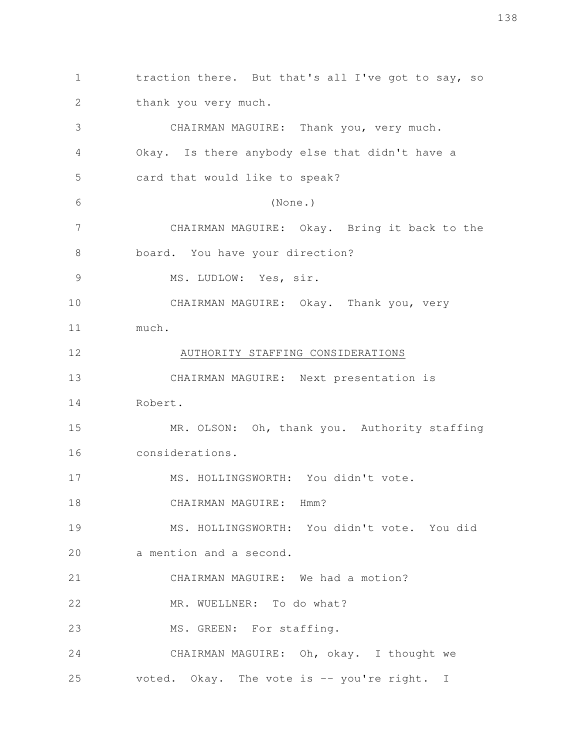traction there. But that's all I've got to say, so thank you very much. CHAIRMAN MAGUIRE: Thank you, very much. Okay. Is there anybody else that didn't have a card that would like to speak? (None.) CHAIRMAN MAGUIRE: Okay. Bring it back to the board. You have your direction? MS. LUDLOW: Yes, sir. CHAIRMAN MAGUIRE: Okay. Thank you, very much. AUTHORITY STAFFING CONSIDERATIONS CHAIRMAN MAGUIRE: Next presentation is Robert. MR. OLSON: Oh, thank you. Authority staffing considerations. MS. HOLLINGSWORTH: You didn't vote. CHAIRMAN MAGUIRE: Hmm? MS. HOLLINGSWORTH: You didn't vote. You did a mention and a second. CHAIRMAN MAGUIRE: We had a motion? MR. WUELLNER: To do what? MS. GREEN: For staffing. CHAIRMAN MAGUIRE: Oh, okay. I thought we voted. Okay. The vote is -- you're right. I 1 2 3 4 5 6 7 8 9 10 11 12 13 14 15 16 17 18 19 20 21 22 23 24 25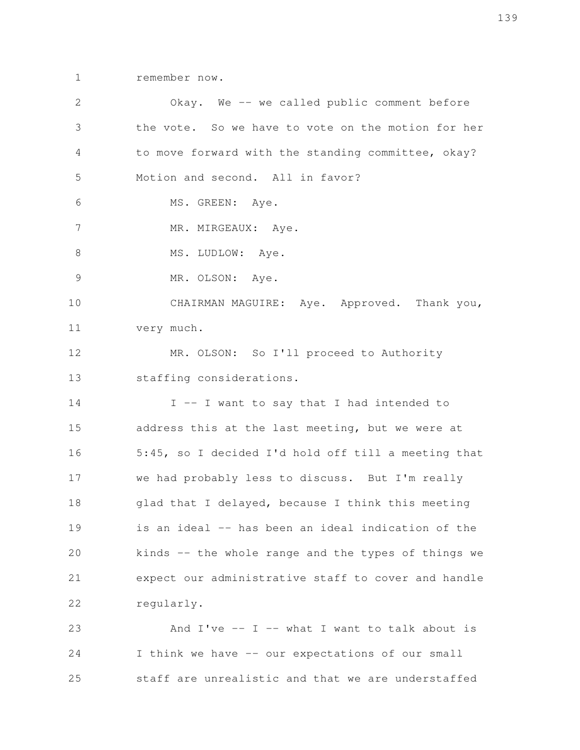remember now. 1

Okay. We -- we called public comment before the vote. So we have to vote on the motion for her to move forward with the standing committee, okay? Motion and second. All in favor? MS. GREEN: Aye. MR. MIRGEAUX: Aye. MS. LUDLOW: Aye. MR. OLSON: Aye. CHAIRMAN MAGUIRE: Aye. Approved. Thank you, very much. MR. OLSON: So I'll proceed to Authority staffing considerations. I -- I want to say that I had intended to address this at the last meeting, but we were at 5:45, so I decided I'd hold off till a meeting that we had probably less to discuss. But I'm really glad that I delayed, because I think this meeting is an ideal -- has been an ideal indication of the kinds -- the whole range and the types of things we expect our administrative staff to cover and handle regularly. And  $I've - I - what I want to talk about is$ I think we have -- our expectations of our small staff are unrealistic and that we are understaffed 2 3 4 5 6 7 8 9 10 11 12 13 14 15 16 17 18 19 20 21 22 23 24 25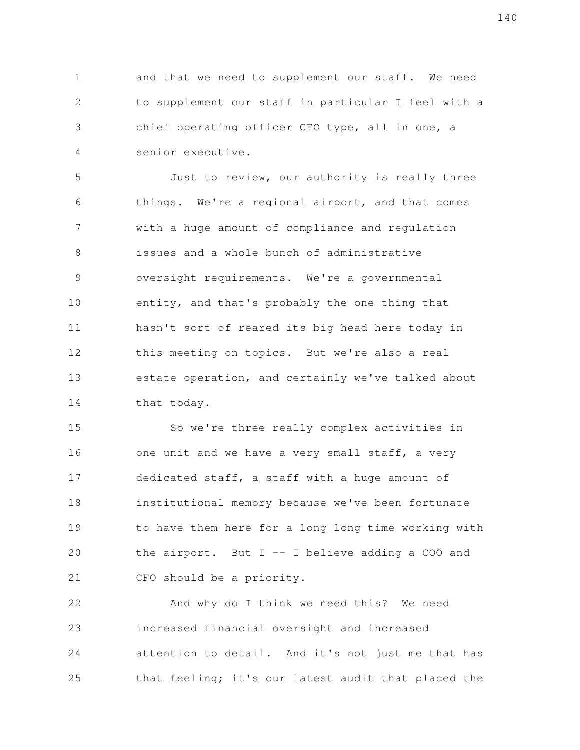and that we need to supplement our staff. We need to supplement our staff in particular I feel with a chief operating officer CFO type, all in one, a senior executive. 1 2 3 4

Just to review, our authority is really three things. We're a regional airport, and that comes with a huge amount of compliance and regulation issues and a whole bunch of administrative oversight requirements. We're a governmental entity, and that's probably the one thing that hasn't sort of reared its big head here today in this meeting on topics. But we're also a real estate operation, and certainly we've talked about that today. 5 6 7 8 9 10 11 12 13 14

So we're three really complex activities in one unit and we have a very small staff, a very dedicated staff, a staff with a huge amount of institutional memory because we've been fortunate to have them here for a long long time working with the airport. But  $I - I$  believe adding a COO and CFO should be a priority. 15 16 17 18 19 20 21

And why do I think we need this? We need increased financial oversight and increased attention to detail. And it's not just me that has that feeling; it's our latest audit that placed the 22 23 24 25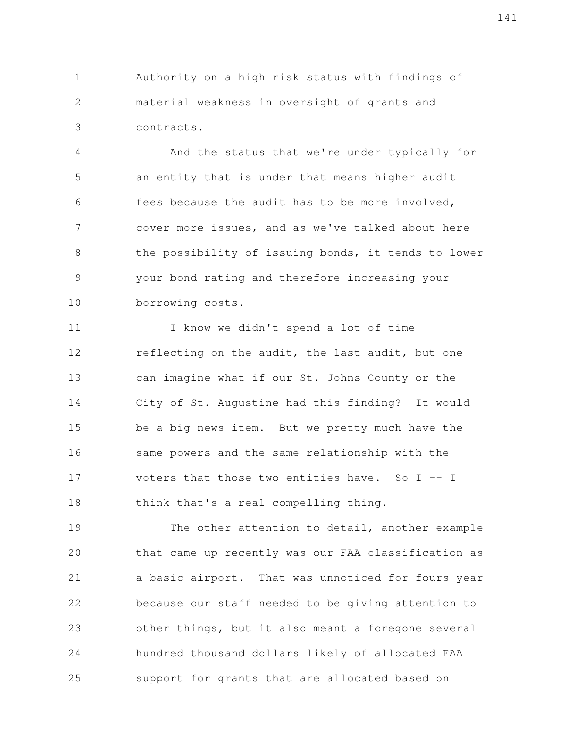Authority on a high risk status with findings of material weakness in oversight of grants and contracts. 1 2 3

And the status that we're under typically for an entity that is under that means higher audit fees because the audit has to be more involved, cover more issues, and as we've talked about here the possibility of issuing bonds, it tends to lower your bond rating and therefore increasing your borrowing costs. 4 5 6 7 8 9 10

I know we didn't spend a lot of time reflecting on the audit, the last audit, but one can imagine what if our St. Johns County or the City of St. Augustine had this finding? It would be a big news item. But we pretty much have the same powers and the same relationship with the voters that those two entities have. So  $I - - I$ think that's a real compelling thing. 11 12 13 14 15 16 17 18

The other attention to detail, another example that came up recently was our FAA classification as a basic airport. That was unnoticed for fours year because our staff needed to be giving attention to other things, but it also meant a foregone several hundred thousand dollars likely of allocated FAA support for grants that are allocated based on 19 20 21 22 23 24 25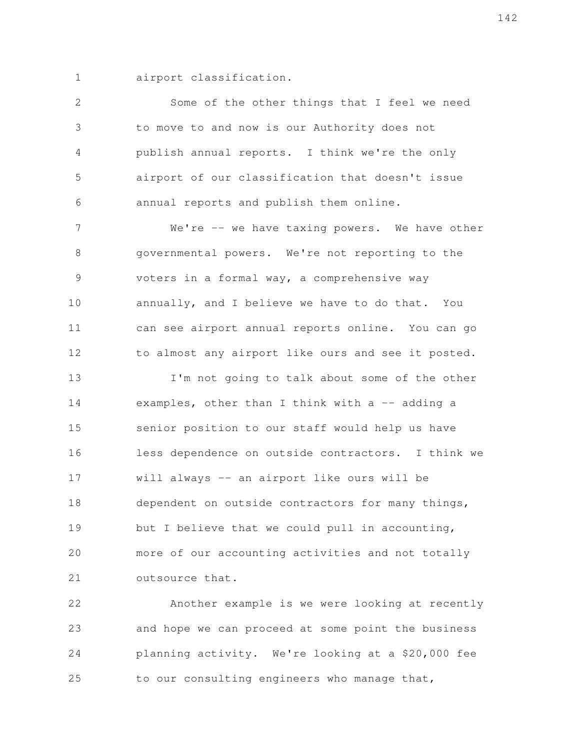airport classification. 1

Some of the other things that I feel we need to move to and now is our Authority does not publish annual reports. I think we're the only airport of our classification that doesn't issue annual reports and publish them online. We're -- we have taxing powers. We have other governmental powers. We're not reporting to the voters in a formal way, a comprehensive way annually, and I believe we have to do that. You can see airport annual reports online. You can go to almost any airport like ours and see it posted. I'm not going to talk about some of the other examples, other than I think with  $a$  -- adding a senior position to our staff would help us have less dependence on outside contractors. I think we will always -- an airport like ours will be dependent on outside contractors for many things, but I believe that we could pull in accounting, more of our accounting activities and not totally outsource that. 2 3 4 5 6 7 8 9 10 11 12 13 14 15 16 17 18 19 20 21

Another example is we were looking at recently and hope we can proceed at some point the business planning activity. We're looking at a \$20,000 fee to our consulting engineers who manage that, 22 23 24 25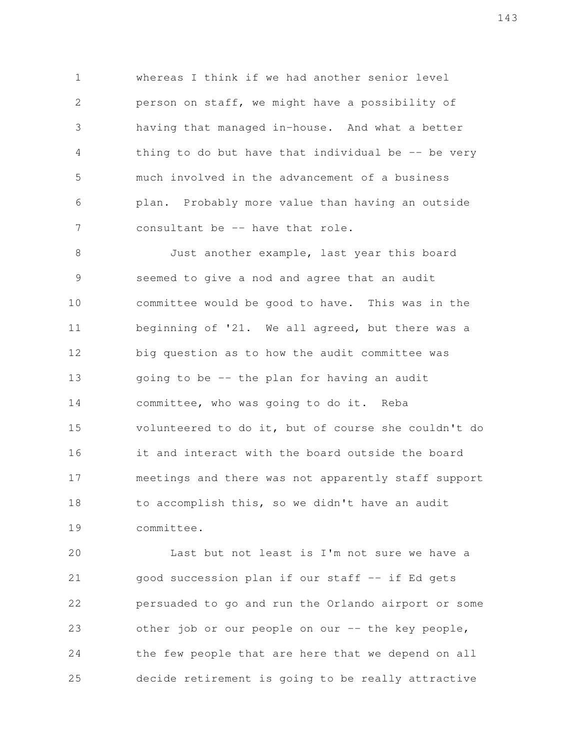whereas I think if we had another senior level person on staff, we might have a possibility of having that managed in-house. And what a better thing to do but have that individual be  $-$  be very much involved in the advancement of a business plan. Probably more value than having an outside consultant be -- have that role. 1 2 3 4 5 6 7

Just another example, last year this board seemed to give a nod and agree that an audit committee would be good to have. This was in the beginning of '21. We all agreed, but there was a big question as to how the audit committee was going to be -- the plan for having an audit committee, who was going to do it. Reba volunteered to do it, but of course she couldn't do it and interact with the board outside the board meetings and there was not apparently staff support to accomplish this, so we didn't have an audit committee. 8 9 10 11 12 13 14 15 16 17 18 19

Last but not least is I'm not sure we have a good succession plan if our staff -- if Ed gets persuaded to go and run the Orlando airport or some other job or our people on our -- the key people, the few people that are here that we depend on all decide retirement is going to be really attractive 20 21 22 23 24 25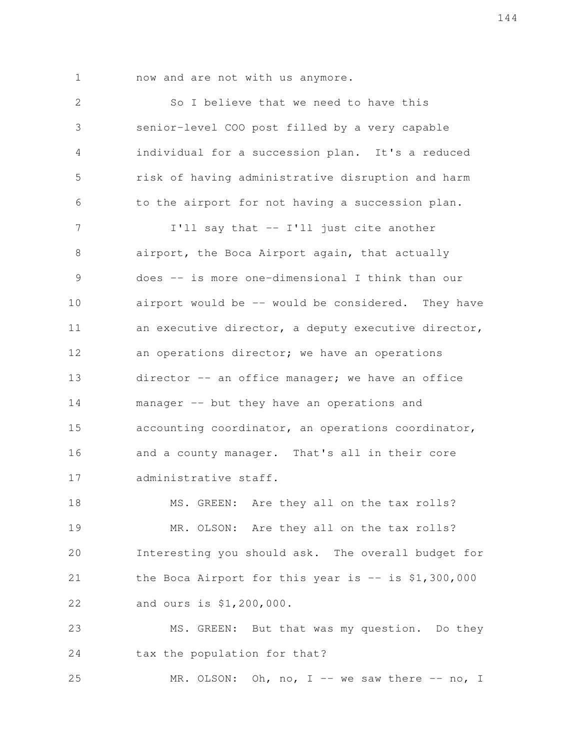1

now and are not with us anymore.

So I believe that we need to have this senior-level COO post filled by a very capable individual for a succession plan. It's a reduced risk of having administrative disruption and harm to the airport for not having a succession plan. I'll say that -- I'll just cite another airport, the Boca Airport again, that actually does -- is more one-dimensional I think than our airport would be  $-$ - would be considered. They have an executive director, a deputy executive director, an operations director; we have an operations director -- an office manager; we have an office manager -- but they have an operations and accounting coordinator, an operations coordinator, and a county manager. That's all in their core administrative staff. MS. GREEN: Are they all on the tax rolls? MR. OLSON: Are they all on the tax rolls? Interesting you should ask. The overall budget for the Boca Airport for this year is  $-$  is \$1,300,000 and ours is \$1,200,000. MS. GREEN: But that was my question. Do they tax the population for that? MR. OLSON: Oh, no, I -- we saw there  $-$ - no, I 2 3 4 5 6 7 8 9 10 11 12 13 14 15 16 17 18 19 20 21 22 23 24 25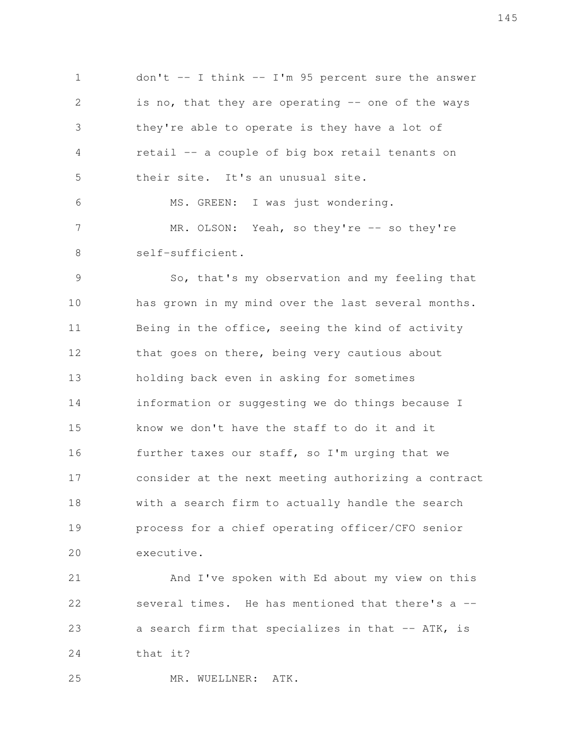don't  $-$  I think  $-$  I'm 95 percent sure the answer is no, that they are operating  $-$  one of the ways they're able to operate is they have a lot of retail -- a couple of big box retail tenants on their site. It's an unusual site. MS. GREEN: I was just wondering. MR. OLSON: Yeah, so they're -- so they're self-sufficient. 1 2 3 4 5 6 7 8

So, that's my observation and my feeling that has grown in my mind over the last several months. Being in the office, seeing the kind of activity that goes on there, being very cautious about holding back even in asking for sometimes information or suggesting we do things because I know we don't have the staff to do it and it further taxes our staff, so I'm urging that we consider at the next meeting authorizing a contract with a search firm to actually handle the search process for a chief operating officer/CFO senior executive. 9 10 11 12 13 14 15 16 17 18 19 20

And I've spoken with Ed about my view on this several times. He has mentioned that there's a -a search firm that specializes in that -- ATK, is that it? 21 22 23 24

MR. WUELLNER: ATK. 25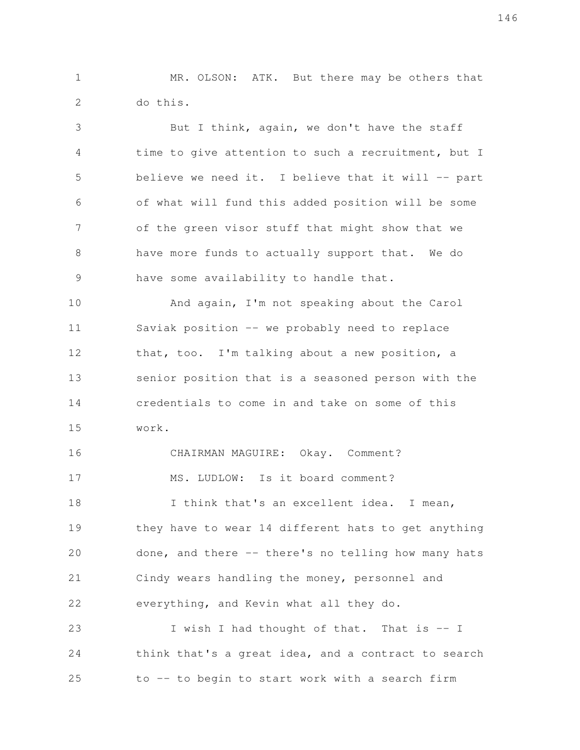MR. OLSON: ATK. But there may be others that do this. 1 2

But I think, again, we don't have the staff time to give attention to such a recruitment, but I believe we need it. I believe that it will -- part of what will fund this added position will be some of the green visor stuff that might show that we have more funds to actually support that. We do have some availability to handle that. And again, I'm not speaking about the Carol Saviak position -- we probably need to replace 3 4 5 6 7 8 9 10 11

that, too. I'm talking about a new position, a senior position that is a seasoned person with the credentials to come in and take on some of this work. 12 13 14 15

CHAIRMAN MAGUIRE: Okay. Comment? MS. LUDLOW: Is it board comment? I think that's an excellent idea. I mean, they have to wear 14 different hats to get anything done, and there -- there's no telling how many hats Cindy wears handling the money, personnel and everything, and Kevin what all they do. I wish I had thought of that. That is -- I 16 17 18 19 20 21 22 23

think that's a great idea, and a contract to search to -- to begin to start work with a search firm 24 25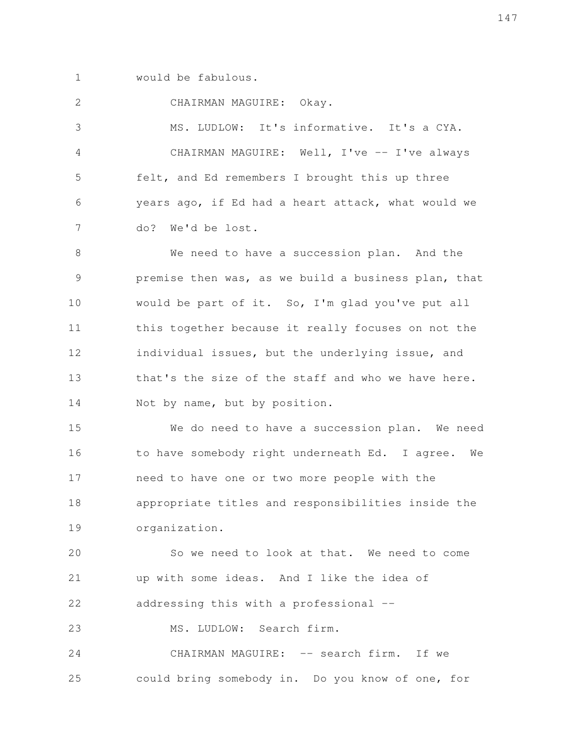would be fabulous. 1

CHAIRMAN MAGUIRE: Okay. 2

MS. LUDLOW: It's informative. It's a CYA. CHAIRMAN MAGUIRE: Well, I've -- I've always felt, and Ed remembers I brought this up three years ago, if Ed had a heart attack, what would we do? We'd be lost. 3 4 5 6 7

We need to have a succession plan. And the premise then was, as we build a business plan, that would be part of it. So, I'm glad you've put all this together because it really focuses on not the individual issues, but the underlying issue, and that's the size of the staff and who we have here. Not by name, but by position. 8 9 10 11 12 13 14

We do need to have a succession plan. We need to have somebody right underneath Ed. I agree. We need to have one or two more people with the appropriate titles and responsibilities inside the organization. 15 16 17 18 19

So we need to look at that. We need to come up with some ideas. And I like the idea of addressing this with a professional -- 20 21 22

MS. LUDLOW: Search firm. 23

CHAIRMAN MAGUIRE: -- search firm. If we could bring somebody in. Do you know of one, for 24 25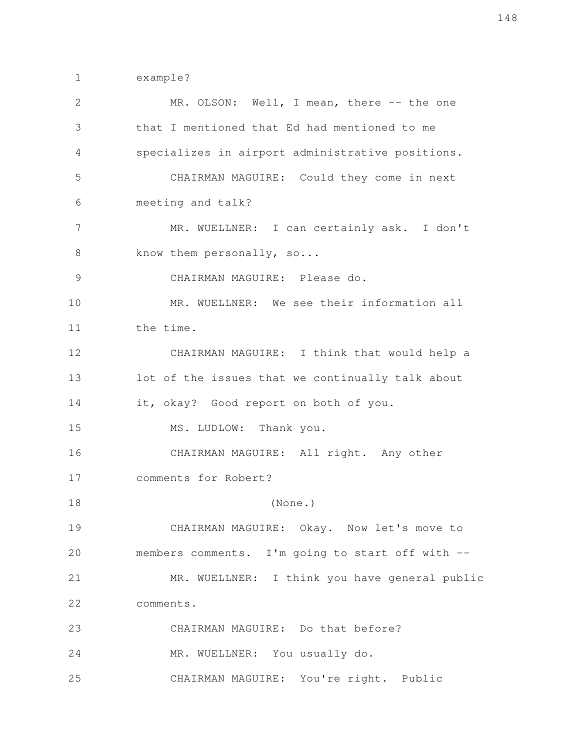example? 1

| 2  | MR. OLSON: Well, I mean, there -- the one        |
|----|--------------------------------------------------|
| 3  | that I mentioned that Ed had mentioned to me     |
| 4  | specializes in airport administrative positions. |
| 5  | CHAIRMAN MAGUIRE: Could they come in next        |
| 6  | meeting and talk?                                |
| 7  | MR. WUELLNER: I can certainly ask. I don't       |
| 8  | know them personally, so                         |
| 9  | CHAIRMAN MAGUIRE: Please do.                     |
| 10 | MR. WUELLNER: We see their information all       |
| 11 | the time.                                        |
| 12 | CHAIRMAN MAGUIRE: I think that would help a      |
| 13 | lot of the issues that we continually talk about |
| 14 | it, okay? Good report on both of you.            |
| 15 | MS. LUDLOW: Thank you.                           |
| 16 | CHAIRMAN MAGUIRE: All right. Any other           |
| 17 | comments for Robert?                             |
| 18 | (None.)                                          |
| 19 | CHAIRMAN MAGUIRE: Okay. Now let's move to        |
| 20 | members comments. I'm going to start off with -- |
| 21 | MR. WUELLNER: I think you have general public    |
| 22 | comments.                                        |
| 23 | CHAIRMAN MAGUIRE: Do that before?                |
| 24 | MR. WUELLNER: You usually do.                    |
| 25 | CHAIRMAN MAGUIRE: You're right. Public           |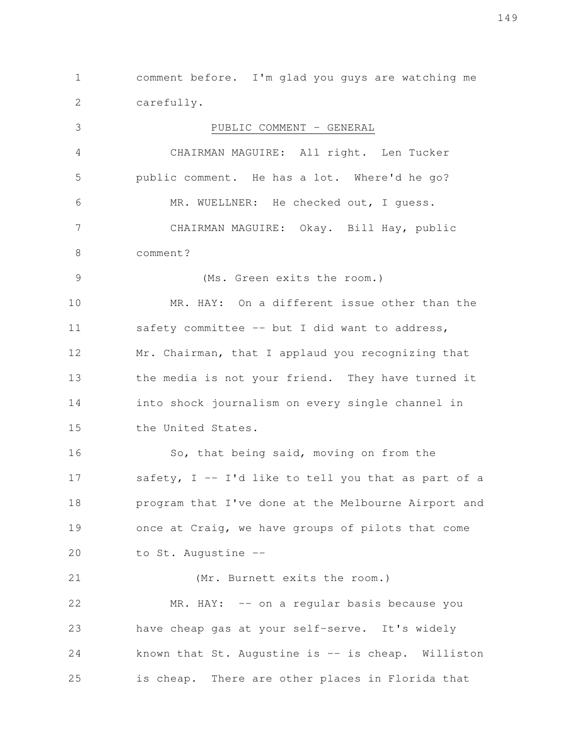comment before. I'm glad you guys are watching me carefully. 1 2

PUBLIC COMMENT - GENERAL CHAIRMAN MAGUIRE: All right. Len Tucker public comment. He has a lot. Where'd he go? MR. WUELLNER: He checked out, I guess. CHAIRMAN MAGUIRE: Okay. Bill Hay, public comment? (Ms. Green exits the room.) MR. HAY: On a different issue other than the safety committee -- but I did want to address, Mr. Chairman, that I applaud you recognizing that the media is not your friend. They have turned it into shock journalism on every single channel in the United States. So, that being said, moving on from the safety,  $I - I'd$  like to tell you that as part of a program that I've done at the Melbourne Airport and once at Craig, we have groups of pilots that come to St. Augustine -- (Mr. Burnett exits the room.) MR. HAY: -- on a regular basis because you have cheap gas at your self-serve. It's widely known that  $St.$  Augustine is  $-$  is cheap. Williston is cheap. There are other places in Florida that 3 4 5 6 7 8 9 10 11 12 13 14 15 16 17 18 19 20 21 22 23 24 25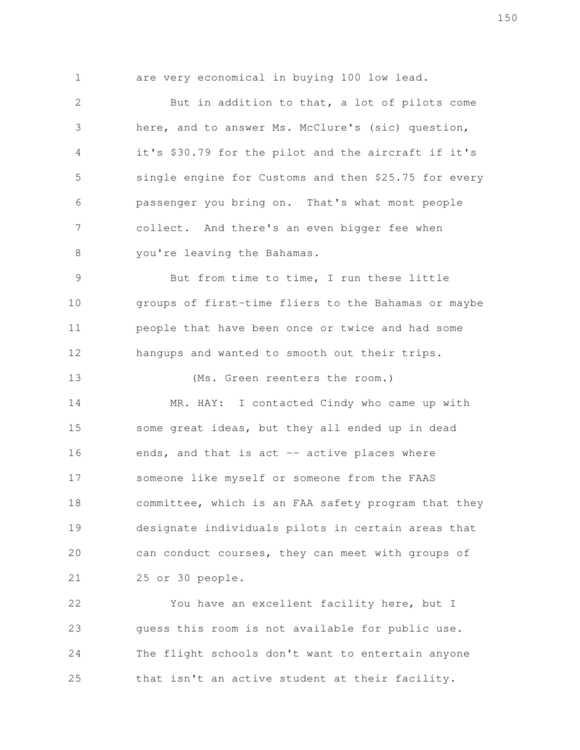1

13

are very economical in buying 100 low lead.

But in addition to that, a lot of pilots come here, and to answer Ms. McClure's (sic) question, it's \$30.79 for the pilot and the aircraft if it's single engine for Customs and then \$25.75 for every passenger you bring on. That's what most people collect. And there's an even bigger fee when you're leaving the Bahamas. 2 3 4 5 6 7 8

But from time to time, I run these little groups of first-time fliers to the Bahamas or maybe people that have been once or twice and had some hangups and wanted to smooth out their trips. 9 10 11 12

(Ms. Green reenters the room.)

MR. HAY: I contacted Cindy who came up with some great ideas, but they all ended up in dead ends, and that is act -- active places where someone like myself or someone from the FAAS committee, which is an FAA safety program that they designate individuals pilots in certain areas that can conduct courses, they can meet with groups of 25 or 30 people. 14 15 16 17 18 19 20 21

You have an excellent facility here, but I guess this room is not available for public use. The flight schools don't want to entertain anyone that isn't an active student at their facility. 22 23 24 25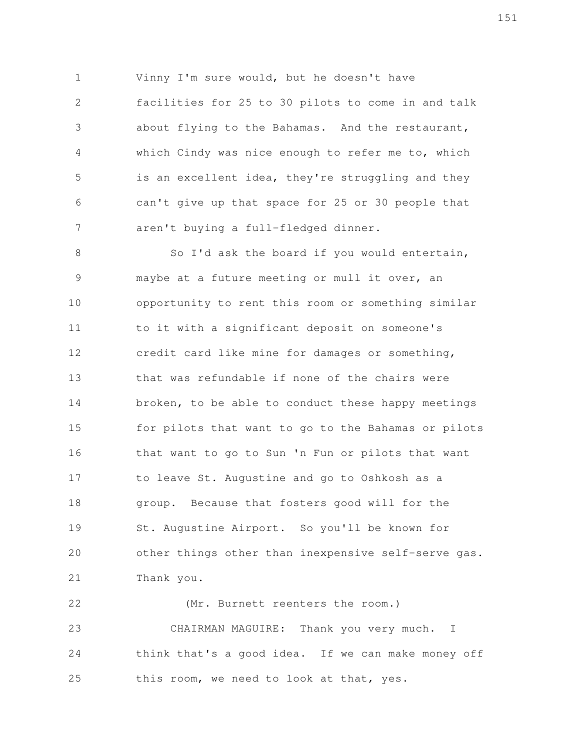Vinny I'm sure would, but he doesn't have facilities for 25 to 30 pilots to come in and talk about flying to the Bahamas. And the restaurant, which Cindy was nice enough to refer me to, which is an excellent idea, they're struggling and they can't give up that space for 25 or 30 people that aren't buying a full-fledged dinner. 1 2 3 4 5 6 7

So I'd ask the board if you would entertain, maybe at a future meeting or mull it over, an opportunity to rent this room or something similar to it with a significant deposit on someone's credit card like mine for damages or something, that was refundable if none of the chairs were broken, to be able to conduct these happy meetings for pilots that want to go to the Bahamas or pilots that want to go to Sun 'n Fun or pilots that want to leave St. Augustine and go to Oshkosh as a group. Because that fosters good will for the St. Augustine Airport. So you'll be known for other things other than inexpensive self-serve gas. Thank you. 8 9 10 11 12 13 14 15 16 17 18 19 20 21

(Mr. Burnett reenters the room.) CHAIRMAN MAGUIRE: Thank you very much. I think that's a good idea. If we can make money off this room, we need to look at that, yes. 22 23 24 25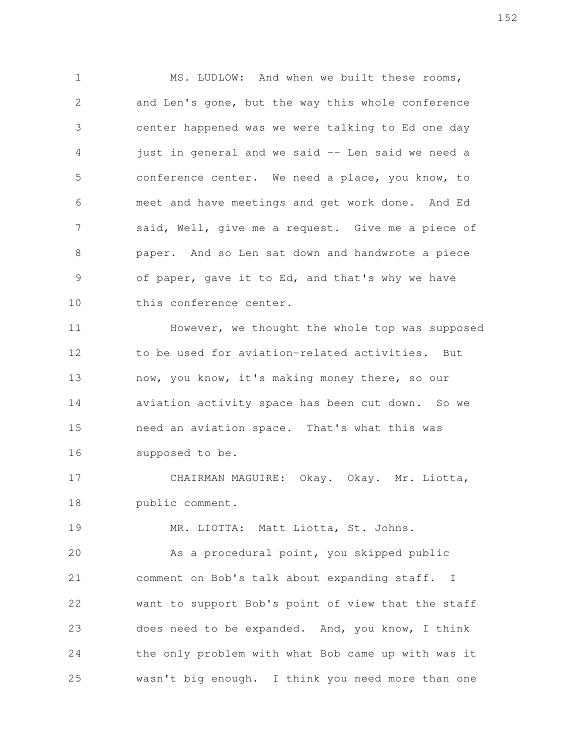MS. LUDLOW: And when we built these rooms, and Len's gone, but the way this whole conference center happened was we were talking to Ed one day just in general and we said -- Len said we need a conference center. We need a place, you know, to meet and have meetings and get work done. And Ed said, Well, give me a request. Give me a piece of paper. And so Len sat down and handwrote a piece of paper, gave it to Ed, and that's why we have this conference center. 1 2 3 4 5 6 7 8 9 10

However, we thought the whole top was supposed to be used for aviation-related activities. But now, you know, it's making money there, so our aviation activity space has been cut down. So we need an aviation space. That's what this was supposed to be. 11 12 13 14 15 16

CHAIRMAN MAGUIRE: Okay. Okay. Mr. Liotta, public comment. 17 18

MR. LIOTTA: Matt Liotta, St. Johns. 19

As a procedural point, you skipped public comment on Bob's talk about expanding staff. I want to support Bob's point of view that the staff does need to be expanded. And, you know, I think the only problem with what Bob came up with was it wasn't big enough. I think you need more than one 20 21 22 23 24 25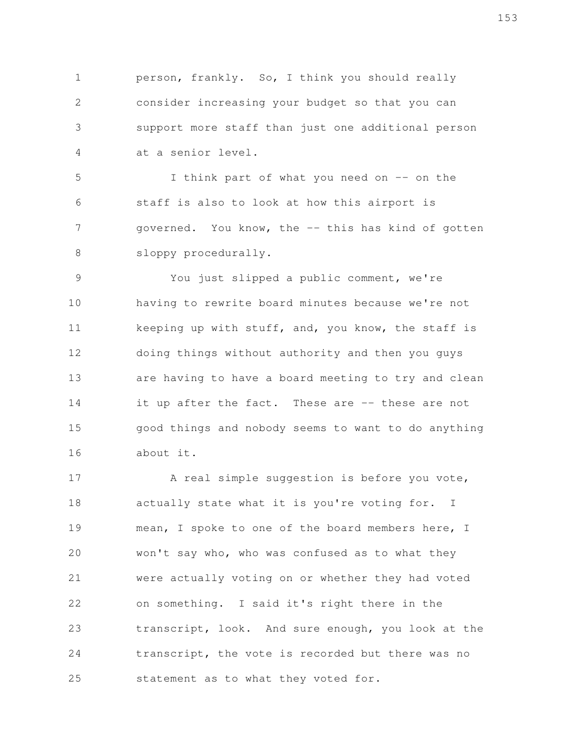person, frankly. So, I think you should really consider increasing your budget so that you can support more staff than just one additional person at a senior level. 1 2 3 4

I think part of what you need on -- on the staff is also to look at how this airport is governed. You know, the -- this has kind of gotten sloppy procedurally. 5 6 7 8

You just slipped a public comment, we're having to rewrite board minutes because we're not keeping up with stuff, and, you know, the staff is doing things without authority and then you guys are having to have a board meeting to try and clean it up after the fact. These are -- these are not good things and nobody seems to want to do anything about it. 9 10 11 12 13 14 15 16

A real simple suggestion is before you vote, actually state what it is you're voting for. I mean, I spoke to one of the board members here, I won't say who, who was confused as to what they were actually voting on or whether they had voted on something. I said it's right there in the transcript, look. And sure enough, you look at the transcript, the vote is recorded but there was no statement as to what they voted for. 17 18 19 20 21 22 23 24 25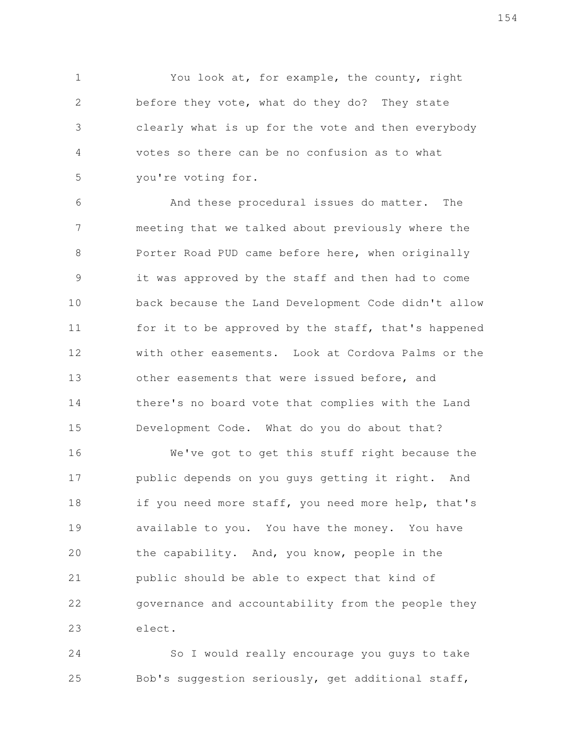You look at, for example, the county, right before they vote, what do they do? They state clearly what is up for the vote and then everybody votes so there can be no confusion as to what you're voting for. 1 2 3 4 5

And these procedural issues do matter. The meeting that we talked about previously where the Porter Road PUD came before here, when originally it was approved by the staff and then had to come back because the Land Development Code didn't allow for it to be approved by the staff, that's happened with other easements. Look at Cordova Palms or the other easements that were issued before, and there's no board vote that complies with the Land Development Code. What do you do about that? 6 7 8 9 10 11 12 13 14 15

We've got to get this stuff right because the public depends on you guys getting it right. And if you need more staff, you need more help, that's available to you. You have the money. You have the capability. And, you know, people in the public should be able to expect that kind of governance and accountability from the people they elect. 16 17 18 19 20 21 22 23

So I would really encourage you guys to take Bob's suggestion seriously, get additional staff, 24 25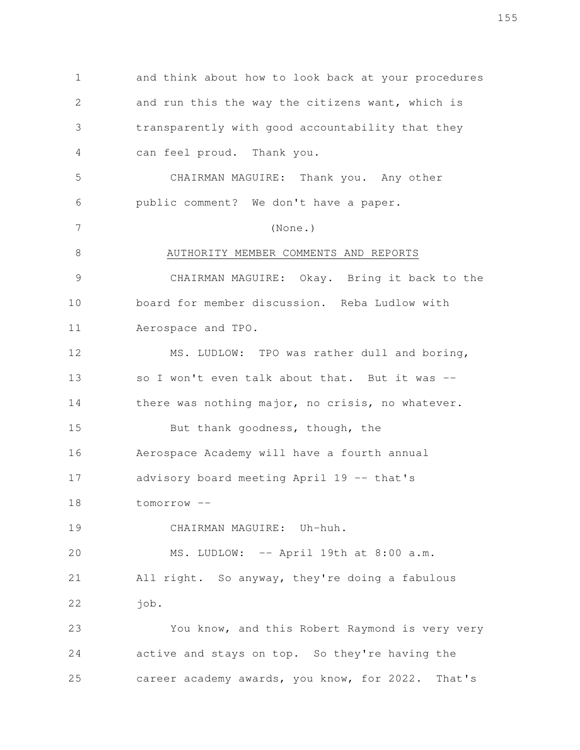and think about how to look back at your procedures and run this the way the citizens want, which is transparently with good accountability that they can feel proud. Thank you. CHAIRMAN MAGUIRE: Thank you. Any other public comment? We don't have a paper. (None.) AUTHORITY MEMBER COMMENTS AND REPORTS CHAIRMAN MAGUIRE: Okay. Bring it back to the board for member discussion. Reba Ludlow with Aerospace and TPO. MS. LUDLOW: TPO was rather dull and boring, so I won't even talk about that. But it was  $$ there was nothing major, no crisis, no whatever. But thank goodness, though, the Aerospace Academy will have a fourth annual advisory board meeting April 19 -- that's tomorrow -- CHAIRMAN MAGUIRE: Uh-huh. MS. LUDLOW: -- April 19th at 8:00 a.m. All right. So anyway, they're doing a fabulous job. You know, and this Robert Raymond is very very active and stays on top. So they're having the career academy awards, you know, for 2022. That's 1 2 3 4 5 6 7 8 9 10 11 12 13 14 15 16 17 18 19 20 21 22 23 24 25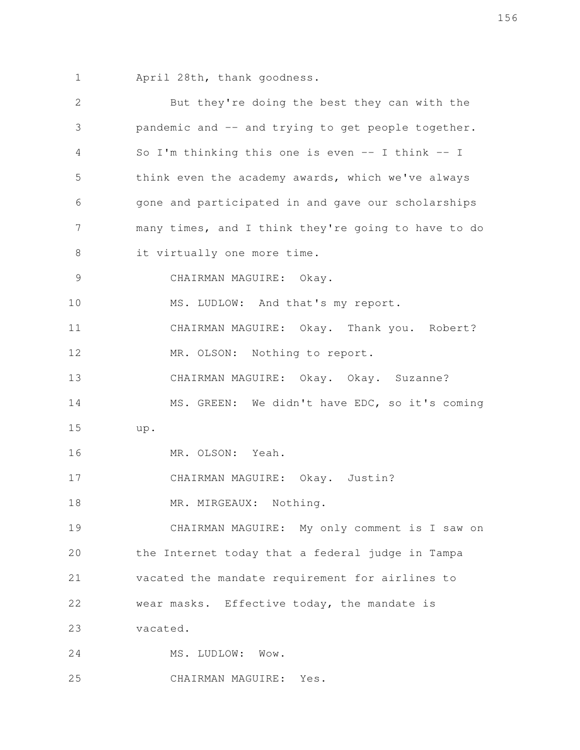April 28th, thank goodness. 1

| $\mathbf{2}$ | But they're doing the best they can with the         |
|--------------|------------------------------------------------------|
| 3            | pandemic and -- and trying to get people together.   |
| 4            | So I'm thinking this one is even $--$ I think $--$ I |
| 5            | think even the academy awards, which we've always    |
| 6            | gone and participated in and gave our scholarships   |
| 7            | many times, and I think they're going to have to do  |
| $\,8\,$      | it virtually one more time.                          |
| 9            | CHAIRMAN MAGUIRE: Okay.                              |
| 10           | MS. LUDLOW: And that's my report.                    |
| 11           | CHAIRMAN MAGUIRE: Okay. Thank you. Robert?           |
| 12           | MR. OLSON: Nothing to report.                        |
| 13           | CHAIRMAN MAGUIRE: Okay. Okay. Suzanne?               |
| 14           | MS. GREEN: We didn't have EDC, so it's coming        |
| 15           | up.                                                  |
| 16           | MR. OLSON: Yeah.                                     |
| 17           | CHAIRMAN MAGUIRE: Okay. Justin?                      |
| 18           | MR. MIRGEAUX: Nothing.                               |
| 19           | CHAIRMAN MAGUIRE: My only comment is I saw on        |
| 20           | the Internet today that a federal judge in Tampa     |
| 21           | vacated the mandate requirement for airlines to      |
| 22           | wear masks. Effective today, the mandate is          |
| 23           | vacated.                                             |
| 24           | MS. LUDLOW: Wow.                                     |
| 25           | CHAIRMAN MAGUIRE: Yes.                               |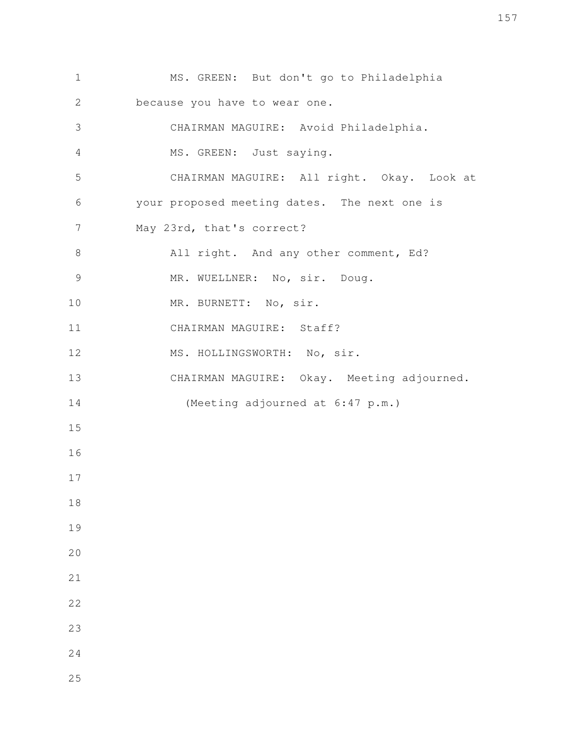MS. GREEN: But don't go to Philadelphia because you have to wear one. CHAIRMAN MAGUIRE: Avoid Philadelphia. MS. GREEN: Just saying. CHAIRMAN MAGUIRE: All right. Okay. Look at your proposed meeting dates. The next one is May 23rd, that's correct? All right. And any other comment, Ed? MR. WUELLNER: No, sir. Doug. MR. BURNETT: No, sir. CHAIRMAN MAGUIRE: Staff? MS. HOLLINGSWORTH: No, sir. CHAIRMAN MAGUIRE: Okay. Meeting adjourned. (Meeting adjourned at 6:47 p.m.)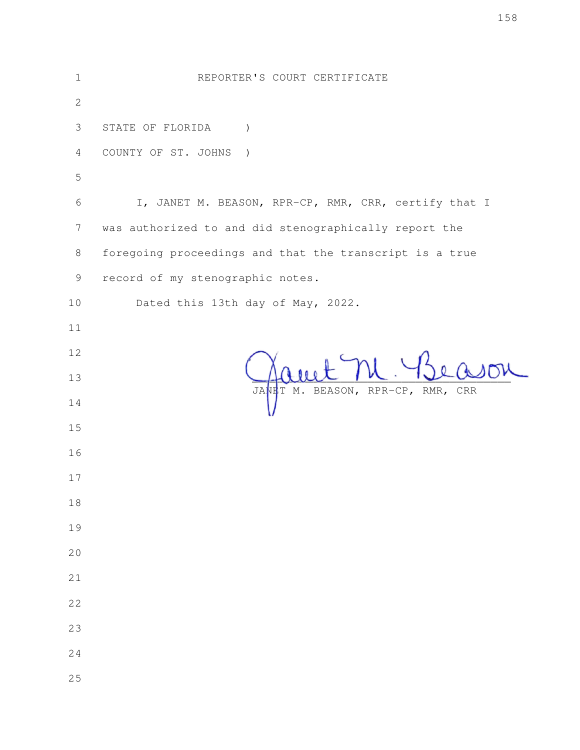| $\mathbf 1$    | REPORTER'S COURT CERTIFICATE                            |
|----------------|---------------------------------------------------------|
| $\mathbf{2}$   |                                                         |
| 3              | STATE OF FLORIDA<br>$\mathcal{L}$                       |
| $\overline{4}$ | COUNTY OF ST. JOHNS<br>$\rightarrow$                    |
| 5              |                                                         |
| 6              | I, JANET M. BEASON, RPR-CP, RMR, CRR, certify that I    |
| $\overline{7}$ | was authorized to and did stenographically report the   |
| 8              | foregoing proceedings and that the transcript is a true |
| $\mathsf 9$    | record of my stenographic notes.                        |
| 10             | Dated this 13th day of May, 2022.                       |
| 11             |                                                         |
| 12             |                                                         |
| 13             |                                                         |
| 14             | JANET M. BEASON, RPR-CP, RMR, CRR                       |
| 15             |                                                         |
| 16             |                                                         |
| 17             |                                                         |
| 18             |                                                         |
| 19             |                                                         |
| 20             |                                                         |
| 21             |                                                         |
| 22             |                                                         |
| 23             |                                                         |
| 24             |                                                         |
| 25             |                                                         |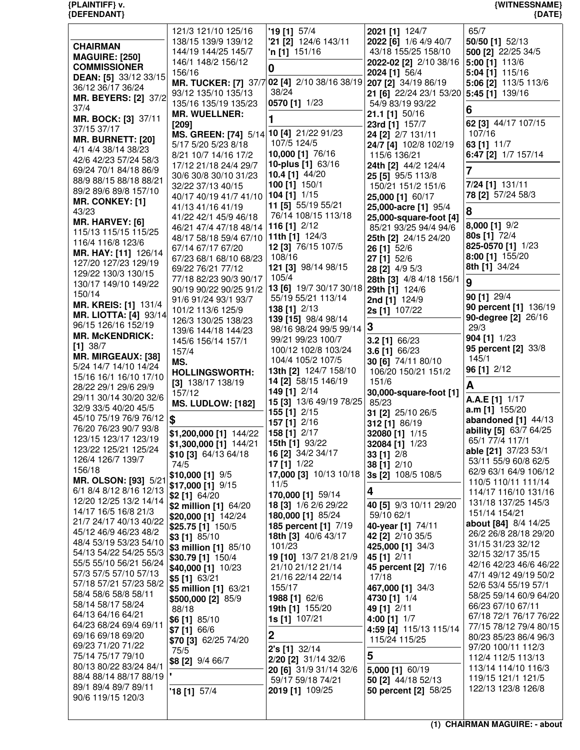| {PLAINTIFF} v.<br>{DEFENDANT}                      |                                             |                                             |                                                | {WITNESSNAME}<br>${DATE}$                       |
|----------------------------------------------------|---------------------------------------------|---------------------------------------------|------------------------------------------------|-------------------------------------------------|
|                                                    | 121/3 121/10 125/16                         | $'19$ [1] 57/4                              | 2021 [1] 124/7                                 | 65/7                                            |
|                                                    | 138/15 139/9 139/12                         | '21 [2] 124/6 143/11                        | 2022 [6] 1/6 4/9 40/7                          | 50/50 [1] 52/13                                 |
| <b>CHAIRMAN</b><br><b>MAGUIRE: [250]</b>           | 144/19 144/25 145/7                         | <b>'n [1]</b> 151/16                        | 43/18 155/25 158/10                            | 500 [2] 22/25 34/5                              |
| <b>COMMISSIONER</b>                                | 146/1 148/2 156/12                          | 0                                           | 2022-02 [2] 2/10 38/16 5:00 [1] 113/6          |                                                 |
| DEAN: [5] 33/12 33/15                              | 156/16                                      |                                             | 2024 [1] 56/4                                  | 5:04 [1] 115/16                                 |
| 36/12 36/17 36/24                                  | <b>MR. TUCKER: [7] 37/7</b>                 | 02 [4] 2/10 38/16 38/19 207 [2] 34/19 86/19 |                                                | 5:06 [2] 113/5 113/6                            |
| <b>MR. BEYERS: [2] 37/2</b>                        | 93/12 135/10 135/13<br>135/16 135/19 135/23 | 38/24<br>0570 [1] 1/23                      | 21 [6] 22/24 23/1 53/20                        | 5:45 [1] 139/16                                 |
| 37/4                                               | <b>MR. WUELLNER:</b>                        |                                             | 54/9 83/19 93/22<br>21.1 [1] 50/16             | 6                                               |
| MR. BOCK: [3] 37/11                                | [209]                                       | 1                                           | 23rd [1] 157/7                                 | 62 [3] 44/17 107/15                             |
| 37/15 37/17                                        | MS. GREEN: [74] 5/14                        | 10 [4] 21/22 91/23                          | 24 [2] 2/7 131/11                              | 107/16                                          |
| <b>MR. BURNETT: [20]</b>                           | 5/17 5/20 5/23 8/18                         | 107/5 124/5                                 | 24/7 [4] 102/8 102/19                          | 63 [1] 11/7                                     |
| 4/1 4/4 38/14 38/23<br>42/6 42/23 57/24 58/3       | 8/21 10/7 14/16 17/2                        | 10,000 [1] 76/16                            | 115/6 136/21                                   | 6:47 [2] 1/7 157/14                             |
| 69/24 70/1 84/18 86/9                              | 17/12 21/18 24/4 29/7                       | 10-plus [1] 63/16                           | 24th [2] 44/2 124/4                            | $\overline{7}$                                  |
| 88/9 88/15 88/18 88/21                             | 30/6 30/8 30/10 31/23                       | 10.4 [1] 44/20                              | 25 [5] 95/5 113/8                              |                                                 |
| 89/2 89/6 89/8 157/10                              | 32/22 37/13 40/15                           | 100 [1] 150/1<br>104 [1] 1/15               | 150/21 151/2 151/6                             | 7/24 [1] 131/11<br>78 [2] 57/24 58/3            |
| MR. CONKEY: [1]                                    | 40/17 40/19 41/7 41/10                      | 11 [5] 55/19 55/21                          | 25,000 [1] 60/17                               |                                                 |
| 43/23                                              | 41/13 41/16 41/19<br>41/22 42/1 45/9 46/18  | 76/14 108/15 113/18                         | 25,000-acre [1] 95/4<br>25,000-square-foot [4] | 8                                               |
| MR. HARVEY: [6]                                    | 46/21 47/4 47/18 48/14                      | 116 [1] 2/12                                | 85/21 93/25 94/4 94/6                          | 8,000 [1] 9/2                                   |
| 115/13 115/15 115/25                               | 48/17 58/18 59/4 67/10                      | 11th [1] 124/3                              | 25th [2] 24/15 24/20                           | 80s [1] 72/4                                    |
| 116/4 116/8 123/6                                  | 67/14 67/17 67/20                           | 12 [3] 76/15 107/5                          | 26 [1] 52/6                                    | 825-0570 [1] 1/23                               |
| MR. HAY: [11] 126/14<br>127/20 127/23 129/19       | 67/23 68/1 68/10 68/23                      | 108/16                                      | 27 [1] 52/6                                    | 8:00 [1] 155/20                                 |
| 129/22 130/3 130/15                                | 69/22 76/21 77/12                           | 121 [3] 98/14 98/15                         | 28 [2] 4/9 5/3                                 | 8th [1] 34/24                                   |
| 130/17 149/10 149/22                               | 77/18 82/23 90/3 90/17                      | 105/4                                       | 28th [3] 4/8 4/18 156/1                        | 9                                               |
| 150/14                                             | 90/19 90/22 90/25 91/2                      | 13 [6] 19/7 30/17 30/18                     | 29th [1] 124/6                                 | 90 [1] 29/4                                     |
| <b>MR. KREIS: [1] 131/4</b>                        | 91/6 91/24 93/1 93/7                        | 55/19 55/21 113/14<br>138 [1] 2/13          | 2nd [1] 124/9                                  | 90 percent [1] 136/19                           |
| <b>MR. LIOTTA: [4] 93/14</b>                       | 101/2 113/6 125/9<br>126/3 130/25 138/23    | 139 [15] 98/4 98/14                         | 2s [1] 107/22                                  | 90-degree [2] 26/16                             |
| 96/15 126/16 152/19                                | 139/6 144/18 144/23                         | 98/16 98/24 99/5 99/14                      | 3                                              | 29/3                                            |
| <b>MR. McKENDRICK:</b>                             | 145/6 156/14 157/1                          | 99/21 99/23 100/7                           | 3.2 [1] 66/23                                  | 904 [1] 1/23                                    |
| $[1]$ 38/7                                         | 157/4                                       | 100/12 102/8 103/24                         | 3.6 [1] 66/23                                  | 95 percent [2] 33/8                             |
| <b>MR. MIRGEAUX: [38]</b><br>5/24 14/7 14/10 14/24 | MS.                                         | 104/4 105/2 107/5                           | 30 [6] 74/11 80/10                             | 145/1                                           |
| 15/16 16/1 16/10 17/10                             | <b>HOLLINGSWORTH:</b>                       | 13th [2] 124/7 158/10                       | 106/20 150/21 151/2                            | 96 [1] 2/12                                     |
| 28/22 29/1 29/6 29/9                               | $[3]$ 138/17 138/19                         | 14 [2] 58/15 146/19                         | 151/6                                          | A                                               |
| 29/11 30/14 30/20 32/6                             | 157/12                                      | 149 [1] 2/14<br>15 [3] 13/6 49/19 78/25     | 30,000-square-foot [1]<br>85/23                | A.A.E [1] 1/17                                  |
| 32/9 33/5 40/20 45/5                               | <b>MS. LUDLOW: [182]</b>                    | 155 [1] 2/15                                | 31 [2] 25/10 26/5                              | $a.m$ [1] 155/20                                |
| 45/10 75/19 76/9 76/12                             | \$                                          | 157 [1] 2/16                                | 312 [1] 86/19                                  | abandoned $[1]$ 44/13                           |
| 76/20 76/23 90/7 93/8                              | \$1,200,000 [1] 144/22                      | 158 [1] 2/17                                | 32080 [1] 1/15                                 | ability [5] 63/7 64/25                          |
| 123/15 123/17 123/19                               | \$1,300,000 [1] 144/21                      | 15th [1] 93/22                              | 32084 [1] 1/23                                 | 65/1 77/4 117/1                                 |
| 123/22 125/21 125/24<br>126/4 126/7 139/7          | $$10$ [3] 64/13 64/18                       | 16 [2] 34/2 34/17                           | 33 [1] 2/8                                     | able [21] 37/23 53/1                            |
| 156/18                                             | 74/5                                        | 17 $[1]$ 1/22                               | 38 [1] 2/10                                    | 53/11 55/9 60/8 62/5<br>62/9 63/1 64/9 106/12   |
| MR. OLSON: [93] 5/21                               | \$10,000 [1] 9/5                            | 17,000 [3] 10/13 10/18                      | 3s [2] 108/5 108/5                             | 110/5 110/11 111/14                             |
| 6/1 8/4 8/12 8/16 12/13                            | \$17,000 [1] $9/15$                         | 11/5<br>170,000 [1] 59/14                   | 4                                              | 114/17 116/10 131/16                            |
| 12/20 12/25 13/2 14/14                             | \$2 [1] 64/20<br>\$2 million [1] 64/20      | 18 [3] 1/6 2/6 29/22                        | 40 [5] 9/3 10/11 29/20                         | 131/18 137/25 145/3                             |
| 14/17 16/5 16/8 21/3                               | \$20,000 [1] 142/24                         | 180,000 [1] 85/24                           | 59/10 62/1                                     | 151/14 154/21                                   |
| 21/7 24/17 40/13 40/22                             | \$25.75 [1] 150/5                           | 185 percent [1] 7/19                        | 40-year [1] 74/11                              | about [84] 8/4 14/25                            |
| 45/12 46/9 46/23 48/2                              | \$3 [1] 85/10                               | 18th [3] 40/6 43/17                         | 42 [2] 2/10 35/5                               | 26/2 26/8 28/18 29/20                           |
| 48/4 53/19 53/23 54/10                             | \$3 million [1] 85/10                       | 101/23                                      | 425,000 [1] 34/3                               | 31/15 31/23 32/12                               |
| 54/13 54/22 54/25 55/3<br>55/5 55/10 56/21 56/24   | \$30.79 [1] 150/4                           | 19 [10] 13/7 21/8 21/9                      | 45 [1] 2/11                                    | 32/15 32/17 35/15                               |
| 57/3 57/5 57/10 57/13                              | \$40,000 [1] 10/23                          | 21/10 21/12 21/14                           | 45 percent [2] 7/16                            | 42/16 42/23 46/6 46/22<br>47/1 49/12 49/19 50/2 |
| 57/18 57/21 57/23 58/2                             | \$5 [1] 63/21                               | 21/16 22/14 22/14                           | 17/18                                          | 52/6 53/4 55/19 57/1                            |
| 58/4 58/6 58/8 58/11                               | \$5 million [1] 63/21                       | 155/17                                      | 467,000 [1] 34/3<br>4730 [1] 1/4               | 58/25 59/14 60/9 64/20                          |
| 58/14 58/17 58/24                                  | \$500,000 [2] 85/9<br>88/18                 | 1988 [1] 62/6<br>19th [1] 155/20            | 49 [1] 2/11                                    | 66/23 67/10 67/11                               |
| 64/13 64/16 64/21                                  | $$6$ [1] 85/10                              | <b>1s [1]</b> 107/21                        | 4:00 [1] 1/7                                   | 67/18 72/1 76/17 76/22                          |
| 64/23 68/24 69/4 69/11                             | \$7 [1] 66/6                                |                                             | 4:59 [4] 115/13 115/14                         | 77/15 78/12 79/4 80/15                          |
| 69/16 69/18 69/20                                  | \$70 [3] 62/25 74/20                        | $\boldsymbol{2}$                            | 115/24 115/25                                  | 80/23 85/23 86/4 96/3                           |
| 69/23 71/20 71/22                                  | 75/5                                        | 2's [1] 32/14                               |                                                | 97/20 100/11 112/3                              |
| 75/14 75/17 79/10<br>80/13 80/22 83/24 84/1        | \$8 [2] 9/4 66/7                            | 2/20 [2] 31/14 32/6                         | 5                                              | 112/4 112/5 113/13                              |
| 88/4 88/14 88/17 88/19                             |                                             | 20 [6] 31/9 31/14 32/6                      | 5,000 [1] 60/19                                | 113/14 114/10 116/3                             |
| 89/1 89/4 89/7 89/11                               |                                             | 59/17 59/18 74/21                           | 50 [2] 44/18 52/13                             | 119/15 121/1 121/5<br>122/13 123/8 126/8        |
| $00/6$ 110/15 100/0                                | $'18$ [1] 57/4                              | 2019 [1] 109/25                             | 50 percent [2] 58/25                           |                                                 |

90/6 119/15 120/3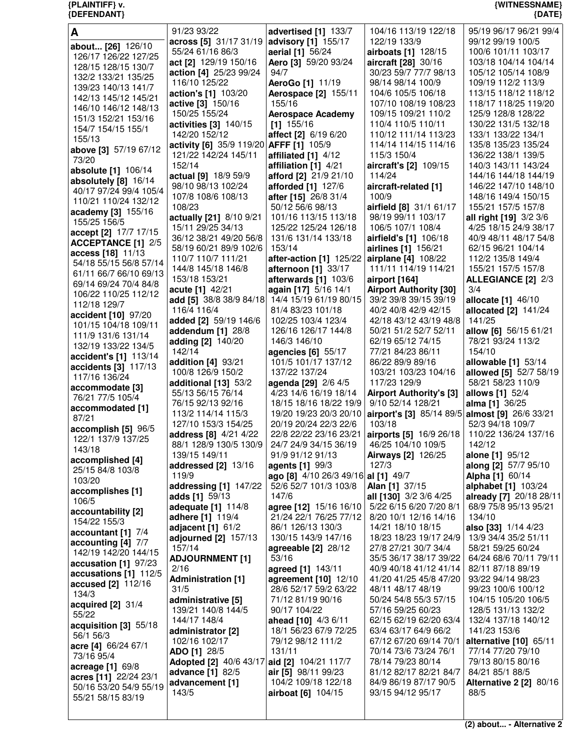| A                                                  | 91/23 93/22                                          | advertised [1] 133/7                                         | 104/16 113/19 122/18                                   | 95/19 96/17 96/21 99/4                       |
|----------------------------------------------------|------------------------------------------------------|--------------------------------------------------------------|--------------------------------------------------------|----------------------------------------------|
| about [26] 126/10                                  | across [5] 31/17 31/19                               | advisory [1] 155/17                                          | 122/19 133/9                                           | 99/12 99/19 100/5                            |
| 126/17 126/22 127/25                               | 55/24 61/16 86/3                                     | aerial [1] 56/24                                             | airboats [1] 128/15                                    | 100/6 101/11 103/17                          |
| 128/15 128/15 130/7                                | act [2] 129/19 150/16                                | Aero [3] 59/20 93/24                                         | aircraft [28] 30/16                                    | 103/18 104/14 104/14                         |
| 132/2 133/21 135/25                                | action [4] 25/23 99/24                               | 94/7                                                         | 30/23 59/7 77/7 98/13                                  | 105/12 105/14 108/9                          |
| 139/23 140/13 141/7                                | 116/10 125/22<br>action's [1] 103/20                 | AeroGo [1] 11/19<br>Aerospace [2] 155/11                     | 98/14 98/14 100/9<br>104/6 105/5 106/18                | 109/19 112/2 113/9<br>113/15 118/12 118/12   |
| 142/13 145/12 145/21                               | active [3] 150/16                                    | 155/16                                                       | 107/10 108/19 108/23                                   | 118/17 118/25 119/20                         |
| 146/10 146/12 148/13                               | 150/25 155/24                                        | <b>Aerospace Academy</b>                                     | 109/15 109/21 110/2                                    | 125/9 128/8 128/22                           |
| 151/3 152/21 153/16                                | activities [3] 140/15                                | $[1]$ 155/16                                                 | 110/4 110/5 110/11                                     | 130/22 131/5 132/18                          |
| 154/7 154/15 155/1<br>155/13                       | 142/20 152/12                                        | affect [2] 6/19 6/20                                         | 110/12 111/14 113/23                                   | 133/1 133/22 134/1                           |
| above [3] 57/19 67/12                              | activity [6] 35/9 119/20 AFFF [1] 105/9              |                                                              | 114/14 114/15 114/16                                   | 135/8 135/23 135/24                          |
| 73/20                                              | 121/22 142/24 145/11                                 | affiliated [1] 4/12                                          | 115/3 150/4                                            | 136/22 138/1 139/5                           |
| absolute [1] 106/14                                | 152/14                                               | affiliation [1] 4/21                                         | aircraft's [2] 109/15                                  | 140/3 143/11 143/24                          |
| absolutely [8] 16/14                               | actual [9] 18/9 59/9<br>98/10 98/13 102/24           | afford [2] 21/9 21/10                                        | 114/24                                                 | 144/16 144/18 144/19<br>146/22 147/10 148/10 |
| 40/17 97/24 99/4 105/4                             | 107/8 108/6 108/13                                   | afforded [1] 127/6<br>after [15] 26/8 31/4                   | aircraft-related [1]<br>100/9                          | 148/16 149/4 150/15                          |
| 110/21 110/24 132/12                               | 108/23                                               | 50/12 56/6 98/13                                             | airfield [8] 31/1 61/17                                | 155/21 157/5 157/8                           |
| academy [3] 155/16                                 | actually [21] 8/10 9/21                              | 101/16 113/15 113/18                                         | 98/19 99/11 103/17                                     | all right [19] 3/2 3/6                       |
| 155/25 156/5                                       | 15/11 29/25 34/13                                    | 125/22 125/24 126/18                                         | 106/5 107/1 108/4                                      | 4/25 18/15 24/9 38/17                        |
| accept [2] 17/7 17/15<br><b>ACCEPTANCE [1] 2/5</b> | 36/12 38/21 49/20 56/8                               | 131/6 131/14 133/18                                          | airfield's [1] 106/18                                  | 40/9 48/11 48/17 54/8                        |
| access [18] 11/13                                  | 58/19 60/21 89/9 102/6                               | 153/14                                                       | airlines [1] 156/21                                    | 62/15 96/21 104/14                           |
| 54/18 55/15 56/8 57/14                             | 110/7 110/7 111/21                                   | after-action [1] 125/22                                      | airplane [4] 108/22                                    | 112/2 135/8 149/4                            |
| 61/11 66/7 66/10 69/13                             | 144/8 145/18 146/8                                   | afternoon [1] 33/17                                          | 111/11 114/19 114/21                                   | 155/21 157/5 157/8                           |
| 69/14 69/24 70/4 84/8                              | 153/18 153/21                                        | afterwards [1] 103/6                                         | airport [164]                                          | <b>ALLEGIANCE [2] 2/3</b>                    |
| 106/22 110/25 112/12                               | acute [1] 42/21<br>add [5] 38/8 38/9 84/18           | again [17] 5/16 14/1<br>14/4 15/19 61/19 80/15               | <b>Airport Authority [30]</b><br>39/2 39/8 39/15 39/19 | 3/4<br>allocate [1] 46/10                    |
| 112/18 129/7                                       | 116/4 116/4                                          | 81/4 83/23 101/18                                            | 40/2 40/8 42/9 42/15                                   | allocated [2] 141/24                         |
| accident [10] 97/20                                | added [2] 59/19 146/6                                | 102/25 103/4 123/4                                           | 42/18 43/12 43/19 48/8                                 | 141/25                                       |
| 101/15 104/18 109/11                               | addendum [1] 28/8                                    | 126/16 126/17 144/8                                          | 50/21 51/2 52/7 52/11                                  | allow [6] 56/15 61/21                        |
| 111/9 131/6 131/14<br>132/19 133/22 134/5          | adding [2] 140/20                                    | 146/3 146/10                                                 | 62/19 65/12 74/15                                      | 78/21 93/24 113/2                            |
| accident's [1] 113/14                              | 142/14                                               | agencies [6] 55/17                                           | 77/21 84/23 86/11                                      | 154/10                                       |
| accidents [3] 117/13                               | addition [4] 93/21                                   | 101/5 101/17 137/12                                          | 86/22 89/9 89/16                                       | allowable [1] 53/14                          |
| 117/16 136/24                                      | 100/8 126/9 150/2                                    | 137/22 137/24                                                | 103/21 103/23 104/16                                   | allowed [5] 52/7 58/19                       |
| accommodate [3]                                    | additional [13] 53/2<br>55/13 56/15 76/14            | agenda [29] 2/6 4/5<br>4/23 14/6 16/19 18/14                 | 117/23 129/9<br><b>Airport Authority's [3]</b>         | 58/21 58/23 110/9<br>allows [1] 52/4         |
| 76/21 77/5 105/4                                   | 76/15 92/13 92/16                                    | 18/15 18/16 18/22 19/9                                       | 9/10 52/14 128/21                                      | <b>alma</b> [1] 36/25                        |
| accommodated [1]                                   | 113/2 114/14 115/3                                   | 19/20 19/23 20/3 20/10                                       | airport's [3] 85/14 89/5 almost [9] 26/6 33/21         |                                              |
| 87/21                                              | 127/10 153/3 154/25                                  | 20/19 20/24 22/3 22/6                                        | 103/18                                                 | 52/3 94/18 109/7                             |
| accomplish [5] 96/5<br>122/1 137/9 137/25          | address [8] 4/21 4/22                                | 22/8 22/22 23/16 23/21                                       | airports [5] 16/9 26/18                                | 110/22 136/24 137/16                         |
| 143/18                                             | 88/1 128/9 130/5 130/9                               | 24/7 24/9 34/15 36/19                                        | 46/25 104/10 109/5                                     | 142/12                                       |
| accomplished [4]                                   | 139/15 149/11                                        | 91/9 91/12 91/13                                             | Airways [2] 126/25                                     | alone [1] 95/12                              |
| 25/15 84/8 103/8                                   | addressed [2] 13/16                                  | agents [1] 99/3                                              | 127/3                                                  | along [2] 57/7 95/10                         |
| 103/20                                             | 119/9<br>addressing [1] 147/22                       | ago [8] 4/10 26/3 49/16 al [1] 49/7<br>52/6 52/7 101/3 103/8 | Alan [1] 37/15                                         | Alpha [1] 60/14<br>alphabet [1] 103/24       |
| accomplishes [1]                                   | adds [1] 59/13                                       | 147/6                                                        | all [130] 3/2 3/6 4/25                                 | already [7] 20/18 28/11                      |
| 106/5                                              | adequate [1] 114/8                                   | agree [12] 15/16 16/10                                       | 5/22 6/15 6/20 7/20 8/1                                | 68/9 75/8 95/13 95/21                        |
| accountability [2]<br>154/22 155/3                 | adhere [1] 119/4                                     | 21/24 22/1 76/25 77/12                                       | 8/20 10/1 12/16 14/16                                  | 134/10                                       |
| accountant [1] 7/4                                 | adjacent $[1]$ 61/2                                  | 86/1 126/13 130/3                                            | 14/21 18/10 18/15                                      | also [33] 1/14 4/23                          |
| accounting [4] 7/7                                 | adjourned [2] 157/13                                 | 130/15 143/9 147/16                                          | 18/23 18/23 19/17 24/9                                 | 13/9 34/4 35/2 51/11                         |
| 142/19 142/20 144/15                               | 157/14                                               | agreeable $[2]$ 28/12                                        | 27/8 27/21 30/7 34/4                                   | 58/21 59/25 60/24                            |
| accusation [1] 97/23                               | <b>ADJOURNMENT [1]</b>                               | 53/16                                                        | 35/5 36/17 38/17 39/22                                 | 64/24 68/6 70/11 79/11                       |
| accusations [1] 112/5                              | 2/16<br><b>Administration [1]</b>                    | agreed [1] 143/11<br>agreement [10] 12/10                    | 40/9 40/18 41/12 41/14<br>41/20 41/25 45/8 47/20       | 82/11 87/18 89/19<br>93/22 94/14 98/23       |
| accused [2] 112/16                                 | 31/5                                                 | 28/6 52/17 59/2 63/22                                        | 48/11 48/17 48/19                                      | 99/23 100/6 100/12                           |
| 134/3                                              | administrative [5]                                   | 71/12 81/19 90/16                                            | 50/24 54/8 55/3 57/15                                  | 104/15 105/20 106/5                          |
| acquired [2] 31/4<br>55/22                         | 139/21 140/8 144/5                                   | 90/17 104/22                                                 | 57/16 59/25 60/23                                      | 128/5 131/13 132/2                           |
| acquisition [3] 55/18                              | 144/17 148/4                                         | ahead [10] 4/3 6/11                                          | 62/15 62/19 62/20 63/4                                 | 132/4 137/18 140/12                          |
| 56/1 56/3                                          | administrator [2]                                    | 18/1 56/23 67/9 72/25                                        | 63/4 63/17 64/9 66/2                                   | 141/23 153/6                                 |
| acre [4] 66/24 67/1                                | 102/16 102/17                                        | 79/12 98/12 111/2                                            | 67/12 67/20 69/14 70/1                                 | alternative [10] 65/11                       |
| 73/16 95/4                                         | <b>ADO [1] 28/5</b><br><b>Adopted [2] 40/6 43/17</b> | 131/11<br>aid [2] 104/21 117/7                               | 70/14 73/6 73/24 76/1<br>78/14 79/23 80/14             | 77/14 77/20 79/10<br>79/13 80/15 80/16       |
| acreage [1] 69/8                                   | advance [1] 82/5                                     | air [5] 98/11 99/23                                          | 81/12 82/17 82/21 84/7                                 | 84/21 85/1 88/5                              |
| acres [11] 22/24 23/1<br>50/16 53/20 54/9 55/19    | advancement [1]                                      | 104/2 109/18 122/18                                          | 84/9 86/19 87/17 90/5                                  | <b>Alternative 2 [2] 80/16</b>               |
| 55/21 58/15 83/19                                  | 143/5                                                | airboat [6] 104/15                                           | 93/15 94/12 95/17                                      | 88/5                                         |
|                                                    |                                                      |                                                              |                                                        |                                              |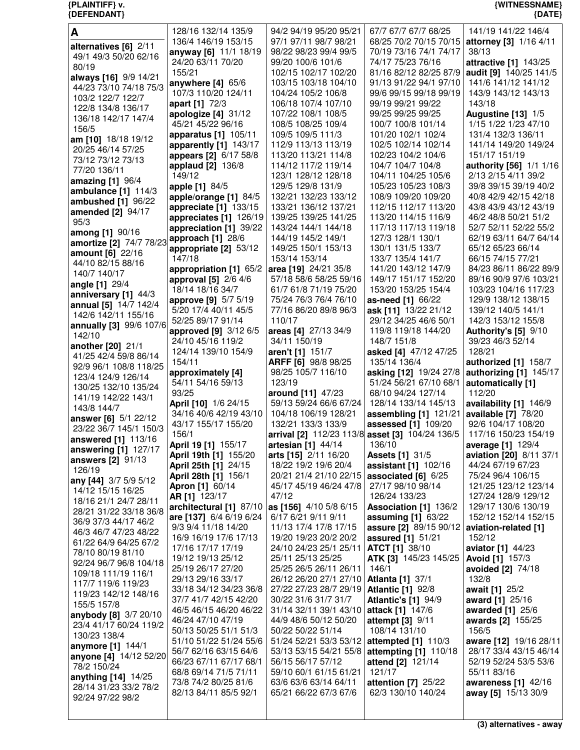| A                                                   | 128/16 132/14 135/9                            | 94/2 94/19 95/20 95/21                           | 67/7 67/7 67/7 68/25                                   | 141/19 141/22 146/4                             |
|-----------------------------------------------------|------------------------------------------------|--------------------------------------------------|--------------------------------------------------------|-------------------------------------------------|
| alternatives [6] 2/11                               | 136/4 146/19 153/15                            | 97/1 97/11 98/7 98/21                            | 68/25 70/2 70/15 70/15                                 | attorney [3] 1/16 4/11                          |
| 49/1 49/3 50/20 62/16                               | anyway [6] 11/1 18/19                          | 98/22 98/23 99/4 99/5                            | 70/19 73/16 74/1 74/17                                 | 38/13                                           |
| 80/19                                               | 24/20 63/11 70/20<br>155/21                    | 99/20 100/6 101/6<br>102/15 102/17 102/20        | 74/17 75/23 76/16<br>81/16 82/12 82/25 87/9            | attractive [1] 143/25                           |
| always [16] 9/9 14/21                               | anywhere $[4]$ 65/6                            | 103/15 103/18 104/10                             | 91/13 91/22 94/1 97/10                                 | audit [9] 140/25 141/5<br>141/6 141/12 141/12   |
| 44/23 73/10 74/18 75/3                              | 107/3 110/20 124/11                            | 104/24 105/2 106/8                               | 99/6 99/15 99/18 99/19                                 | 143/9 143/12 143/13                             |
| 103/2 122/7 122/7                                   | apart [1] 72/3                                 | 106/18 107/4 107/10                              | 99/19 99/21 99/22                                      | 143/18                                          |
| 122/8 134/8 136/17                                  | apologize [4] 31/12                            | 107/22 108/1 108/5                               | 99/25 99/25 99/25                                      | Augustine [13] 1/5                              |
| 136/18 142/17 147/4                                 | 45/21 45/22 96/16                              | 108/5 108/25 109/4                               | 100/7 100/8 101/14                                     | 1/15 1/22 1/23 47/10                            |
| 156/5                                               | apparatus [1] 105/11                           | 109/5 109/5 111/3                                | 101/20 102/1 102/4                                     | 131/4 132/3 136/11                              |
| am [10] 18/18 19/12<br>20/25 46/14 57/25            | apparently [1] 143/17                          | 112/9 113/13 113/19                              | 102/5 102/14 102/14                                    | 141/14 149/20 149/24                            |
| 73/12 73/12 73/13                                   | appears [2] 6/17 58/8                          | 113/20 113/21 114/8                              | 102/23 104/2 104/6                                     | 151/17 151/19                                   |
| 77/20 136/11                                        | applaud [2] 136/8                              | 114/12 117/2 119/14                              | 104/7 104/7 104/8                                      | authority [56] 1/1 1/16                         |
| amazing [1] 96/4                                    | 149/12                                         | 123/1 128/12 128/18                              | 104/11 104/25 105/6                                    | 2/13 2/15 4/11 39/2                             |
| ambulance $[1]$ 114/3                               | apple [1] 84/5                                 | 129/5 129/8 131/9                                | 105/23 105/23 108/3                                    | 39/8 39/15 39/19 40/2                           |
| ambushed [1] 96/22                                  | apple/orange [1] 84/5                          | 132/21 132/23 133/12                             | 108/9 109/20 109/20                                    | 40/8 42/9 42/15 42/18                           |
| amended [2] 94/17                                   | appreciate [1] 133/15                          | 133/21 136/12 137/21                             | 112/15 112/17 113/20                                   | 43/8 43/9 43/12 43/19                           |
| 95/3                                                | appreciates [1] 126/19                         | 139/25 139/25 141/25<br>143/24 144/1 144/18      | 113/20 114/15 116/9<br>117/13 117/13 119/18            | 46/2 48/8 50/21 51/2                            |
| among [1] 90/16                                     | appreciation [1] 39/22                         | 144/19 145/2 149/1                               | 127/3 128/1 130/1                                      | 52/7 52/11 52/22 55/2<br>62/19 63/11 64/7 64/14 |
| amortize [2] 74/7 78/23 approach [1] 28/6           | appropriate [2] 53/12                          | 149/25 150/1 153/13                              | 130/1 131/5 133/7                                      | 65/12 65/23 66/14                               |
| amount [6] 22/16                                    | 147/18                                         | 153/14 153/14                                    | 133/7 135/4 141/7                                      | 66/15 74/15 77/21                               |
| 44/10 82/15 88/16                                   | appropriation [1] 65/2                         | area [19] 24/21 35/8                             | 141/20 143/12 147/9                                    | 84/23 86/11 86/22 89/9                          |
| 140/7 140/17                                        | approval [5] 2/6 4/6                           | 57/18 58/6 58/25 59/16                           | 149/17 151/17 152/20                                   | 89/16 90/9 97/6 103/21                          |
| angle [1] 29/4                                      | 18/14 18/16 34/7                               | 61/7 61/8 71/19 75/20                            | 153/20 153/25 154/4                                    | 103/23 104/16 117/23                            |
| anniversary [1] 44/3                                | approve [9] 5/7 5/19                           | 75/24 76/3 76/4 76/10                            | as-need [1] 66/22                                      | 129/9 138/12 138/15                             |
| <b>annual</b> [5] 14/7 142/4<br>142/6 142/11 155/16 | 5/20 17/4 40/11 45/5                           | 77/16 86/20 89/8 96/3                            | ask [11] 13/22 21/12                                   | 139/12 140/5 141/1                              |
| annually [3] 99/6 107/6                             | 52/25 89/17 91/14                              | 110/17                                           | 29/12 34/25 46/6 50/1                                  | 142/3 153/12 155/8                              |
| 142/10                                              | approved [9] 3/12 6/5                          | areas [4] 27/13 34/9                             | 119/8 119/18 144/20                                    | Authority's [5] 9/10                            |
| another [20] 21/1                                   | 24/10 45/16 119/2                              | 34/11 150/19                                     | 148/7 151/8                                            | 39/23 46/3 52/14                                |
| 41/25 42/4 59/8 86/14                               | 124/14 139/10 154/9<br>154/11                  | aren't [1] 151/7<br>ARFF [6] 98/8 98/25          | asked [4] 47/12 47/25<br>135/14 136/4                  | 128/21<br>authorized [1] 158/7                  |
| 92/9 96/1 108/8 118/25                              | approximately [4]                              | 98/25 105/7 116/10                               | asking [12] 19/24 27/8                                 | authorizing [1] 145/17                          |
| 123/4 124/9 126/14                                  | 54/11 54/16 59/13                              | 123/19                                           | 51/24 56/21 67/10 68/1                                 | automatically [1]                               |
| 130/25 132/10 135/24                                | 93/25                                          | around [11] 47/23                                | 68/10 94/24 127/14                                     | 112/20                                          |
| 141/19 142/22 143/1                                 | April [10] 1/6 24/15                           | 59/13 59/24 66/6 67/24                           | 128/14 133/14 145/13                                   | availability [1] 146/9                          |
| 143/8 144/7<br>answer [6] 5/1 22/12                 | 34/16 40/6 42/19 43/10                         | 104/18 106/19 128/21                             | assembling [1] 121/21                                  | available [7] 78/20                             |
| 23/22 36/7 145/1 150/3                              | 43/17 155/17 155/20                            | 132/21 133/3 133/9                               | assessed [1] 109/20                                    | 92/6 104/17 108/20                              |
| answered [1] 113/16                                 | 156/1                                          | arrival [2] 112/23 113/8 asset [3] 104/24 136/5  |                                                        | 117/16 150/23 154/19                            |
| answering [1] 127/17                                | April 19 [1] 155/17                            | artesian [1] 44/14                               | 136/10                                                 | average [1] 129/4                               |
| answers [2] 91/13                                   | April 19th [1] 155/20                          | arts [15] 2/11 16/20                             | <b>Assets [1] 31/5</b>                                 | aviation [20] 8/11 37/1                         |
| 126/19                                              | April 25th [1] 24/15                           | 18/22 19/2 19/6 20/4                             | assistant [1] 102/16                                   | 44/24 67/19 67/23                               |
| any [44] 3/7 5/9 5/12                               | <b>April 28th [1] 156/1</b><br>Apron [1] 60/14 | 20/21 21/4 21/10 22/15<br>45/17 45/19 46/24 47/8 | associated $[6]$ 6/25<br>27/17 98/10 98/14             | 75/24 96/4 106/15<br>121/25 123/12 123/14       |
| 14/12 15/15 16/25                                   | AR [1] 123/17                                  | 47/12                                            | 126/24 133/23                                          | 127/24 128/9 129/12                             |
| 18/16 21/1 24/7 28/11                               | architectural [1] 87/10                        | as [156] 4/10 5/8 6/15                           | Association [1] 136/2                                  | 129/17 130/6 130/19                             |
| 28/21 31/22 33/18 36/8                              | are [137] 6/4 6/19 6/24                        | 6/17 6/21 9/11 9/11                              | assuming [1] 63/22                                     | 152/12 152/14 152/15                            |
| 36/9 37/3 44/17 46/2<br>46/3 46/7 47/23 48/22       | 9/3 9/4 11/18 14/20                            | 11/13 17/4 17/8 17/15                            | assure [2] 89/15 90/12                                 | aviation-related [1]                            |
| 61/22 64/9 64/25 67/2                               | 16/9 16/19 17/6 17/13                          | 19/20 19/23 20/2 20/2                            | assured [1] 51/21                                      | 152/12                                          |
| 78/10 80/19 81/10                                   | 17/16 17/17 17/19                              | 24/10 24/23 25/1 25/11                           | <b>ATCT</b> [1] 38/10                                  | aviator [1] 44/23                               |
| 92/24 96/7 96/8 104/18                              | 19/12 19/13 25/12                              | 25/11 25/13 25/25                                | ATK [3] 145/23 145/25                                  | <b>Avoid [1] 157/3</b>                          |
| 109/18 111/19 116/1                                 | 25/19 26/17 27/20                              | 25/25 26/5 26/11 26/11                           | 146/1                                                  | avoided [2] 74/18                               |
| 117/7 119/6 119/23                                  | 29/13 29/16 33/17<br>33/18 34/12 34/23 36/8    | 26/12 26/20 27/1 27/10<br>27/22 27/23 28/7 29/19 | <b>Atlanta [1] 37/1</b>                                | 132/8                                           |
| 119/23 142/12 148/16                                | 37/7 41/7 42/15 42/20                          | 30/22 31/6 31/7 31/7                             | <b>Atlantic [1] 92/8</b><br><b>Atlantic's [1] 94/9</b> | await [1] 25/2<br><b>award</b> [1] 25/16        |
| 155/5 157/8                                         | 46/5 46/15 46/20 46/22                         | 31/14 32/11 39/1 43/10 attack [1] 147/6          |                                                        | awarded [1] 25/6                                |
| anybody [8] 3/7 20/10                               | 46/24 47/10 47/19                              | 44/9 48/6 50/12 50/20                            | attempt [3] 9/11                                       | awards [2] 155/25                               |
| 23/4 41/17 60/24 119/2                              | 50/13 50/25 51/1 51/3                          | 50/22 50/22 51/14                                | 108/14 131/10                                          | 156/5                                           |
| 130/23 138/4                                        | 51/10 51/22 51/24 55/6                         | 51/24 52/21 53/3 53/12                           | attempted $[1]$ 110/3                                  | aware [12] 19/16 28/11                          |
| anymore [1] 144/1<br>anyone [4] 14/12 52/20         | 56/7 62/16 63/15 64/6                          | 53/13 53/15 54/21 55/8                           | attempting [1] 110/18                                  | 28/17 33/4 43/15 46/14                          |
| 78/2 150/24                                         | 66/23 67/11 67/17 68/1                         | 56/15 56/17 57/12                                | attend [2] 121/14                                      | 52/19 52/24 53/5 53/6                           |
| anything [14] 14/25                                 | 68/8 69/14 71/5 71/11                          | 59/10 60/1 61/15 61/21                           | 121/17                                                 | 55/11 83/16                                     |
|                                                     |                                                |                                                  |                                                        |                                                 |
| 28/14 31/23 33/2 78/2                               | 73/8 74/2 80/25 81/6                           | 63/6 63/6 63/14 64/11                            | attention [7] 25/22                                    | awareness [1] 42/16                             |
| 92/24 97/22 98/2                                    | 82/13 84/11 85/5 92/1                          | 65/21 66/22 67/3 67/6                            | 62/3 130/10 140/24                                     | away [5] 15/13 30/9                             |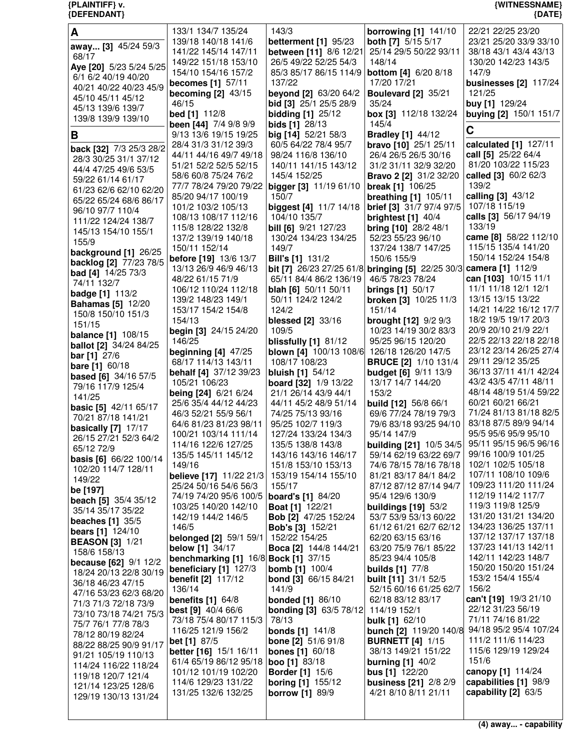| {DEFENDANT}                                      |                                                                      |                                                    |                                                          | ${$ (DATE)                                     |
|--------------------------------------------------|----------------------------------------------------------------------|----------------------------------------------------|----------------------------------------------------------|------------------------------------------------|
| A                                                | 133/1 134/7 135/24                                                   | 143/3                                              | <b>borrowing [1] 141/10</b>                              | 22/21 22/25 23/20                              |
| away [3] 45/24 59/3                              | 139/18 140/18 141/6                                                  | betterment [1] 95/23                               | <b>both [7]</b> 5/15 5/17                                | 23/21 25/20 33/9 33/10                         |
| 68/17                                            | 141/22 145/14 147/11                                                 | between [11] 8/6 12/21                             | 25/14 29/5 50/22 93/11                                   | 38/18 43/1 43/4 43/13                          |
| Aye [20] 5/23 5/24 5/25                          | 149/22 151/18 153/10                                                 | 26/5 49/22 52/25 54/3                              | 148/14                                                   | 130/20 142/23 143/5                            |
| 6/1 6/2 40/19 40/20                              | 154/10 154/16 157/2                                                  | 85/3 85/17 86/15 114/9                             | <b>bottom</b> [4] 6/20 8/18                              | 147/9                                          |
| 40/21 40/22 40/23 45/9                           | becomes [1] 57/11                                                    | 137/22                                             | 17/20 17/21                                              | businesses [2] 117/24                          |
| 45/10 45/11 45/12                                | becoming $[2]$ 43/15                                                 | beyond [2] 63/20 64/2                              | <b>Boulevard [2] 35/21</b>                               | 121/25                                         |
| 45/13 139/6 139/7                                | 46/15<br>bed [1] 112/8                                               | bid [3] 25/1 25/5 28/9<br><b>bidding [1] 25/12</b> | 35/24<br>box [3] 112/18 132/24                           | buy [1] 129/24<br>buying [2] 150/1 151/7       |
| 139/8 139/9 139/10                               | been [44] 7/4 9/8 9/9                                                | bids [1] 28/13                                     | 145/4                                                    |                                                |
| В                                                | 9/13 13/6 19/15 19/25                                                | big [14] 52/21 58/3                                | <b>Bradley [1] 44/12</b>                                 | C                                              |
|                                                  | 28/4 31/3 31/12 39/3                                                 | 60/5 64/22 78/4 95/7                               | bravo [10] 25/1 25/11                                    | calculated [1] 127/11                          |
| back [32] 7/3 25/3 28/2<br>28/3 30/25 31/1 37/12 | 44/11 44/16 49/7 49/18                                               | 98/24 116/8 136/10                                 | 26/4 26/5 26/5 30/16                                     | call [5] 25/22 64/4                            |
| 44/4 47/25 49/6 53/5                             | 51/21 52/2 52/5 52/15                                                | 140/11 141/15 143/12                               | 31/2 31/11 32/9 32/20                                    | 81/20 103/22 115/23                            |
| 59/22 61/14 61/17                                | 58/6 60/8 75/24 76/2                                                 | 145/4 152/25                                       | Bravo 2 [2] 31/2 32/20                                   | called [3] 60/2 62/3                           |
| 61/23 62/6 62/10 62/20                           | 77/7 78/24 79/20 79/22                                               | bigger [3] 11/19 61/10                             | break [1] 106/25                                         | 139/2                                          |
| 65/22 65/24 68/6 86/17                           | 85/20 94/17 100/19                                                   | 150/7                                              | <b>breathing [1] 105/11</b>                              | calling [3] 43/12                              |
| 96/10 97/7 110/4                                 | 101/2 103/2 105/13                                                   | <b>biggest</b> [4] 11/7 14/18                      | <b>brief</b> [3] 31/7 97/4 97/5                          | 107/18 115/19                                  |
| 111/22 124/24 138/7                              | 108/13 108/17 112/16                                                 | 104/10 135/7                                       | brightest [1] 40/4                                       | calls [3] 56/17 94/19<br>133/19                |
| 145/13 154/10 155/1                              | 115/8 128/22 132/8<br>137/2 139/19 140/18                            | bill [6] 9/21 127/23<br>130/24 134/23 134/25       | bring [10] 28/2 48/1<br>52/23 55/23 96/10                | came [8] 58/22 112/10                          |
| 155/9                                            | 150/11 152/14                                                        | 149/7                                              | 137/24 138/7 147/25                                      | 115/15 135/4 141/20                            |
| background [1] 26/25                             | before [19] 13/6 13/7                                                | <b>Bill's [1] 131/2</b>                            | 150/6 155/9                                              | 150/14 152/24 154/8                            |
| backlog [2] 77/23 78/5                           | 13/13 26/9 46/9 46/13                                                | bit [7] 26/23 27/25 61/8                           | <b>bringing [5] 22/25 30/3</b>                           | camera [1] 112/9                               |
| bad [4] 14/25 73/3<br>74/11 132/7                | 48/22 61/15 71/9                                                     | 65/11 84/4 86/2 136/19                             | 46/5 78/23 78/24                                         | can [103] 10/15 11/1                           |
| <b>badge</b> [1] 113/2                           | 106/12 110/24 112/18                                                 | <b>blah [6]</b> 50/11 50/11                        | <b>brings [1] 50/17</b>                                  | 11/1 11/18 12/1 12/1                           |
| <b>Bahamas</b> [5] 12/20                         | 139/2 148/23 149/1                                                   | 50/11 124/2 124/2                                  | broken [3] 10/25 11/3                                    | 13/15 13/15 13/22                              |
| 150/8 150/10 151/3                               | 153/17 154/2 154/8                                                   | 124/2                                              | 151/14                                                   | 14/21 14/22 16/12 17/7                         |
| 151/15                                           | 154/13                                                               | blessed [2] 33/16                                  | <b>brought [12]</b> 9/2 9/3                              | 18/2 19/5 19/17 20/3                           |
| <b>balance</b> [1] 108/15                        | begin [3] 24/15 24/20                                                | 109/5                                              | 10/23 14/19 30/2 83/3                                    | 20/9 20/10 21/9 22/1<br>22/5 22/13 22/18 22/18 |
| ballot [2] 34/24 84/25                           | 146/25<br>beginning $[4]$ 47/25                                      | blissfully $[1]$ 81/12<br>blown [4] 100/13 108/6   | 95/25 96/15 120/20<br>126/18 126/20 147/5                | 23/12 23/14 26/25 27/4                         |
| <b>bar</b> [1] $27/6$                            | 68/17 114/13 143/11                                                  | 108/17 108/23                                      | <b>BRUCE [2] 1/10 131/4</b>                              | 29/11 29/12 35/25                              |
| <b>bare</b> [1] $60/18$                          | behalf [4] 37/12 39/23                                               | <b>bluish [1]</b> 54/12                            | <b>budget [6] 9/11 13/9</b>                              | 36/13 37/11 41/1 42/24                         |
| <b>based</b> [6] 34/16 57/5<br>79/16 117/9 125/4 | 105/21 106/23                                                        | <b>board</b> [32] 1/9 13/22                        | 13/17 14/7 144/20                                        | 43/2 43/5 47/11 48/11                          |
| 141/25                                           | being [24] 6/21 6/24                                                 | 21/1 26/14 43/9 44/1                               | 153/2                                                    | 48/14 48/19 51/4 59/22                         |
| <b>basic [5]</b> 42/11 65/17                     | 25/6 35/4 44/12 44/23                                                | 44/11 45/2 48/9 51/14                              | <b>build [12]</b> 56/8 66/1                              | 60/21 60/21 66/21                              |
| 70/21 87/18 141/21                               | 46/3 52/21 55/9 56/1                                                 | 74/25 75/13 93/16                                  | 69/6 77/24 78/19 79/3                                    | 71/24 81/13 81/18 82/5                         |
| basically [7] 17/17                              | 64/6 81/23 81/23 98/11                                               | 95/25 102/7 119/3                                  | 79/6 83/18 93/25 94/10                                   | 83/18 87/5 89/9 94/14                          |
| 26/15 27/21 52/3 64/2                            | 100/21 103/14 111/14                                                 | 127/24 133/24 134/3                                | 95/14 147/9                                              | 95/5 95/6 95/9 95/10                           |
| 65/12 72/9                                       | 114/16 122/6 127/25                                                  | 135/5 138/8 143/8                                  | <b>building [21] 10/5 34/5</b><br>59/14 62/19 63/22 69/7 | 95/11 95/15 96/5 96/16<br>99/16 100/9 101/25   |
| basis [6] 66/22 100/14                           | 135/5 145/11 145/12<br>149/16                                        | 143/16 143/16 146/17<br>151/8 153/10 153/13        | 74/6 78/15 78/16 78/18                                   | 102/1 102/5 105/18                             |
| 102/20 114/7 128/11                              | believe [17] 11/22 21/3                                              | 153/19 154/14 155/10                               | 81/21 83/17 84/1 84/2                                    | 107/11 108/10 109/6                            |
| 149/22                                           | 25/24 50/16 54/6 56/3                                                | 155/17                                             | 87/12 87/12 87/14 94/7                                   | 109/23 111/20 111/24                           |
| be [197]<br>beach [5] 35/4 35/12                 | 74/19 74/20 95/6 100/5                                               | board's [1] 84/20                                  | 95/4 129/6 130/9                                         | 112/19 114/2 117/7                             |
| 35/14 35/17 35/22                                | 103/25 140/20 142/10                                                 | <b>Boat [1] 122/21</b>                             | <b>buildings [19] 53/2</b>                               | 119/3 119/8 125/9                              |
| <b>beaches</b> [1] 35/5                          | 142/19 144/2 146/5                                                   | Bob [2] 47/25 152/24                               | 53/7 53/9 53/13 60/22                                    | 131/20 131/21 134/20                           |
| <b>bears</b> [1] $124/10$                        | 146/5                                                                | <b>Bob's [3] 152/21</b>                            | 61/12 61/21 62/7 62/12                                   | 134/23 136/25 137/11                           |
| <b>BEASON [3] 1/21</b>                           | belonged [2] 59/1 59/1                                               | 152/22 154/25                                      | 62/20 63/15 63/16                                        | 137/12 137/17 137/18                           |
| 158/6 158/13                                     | <b>below</b> [1] 34/17                                               | Boca [2] 144/8 144/21                              | 63/20 75/9 76/1 85/22                                    | 137/23 141/13 142/11<br>142/11 142/23 148/7    |
| <b>because</b> $[62]$ $9/1$ $12/2$               | <b>benchmarking [1] 16/8 Bock [1] 37/15</b><br>beneficiary [1] 127/3 | <b>bomb</b> [1] 100/4                              | 85/23 94/4 105/8<br><b>builds [1] 77/8</b>               | 150/20 150/20 151/24                           |
| 18/24 20/13 22/8 30/19                           | <b>benefit [2] 117/12</b>                                            | <b>bond</b> [3] 66/15 84/21                        | <b>built [11]</b> 31/1 52/5                              | 153/2 154/4 155/4                              |
| 36/18 46/23 47/15                                | 136/14                                                               | 141/9                                              | 52/15 60/16 61/25 62/7                                   | 156/2                                          |
| 47/16 53/23 62/3 68/20                           | benefits $[1]$ 64/8                                                  | <b>bonded</b> [1] 86/10                            | 62/18 83/12 83/17                                        | can't [19] 19/3 21/10                          |
| 71/3 71/3 72/18 73/9<br>73/10 73/18 74/21 75/3   | <b>best [9]</b> 40/4 66/6                                            | <b>bonding [3] 63/5 78/12</b>                      | 114/19 152/1                                             | 22/12 31/23 56/19                              |
| 75/7 76/1 77/8 78/3                              | 73/18 75/4 80/17 115/3                                               | 78/13                                              | <b>bulk [1] 62/10</b>                                    | 71/11 74/16 81/22                              |
| 78/12 80/19 82/24                                | 116/25 121/9 156/2                                                   | <b>bonds</b> [1] 141/8                             | bunch [2] 119/20 140/8                                   | 94/18 95/2 95/4 107/24                         |
| 88/22 88/25 90/9 91/17                           | <b>bet [1]</b> 87/5                                                  | <b>bone [2]</b> 51/6 91/8                          | <b>BURNETT</b> [4] 1/15                                  | 111/2 111/6 114/23                             |
| 91/21 105/19 110/13                              | <b>better</b> [16] 15/1 16/11                                        | <b>bones</b> [1] 60/18                             | 38/13 149/21 151/22                                      | 115/6 129/19 129/24                            |
| 114/24 116/22 118/24                             | 61/4 65/19 86/12 95/18                                               | <b>boo</b> [1] $83/18$                             | burning $[1]$ 40/2                                       | 151/6<br>canopy [1] 114/24                     |
| 119/18 120/7 121/4                               | 101/12 101/19 102/20<br>114/6 129/23 131/22                          | <b>Border</b> [1] 15/6<br><b>boring [1] 155/12</b> | <b>bus</b> [1] $122/20$<br>business [21] 2/8 2/9         | capabilities [1] 98/9                          |
| 121/14 123/25 128/6                              | 131/25 132/6 132/25                                                  | <b>borrow</b> [1] 89/9                             | 4/21 8/10 8/11 21/11                                     | capability [2] 63/5                            |
| 129/19 130/13 131/24                             |                                                                      |                                                    |                                                          |                                                |

**{PLAINTIFF} v. {WITNESSNAME}**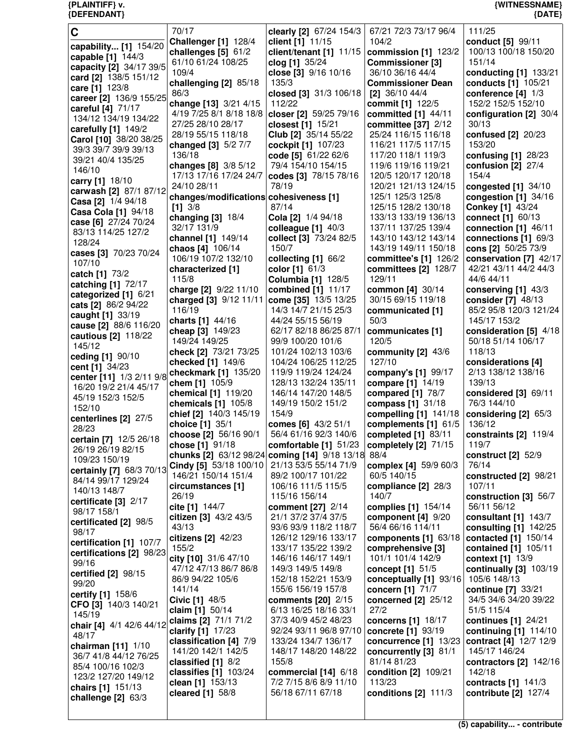| {DEFENDANT}                                  |                                                |                                               |                                             | ${$ (DATE)                          |
|----------------------------------------------|------------------------------------------------|-----------------------------------------------|---------------------------------------------|-------------------------------------|
| C                                            | 70/17                                          | clearly [2] 67/24 154/3                       | 67/21 72/3 73/17 96/4                       | 111/25                              |
|                                              | Challenger [1] 128/4                           | client [1] 11/15                              | 104/2                                       | conduct [5] 99/11                   |
| capability [1] 154/20                        | challenges $[5]$ 61/2                          | client/tenant $[1]$ 11/15                     | commission [1] 123/2                        | 100/13 100/18 150/20                |
| capable [1] 144/3<br>capacity [2] 34/17 39/5 | 61/10 61/24 108/25                             | clog [1] 35/24                                | <b>Commissioner [3]</b>                     | 151/14                              |
| card [2] 138/5 151/12                        | 109/4                                          | close [3] 9/16 10/16                          | 36/10 36/16 44/4                            | conducting [1] 133/21               |
| care [1] 123/8                               | challenging [2] 85/18                          | 135/3                                         | <b>Commissioner Dean</b>                    | conducts [1] 105/21                 |
| career [2] 136/9 155/25                      | 86/3                                           | closed [3] $31/3$ 106/18                      | $[2]$ 36/10 44/4                            | conference $[4]$ $1/3$              |
| careful [4] 71/17                            | change [13] 3/21 4/15                          | 112/22                                        | commit [1] 122/5                            | 152/2 152/5 152/10                  |
| 134/12 134/19 134/22                         | 4/19 7/25 8/1 8/18 18/8                        | closer [2] 59/25 79/16                        | committed $[1]$ 44/11                       | configuration [2] 30/4              |
| carefully [1] 149/2                          | 27/25 28/10 28/17                              | closest [1] 15/21                             | committee [37] 2/12                         | 30/13                               |
| Carol [10] 38/20 38/25                       | 28/19 55/15 118/18                             | Club [2] 35/14 55/22                          | 25/24 116/15 116/18                         | confused [2] 20/23                  |
| 39/3 39/7 39/9 39/13                         | changed [3] 5/2 7/7                            | cockpit [1] 107/23                            | 116/21 117/5 117/15                         | 153/20                              |
| 39/21 40/4 135/25                            | 136/18                                         | code [5] 61/22 62/6<br>79/4 154/10 154/15     | 117/20 118/1 119/3<br>119/6 119/16 119/21   | confusing $[1]$ 28/23               |
| 146/10                                       | changes [8] 3/8 5/12<br>17/13 17/16 17/24 24/7 | codes [3] 78/15 78/16                         | 120/5 120/17 120/18                         | confusion $[2]$ 27/4<br>154/4       |
| carry [1] 18/10                              | 24/10 28/11                                    | 78/19                                         | 120/21 121/13 124/15                        | congested [1] 34/10                 |
| carwash [2] 87/1 87/12                       | changes/modifications cohesiveness [1]         |                                               | 125/1 125/3 125/8                           | congestion $[1]$ 34/16              |
| Casa [2] 1/4 94/18                           | $[1]$ 3/8                                      | 87/14                                         | 125/15 128/2 130/18                         | <b>Conkey [1] 43/24</b>             |
| Casa Cola [1] 94/18                          | changing [3] 18/4                              | Cola [2] 1/4 94/18                            | 133/13 133/19 136/13                        | connect [1] 60/13                   |
| case [6] 27/24 70/24                         | 32/17 131/9                                    | colleague [1] 40/3                            | 137/11 137/25 139/4                         | connection $[1]$ 46/11              |
| 83/13 114/25 127/2                           | channel [1] 149/14                             | collect [3] 73/24 82/5                        | 143/10 143/12 143/14                        | connections [1] 69/3                |
| 128/24                                       | chaos [4] 106/14                               | 150/7                                         | 143/19 149/11 150/18                        | cons [2] 50/25 73/9                 |
| cases [3] 70/23 70/24<br>107/10              | 106/19 107/2 132/10                            | collecting $[1]$ 66/2                         | committee's [1] 126/2                       | conservation [7] 42/17              |
| catch [1] 73/2                               | characterized [1]                              | color [1] 61/3                                | committees [2] 128/7                        | 42/21 43/11 44/2 44/3               |
| catching [1] 72/17                           | 115/8                                          | <b>Columbia [1] 128/5</b>                     | 129/11                                      | 44/6 44/11                          |
| categorized [1] 6/21                         | charge [2] 9/22 11/10                          | combined [1] 11/17                            | common [4] 30/14                            | conserving $[1]$ 43/3               |
| cats [2] 86/2 94/22                          | charged [3] 9/12 11/11                         | come [35] 13/5 13/25                          | 30/15 69/15 119/18                          | consider [7] 48/13                  |
| caught [1] 33/19                             | 116/19                                         | 14/3 14/7 21/15 25/3                          | communicated [1]                            | 85/2 95/8 120/3 121/24              |
| cause [2] 88/6 116/20                        | charts [1] 44/16                               | 44/24 55/15 56/19                             | 50/3                                        | 145/17 153/2                        |
| cautious [2] 118/22                          | cheap [3] 149/23                               | 62/17 82/18 86/25 87/1                        | communicates [1]                            | consideration [5] 4/18              |
| 145/12                                       | 149/24 149/25<br>check [2] 73/21 73/25         | 99/9 100/20 101/6<br>101/24 102/13 103/6      | 120/5                                       | 50/18 51/14 106/17<br>118/13        |
| ceding [1] 90/10                             | checked [1] 149/6                              | 104/24 106/25 112/25                          | community [2] 43/6<br>127/10                | considerations [4]                  |
| cent [1] 34/23                               | checkmark [1] 135/20                           | 119/9 119/24 124/24                           | company's [1] 99/17                         | 2/13 138/12 138/16                  |
| center [11] 1/3 2/11 9/8                     | chem [1] 105/9                                 | 128/13 132/24 135/11                          | compare [1] 14/19                           | 139/13                              |
| 16/20 19/2 21/4 45/17                        | chemical [1] 119/20                            | 146/14 147/20 148/5                           | compared [1] 78/7                           | considered [3] 69/11                |
| 45/19 152/3 152/5                            | chemicals $[1]$ 105/8                          | 149/19 150/2 151/2                            | compass [1] 31/18                           | 76/3 144/10                         |
| 152/10                                       | chief [2] 140/3 145/19                         | 154/9                                         | compelling [1] 141/18                       | considering [2] 65/3                |
| centerlines [2] 27/5<br>28/23                | choice [1] 35/1                                | comes [6] 43/2 51/1                           | complements [1] 61/5                        | 136/12                              |
| certain [7] 12/5 26/18                       | choose [2] 56/16 90/1                          | 56/4 61/16 92/3 140/6                         | completed $[1]$ 83/11                       | constraints $[2]$ 119/4             |
| 26/19 26/19 82/15                            | chose [1] 91/18                                | comfortable [1] 51/23                         | completely [2] 71/15                        | 119/7                               |
| 109/23 150/19                                |                                                | chunks [2] 63/12 98/24 coming [14] 9/18 13/18 | 88/4                                        | construct $[2]$ 52/9                |
| certainly [7] 68/3 70/13                     | Cindy [5] 53/18 100/10                         | 21/13 53/5 55/14 71/9                         | complex [4] 59/9 60/3                       | 76/14                               |
| 84/14 99/17 129/24                           | 146/21 150/14 151/4                            | 89/2 100/17 101/22                            | 60/5 140/15                                 | constructed $[2]$ 98/21             |
| 140/13 148/7                                 | circumstances [1]                              | 106/16 111/5 115/5                            | compliance [2] 28/3                         | 107/11                              |
| certificate $[3]$ 2/17                       | 26/19                                          | 115/16 156/14                                 | 140/7                                       | construction [3] 56/7               |
| 98/17 158/1                                  | cite [1] 144/7<br>citizen [3] 43/2 43/5        | comment [27] 2/14<br>21/1 37/2 37/4 37/5      | complies [1] 154/14                         | 56/11 56/12<br>consultant [1] 143/7 |
| certificated [2] 98/5                        | 43/13                                          | 93/6 93/9 118/2 118/7                         | component $[4]$ $9/20$<br>56/4 66/16 114/11 | consulting [1] 142/25               |
| 98/17                                        | citizens [2] 42/23                             | 126/12 129/16 133/17                          | components [1] 63/18                        | contacted [1] 150/14                |
| certification [1] 107/7                      | 155/2                                          | 133/17 135/22 139/2                           | comprehensive [3]                           | contained [1] 105/11                |
| certifications [2] 98/23                     | city [10] 31/6 47/10                           | 146/16 146/17 149/1                           | 101/1 101/4 142/9                           | context [1] 13/9                    |
| 99/16                                        | 47/12 47/13 86/7 86/8                          | 149/3 149/5 149/8                             | concept [1] 51/5                            | continually [3] 103/19              |
| certified [2] 98/15<br>99/20                 | 86/9 94/22 105/6                               | 152/18 152/21 153/9                           | conceptually [1] 93/16                      | 105/6 148/13                        |
| certify [1] 158/6                            | 141/14                                         | 155/6 156/19 157/8                            | concern [1] 71/7                            | continue [7] 33/21                  |
| CFO [3] 140/3 140/21                         | Civic [1] 48/5                                 | comments $[20]$ 2/15                          | concerned [2] 25/12                         | 34/5 34/6 34/20 39/22               |
| 145/19                                       | claim [1] 50/14                                | 6/13 16/25 18/16 33/1                         | 27/2                                        | 51/5 115/4                          |
| chair [4] 4/1 42/6 44/12                     | claims [2] 71/1 71/2                           | 37/3 40/9 45/2 48/23                          | concerns [1] 18/17                          | continues [1] 24/21                 |
| 48/17                                        | clarify [1] 17/23                              | 92/24 93/11 96/8 97/10                        | concrete [1] 93/19                          | continuing $[1]$ 114/10             |
| chairman [11] 1/10                           | classification [4] 7/9                         | 133/24 134/7 136/17                           | concurrence [1] 13/23                       | contract [4] 12/7 12/9              |
| 36/7 41/8 44/12 76/25                        | 141/20 142/1 142/5                             | 148/17 148/20 148/22<br>155/8                 | concurrently $[3]$ 81/1                     | 145/17 146/24                       |
| 85/4 100/16 102/3                            | classified [1] 8/2<br>classifies $[1]$ 103/24  | commercial $[14]$ 6/18                        | 81/14 81/23<br>condition [2] 109/21         | contractors $[2]$ 142/16<br>142/18  |
| 123/2 127/20 149/12                          | clean [1] 153/13                               | 7/2 7/15 8/6 8/9 11/10                        | 113/23                                      | contracts [1] 141/3                 |
| chairs [1] 151/13                            | cleared [1] 58/8                               | 56/18 67/11 67/18                             | conditions $[2]$ 111/3                      | contribute [2] 127/4                |
| challenge [2] 63/3                           |                                                |                                               |                                             |                                     |
|                                              |                                                |                                               |                                             |                                     |

**{PLAINTIFF} v. {WITNESSNAME}**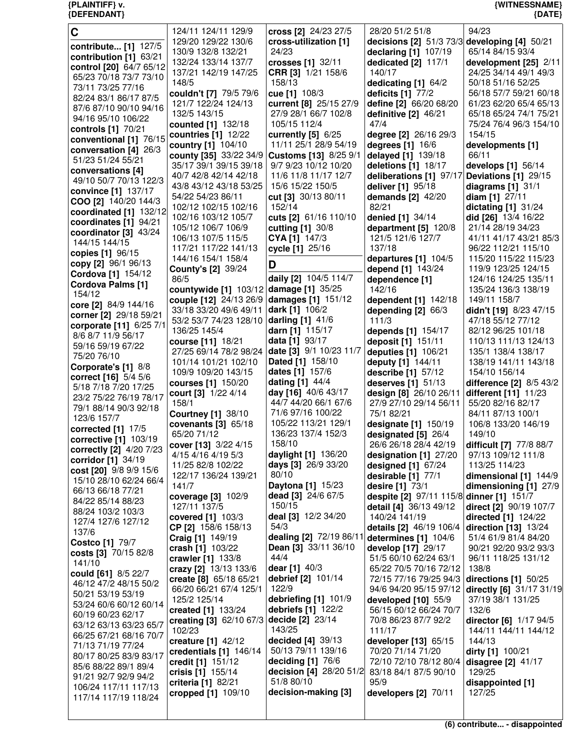| $\mathbf C$              | 124/11 124/11 129/9       | cross [2] 24/23 27/5    | 28/20 51/2 51/8                              | 94/23                    |
|--------------------------|---------------------------|-------------------------|----------------------------------------------|--------------------------|
|                          | 129/20 129/22 130/6       | cross-utilization [1]   | decisions [2] 51/3 73/3 developing [4] 50/21 |                          |
| contribute [1] 127/5     | 130/9 132/8 132/21        | 24/23                   | declaring [1] 107/19                         | 65/14 84/15 93/4         |
| contribution [1] 63/21   |                           |                         |                                              |                          |
| control [20] 64/7 65/12  | 132/24 133/14 137/7       | crosses [1] 32/11       | dedicated [2] 117/1                          | development [25] 2/11    |
| 65/23 70/18 73/7 73/10   | 137/21 142/19 147/25      | CRR [3] 1/21 158/6      | 140/17                                       | 24/25 34/14 49/1 49/3    |
| 73/11 73/25 77/16        | 148/5                     | 158/13                  | dedicating [1] 64/2                          | 50/18 51/16 52/25        |
|                          | couldn't [7] 79/5 79/6    | cue [1] 108/3           | deficits [1] 77/2                            | 56/18 57/7 59/21 60/18   |
| 82/24 83/1 86/17 87/5    | 121/7 122/24 124/13       | current [8] 25/15 27/9  | define [2] 66/20 68/20                       | 61/23 62/20 65/4 65/13   |
| 87/6 87/10 90/10 94/16   |                           |                         |                                              |                          |
| 94/16 95/10 106/22       | 132/5 143/15              | 27/9 28/1 66/7 102/8    | definitive $[2]$ 46/21                       | 65/18 65/24 74/1 75/21   |
| controls [1] 70/21       | counted [1] 132/18        | 105/15 112/4            | 47/4                                         | 75/24 76/4 96/3 154/10   |
|                          | countries [1] 12/22       | currently $[5]$ 6/25    | degree [2] 26/16 29/3                        | 154/15                   |
| conventional [1] 76/15   | country [1] 104/10        | 11/11 25/1 28/9 54/19   | degrees [1] 16/6                             | developments [1]         |
| conversation [4] 26/3    |                           | Customs [13] 8/25 9/1   |                                              | 66/11                    |
| 51/23 51/24 55/21        | county [35] 33/22 34/9    |                         | delayed [1] 139/18                           |                          |
| conversations [4]        | 35/17 39/1 39/15 39/18    | 9/7 9/23 10/12 10/20    | deletions [1] 18/17                          | develops $[1]$ 56/14     |
| 49/10 50/7 70/13 122/3   | 40/7 42/8 42/14 42/18     | 11/6 11/8 11/17 12/7    | deliberations [1] 97/17                      | Deviations [1] 29/15     |
|                          | 43/8 43/12 43/18 53/25    | 15/6 15/22 150/5        | deliver [1] 95/18                            | diagrams $[1]$ 31/1      |
| convince [1] 137/17      | 54/22 54/23 86/11         | cut [3] 30/13 80/11     | demands [2] 42/20                            | diam [1] 27/11           |
| COO [2] 140/20 144/3     | 102/12 102/15 102/16      | 152/14                  | 82/21                                        |                          |
| coordinated [1] 132/12   |                           |                         |                                              | dictating $[1]$ 31/24    |
| coordinates [1] 94/21    | 102/16 103/12 105/7       | cuts [2] 61/16 110/10   | denied [1] 34/14                             | did [26] 13/4 16/22      |
| coordinator [3] 43/24    | 105/12 106/7 106/9        | cutting [1] 30/8        | department [5] 120/8                         | 21/14 28/19 34/23        |
|                          | 106/13 107/5 115/5        | CYA [1] 147/3           | 121/5 121/6 127/7                            | 41/11 41/17 43/21 85/3   |
| 144/15 144/15            | 117/21 117/22 141/13      | cycle [1] 25/16         | 137/18                                       | 96/22 112/21 115/10      |
| copies [1] 96/15         |                           |                         |                                              |                          |
| copy [2] 96/1 96/13      | 144/16 154/1 158/4        | D                       | departures [1] 104/5                         | 115/20 115/22 115/23     |
| Cordova [1] 154/12       | <b>County's [2] 39/24</b> |                         | depend [1] 143/24                            | 119/9 123/25 124/15      |
| <b>Cordova Palms [1]</b> | 86/5                      | daily [2] 104/5 114/7   | dependence [1]                               | 124/16 124/25 135/11     |
|                          | countywide [1] 103/12     | damage [1] 35/25        | 142/16                                       | 135/24 136/3 138/19      |
| 154/12                   | couple [12] 24/13 26/9    | damages [1] 151/12      | dependent [1] 142/18                         | 149/11 158/7             |
| core [2] 84/9 144/16     |                           |                         |                                              |                          |
| corner [2] 29/18 59/21   | 33/18 33/20 49/6 49/11    | dark [1] 106/2          | depending [2] 66/3                           | didn't [19] 8/23 47/15   |
| corporate [11] 6/25 7/1  | 53/2 53/7 74/23 128/10    | <b>darling [1] 41/6</b> | 111/3                                        | 47/18 55/12 77/12        |
|                          | 136/25 145/4              | darn [1] 115/17         | depends [1] 154/17                           | 82/12 96/25 101/18       |
| 8/6 8/7 11/9 56/17       | course [11] 18/21         | data [1] 93/17          | deposit [1] 151/11                           | 110/13 111/13 124/13     |
| 59/16 59/19 67/22        | 27/25 69/14 78/2 98/24    | date [3] 9/1 10/23 11/7 | deputies [1] 106/21                          | 135/1 138/4 138/17       |
| 75/20 76/10              |                           |                         |                                              |                          |
| Corporate's [1] 8/8      | 101/14 101/21 102/10      | Dated [1] 158/10        | deputy [1] 144/11                            | 138/19 141/11 143/18     |
| correct [16] 5/4 5/6     | 109/9 109/20 143/15       | dates [1] 157/6         | describe [1] 57/12                           | 154/10 156/14            |
|                          | courses [1] 150/20        | dating [1] 44/4         | deserves [1] 51/13                           | difference [2] 8/5 43/2  |
| 5/18 7/18 7/20 17/25     | court [3] 1/22 4/14       | day [16] 40/6 43/17     | design [8] 26/10 26/11                       | different [11] 11/23     |
| 23/2 75/22 76/19 78/17   | 158/1                     | 44/7 44/20 66/1 67/6    | 27/9 27/10 29/14 56/11                       | 55/20 82/16 82/17        |
| 79/1 88/14 90/3 92/18    |                           | 71/6 97/16 100/22       | 75/1 82/21                                   |                          |
| 123/6 157/7              | <b>Courtney [1] 38/10</b> |                         |                                              | 84/11 87/13 100/1        |
| corrected [1] 17/5       | covenants $[3]$ 65/18     | 105/22 113/21 129/1     | designate [1] 150/19                         | 106/8 133/20 146/19      |
| corrective [1] 103/19    | 65/20 71/12               | 136/23 137/4 152/3      | designated [5] 26/4                          | 149/10                   |
|                          | cover [13] 3/22 4/15      | 158/10                  | 26/6 26/18 28/4 42/19                        | difficult [7] 77/8 88/7  |
| correctly [2] 4/20 7/23  | 4/15 4/16 4/19 5/3        | daylight [1] 136/20     | designation [1] 27/20                        | 97/13 109/12 111/8       |
| corridor [1] 34/19       |                           | days [3] 26/9 33/20     |                                              |                          |
| cost [20] 9/8 9/9 15/6   | 11/25 82/8 102/22         |                         | designed $[1]$ 67/24                         | 113/25 114/23            |
| 15/10 28/10 62/24 66/4   | 122/17 136/24 139/21      | 80/10                   | desirable [1] 77/1                           | dimensional [1] 144/9    |
| 66/13 66/18 77/21        | 141/7                     | Daytona [1] 15/23       | desire [1] 73/1                              | dimensioning [1] 27/9    |
|                          | coverage [3] 102/9        | dead [3] 24/6 67/5      | despite [2] 97/11 115/8 dinner [1] 151/7     |                          |
| 84/22 85/14 88/23        | 127/11 137/5              | 150/15                  | detail [4] 36/13 49/12                       | direct [2] 90/19 107/7   |
| 88/24 103/2 103/3        | covered [1] 103/3         | deal [3] 12/2 34/20     | 140/24 141/19                                | directed [1] 124/22      |
| 127/4 127/6 127/12       |                           |                         |                                              |                          |
| 137/6                    | CP [2] 158/6 158/13       | 54/3                    | details [2] 46/19 106/4                      | direction [13] 13/24     |
| <b>Costco [1] 79/7</b>   | Craig [1] 149/19          | dealing [2] 72/19 86/11 | determines [1] 104/6                         | 51/4 61/9 81/4 84/20     |
|                          | crash [1] 103/22          | Dean [3] 33/11 36/10    | develop [17] 29/17                           | 90/21 92/20 93/2 93/3    |
| costs [3] 70/15 82/8     | crawler [1] 133/8         | 44/4                    | 51/5 60/10 62/24 63/1                        | 96/11 118/25 131/12      |
| 141/10                   | crazy [2] 13/13 133/6     | dear [1] 40/3           | 65/22 70/5 70/16 72/12                       | 138/8                    |
| could [61] 8/5 22/7      |                           |                         |                                              |                          |
| 46/12 47/2 48/15 50/2    | create [8] 65/18 65/21    | debrief [2] 101/14      | 72/15 77/16 79/25 94/3                       | directions [1] 50/25     |
| 50/21 53/19 53/19        | 66/20 66/21 67/4 125/1    | 122/9                   | 94/6 94/20 95/15 97/12                       | directly [6] 31/17 31/19 |
| 53/24 60/6 60/12 60/14   | 125/2 125/14              | debriefing [1] 101/9    | developed [10] 55/9                          | 37/19 38/1 131/25        |
|                          | created [1] 133/24        | debriefs [1] 122/2      | 56/15 60/12 66/24 70/7                       | 132/6                    |
| 60/19 60/23 62/17        | creating [3] 62/10 67/3   | <b>decide [2] 23/14</b> | 70/8 86/23 87/7 92/2                         | director [6] 1/17 94/5   |
| 63/12 63/13 63/23 65/7   | 102/23                    | 143/25                  | 111/17                                       | 144/11 144/11 144/12     |
| 66/25 67/21 68/16 70/7   |                           |                         |                                              |                          |
| 71/13 71/19 77/24        | creature $[1]$ 42/12      | decided [4] 39/13       | developer [13] 65/15                         | 144/13                   |
| 80/17 80/25 83/9 83/17   | credentials [1] 146/14    | 50/13 79/11 139/16      | 70/20 71/14 71/20                            | dirty [1] 100/21         |
|                          | credit [1] 151/12         | deciding [1] 76/6       | 72/10 72/10 78/12 80/4                       | disagree $[2]$ 41/17     |
| 85/6 88/22 89/1 89/4     | crisis [1] 155/14         | decision [4] 28/20 51/2 | 83/18 84/1 87/5 90/10                        | 129/25                   |
| 91/21 92/7 92/9 94/2     | criteria [1] 82/21        | 51/8 80/10              | 95/9                                         | disappointed [1]         |
| 106/24 117/11 117/13     |                           |                         |                                              |                          |
| 117/14 117/19 118/24     | cropped [1] 109/10        | decision-making [3]     | developers [2] 70/11                         | 127/25                   |
|                          |                           |                         |                                              |                          |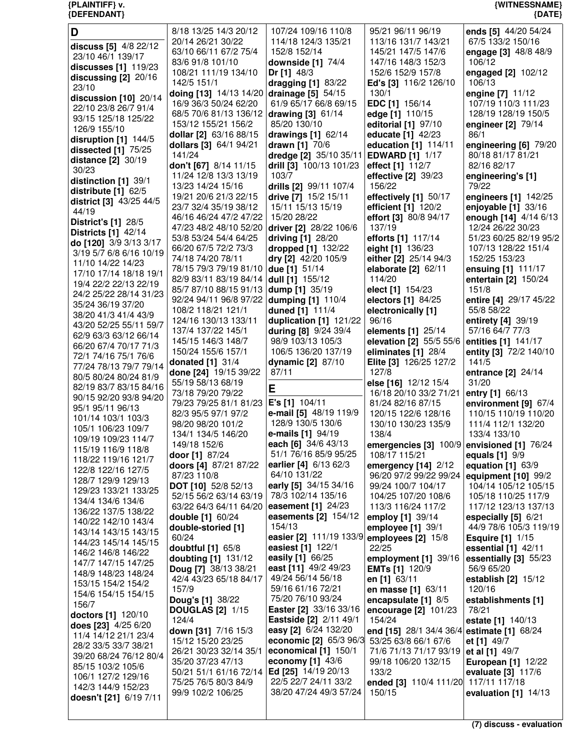| D                          | 8/18 13/25 14/3 20/12                     | 107/24 109/16 110/8           | 95/21 96/11 96/19                          | ends [5] 44/20 54/24      |
|----------------------------|-------------------------------------------|-------------------------------|--------------------------------------------|---------------------------|
|                            | 20/14 26/21 30/22                         | 114/18 124/3 135/21           | 113/16 131/7 143/21                        | 67/5 133/2 150/16         |
| discuss [5] 4/8 22/12      | 63/10 66/11 67/2 75/4                     | 152/8 152/14                  | 145/21 147/5 147/6                         |                           |
| 23/10 46/1 139/17          |                                           |                               |                                            | engage [3] 48/8 48/9      |
| discusses [1] 119/23       | 83/6 91/8 101/10                          | downside $[1]$ $74/4$         | 147/16 148/3 152/3                         | 106/12                    |
|                            | 108/21 111/19 134/10                      | Dr [1] $48/3$                 | 152/6 152/9 157/8                          | engaged [2] 102/12        |
| discussing $[2]$ 20/16     | 142/5 151/1                               | dragging [1] 83/22            | Ed's [3] 116/2 126/10                      | 106/13                    |
| 23/10                      | doing [13] 14/13 14/20 drainage [5] 54/15 |                               | 130/1                                      | engine [7] 11/12          |
| discussion $[10]$ 20/14    |                                           |                               |                                            |                           |
| 22/10 23/8 26/7 91/4       | 16/9 36/3 50/24 62/20                     | 61/9 65/17 66/8 69/15         | <b>EDC</b> [1] 156/14                      | 107/19 110/3 111/23       |
| 93/15 125/18 125/22        | 68/5 70/6 81/13 136/12                    | drawing [3] 61/14             | edge [1] 110/15                            | 128/19 128/19 150/5       |
|                            | 153/12 155/21 156/2                       | 85/20 130/10                  | editorial [1] 97/10                        | engineer [2] 79/14        |
| 126/9 155/10               | dollar [2] 63/16 88/15                    | drawings $[1]$ 62/14          | educate [1] 42/23                          | 86/1                      |
| disruption [1] 144/5       |                                           |                               | education [1] 114/11                       |                           |
| dissected $[1]$ $75/25$    | dollars [3] 64/1 94/21                    | drawn [1] 70/6                |                                            | engineering [6] 79/20     |
| distance $[2]$ 30/19       | 141/24                                    | dredge [2] 35/10 35/11        | <b>EDWARD [1] 1/17</b>                     | 80/18 81/17 81/21         |
| 30/23                      | don't [67] 8/14 11/15                     | drill [3] 100/13 101/23       | effect [1] 112/7                           | 82/16 82/17               |
|                            | 11/24 12/8 13/3 13/19                     | 103/7                         | effective $[2]$ 39/23                      | engineering's [1]         |
| distinction [1] 39/1       | 13/23 14/24 15/16                         | drills [2] 99/11 107/4        | 156/22                                     | 79/22                     |
| distribute [1] 62/5        |                                           |                               |                                            |                           |
| district [3] 43/25 44/5    | 19/21 20/6 21/3 22/15                     | drive [7] 15/2 15/11          | effectively [1] 50/17                      | engineers [1] 142/25      |
| 44/19                      | 23/7 32/4 35/19 38/12                     | 15/11 15/13 15/19             | efficient [1] 120/2                        | enjoyable [1] 33/16       |
|                            | 46/16 46/24 47/2 47/22                    | 15/20 28/22                   | effort [3] 80/8 94/17                      | enough [14] 4/14 6/13     |
| <b>District's [1] 28/5</b> | 47/23 48/2 48/10 52/20                    | driver [2] 28/22 106/6        | 137/19                                     | 12/24 26/22 30/23         |
| <b>Districts [1] 42/14</b> | 53/8 53/24 54/4 64/25                     | driving [1] 28/20             | efforts [1] 117/14                         | 51/23 60/25 82/19 95/2    |
| do [120] 3/9 3/13 3/17     |                                           |                               |                                            |                           |
| 3/19 5/7 6/8 6/16 10/19    | 66/20 67/5 72/2 73/3                      | dropped [1] 132/22            | eight [1] 136/23                           | 107/13 128/22 151/4       |
| 11/10 14/22 14/23          | 74/18 74/20 78/11                         | dry [2] 42/20 105/9           | either [2] 25/14 94/3                      | 152/25 153/23             |
|                            | 78/15 79/3 79/19 81/10                    | due [1] 51/14                 | elaborate [2] 62/11                        | ensuing [1] 111/17        |
| 17/10 17/14 18/18 19/1     | 82/9 83/11 83/19 84/14                    | dull [1] 155/12               | 114/20                                     | entertain [2] 150/24      |
| 19/4 22/2 22/13 22/19      |                                           |                               |                                            | 151/8                     |
| 24/2 25/22 28/14 31/23     | 85/7 87/10 88/15 91/13 dump [1] 35/19     |                               | elect [1] 154/23                           |                           |
| 35/24 36/19 37/20          | 92/24 94/11 96/8 97/22 dumping [1] 110/4  |                               | electors [1] 84/25                         | entire [4] 29/17 45/22    |
|                            | 108/2 118/21 121/1                        | duned [1] 111/4               | electronically [1]                         | 55/8 58/22                |
| 38/20 41/3 41/4 43/9       | 124/16 130/13 133/11                      | duplication [1] 121/22        | 96/16                                      | entirety [4] 39/19        |
| 43/20 52/25 55/11 59/7     | 137/4 137/22 145/1                        | during [8] 9/24 39/4          | elements [1] 25/14                         | 57/16 64/7 77/3           |
| 62/9 63/3 63/12 66/14      |                                           |                               |                                            |                           |
| 66/20 67/4 70/17 71/3      | 145/15 146/3 148/7                        | 98/9 103/13 105/3             | elevation [2] 55/5 55/6                    | entities [1] 141/17       |
| 72/1 74/16 75/1 76/6       | 150/24 155/6 157/1                        | 106/5 136/20 137/19           | eliminates [1] 28/4                        | entity [3] 72/2 140/10    |
| 77/24 78/13 79/7 79/14     | donated [1] 31/4                          | dynamic [2] 87/10             | Elite [3] 126/25 127/2                     | 141/5                     |
|                            |                                           |                               |                                            |                           |
|                            |                                           |                               |                                            |                           |
| 80/5 80/24 80/24 81/9      | done [24] 19/15 39/22                     | 87/11                         | 127/8                                      | entrance [2] 24/14        |
|                            | 55/19 58/13 68/19                         |                               | else [16] 12/12 15/4                       | 31/20                     |
| 82/19 83/7 83/15 84/16     | 73/18 79/20 79/22                         | E                             | 16/18 20/10 33/2 71/21                     | entry [1] 66/13           |
| 90/15 92/20 93/8 94/20     | 79/23 79/25 81/1 81/23                    | E's [1] 104/11                | 81/24 82/16 87/15                          | environment [9] 67/4      |
| 95/1 95/11 96/13           |                                           |                               | 120/15 122/6 128/16                        |                           |
| 101/14 103/1 103/3         | 82/3 95/5 97/1 97/2                       | e-mail [5] 48/19 119/9        |                                            | 110/15 110/19 110/20      |
| 105/1 106/23 109/7         | 98/20 98/20 101/2                         | 128/9 130/5 130/6             | 130/10 130/23 135/9                        | 111/4 112/1 132/20        |
| 109/19 109/23 114/7        | 134/1 134/5 146/20                        | e-mails [1] 94/19             | 138/4                                      | 133/4 133/10              |
|                            | 149/18 152/6                              | each [6] 34/6 43/13           | emergencies [3] 100/9 envisioned [1] 76/24 |                           |
| 115/19 116/9 118/8         | door [1] 87/24                            | 51/1 76/16 85/9 95/25         | 108/17 115/21                              | equals [1] 9/9            |
| 118/22 119/16 121/7        |                                           |                               |                                            |                           |
| 122/8 122/16 127/5         | doors [4] 87/21 87/22                     | earlier [4] 6/13 62/3         | emergency [14] 2/12                        | equation [1] 63/9         |
| 128/7 129/9 129/13         | 87/23 110/8                               | 64/10 131/22                  | 96/20 97/2 99/22 99/24                     | equipment $[10]$ 99/2     |
| 129/23 133/21 133/25       | DOT [10] 52/8 52/13                       | early [5] 34/15 34/16         | 99/24 100/7 104/17                         | 104/14 105/12 105/15      |
|                            | 52/15 56/2 63/14 63/19                    | 78/3 102/14 135/16            | 104/25 107/20 108/6                        | 105/18 110/25 117/9       |
| 134/4 134/6 134/6          | 63/22 64/3 64/11 64/20                    | easement [1] 24/23            | 113/3 116/24 117/2                         | 117/12 123/13 137/13      |
| 136/22 137/5 138/22        |                                           | easements [2] 154/12          |                                            |                           |
| 140/22 142/10 143/4        | <b>double [1] 60/24</b>                   | 154/13                        | employ [1] 39/14                           | especially $[5]$ 6/21     |
| 143/14 143/15 143/15       | double-storied [1]                        |                               | employee $[1]$ 39/1                        | 44/9 78/6 105/3 119/19    |
| 144/23 145/14 145/15       | 60/24                                     | easier [2] 111/19 133/9       | employees $[2]$ 15/8                       | <b>Esquire [1] 1/15</b>   |
|                            | doubtful [1] 65/8                         | easiest [1] 122/1             | 22/25                                      | essential [1] 42/11       |
| 146/2 146/8 146/22         | doubting [1] 131/12                       | easily [1] 66/25              | employment [1] 39/16                       | essentially [3] 55/23     |
| 147/7 147/15 147/25        | <b>Doug [7]</b> 38/13 38/21               | east [11] 49/2 49/23          |                                            | 56/9 65/20                |
| 148/9 148/23 148/24        |                                           |                               | <b>EMTs [1] 120/9</b>                      |                           |
| 153/15 154/2 154/2         | 42/4 43/23 65/18 84/17                    | 49/24 56/14 56/18             | en [1] 63/11                               | establish $[2]$ 15/12     |
| 154/6 154/15 154/15        | 157/9                                     | 59/16 61/16 72/21             | en masse [1] 63/11                         | 120/16                    |
|                            | <b>Doug's [1] 38/22</b>                   | 75/20 76/10 93/24             | encapsulate [1] 8/5                        | establishments [1]        |
| 156/7                      | <b>DOUGLAS [2] 1/15</b>                   | Easter [2] 33/16 33/16        | encourage [2] 101/23                       | 78/21                     |
| doctors [1] 120/10         | 124/4                                     | <b>Eastside [2] 2/11 49/1</b> |                                            |                           |
| does [23] 4/25 6/20        |                                           |                               | 154/24                                     | estate [1] 140/13         |
| 11/4 14/12 21/1 23/4       | down [31] 7/16 15/3                       | easy [2] 6/24 132/20          | end [15] 28/1 34/4 36/4                    | estimate [1] 68/24        |
| 28/2 33/5 33/7 38/21       | 15/12 15/20 23/25                         | economic [2] 65/3 96/3        | 53/25 63/8 66/1 67/6                       | et [1] 49/7               |
|                            | 26/21 30/23 32/14 35/1                    | economical [1] 150/1          | 71/6 71/13 71/17 93/19                     | et al [1] 49/7            |
| 39/20 68/24 76/12 80/4     | 35/20 37/23 47/13                         | economy $[1]$ 43/6            | 99/18 106/20 132/15                        | <b>European [1] 12/22</b> |
| 85/15 103/2 105/6          | 50/21 51/1 61/16 72/14                    | Ed [25] 14/19 20/13           | 133/2                                      | evaluate [3] 117/6        |
| 106/1 127/2 129/16         |                                           |                               |                                            |                           |
| 142/3 144/9 152/23         | 75/25 76/5 80/3 84/9                      | 22/5 22/7 24/11 33/2          | ended [3] 110/4 111/20                     | 117/11 117/18             |
| doesn't [21] 6/19 7/11     | 99/9 102/2 106/25                         | 38/20 47/24 49/3 57/24        | 150/15                                     | evaluation $[1]$ 14/13    |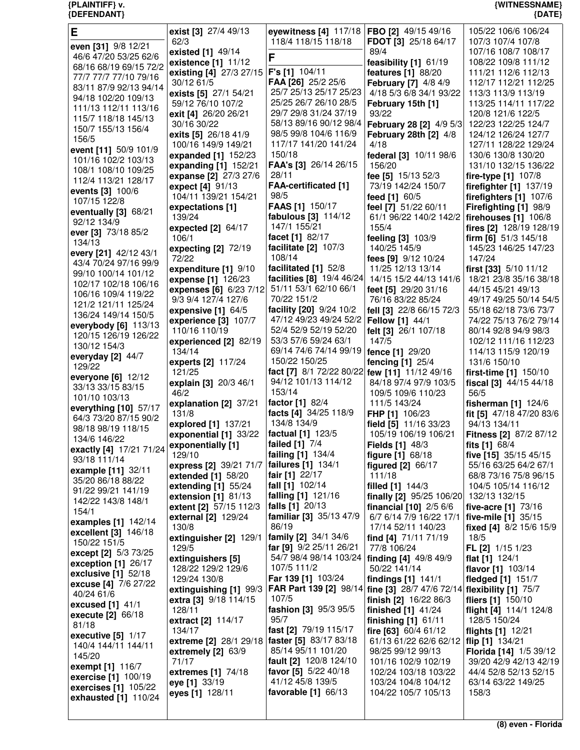| Е                                            | exist [3] 27/4 49/13                         | eyewitness [4] 117/18   FBO [2] 49/15 49/16   |                                                   | 105/22 106/6 106/24                          |
|----------------------------------------------|----------------------------------------------|-----------------------------------------------|---------------------------------------------------|----------------------------------------------|
| even [31] 9/8 12/21                          | 62/3                                         | 118/4 118/15 118/18                           | FDOT [3] 25/18 64/17                              | 107/3 107/4 107/8                            |
| 46/6 47/20 53/25 62/6                        | existed [1] 49/14                            | F                                             | 89/4                                              | 107/16 108/7 108/17                          |
| 68/16 68/19 69/15 72/2                       | existence [1] 11/12                          | F's [1] 104/11                                | feasibility [1] 61/19                             | 108/22 109/8 111/12                          |
| 77/7 77/7 77/10 79/16                        | existing [4] 27/3 27/15<br>30/12 61/5        | FAA [26] 25/2 25/6                            | features [1] 88/20<br><b>February [7] 4/8 4/9</b> | 111/21 112/6 112/13<br>112/17 112/21 112/25  |
| 83/11 87/9 92/13 94/14                       | exists [5] 27/1 54/21                        | 25/7 25/13 25/17 25/23                        | 4/18 5/3 6/8 34/1 93/22                           | 113/3 113/9 113/19                           |
| 94/18 102/20 109/13                          | 59/12 76/10 107/2                            | 25/25 26/7 26/10 28/5                         | February 15th [1]                                 | 113/25 114/11 117/22                         |
| 111/13 112/11 113/16                         | exit [4] 26/20 26/21                         | 29/7 29/8 31/24 37/19                         | 93/22                                             | 120/8 121/6 122/5                            |
| 115/7 118/18 145/13                          | 30/16 30/22                                  | 58/13 89/16 90/12 98/4                        | February 28 [2] 4/9 5/3                           | 122/23 122/25 124/7                          |
| 150/7 155/13 156/4                           | exits [5] 26/18 41/9                         | 98/5 99/8 104/6 116/9                         | February 28th [2] 4/8                             | 124/12 126/24 127/7                          |
| 156/5                                        | 100/16 149/9 149/21                          | 117/17 141/20 141/24                          | 4/18                                              | 127/11 128/22 129/24                         |
| event [11] 50/9 101/9<br>101/16 102/2 103/13 | expanded [1] 152/23                          | 150/18                                        | federal [3] 10/11 98/6                            | 130/6 130/8 130/20                           |
| 108/1 108/10 109/25                          | expanding [1] 152/21                         | FAA's [3] 26/14 26/15                         | 156/20                                            | 131/10 132/15 136/22                         |
| 112/4 113/21 128/17                          | expanse [2] 27/3 27/6                        | 28/11                                         | fee [5] 15/13 52/3                                | fire-type $[1]$ 107/8                        |
| events [3] 100/6                             | expect [4] 91/13                             | <b>FAA-certificated [1]</b>                   | 73/19 142/24 150/7                                | firefighter [1] 137/19                       |
| 107/15 122/8                                 | 104/11 139/21 154/21                         | 98/5                                          | feed [1] 60/5                                     | firefighters [1] 107/6                       |
| eventually [3] 68/21                         | expectations [1]                             | <b>FAAS</b> [1] 150/17                        | feel [7] 51/22 60/11                              | Firefighting [1] 98/9                        |
| 92/12 134/9                                  | 139/24                                       | fabulous [3] 114/12<br>147/1 155/21           | 61/1 96/22 140/2 142/2                            | firehouses [1] 106/8                         |
| ever [3] 73/18 85/2                          | expected $[2]$ 64/17                         | facet [1] 82/17                               | 155/4                                             | fires [2] 128/19 128/19                      |
| 134/13                                       | 106/1<br>expecting [2] 72/19                 | facilitate [2] 107/3                          | feeling [3] 103/9<br>140/25 145/9                 | firm [6] 51/3 145/18<br>145/23 146/25 147/23 |
| every [21] 42/12 43/1                        | 72/22                                        | 108/14                                        | fees [9] 9/12 10/24                               | 147/24                                       |
| 43/4 70/24 97/16 99/9                        | expenditure [1] 9/10                         | facilitated [1] 52/8                          | 11/25 12/13 13/14                                 | first [33] 5/10 11/12                        |
| 99/10 100/14 101/12                          | expense [1] 126/23                           | facilities [8] 19/4 46/24                     | 14/15 15/2 44/13 141/6                            | 18/21 23/8 35/16 38/18                       |
| 102/17 102/18 106/16                         | expenses [6] 6/23 7/12                       | 51/11 53/1 62/10 66/1                         | feet [5] 29/20 31/16                              | 44/15 45/21 49/13                            |
| 106/16 109/4 119/22<br>121/2 121/11 125/24   | 9/3 9/4 127/4 127/6                          | 70/22 151/2                                   | 76/16 83/22 85/24                                 | 49/17 49/25 50/14 54/5                       |
| 136/24 149/14 150/5                          | expensive $[1]$ 64/5                         | facility [20] 9/24 10/2                       | fell [3] 22/8 66/15 72/3                          | 55/18 62/18 73/6 73/7                        |
| everybody [6] 113/13                         | experience [3] 107/7                         | 47/12 49/23 49/24 52/2                        | <b>Fellow</b> [1] 44/1                            | 74/22 75/13 76/2 79/14                       |
| 120/15 126/19 126/22                         | 110/16 110/19                                | 52/4 52/9 52/19 52/20                         | felt [3] 26/1 107/18                              | 80/14 92/8 94/9 98/3                         |
| 130/12 154/3                                 | experienced [2] 82/19                        | 53/3 57/6 59/24 63/1                          | 147/5                                             | 102/12 111/16 112/23                         |
| everyday $[2]$ 44/7                          | 134/14                                       | 69/14 74/6 74/14 99/19<br>150/22 150/25       | fence [1] 29/20                                   | 114/13 115/9 120/19                          |
| 129/22                                       | experts [2] 117/24<br>121/25                 | fact [7] 8/1 72/22 80/22 few [11] 11/12 49/16 | fencing [1] 25/4                                  | 131/6 150/10<br>first-time $[1]$ 150/10      |
| everyone $[6]$ 12/12                         | explain [3] 20/3 46/1                        | 94/12 101/13 114/12                           | 84/18 97/4 97/9 103/5                             | fiscal [3] 44/15 44/18                       |
| 33/13 33/15 83/15                            | 46/2                                         | 153/14                                        | 109/5 109/6 110/23                                | 56/5                                         |
| 101/10 103/13                                | explanation [2] 37/21                        | factor [1] 82/4                               | 111/5 143/24                                      | fisherman $[1]$ 124/6                        |
| everything [10] 57/17                        | 131/8                                        | facts [4] 34/25 118/9                         | FHP [1] 106/23                                    | fit [5] 47/18 47/20 83/6                     |
| 64/3 73/20 87/15 90/2                        | explored [1] 137/21                          | 134/8 134/9                                   | field [5] 11/16 33/23                             | 94/13 134/11                                 |
| 98/18 98/19 118/15<br>134/6 146/22           | exponential [1] 33/22                        | factual [1] 123/5                             | 105/19 106/19 106/21                              | <b>Fitness [2] 87/2 87/12</b>                |
| exactly [4] 17/21 71/24                      | exponentially [1]                            | failed [1] 7/4                                | <b>Fields [1] 48/3</b>                            | fits [1] 68/4                                |
| 93/18 111/14                                 | 129/10                                       | failing [1] 134/4                             | figure [1] 68/18                                  | five [15] 35/15 45/15                        |
| example [11] 32/11                           | express [2] 39/21 71/7                       | failures [1] 134/1                            | figured [2] 66/17                                 | 55/16 63/25 64/2 67/1                        |
| 35/20 86/18 88/22                            | extended $[1]$ 58/20                         | fair [1] 22/17                                | 111/18                                            | 68/8 73/16 75/8 96/15                        |
| 91/22 99/21 141/19                           | extending $[1]$ 55/24<br>extension [1] 81/13 | fall [1] 102/14<br>falling [1] 121/16         | filled [1] 144/3<br>finally [2] 95/25 106/20      | 104/5 105/14 116/12<br>132/13 132/15         |
| 142/22 143/8 148/1                           | extent [2] 57/15 112/3                       | falls [1] 20/13                               | <b>financial</b> $[10]$ $2/5$ $6/6$               | five-acre [1] 73/16                          |
| 154/1                                        | external [2] 129/24                          | familiar [3] 35/13 47/9                       | 6/7 6/14 7/9 16/22 17/1                           | five-mile [1] 35/15                          |
| examples [1] 142/14                          | 130/8                                        | 86/19                                         | 17/14 52/11 140/23                                | fixed [4] 8/2 15/6 15/9                      |
| excellent [3] 146/18                         | extinguisher [2] 129/1                       | family [2] 34/1 34/6                          | find [4] 71/11 71/19                              | 18/5                                         |
| 150/22 151/5<br>except [2] 5/3 73/25         | 129/5                                        | far [9] 9/2 25/11 26/21                       | 77/8 106/24                                       | FL [2] 1/15 1/23                             |
| exception [1] 26/17                          | extinguishers [5]                            | 54/7 98/4 98/14 103/24                        | finding [4] 49/8 49/9                             | flat [1] 124/1                               |
| exclusive $[1]$ 52/18                        | 128/22 129/2 129/6                           | 107/5 111/2                                   | 50/22 141/14                                      | flavor [1] 103/14                            |
| excuse [4] 7/6 27/22                         | 129/24 130/8                                 | Far 139 [1] 103/24                            | findings [1] 141/1                                | fledged [1] 151/7                            |
| 40/24 61/6                                   | extinguishing [1] 99/3                       | FAR Part 139 [2] 98/14                        | fine [3] 28/7 47/6 72/14 flexibility [1] 75/7     |                                              |
| excused [1] 41/1                             | extra [3] 9/18 114/15                        | 107/5<br>fashion [3] 95/3 95/5                | finish [2] 16/22 86/3                             | fliers [1] 150/10                            |
| execute [2] 66/18                            | 128/11<br>extract [2] 114/17                 | 95/7                                          | finished $[1]$ 41/24<br>finishing [1] 61/11       | flight [4] 114/1 124/8<br>128/5 150/24       |
| 81/18                                        | 134/17                                       | fast [2] 79/19 115/17                         | fire [63] $60/4$ 61/12                            | flights [1] 12/21                            |
| executive $[5]$ 1/17                         | extreme [2] 28/1 29/18                       | faster [5] 83/17 83/18                        | 61/13 61/22 62/6 62/12                            | flip [1] 134/21                              |
| 140/4 144/11 144/11                          | extremely [2] 63/9                           | 85/14 95/11 101/20                            | 98/25 99/12 99/13                                 | Florida [14] 1/5 39/12                       |
| 145/20                                       | 71/17                                        | fault [2] 120/8 124/10                        | 101/16 102/9 102/19                               | 39/20 42/9 42/13 42/19                       |
| exempt [1] 116/7<br>exercise [1] 100/19      | extremes [1] 74/18                           | favor [5] 5/22 40/18                          | 102/24 103/18 103/22                              | 44/4 52/8 52/13 52/15                        |
| exercises [1] 105/22                         | eye [1] 33/19                                | 41/12 45/8 139/5                              | 103/24 104/8 104/12                               | 63/14 63/22 149/25                           |
| exhausted [1] 110/24                         | eyes [1] 128/11                              | favorable [1] 66/13                           | 104/22 105/7 105/13                               | 158/3                                        |
|                                              |                                              |                                               |                                                   |                                              |

**(8) even - Florida**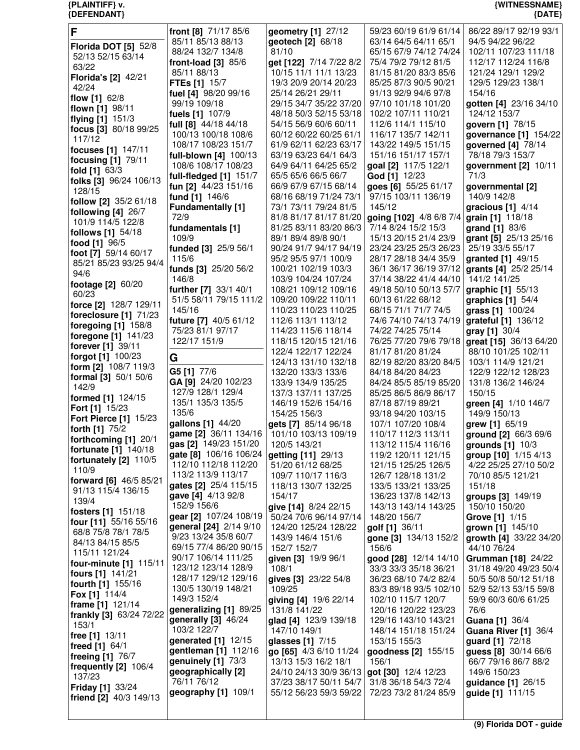| F                           | front [8] 71/17 85/6     | geometry [1] 27/12      | 59/23 60/19 61/9 61/14  | 86/22 89/17 92/19 93/1      |
|-----------------------------|--------------------------|-------------------------|-------------------------|-----------------------------|
|                             | 85/11 85/13 88/13        | geotech [2] 68/18       | 63/14 64/5 64/11 65/1   | 94/5 94/22 96/22            |
| <b>Florida DOT [5] 52/8</b> |                          |                         |                         |                             |
| 52/13 52/15 63/14           | 88/24 132/7 134/8        | 81/10                   | 65/15 67/9 74/12 74/24  | 102/11 107/23 111/18        |
| 63/22                       | front-load $[3]$ 85/6    | get [122] 7/14 7/22 8/2 | 75/4 79/2 79/12 81/5    | 112/17 112/24 116/8         |
|                             | 85/11 88/13              | 10/15 11/1 11/1 13/23   | 81/15 81/20 83/3 85/6   | 121/24 129/1 129/2          |
| Florida's [2] 42/21         | <b>FTEs [1] 15/7</b>     | 19/3 20/9 20/14 20/23   | 85/25 87/3 90/5 90/21   | 129/5 129/23 138/1          |
| 42/24                       | fuel [4] 98/20 99/16     | 25/14 26/21 29/11       | 91/13 92/9 94/6 97/8    | 154/16                      |
| flow [1] 62/8               |                          |                         |                         |                             |
| flown [1] 98/11             | 99/19 109/18             | 29/15 34/7 35/22 37/20  | 97/10 101/18 101/20     | gotten [4] 23/16 34/10      |
| flying [1] 151/3            | fuels [1] 107/9          | 48/18 50/3 52/15 53/18  | 102/2 107/11 110/21     | 124/12 153/7                |
|                             | full [8] 44/18 44/18     | 54/15 56/9 60/6 60/11   | 112/6 114/1 115/10      | govern [1] 78/15            |
| focus [3] 80/18 99/25       | 100/13 100/18 108/6      | 60/12 60/22 60/25 61/1  | 116/17 135/7 142/11     | governance [1] 154/22       |
| 117/12                      | 108/17 108/23 151/7      | 61/9 62/11 62/23 63/17  | 143/22 149/5 151/15     |                             |
| focuses [1] 147/11          |                          |                         |                         | governed [4] 78/14          |
| focusing [1] 79/11          | full-blown [4] 100/13    | 63/19 63/23 64/1 64/3   | 151/16 151/17 157/1     | 78/18 79/3 153/7            |
|                             | 108/6 108/17 108/23      | 64/9 64/11 64/25 65/2   | goal [2] 117/5 122/1    | government [2] 10/11        |
| fold [1] 63/3               | full-fledged $[1]$ 151/7 | 65/5 65/6 66/5 66/7     | God [1] 12/23           | 71/3                        |
| folks [3] 96/24 106/13      | fun [2] 44/23 151/16     | 66/9 67/9 67/15 68/14   | goes [6] 55/25 61/17    | governmental [2]            |
| 128/15                      |                          |                         | 97/15 103/11 136/19     | 140/9 142/8                 |
| follow [2] 35/2 61/18       | fund [1] 146/6           | 68/16 68/19 71/24 73/1  |                         |                             |
| following $[4]$ 26/7        | <b>Fundamentally</b> [1] | 73/1 73/11 79/24 81/5   | 145/12                  | gracious $[1]$ 4/14         |
|                             | 72/9                     | 81/8 81/17 81/17 81/20  | going [102] 4/8 6/8 7/4 | grain [1] 118/18            |
| 101/9 114/5 122/8           | fundamentals [1]         | 81/25 83/11 83/20 86/3  | 7/14 8/24 15/2 15/3     | grand [1] 83/6              |
| follows [1] 54/18           | 109/9                    | 89/1 89/4 89/8 90/1     | 15/13 20/15 21/4 23/9   | grant [5] 25/13 25/16       |
| food [1] 96/5               |                          | 90/24 91/7 94/17 94/19  |                         |                             |
| foot [7] 59/14 60/17        | funded [3] 25/9 56/1     |                         | 23/24 23/25 25/3 26/23  | 25/19 33/5 55/17            |
| 85/21 85/23 93/25 94/4      | 115/6                    | 95/2 95/5 97/1 100/9    | 28/17 28/18 34/4 35/9   | granted [1] 49/15           |
| 94/6                        | funds [3] 25/20 56/2     | 100/21 102/19 103/3     | 36/1 36/17 36/19 37/12  | grants [4] 25/2 25/14       |
|                             | 146/8                    | 103/9 104/24 107/24     | 37/14 38/22 41/4 44/10  | 141/2 141/25                |
| footage [2] 60/20           | further [7] 33/1 40/1    | 108/21 109/12 109/16    | 49/18 50/10 50/13 57/7  | graphic [1] 55/13           |
| 60/23                       | 51/5 58/11 79/15 111/2   | 109/20 109/22 110/11    |                         |                             |
| force [2] 128/7 129/11      |                          |                         | 60/13 61/22 68/12       | graphics $[1]$ 54/4         |
| foreclosure [1] 71/23       | 145/16                   | 110/23 110/23 110/25    | 68/15 71/1 71/7 74/5    | grass [1] 100/24            |
|                             | future [7] 40/5 61/12    | 112/6 113/1 113/12      | 74/6 74/10 74/13 74/19  | grateful [1] 136/12         |
| foregoing [1] 158/8         | 75/23 81/1 97/17         | 114/23 115/6 118/14     | 74/22 74/25 75/14       | gray [1] 30/4               |
| foregone [1] 141/23         | 122/17 151/9             | 118/15 120/15 121/16    | 76/25 77/20 79/6 79/18  | great [15] 36/13 64/20      |
| forever [1] 39/11           |                          | 122/4 122/17 122/24     | 81/17 81/20 81/24       | 88/10 101/25 102/11         |
| <b>forgot [1]</b> 100/23    | G                        | 124/13 131/10 132/18    | 82/19 82/20 83/20 84/5  | 103/1 114/9 121/21          |
| form [2] 108/7 119/3        |                          |                         |                         |                             |
| formal [3] 50/1 50/6        | G5 [1] 77/6              | 132/20 133/3 133/6      | 84/18 84/20 84/23       | 122/9 122/12 128/23         |
| 142/9                       | GA [9] 24/20 102/23      | 133/9 134/9 135/25      | 84/24 85/5 85/19 85/20  | 131/8 136/2 146/24          |
|                             | 127/9 128/1 129/4        | 137/3 137/11 137/25     | 85/25 86/5 86/9 86/17   | 150/15                      |
| formed [1] 124/15           | 135/1 135/3 135/5        | 146/19 152/6 154/16     | 87/18 87/19 89/21       | green [4] 1/10 146/7        |
| Fort [1] 15/23              | 135/6                    | 154/25 156/3            | 93/18 94/20 103/15      | 149/9 150/13                |
| Fort Pierce [1] 15/23       | gallons [1] 44/20        | gets [7] 85/14 96/18    | 107/1 107/20 108/4      | grew [1] 65/19              |
| forth [1] 75/2              | game [2] 36/11 134/16    |                         | 110/17 112/3 113/11     |                             |
| forthcoming [1] 20/1        |                          | 101/10 103/13 109/19    |                         | ground [2] 66/3 69/6        |
| fortunate [1] 140/18        | gas [2] 149/23 151/20    | 120/5 143/21            | 113/12 115/4 116/16     | grounds [1] 10/3            |
| fortunately [2] 110/5       | gate [8] 106/16 106/24   | getting [11] 29/13      | 119/2 120/11 121/15     | group [10] 1/15 4/13        |
|                             | 112/10 112/18 112/20     | 51/20 61/12 68/25       | 121/15 125/25 126/5     | 4/22 25/25 27/10 50/2       |
| 110/9                       | 113/2 113/9 113/17       | 109/7 110/17 116/3      | 126/7 128/18 131/2      | 70/10 85/5 121/21           |
| forward [6] 46/5 85/21      | gates [2] 25/4 115/15    | 118/13 130/7 132/25     | 133/5 133/21 133/25     | 151/18                      |
| 91/13 115/4 136/15          |                          |                         |                         |                             |
| 139/4                       | gave [4] 4/13 92/8       | 154/17                  | 136/23 137/8 142/13     | groups [3] 149/19           |
| fosters [1] 151/18          | 152/9 156/6              | give [14] 8/24 22/15    | 143/13 143/14 143/25    | 150/10 150/20               |
|                             | gear [2] 107/24 108/19   | 50/24 70/6 96/14 97/14  | 148/20 156/7            | Grove [1] 1/15              |
| four [11] 55/16 55/16       | general [24] 2/14 9/10   | 124/20 125/24 128/22    | golf [1] 36/11          | grown [1] 145/10            |
| 68/8 75/8 78/1 78/5         | 9/23 13/24 35/8 60/7     | 143/9 146/4 151/6       | gone [3] 134/13 152/2   | growth [4] 33/22 34/20      |
| 84/13 84/15 85/5            | 69/15 77/4 86/20 90/15   | 152/7 152/7             | 156/6                   | 44/10 76/24                 |
| 115/11 121/24               |                          |                         |                         |                             |
| four-minute [1] 115/11      | 90/17 106/14 111/25      | given [3] 19/9 96/1     | good [28] 12/14 14/10   | Grumman [18] 24/22          |
| fours [1] 141/21            | 123/12 123/14 128/9      | 108/1                   | 33/3 33/3 35/18 36/21   | 31/18 49/20 49/23 50/4      |
|                             | 128/17 129/12 129/16     | gives [3] 23/22 54/8    | 36/23 68/10 74/2 82/4   | 50/5 50/8 50/12 51/18       |
| fourth [1] 155/16           | 130/5 130/19 148/21      | 109/25                  | 83/3 89/18 93/5 102/10  | 52/9 52/13 53/15 59/8       |
| <b>Fox [1] 114/4</b>        | 149/3 152/4              | giving [4] 19/6 22/14   | 102/10 115/7 120/7      | 59/9 60/3 60/6 61/25        |
| frame [1] 121/14            | generalizing [1] 89/25   | 131/8 141/22            | 120/16 120/22 123/23    | 76/6                        |
| frankly [3] 63/24 72/22     | generally [3] 46/24      |                         |                         |                             |
| 153/1                       |                          | glad [4] 123/9 139/18   | 129/16 143/10 143/21    | Guana [1] 36/4              |
| free [1] 13/11              | 103/2 122/7              | 147/10 149/1            | 148/14 151/18 151/24    | <b>Guana River [1] 36/4</b> |
| freed [1] 64/1              | generated [1] 12/15      | glasses $[1]$ $7/15$    | 153/15 155/3            | guard [1] 72/18             |
|                             | gentleman [1] 112/16     | go [65] 4/3 6/10 11/24  | goodness [2] 155/15     | guess [8] 30/14 66/6        |
| freeing [1] 76/7            | genuinely [1] 73/3       | 13/13 15/3 16/2 18/1    | 156/1                   | 66/7 79/16 86/7 88/2        |
| frequently [2] 106/4        | geographically [2]       | 24/10 24/13 30/9 36/13  | got [30] 12/4 12/23     | 149/6 150/23                |
| 137/23                      | 76/11 76/12              | 37/23 38/17 50/11 54/7  | 31/8 36/18 54/3 72/4    | guidance [1] 26/15          |
| <b>Friday [1] 33/24</b>     | geography [1] 109/1      | 55/12 56/23 59/3 59/22  | 72/23 73/2 81/24 85/9   | guide [1] 111/15            |
| friend [2] 40/3 149/13      |                          |                         |                         |                             |
|                             |                          |                         |                         |                             |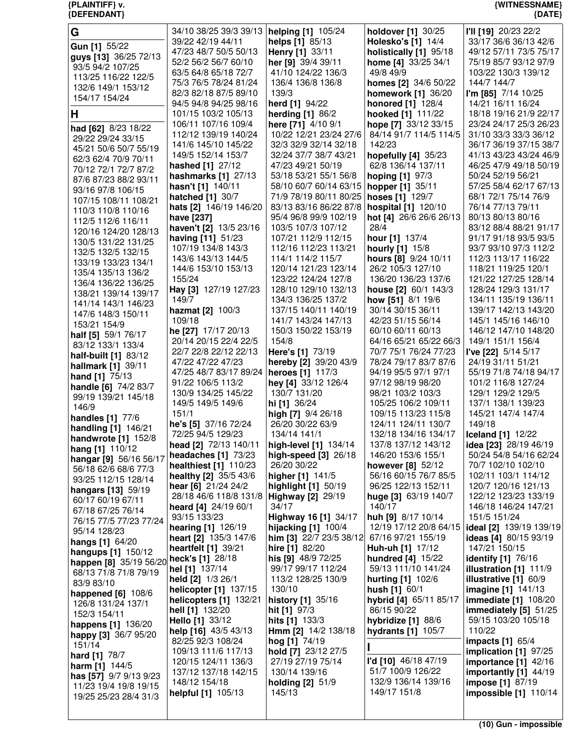| G                                       | 34/10 38/25 39/3 39/13   helping [1] 105/24 |                           | holdover [1] 30/25        | I'll [19] 20/23 22/2         |
|-----------------------------------------|---------------------------------------------|---------------------------|---------------------------|------------------------------|
|                                         | 39/22 42/19 44/11                           | helps [1] 85/13           | <b>Holesko's [1] 14/4</b> | 33/17 36/6 36/13 42/6        |
| Gun [1] 55/22                           | 47/23 48/7 50/5 50/13                       | Henry [1] 33/11           | holistically [1] 95/18    | 49/12 57/11 73/5 75/17       |
| guys [13] 36/25 72/13                   |                                             |                           |                           |                              |
| 93/5 94/2 107/25                        | 52/2 56/2 56/7 60/10                        | her [9] 39/4 39/11        | home [4] 33/25 34/1       | 75/19 85/7 93/12 97/9        |
| 113/25 116/22 122/5                     | 63/5 64/8 65/18 72/7                        | 41/10 124/22 136/3        | 49/8 49/9                 | 103/22 130/3 139/12          |
|                                         | 75/3 76/5 78/24 81/24                       | 136/4 136/8 136/8         | homes [2] 34/6 50/22      | 144/7 144/7                  |
| 132/6 149/1 153/12                      |                                             |                           |                           |                              |
| 154/17 154/24                           | 82/3 82/18 87/5 89/10                       | 139/3                     | <b>homework [1] 36/20</b> | I'm [85] $7/14$ 10/25        |
|                                         | 94/5 94/8 94/25 98/16                       | herd [1] 94/22            | honored [1] 128/4         | 14/21 16/11 16/24            |
| Н                                       | 101/15 103/2 105/13                         | <b>herding [1] 86/2</b>   | hooked [1] 111/22         | 18/18 19/16 21/9 22/17       |
|                                         | 106/11 107/16 109/4                         | here [71] 4/10 9/1        | hope [7] 33/12 33/15      | 23/24 24/17 25/3 26/23       |
| had [62] 8/23 18/22                     |                                             |                           |                           |                              |
| 29/22 29/24 33/15                       | 112/12 139/19 140/24                        | 10/22 12/21 23/24 27/6    | 84/14 91/7 114/5 114/5    | 31/10 33/3 33/3 36/12        |
| 45/21 50/6 50/7 55/19                   | 141/6 145/10 145/22                         | 32/3 32/9 32/14 32/18     | 142/23                    | 36/17 36/19 37/15 38/7       |
|                                         | 149/5 152/14 153/7                          | 32/24 37/7 38/7 43/21     | hopefully [4] 35/23       | 41/13 43/23 43/24 46/9       |
| 62/3 62/4 70/9 70/11                    | hashed [1] 27/12                            | 47/23 49/21 50/19         | 62/8 136/14 137/11        | 46/25 47/9 49/18 50/19       |
| 70/12 72/1 72/7 87/2                    |                                             |                           |                           |                              |
| 87/6 87/23 88/2 93/11                   | hashmarks [1] 27/13                         | 53/18 53/21 55/1 56/8     | <b>hoping [1] 97/3</b>    | 50/24 52/19 56/21            |
| 93/16 97/8 106/15                       | hasn't [1] 140/11                           | 58/10 60/7 60/14 63/15    | hopper [1] 35/11          | 57/25 58/4 62/17 67/13       |
|                                         | <b>hatched</b> [1] 30/7                     | 71/9 78/19 80/11 80/25    | hoses [1] 129/7           | 68/1 72/1 75/14 76/9         |
| 107/15 108/11 108/21                    | hats [2] 146/19 146/20                      | 83/13 83/16 86/22 87/8    |                           | 76/14 77/13 79/11            |
| 110/3 110/8 110/16                      |                                             |                           | hospital [1] 120/10       |                              |
| 112/5 112/6 116/11                      | have [237]                                  | 95/4 96/8 99/9 102/19     | hot [4] 26/6 26/6 26/13   | 80/13 80/13 80/16            |
|                                         | haven't [2] 13/5 23/16                      | 103/5 107/3 107/12        | 28/4                      | 83/12 88/4 88/21 91/17       |
| 120/16 124/20 128/13                    | having [11] 51/23                           | 107/21 112/9 112/15       | hour [1] 137/4            | 91/17 91/18 93/5 93/5        |
| 130/5 131/22 131/25                     |                                             |                           |                           |                              |
| 132/5 132/5 132/15                      | 107/19 134/8 143/3                          | 112/16 112/23 113/21      | <b>hourly</b> [1] 15/8    | 93/7 93/10 97/3 112/2        |
| 133/19 133/23 134/1                     | 143/6 143/13 144/5                          | 114/1 114/2 115/7         | hours [8] 9/24 10/11      | 112/3 113/17 116/22          |
|                                         | 144/6 153/10 153/13                         | 120/14 121/23 123/14      | 26/2 105/3 127/10         | 118/21 119/25 120/1          |
| 135/4 135/13 136/2                      | 155/24                                      | 123/22 124/24 127/8       | 136/20 136/23 137/6       | 121/22 127/25 128/14         |
| 136/4 136/22 136/25                     |                                             |                           |                           |                              |
| 138/21 139/14 139/17                    | Hay [3] 127/19 127/23                       | 128/10 129/10 132/13      | house [2] 60/1 143/3      | 128/24 129/3 131/17          |
| 141/14 143/1 146/23                     | 149/7                                       | 134/3 136/25 137/2        | how [51] 8/1 19/6         | 134/11 135/19 136/11         |
|                                         | hazmat [2] 100/3                            | 137/15 140/11 140/19      | 30/14 30/15 36/11         | 139/17 142/13 143/20         |
| 147/6 148/3 150/11                      | 109/18                                      | 141/7 143/24 147/13       | 42/23 51/15 56/14         | 145/1 145/16 146/10          |
| 153/21 154/9                            |                                             |                           |                           |                              |
| half [5] 59/1 76/17                     | he [27] 17/17 20/13                         | 150/3 150/22 153/19       | 60/10 60/11 60/13         | 146/12 147/10 148/20         |
| 83/12 133/1 133/4                       | 20/14 20/15 22/4 22/5                       | 154/8                     | 64/16 65/21 65/22 66/3    | 149/1 151/1 156/4            |
|                                         | 22/7 22/8 22/12 22/13                       | Here's [1] 73/19          | 70/7 75/1 76/24 77/23     | I've [22] 5/14 5/17          |
| half-built [1] 83/12                    | 47/22 47/22 47/23                           | hereby [2] 39/20 43/9     | 78/24 79/17 83/7 87/6     | 24/19 31/11 51/21            |
| hallmark [1] 39/11                      |                                             |                           | 94/19 95/5 97/1 97/1      | 55/19 71/8 74/18 94/17       |
| hand [1] 75/13                          | 47/25 48/7 83/17 89/24   heroes [1] 117/3   |                           |                           |                              |
| handle [6] 74/2 83/7                    | 91/22 106/5 113/2                           | hey [4] 33/12 126/4       | 97/12 98/19 98/20         | 101/2 116/8 127/24           |
| 99/19 139/21 145/18                     | 130/9 134/25 145/22                         | 130/7 131/20              | 98/21 103/2 103/3         | 129/1 129/2 129/5            |
|                                         | 149/5 149/5 149/6                           | hi [1] 36/24              | 105/25 106/2 109/11       | 137/1 138/1 139/23           |
| 146/9                                   | 151/1                                       | high [7] 9/4 26/18        | 109/15 113/23 115/8       | 145/21 147/4 147/4           |
| <b>handles</b> [1] 77/6                 |                                             |                           |                           |                              |
| handling [1] 146/21                     | he's [5] 37/16 72/24                        | 26/20 30/22 63/9          | 124/11 124/11 130/7       | 149/18                       |
| handwrote [1] 152/8                     | 72/25 94/5 129/23                           | 134/14 141/1              | 132/18 134/16 134/17      | <b>Iceland</b> [1] 12/22     |
|                                         | head [2] 72/13 140/11                       | high-level [1] 134/14     | 137/8 137/12 143/12       | idea [23] 28/19 46/19        |
| hang [1] 110/12                         | headaches [1] 73/23                         | high-speed [3] 26/18      | 146/20 153/6 155/1        | 50/24 54/8 54/16 62/24       |
| hangar [9] 56/16 56/17                  |                                             |                           |                           |                              |
| 56/18 62/6 68/6 77/3                    | healthiest [1] 110/23                       | 26/20 30/22               | however $[8]$ 52/12       | 70/7 102/10 102/10           |
| 93/25 112/15 128/14                     | <b>healthy [2]</b> 35/5 43/6                | higher [1] 141/5          | 56/16 60/15 76/7 85/5     | 102/11 103/1 114/12          |
|                                         | hear [6] 21/24 24/2                         | highlight [1] 50/19       | 96/25 122/13 152/11       | 120/7 120/16 121/13          |
| hangars [13] 59/19                      | 28/18 46/6 118/8 131/8                      | <b>Highway [2] 29/19</b>  | huge [3] 63/19 140/7      | 122/12 123/23 133/19         |
| 60/17 60/19 67/11                       |                                             |                           |                           |                              |
| 67/18 67/25 76/14                       | heard [4] 24/19 60/1                        | 34/17                     | 140/17                    | 146/18 146/24 147/21         |
| 76/15 77/5 77/23 77/24                  | 93/15 133/23                                | Highway 16 [1] 34/17      | huh [9] 8/17 10/14        | 151/5 151/24                 |
| 95/14 128/23                            | hearing [1] 126/19                          | hijacking [1] 100/4       | 12/19 17/12 20/8 64/15    | ideal [2] 139/19 139/19      |
|                                         | heart [2] 135/3 147/6                       | him [3] $22/7$ 23/5 38/12 | 67/16 97/21 155/19        | <b>ideas</b> [4] 80/15 93/19 |
| hangs [1] 64/20                         |                                             |                           | Huh-uh [1] 17/12          |                              |
| hangups [1] 150/12                      | heartfelt [1] 39/21                         | hire [1] 82/20            |                           | 147/21 150/15                |
| happen [8] 35/19 56/20 heck's [1] 28/18 |                                             | his [9] 48/9 72/25        | hundred $[4]$ 15/22       | identify [1] 76/16           |
| 68/13 71/8 71/8 79/19                   | hel [1] 137/14                              | 99/17 99/17 112/24        | 59/13 111/10 141/24       | illustration $[1]$ 111/9     |
|                                         | held [2] 1/3 26/1                           | 113/2 128/25 130/9        | <b>hurting [1] 102/6</b>  | illustrative $[1]$ 60/9      |
| 83/9 83/10                              | helicopter [1] 137/15                       | 130/10                    | <b>hush</b> $[1]$ 60/1    | imagine [1] 141/13           |
| <b>happened [6] 108/6</b>               |                                             |                           |                           |                              |
| 126/8 131/24 137/1                      | helicopters [1] 132/21                      | history [1] 35/16         | hybrid [4] 65/11 85/17    | <b>immediate</b> [1] 108/20  |
| 152/3 154/11                            | hell [1] 132/20                             | hit [1] 97/3              | 86/15 90/22               | immediately [5] 51/25        |
|                                         | Hello [1] 33/12                             | hits [1] 133/3            | hybridize [1] 88/6        | 59/15 103/20 105/18          |
| happens [1] 136/20                      | help $[16]$ 43/5 43/13                      | Hmm [2] 14/2 138/18       | <b>hydrants</b> [1] 105/7 | 110/22                       |
| happy [3] 36/7 95/20                    |                                             |                           |                           |                              |
| 151/14                                  | 82/25 92/3 108/24                           | hog [1] 74/19             |                           | <b>impacts</b> [1] 65/4      |
| hard [1] 78/7                           | 109/13 111/6 117/13                         | hold [7] 23/12 27/5       |                           | implication [1] 97/25        |
| <b>harm</b> [1] $144/5$                 | 120/15 124/11 136/3                         | 27/19 27/19 75/14         | l'd [10] 46/18 47/19      | importance [1] 42/16         |
|                                         | 137/12 137/18 142/15                        | 130/14 139/16             | 51/7 100/9 126/22         | importantly [1] 44/19        |
| has [57] 9/7 9/13 9/23                  | 148/12 154/18                               | holding $[2]$ 51/9        | 132/9 136/14 139/16       | impose [1] 87/19             |
| 11/23 19/4 19/8 19/15                   |                                             |                           | 149/17 151/8              |                              |
| 19/25 25/23 28/4 31/3                   | helpful [1] 105/13                          | 145/13                    |                           | impossible [1] 110/14        |
|                                         |                                             |                           |                           |                              |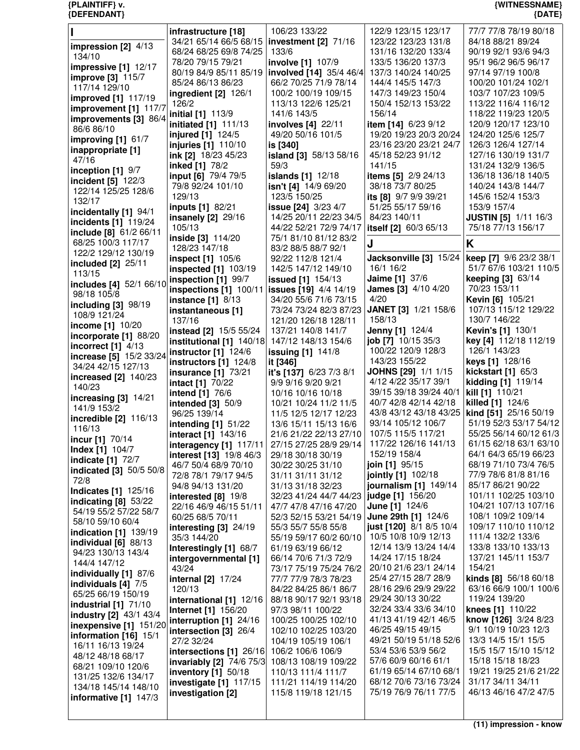| I                              | infrastructure [18]         | 106/23 133/22                           | 122/9 123/15 123/17        | 77/7 77/8 78/19 80/18       |
|--------------------------------|-----------------------------|-----------------------------------------|----------------------------|-----------------------------|
|                                | 34/21 65/14 66/5 68/15      | investment $[2]$ $71/16$                | 123/22 123/23 131/8        | 84/18 88/21 89/24           |
| impression $[2]$ 4/13          |                             |                                         |                            |                             |
| 134/10                         | 68/24 68/25 69/8 74/25      | 133/6                                   | 131/16 132/20 133/4        | 90/19 92/1 93/6 94/3        |
|                                | 78/20 79/15 79/21           | involve [1] 107/9                       | 133/5 136/20 137/3         | 95/1 96/2 96/5 96/17        |
| impressive $[1]$ 12/17         | 80/19 84/9 85/11 85/19      | involved [14] 35/4 46/4                 | 137/3 140/24 140/25        | 97/14 97/19 100/8           |
| improve [3] 115/7              |                             |                                         |                            |                             |
| 117/14 129/10                  | 85/24 86/13 86/23           | 66/2 70/25 71/9 78/14                   | 144/4 145/5 147/3          | 100/20 101/24 102/1         |
|                                | <b>ingredient [2] 126/1</b> | 100/2 100/19 109/15                     | 147/3 149/23 150/4         | 103/7 107/23 109/5          |
| improved [1] 117/19            | 126/2                       | 113/13 122/6 125/21                     | 150/4 152/13 153/22        | 113/22 116/4 116/12         |
| improvement [1] 117/7          |                             |                                         |                            |                             |
| improvements [3] 86/4          | initial [1] 113/9           | 141/6 143/5                             | 156/14                     | 118/22 119/23 120/5         |
|                                | initiated [1] 111/13        | involves [4] 22/11                      | item [14] 6/23 9/12        | 120/9 120/17 123/10         |
| 86/6 86/10                     | injured [1] 124/5           | 49/20 50/16 101/5                       | 19/20 19/23 20/3 20/24     | 124/20 125/6 125/7          |
| improving [1] 61/7             |                             |                                         |                            |                             |
| inappropriate [1]              | injuries [1] 110/10         | is [340]                                | 23/16 23/20 23/21 24/7     | 126/3 126/4 127/14          |
|                                | ink [2] 18/23 45/23         | island [3] 58/13 58/16                  | 45/18 52/23 91/12          | 127/16 130/19 131/7         |
| 47/16                          | inked [1] 78/2              | 59/3                                    | 141/15                     | 131/24 132/9 136/5          |
| inception $[1]$ $9/7$          |                             |                                         |                            |                             |
| incident [5] 122/3             | input [6] 79/4 79/5         | <b>islands</b> [1] 12/18                | items [5] 2/9 24/13        | 136/18 136/18 140/5         |
|                                | 79/8 92/24 101/10           | isn't [4] 14/9 69/20                    | 38/18 73/7 80/25           | 140/24 143/8 144/7          |
| 122/14 125/25 128/6            | 129/13                      | 123/5 150/25                            | its [8] 9/7 9/9 39/21      | 145/6 152/4 153/3           |
| 132/17                         |                             |                                         |                            |                             |
| incidentally [1] 94/1          | inputs [1] 82/21            | issue [24] 3/23 4/7                     | 51/25 55/17 59/16          | 153/9 157/4                 |
|                                | insanely [2] 29/16          | 14/25 20/11 22/23 34/5                  | 84/23 140/11               | <b>JUSTIN [5] 1/11 16/3</b> |
| incidents [1] 119/24           | 105/13                      | 44/22 52/21 72/9 74/17                  | itself [2] 60/3 65/13      | 75/18 77/13 156/17          |
| include [8] 61/2 66/11         |                             |                                         |                            |                             |
| 68/25 100/3 117/17             | inside [3] 114/20           | 75/1 81/10 81/12 83/2                   | J                          | Κ                           |
|                                | 128/23 147/18               | 83/2 88/5 88/7 92/1                     |                            |                             |
| 122/2 129/12 130/19            | inspect [1] 105/6           | 92/22 112/8 121/4                       | Jacksonville [3] 15/24     | keep [7] 9/6 23/2 38/1      |
| included [2] 25/11             |                             |                                         |                            |                             |
| 113/15                         | <b>inspected</b> [1] 103/19 | 142/5 147/12 149/10                     | 16/1 16/2                  | 51/7 67/6 103/21 110/5      |
|                                | inspection [1] 99/7         | <b>issued</b> [1] 154/13                | Jaime [1] 37/6             | keeping [3] 63/14           |
| includes [4] 52/1 66/10        | inspections $[1]$ 100/11    | issues [19] 4/4 14/19                   | James [3] 4/10 4/20        | 70/23 153/11                |
| 98/18 105/8                    |                             |                                         |                            |                             |
| including [3] 98/19            | <b>instance</b> [1] 8/13    | 34/20 55/6 71/6 73/15                   | 4/20                       | Kevin [6] 105/21            |
|                                | instantaneous [1]           | 73/24 73/24 82/3 87/23                  | JANET [3] 1/21 158/6       | 107/13 115/12 129/22        |
| 108/9 121/24                   | 137/16                      | 121/20 126/18 128/11                    | 158/13                     | 130/7 146/22                |
| income [1] 10/20               |                             |                                         |                            |                             |
| incorporate [1] 88/20          | instead [2] 15/5 55/24      | 137/21 140/8 141/7                      | <b>Jenny [1] 124/4</b>     | Kevin's [1] 130/1           |
|                                | institutional [1] 140/18    | 147/12 148/13 154/6                     | job [7] 10/15 35/3         | key [4] 112/18 112/19       |
| incorrect $[1]$ 4/13           |                             |                                         | 100/22 120/9 128/3         | 126/1 143/23                |
| increase [5] 15/2 33/24        | instructor $[1]$ 124/6      | <b>issuing [1] 141/8</b>                |                            |                             |
| 34/24 42/15 127/13             | instructors $[1]$ 124/8     | it [346]                                | 143/23 155/22              | keys [1] 128/16             |
|                                | <b>insurance</b> [1] 73/21  | it's [137] 6/23 7/3 8/1                 | <b>JOHNS [29] 1/1 1/15</b> | kickstart $[1]$ 65/3        |
| increased [2] 140/23           |                             |                                         | 4/12 4/22 35/17 39/1       | kidding [1] 119/14          |
| 140/23                         | <b>intact</b> [1] 70/22     | 9/9 9/16 9/20 9/21                      |                            |                             |
|                                |                             |                                         |                            |                             |
|                                |                             | 10/16 10/16 10/18                       | 39/15 39/18 39/24 40/1     | kill [1] 110/21             |
| increasing $[3]$ 14/21         | <b>intend</b> [1] 76/6      |                                         |                            |                             |
| 141/9 153/2                    | <b>intended</b> [3] 50/9    | 10/21 10/24 11/2 11/5                   | 40/7 42/8 42/14 42/18      | killed [1] 124/6            |
|                                | 96/25 139/14                | 11/5 12/5 12/17 12/23                   | 43/8 43/12 43/18 43/25     | kind [51] 25/16 50/19       |
| incredible [2] 116/13          |                             | 13/6 15/11 15/13 16/6                   | 93/14 105/12 106/7         | 51/19 52/3 53/17 54/12      |
| 116/13                         | intending $[1]$ 51/22       |                                         |                            |                             |
|                                | interact [1] 143/16         | 21/6 21/22 22/13 27/10                  | 107/5 115/5 117/21         | 55/25 56/14 60/12 61/3      |
| incur [1] 70/14                | interagency [1] $117/11$    | 27/15 27/25 28/9 29/14                  | 117/22 126/16 141/13       | 61/15 62/18 63/1 63/10      |
| <b>Index [1] 104/7</b>         | interest [13] 19/8 46/3     | 29/18 30/18 30/19                       | 152/19 158/4               | 64/1 64/3 65/19 66/23       |
| <b>indicate [1] 72/7</b>       |                             |                                         |                            |                             |
| <b>indicated [3]</b> 50/5 50/8 | 46/7 50/4 68/9 70/10        | 30/22 30/25 31/10                       | join [1] 95/15             | 68/19 71/10 73/4 76/5       |
|                                | 72/8 78/1 79/17 94/5        | 31/11 31/11 31/12                       | jointly [1] 102/18         | 77/9 78/6 81/8 81/16        |
| 72/8                           | 94/8 94/13 131/20           | 31/13 31/18 32/23                       | journalism [1] 149/14      | 85/17 86/21 90/22           |
| <b>Indicates [1] 125/16</b>    |                             |                                         |                            | 101/11 102/25 103/10        |
| indicating $[8]$ 53/22         | interested [8] 19/8         | 32/23 41/24 44/7 44/23 judge [1] 156/20 |                            |                             |
| 54/19 55/2 57/22 58/7          | 22/16 46/9 46/15 51/11      | 47/7 47/8 47/16 47/20                   | <b>June [1]</b> $124/6$    | 104/21 107/13 107/16        |
|                                | 60/25 68/5 70/11            | 52/3 52/15 53/21 54/19                  | June 29th [1] 124/6        | 108/1 109/2 109/14          |
| 58/10 59/10 60/4               |                             |                                         | just [120] 8/1 8/5 10/4    | 109/17 110/10 110/12        |
| <b>indication</b> [1] 139/19   | interesting $[3]$ 24/19     | 55/3 55/7 55/8 55/8                     |                            |                             |
| individual $[6]$ 88/13         | 35/3 144/20                 | 55/19 59/17 60/2 60/10                  | 10/5 10/8 10/9 12/13       | 111/4 132/2 133/6           |
|                                | Interestingly [1] 68/7      | 61/19 63/19 66/12                       | 12/14 13/9 13/24 14/4      | 133/8 133/10 133/13         |
| 94/23 130/13 143/4             |                             | 66/14 70/6 71/3 72/9                    | 14/24 17/15 18/24          | 137/21 145/11 153/7         |
| 144/4 147/12                   | intergovernmental [1]       |                                         |                            |                             |
| individually [1] 87/6          | 43/24                       | 73/17 75/19 75/24 76/2                  | 20/10 21/6 23/1 24/14      | 154/21                      |
|                                | <b>internal</b> [2] 17/24   | 77/7 77/9 78/3 78/23                    | 25/4 27/15 28/7 28/9       | kinds [8] 56/18 60/18       |
| individuals [4] 7/5            | 120/13                      | 84/22 84/25 86/1 86/7                   | 28/16 29/6 29/9 29/22      | 63/16 66/9 100/1 100/6      |
| 65/25 66/19 150/19             |                             |                                         |                            |                             |
| <b>industrial</b> [1] 71/10    | international [1] 12/16     | 88/18 90/17 92/1 93/18                  | 29/24 30/13 30/22          | 119/24 139/20               |
|                                | <b>Internet [1] 156/20</b>  | 97/3 98/11 100/22                       | 32/24 33/4 33/6 34/10      | knees [1] 110/22            |
| industry [2] 43/1 43/4         | interruption [1] 24/16      | 100/25 100/25 102/10                    | 41/13 41/19 42/1 46/5      | know [126] 3/24 8/23        |
| inexpensive [1] 151/20         |                             |                                         |                            |                             |
| information $[16]$ 15/1        | intersection [3] 26/4       | 102/10 102/25 103/20                    | 46/25 49/15 49/15          | 9/1 10/19 10/23 12/3        |
|                                | 27/2 32/24                  | 104/19 105/19 106/1                     | 49/21 50/19 51/18 52/6     | 13/3 14/5 15/1 15/5         |
| 16/11 16/13 19/24              | intersections [1] 26/16     | 106/2 106/6 106/9                       | 53/4 53/6 53/9 56/2        | 15/5 15/7 15/10 15/12       |
| 48/12 48/18 68/17              |                             |                                         | 57/6 60/9 60/16 61/1       |                             |
| 68/21 109/10 120/6             | invariably [2] 74/6 75/3    | 108/13 108/19 109/22                    |                            | 15/18 15/18 18/23           |
|                                | <b>inventory</b> [1] 50/18  | 110/13 111/4 111/7                      | 61/19 65/14 67/10 68/1     | 19/21 19/25 21/6 21/22      |
| 131/25 132/6 134/17            | investigate [1] 117/15      | 111/21 114/19 114/20                    | 68/12 70/6 73/16 73/24     | 31/17 34/11 34/11           |
| 134/18 145/14 148/10           |                             |                                         | 75/19 76/9 76/11 77/5      | 46/13 46/16 47/2 47/5       |
| informative $[1]$ 147/3        | investigation [2]           | 115/8 119/18 121/15                     |                            |                             |
|                                |                             |                                         |                            |                             |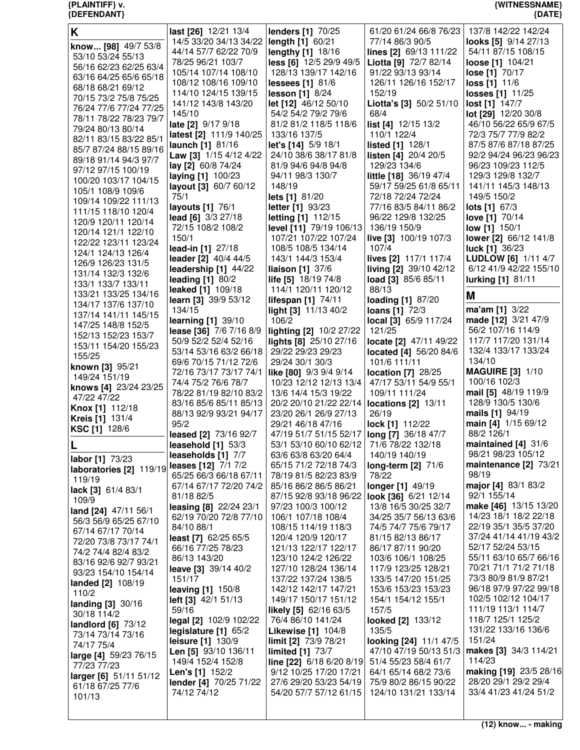| K                                           | last [26] 12/21 13/4                             | <b>lenders [1] 70/25</b>                         | 61/20 61/24 66/8 76/23                          | 137/8 142/22 142/24                           |
|---------------------------------------------|--------------------------------------------------|--------------------------------------------------|-------------------------------------------------|-----------------------------------------------|
|                                             | 14/5 33/20 34/13 34/22                           | length [1] 60/21                                 | 77/14 86/3 90/5                                 | looks [5] 9/14 27/13                          |
| know [98] 49/7 53/8                         | 44/14 57/7 62/22 70/9                            | lengthy [1] 18/16                                | lines [2] 69/13 111/22                          | 54/11 87/15 108/15                            |
| 53/10 53/24 55/13                           | 78/25 96/21 103/7                                | less [6] 12/5 29/9 49/5                          | Liotta [9] 72/7 82/14                           | loose [1] 104/21                              |
| 56/16 62/23 62/25 63/4                      | 105/14 107/14 108/10                             | 128/13 139/17 142/16                             | 91/22 93/13 93/14                               | lose [1] 70/17                                |
| 63/16 64/25 65/6 65/18                      | 108/12 108/16 109/10                             | lessees [1] 81/6                                 | 126/11 126/16 152/17                            | loss [1] 11/6                                 |
| 68/18 68/21 69/12                           | 114/10 124/15 139/15                             | lesson [1] 8/24                                  | 152/19                                          | losses [1] 11/25                              |
| 70/15 73/2 75/8 75/25                       | 141/12 143/8 143/20                              | let [12] 46/12 50/10                             | Liotta's [3] 50/2 51/10                         | lost [1] 147/7                                |
| 76/24 77/6 77/24 77/25                      | 145/10                                           | 54/2 54/2 79/2 79/6                              | 68/4                                            | lot [29] 12/20 30/8                           |
| 78/11 78/22 78/23 79/7                      | late [2] 9/17 9/18                               | 81/2 81/2 118/5 118/6                            | list [4] 12/15 13/2                             | 46/10 56/22 65/9 67/5                         |
| 79/24 80/13 80/14<br>82/11 83/15 83/22 85/1 | latest [2] 111/9 140/25                          | 133/16 137/5                                     | 110/1 122/4                                     | 72/3 75/7 77/9 82/2                           |
| 85/7 87/24 88/15 89/16                      | launch [1] 81/16                                 | let's [14] 5/9 18/1                              | listed [1] 128/1                                | 87/5 87/6 87/18 87/25                         |
| 89/18 91/14 94/3 97/7                       | Law [3] 1/15 4/12 4/22                           | 24/10 38/6 38/17 81/8                            | listen [4] 20/4 20/5                            | 92/2 94/24 96/23 96/23                        |
| 97/12 97/15 100/19                          | lay [2] 60/8 74/24                               | 81/9 94/6 94/8 94/8                              | 129/23 134/6                                    | 96/23 109/23 112/5                            |
| 100/20 103/17 104/15                        | laying [1] 100/23                                | 94/11 98/3 130/7                                 | little [18] 36/19 47/4                          | 129/3 129/8 132/7                             |
| 105/1 108/9 109/6                           | layout [3] 60/7 60/12                            | 148/19                                           | 59/17 59/25 61/8 65/11                          | 141/11 145/3 148/13                           |
| 109/14 109/22 111/13                        | 75/1                                             | lets [1] 81/20                                   | 72/18 72/24 72/24                               | 149/5 150/2                                   |
| 111/15 118/10 120/4                         | layouts [1] 76/1                                 | letter [1] 93/23                                 | 77/16 83/5 84/11 86/2                           | lots [1] 67/3                                 |
| 120/9 120/11 120/14                         | lead [6] 3/3 27/18                               | letting [1] 112/15                               | 96/22 129/8 132/25                              | love [1] 70/14                                |
| 120/14 121/1 122/10                         | 72/15 108/2 108/2                                | level [11] 79/19 106/13                          | 136/19 150/9                                    | <b>low</b> [1] 150/1                          |
| 122/22 123/11 123/24                        | 150/1                                            | 107/21 107/22 107/24                             | live [3] 100/19 107/3                           | lower [2] 66/12 141/8                         |
| 124/1 124/13 126/4                          | lead-in [1] 27/18                                | 108/5 108/5 134/14                               | 107/4                                           | <b>luck [1] 36/23</b>                         |
| 126/9 126/23 131/5                          | leader [2] 40/4 44/5<br>leadership [1] 44/22     | 143/1 144/3 153/4<br>liaison [1] 37/6            | lives [2] 117/1 117/4<br>living [2] 39/10 42/12 | LUDLOW [6] 1/11 4/7<br>6/12 41/9 42/22 155/10 |
| 131/14 132/3 132/6                          | leading $[1]$ 80/2                               | life [5] 18/19 74/8                              | load [3] 85/6 85/11                             | lurking [1] 81/11                             |
| 133/1 133/7 133/11                          | <b>leaked</b> [1] 109/18                         | 114/1 120/11 120/12                              | 88/13                                           |                                               |
| 133/21 133/25 134/16                        | learn [3] 39/9 53/12                             | lifespan [1] 74/11                               | loading [1] 87/20                               | Μ                                             |
| 134/17 137/6 137/10                         | 134/15                                           | light [3] 11/13 40/2                             | loans [1] 72/3                                  | ma'am [1] 3/22                                |
| 137/14 141/11 145/15                        | learning [1] 39/10                               | 106/2                                            | local [3] 65/9 117/24                           | made [12] 3/21 47/9                           |
| 147/25 148/8 152/5                          | lease [36] 7/6 7/16 8/9                          | lighting [2] 10/2 27/22                          | 121/25                                          | 56/2 107/16 114/9                             |
| 152/13 152/23 153/7                         | 50/9 52/2 52/4 52/16                             | lights [8] 25/10 27/16                           | locate [2] 47/11 49/22                          | 117/7 117/20 131/14                           |
| 153/11 154/20 155/23                        | 53/14 53/16 63/2 66/18                           | 29/22 29/23 29/23                                | located [4] 56/20 84/6                          | 132/4 133/17 133/24                           |
| 155/25                                      | 69/6 70/15 71/12 72/6                            | 29/24 30/1 30/3                                  | 101/6 111/11                                    | 134/10                                        |
| known [3] 95/21<br>149/24 151/19            | 72/16 73/17 73/17 74/1                           | like [80] 9/3 9/4 9/14                           | <b>location</b> [7] 28/25                       | <b>MAGUIRE [3] 1/10</b>                       |
| knows [4] 23/24 23/25                       | 74/4 75/2 76/6 78/7                              | 10/23 12/12 12/13 13/4                           | 47/17 53/11 54/9 55/1                           | 100/16 102/3                                  |
| 47/22 47/22                                 | 78/22 81/19 82/10 83/2                           | 13/6 14/4 15/3 19/22                             | 109/11 111/24                                   | mail [5] 48/19 119/9                          |
| <b>Knox [1] 112/18</b>                      | 83/16 85/6 85/11 85/13                           | 20/2 20/10 21/22 22/14                           | locations [2] 13/11                             | 128/9 130/5 130/6                             |
| <b>Kreis</b> [1] 131/4                      | 88/13 92/9 93/21 94/17                           | 23/20 26/1 26/9 27/13                            | 26/19                                           | mails [1] 94/19                               |
| KSC [1] 128/6                               | 95/2                                             | 29/21 46/18 47/16                                | lock [1] 112/22                                 | main [4] 1/15 69/12                           |
|                                             | leased [2] 73/16 92/7                            | 47/19 51/7 51/15 52/17   long [7] 36/18 47/7     |                                                 | 88/2 126/1                                    |
| ш                                           | leasehold $[1]$ 53/3                             | 53/1 53/10 60/10 62/12 71/6 78/22 132/18         |                                                 | maintained $[4]$ 31/6                         |
| labor [1] 73/23                             | leaseholds [1] 7/7                               | 63/6 63/8 63/20 64/4                             | 140/19 140/19                                   | 98/21 98/23 105/12                            |
| laboratories [2] 119/19                     | leases [12] 7/1 7/2                              | 65/15 71/2 72/18 74/3                            | long-term [2] 71/6                              | maintenance [2] 73/21<br>98/19                |
| 119/19                                      | 65/25 66/3 66/18 67/11<br>67/14 67/17 72/20 74/2 | 78/19 81/5 82/23 83/9<br>85/16 86/2 86/5 86/21   | 78/22                                           | major [4] 83/1 83/2                           |
| lack [3] 61/4 83/1                          | 81/18 82/5                                       | 87/15 92/8 93/18 96/22                           | longer [1] 49/19<br>look [36] 6/21 12/14        | 92/1 155/14                                   |
| 109/9                                       | leasing [8] 22/24 23/1                           | 97/23 100/3 100/12                               | 13/8 16/5 30/25 32/7                            | make [46] 13/15 13/20                         |
| land [24] 47/11 56/1                        | 62/19 70/20 72/8 77/10                           | 106/1 107/18 108/4                               | 34/25 35/7 56/13 63/6                           | 14/23 18/1 18/2 22/18                         |
| 56/3 56/9 65/25 67/10                       | 84/10 88/1                                       | 108/15 114/19 118/3                              | 74/5 74/7 75/6 79/17                            | 22/19 35/1 35/5 37/20                         |
| 67/14 67/17 70/14                           | least [7] 62/25 65/5                             | 120/4 120/9 120/17                               | 81/15 82/13 86/17                               | 37/24 41/14 41/19 43/2                        |
| 72/20 73/8 73/17 74/1                       | 66/16 77/25 78/23                                | 121/13 122/17 122/17                             | 86/17 87/11 90/20                               | 52/17 52/24 53/15                             |
| 74/2 74/4 82/4 83/2                         | 86/13 143/20                                     | 123/10 124/2 126/22                              | 103/6 106/1 108/25                              | 55/11 63/10 65/7 66/16                        |
| 83/16 92/6 92/7 93/21                       | leave [3] 39/14 40/2                             | 127/10 128/24 136/14                             | 117/9 123/25 128/21                             | 70/21 71/1 71/2 71/18                         |
| 93/23 154/10 154/14                         | 151/17                                           | 137/22 137/24 138/5                              | 133/5 147/20 151/25                             | 73/3 80/9 81/9 87/21                          |
| landed [2] 108/19<br>110/2                  | <b>leaving [1] 150/8</b>                         | 142/12 142/17 147/21                             | 153/6 153/23 153/23                             | 96/18 97/9 97/22 99/18                        |
| landing [3] 30/16                           | left [3] 42/1 51/13                              | 149/17 150/17 151/12                             | 154/1 154/12 155/1                              | 102/5 102/12 104/17                           |
| 30/18 114/2                                 | 59/16                                            | likely [5] 62/16 63/5                            | 157/5                                           | 111/19 113/1 114/7                            |
| landlord [6] 73/12                          | legal [2] 102/9 102/22                           | 76/4 86/10 141/24                                | looked [2] 133/12                               | 118/7 125/1 125/2                             |
| 73/14 73/14 73/16                           | legislature [1] 65/2                             | <b>Likewise [1] 104/8</b>                        | 135/5                                           | 131/22 133/16 136/6                           |
| 74/17 75/4                                  | leisure [1] 130/9                                | limit [2] 73/9 78/21                             | looking [24] 11/1 47/5                          | 151/24                                        |
| large [4] 59/23 76/15                       | Len [5] 93/10 136/11                             | limited $[1]$ 73/7                               | 47/10 47/19 50/13 51/3                          | makes [3] 34/3 114/21                         |
| 77/23 77/23                                 | 149/4 152/4 152/8                                | line [22] 6/18 6/20 8/19                         | 51/4 55/23 58/4 61/7                            | 114/23                                        |
| larger [6] 51/11 51/12                      | Len's [1] 152/2                                  | 9/12 10/25 17/20 17/21                           | 64/1 65/14 68/2 73/6                            | making [19] 23/5 28/16                        |
| 61/18 67/25 77/6                            | lender [4] 70/25 71/22<br>74/12 74/12            | 27/6 29/20 53/23 54/19<br>54/20 57/7 57/12 61/15 | 75/9 80/2 86/15 90/22<br>124/10 131/21 133/14   | 28/20 29/1 29/2 29/4<br>33/4 41/23 41/24 51/2 |
| 101/13                                      |                                                  |                                                  |                                                 |                                               |
|                                             |                                                  |                                                  |                                                 |                                               |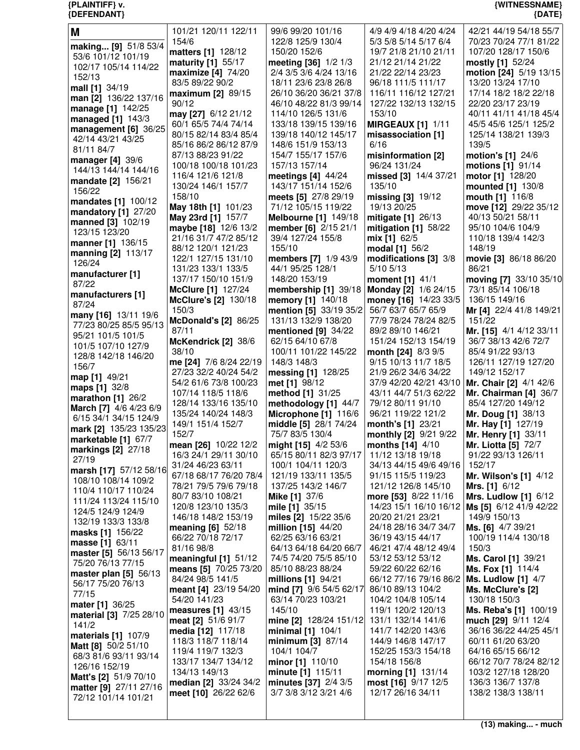| {DEFENDANT}                                   |                                           |                                                |                                              | ${$ [DATE]                                           |
|-----------------------------------------------|-------------------------------------------|------------------------------------------------|----------------------------------------------|------------------------------------------------------|
| M                                             | 101/21 120/11 122/11                      | 99/6 99/20 101/16                              | 4/9 4/9 4/18 4/20 4/24                       | 42/21 44/19 54/18 55/7                               |
| making [9] 51/8 53/4                          | 154/6                                     | 122/8 125/9 130/4                              | 5/3 5/8 5/14 5/17 6/4                        | 70/23 70/24 77/1 81/22                               |
| 53/6 101/12 101/19                            | matters [1] 128/12                        | 150/20 152/6                                   | 19/7 21/8 21/10 21/11                        | 107/20 128/17 150/6                                  |
| 102/17 105/14 114/22                          | maturity [1] 55/17                        | meeting [36] 1/2 1/3                           | 21/12 21/14 21/22                            | mostly [1] 52/24                                     |
| 152/13                                        | maximize [4] 74/20                        | 2/4 3/5 3/6 4/24 13/16                         | 21/22 22/14 23/23                            | motion [24] 5/19 13/15                               |
| mall [1] 34/19                                | 83/5 89/22 90/2                           | 18/11 23/6 23/8 26/8<br>26/10 36/20 36/21 37/8 | 96/18 111/5 111/17                           | 13/20 13/24 17/10                                    |
| man [2] 136/22 137/16                         | maximum [2] 89/15<br>90/12                | 46/10 48/22 81/3 99/14                         | 116/11 116/12 127/21<br>127/22 132/13 132/15 | 17/14 18/2 18/2 22/18<br>22/20 23/17 23/19           |
| manage [1] 142/25                             | may [27] 6/12 21/12                       | 114/10 126/5 131/6                             | 153/10                                       | 40/11 41/11 41/18 45/4                               |
| managed [1] 143/3                             | 60/1 65/5 74/4 74/14                      | 133/18 139/15 139/16                           | <b>MIRGEAUX [1] 1/11</b>                     | 45/5 45/6 125/1 125/2                                |
| management [6] 36/25                          | 80/15 82/14 83/4 85/4                     | 139/18 140/12 145/17                           | misassociation [1]                           | 125/14 138/21 139/3                                  |
| 42/14 43/21 43/25<br>81/11 84/7               | 85/16 86/2 86/12 87/9                     | 148/6 151/9 153/13                             | 6/16                                         | 139/5                                                |
| <b>manager</b> [4] 39/6                       | 87/13 88/23 91/22                         | 154/7 155/17 157/6                             | misinformation [2]                           | motion's [1] 24/6                                    |
| 144/13 144/14 144/16                          | 100/18 100/18 101/23                      | 157/13 157/14                                  | 96/24 131/24                                 | motions [1] 91/14                                    |
| mandate [2] 156/21                            | 116/4 121/6 121/8                         | meetings $[4]$ 44/24                           | missed [3] 14/4 37/21                        | motor [1] 128/20                                     |
| 156/22                                        | 130/24 146/1 157/7                        | 143/17 151/14 152/6                            | 135/10                                       | mounted [1] 130/8                                    |
| mandates [1] 100/12                           | 158/10                                    | meets [5] 27/8 29/19                           | missing [3] 19/12                            | mouth [1] 116/8                                      |
| mandatory [1] 27/20                           | May 18th [1] 101/23<br>May 23rd [1] 157/7 | 71/12 105/15 119/22<br>Melbourne [1] 149/18    | 19/13 20/25<br>mitigate [1] 26/13            | move [12] 29/22 35/12<br>40/13 50/21 58/11           |
| <b>manned</b> [3] 102/19                      | maybe [18] 12/6 13/2                      | member [6] 2/15 21/1                           | mitigation $[1]$ 58/22                       | 95/10 104/6 104/9                                    |
| 123/15 123/20                                 | 21/16 31/7 47/2 85/12                     | 39/4 127/24 155/8                              | mix [1] 62/5                                 | 110/18 139/4 142/3                                   |
| manner [1] 136/15                             | 88/12 120/1 121/23                        | 155/10                                         | modal [1] 56/2                               | 148/19                                               |
| manning [2] 113/17<br>126/24                  | 122/1 127/15 131/10                       | members [7] 1/9 43/9                           | modifications [3] 3/8                        | movie [3] 86/18 86/20                                |
| manufacturer [1]                              | 131/23 133/1 133/5                        | 44/1 95/25 128/1                               | 5/10 5/13                                    | 86/21                                                |
| 87/22                                         | 137/17 150/10 151/9                       | 148/20 153/19                                  | moment [1] 41/1                              | moving [7] 33/10 35/10                               |
| manufacturers [1]                             | McClure [1] 127/24                        | membership [1] 39/18                           | Monday [2] 1/6 24/15                         | 73/1 85/14 106/18                                    |
| 87/24                                         | <b>McClure's [2] 130/18</b>               | memory [1] 140/18                              | money [16] 14/23 33/5                        | 136/15 149/16                                        |
| many [16] 13/11 19/6                          | 150/3                                     | <b>mention</b> [5] $33/19$ $35/2$              | 56/7 63/7 65/7 65/9<br>77/9 78/24 78/24 82/5 | Mr [4] 22/4 41/8 149/21<br>151/22                    |
| 77/23 80/25 85/5 95/13                        | <b>McDonald's [2] 86/25</b><br>87/11      | 131/13 132/9 138/20<br>mentioned $[9]$ 34/22   | 89/2 89/10 146/21                            | Mr. [15] 4/1 4/12 33/11                              |
| 95/21 101/5 101/5                             | McKendrick [2] 38/6                       | 62/15 64/10 67/8                               | 151/24 152/13 154/19                         | 36/7 38/13 42/6 72/7                                 |
| 101/5 107/10 127/9                            | 38/10                                     | 100/11 101/22 145/22                           | month [24] 8/3 9/5                           | 85/4 91/22 93/13                                     |
| 128/8 142/18 146/20                           | me [24] 7/6 8/24 22/19                    | 148/3 148/3                                    | 9/15 10/13 11/7 18/5                         | 126/11 127/19 127/20                                 |
| 156/7<br>map [1] 49/21                        | 27/23 32/2 40/24 54/2                     | messing [1] 128/25                             | 21/9 26/2 34/6 34/22                         | 149/12 152/17                                        |
| maps [1] 32/8                                 | 54/2 61/6 73/8 100/23                     | met [1] 98/12                                  | 37/9 42/20 42/21 43/10                       | Mr. Chair [2] 4/1 42/6                               |
| marathon [1] 26/2                             | 107/14 118/5 118/6                        | method [1] 31/25                               | 43/11 44/7 51/3 62/22                        | Mr. Chairman $[4]$ 36/7                              |
| March [7] 4/6 4/23 6/9                        | 128/14 133/16 135/10                      | methodology [1] 44/7                           | 79/12 80/11 91/10                            | 85/4 127/20 149/12                                   |
| 6/15 34/1 34/15 124/9                         | 135/24 140/24 148/3                       | Microphone [1] 116/6                           | 96/21 119/22 121/2                           | Mr. Doug [1] 38/13                                   |
| mark [2] 135/23 135/23                        | 149/1 151/4 152/7<br>152/7                | middle [5] 28/1 74/24<br>75/7 83/5 130/4       | month's [1] 23/21<br>monthly [2] 9/21 9/22   | Mr. Hay [1] 127/19<br>Mr. Henry [1] 33/11            |
| marketable [1] 67/7                           | mean [26] 10/22 12/2                      | <b>might [15]</b> 4/2 53/6                     | months [14] 4/10                             | <b>Mr. Liotta [5] 72/7</b>                           |
| markings $[2]$ 27/18                          | 16/3 24/1 29/11 30/10                     | 65/15 80/11 82/3 97/17                         | 11/12 13/18 19/18                            | 91/22 93/13 126/11                                   |
| 27/19                                         | 31/24 46/23 63/11                         | 100/1 104/11 120/3                             | 34/13 44/15 49/6 49/16                       | 152/17                                               |
| marsh [17] 57/12 58/16<br>108/10 108/14 109/2 | 67/18 68/17 76/20 78/4                    | 121/19 133/11 135/5                            | 91/15 115/5 119/23                           | <b>Mr. Wilson's [1] 4/12</b>                         |
| 110/4 110/17 110/24                           | 78/21 79/5 79/6 79/18                     | 137/25 143/2 146/7                             | 121/12 126/8 145/10                          | Mrs. [1] 6/12                                        |
| 111/24 113/24 115/10                          | 80/7 83/10 108/21                         | Mike [1] 37/6                                  | more [53] 8/22 11/16                         | <b>Mrs. Ludlow [1] 6/12</b>                          |
| 124/5 124/9 124/9                             | 120/8 123/10 135/3                        | mile [1] 35/15                                 |                                              | 14/23 15/1 16/10 16/12 <b>Ms [5]</b> 6/12 41/9 42/22 |
| 132/19 133/3 133/8                            | 146/18 148/2 153/19                       | miles [2] 15/22 35/6                           | 20/20 21/21 23/21                            | 149/9 150/13                                         |
| masks [1] 156/22                              | meaning [6] 52/18<br>66/22 70/18 72/17    | million [15] 44/20<br>62/25 63/16 63/21        | 24/18 28/16 34/7 34/7<br>36/19 43/15 44/17   | Ms. [6] 4/7 39/21<br>100/19 114/4 130/18             |
| masse [1] 63/11                               | 81/16 98/8                                | 64/13 64/18 64/20 66/7                         | 46/21 47/4 48/12 49/4                        | 150/3                                                |
| master [5] 56/13 56/17                        | meaningful $[1]$ 51/12                    | 74/5 74/20 75/5 85/10                          | 53/12 53/12 53/12                            | <b>Ms. Carol [1] 39/21</b>                           |
| 75/20 76/13 77/15                             | means [5] 70/25 73/20                     | 85/10 88/23 88/24                              | 59/22 60/22 62/16                            | <b>Ms. Fox [1] 114/4</b>                             |
| master plan $[5]$ 56/13<br>56/17 75/20 76/13  | 84/24 98/5 141/5                          | millions [1] 94/21                             | 66/12 77/16 79/16 86/2                       | <b>Ms. Ludlow [1] 4/7</b>                            |
| 77/15                                         | meant [4] 23/19 54/20                     | mind [7] 9/6 54/5 62/17                        | 86/10 89/13 104/2                            | Ms. McClure's [2]                                    |
| mater [1] 36/25                               | 54/20 141/23                              | 63/14 70/23 103/21                             | 104/2 104/8 105/14                           | 130/18 150/3                                         |
| <b>material</b> [3] 7/25 28/10                | measures $[1]$ 43/15                      | 145/10                                         | 119/1 120/2 120/13                           | Ms. Reba's [1] 100/19                                |
| 141/2                                         | meat [2] 51/6 91/7                        | mine [2] 128/24 151/12                         | 131/1 132/14 141/6                           | much [29] 9/11 12/4                                  |
| materials [1] 107/9                           | media [12] 117/18<br>118/3 118/7 118/14   | minimal $[1]$ 104/1<br>minimum [3] 87/14       | 141/7 142/20 143/6<br>144/9 146/8 147/17     | 36/16 36/22 44/25 45/1<br>60/11 61/20 63/20          |
| Matt [8] 50/2 51/10                           | 119/4 119/7 132/3                         | 104/1 104/7                                    | 152/25 153/3 154/18                          | 64/16 65/15 66/12                                    |
| 68/3 81/6 93/11 93/14                         | 133/17 134/7 134/12                       | minor [1] 110/10                               | 154/18 156/8                                 | 66/12 70/7 78/24 82/12                               |
| 126/16 152/19                                 | 134/13 149/13                             | minute [1] 115/11                              | morning [1] 131/14                           | 103/2 127/18 128/20                                  |

**{PLAINTIFF} v. {WITNESSNAME}**

**minutes [37]** 2/4 3/5 3/7 3/8 3/12 3/21 4/6

**most [16]** 9/17 12/5 12/17 26/16 34/11

**Matt's [2]** 51/9 70/10 **matter [9]** 27/11 27/16 72/12 101/14 101/21

**median [2]** 33/24 34/2 **meet [10]** 26/22 62/6

 136/3 136/7 137/8 138/2 138/3 138/11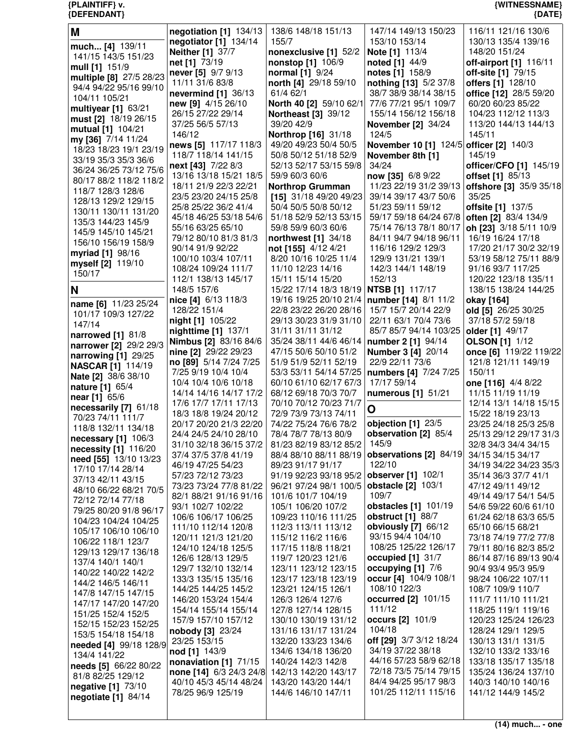| {DEFENDANT}                                  |                                                     |                                                     |                                              | ${$ (DATE)                                                         |
|----------------------------------------------|-----------------------------------------------------|-----------------------------------------------------|----------------------------------------------|--------------------------------------------------------------------|
| M                                            | negotiation $[1]$ 134/13                            | 138/6 148/18 151/13                                 | 147/14 149/13 150/23                         | 116/11 121/16 130/6                                                |
|                                              | negotiator [1] 134/14                               | 155/7                                               | 153/10 153/14                                | 130/13 135/4 139/16                                                |
| much [4] 139/11                              | <b>Neither [1] 37/7</b>                             | nonexclusive [1] 52/2                               | Note [1] 113/4                               | 148/20 151/24                                                      |
| 141/15 143/5 151/23                          | net [1] 73/19                                       | <b>nonstop</b> [1] 106/9                            | noted [1] 44/9                               | off-airport [1] 116/11                                             |
| mull [1] 151/9                               | never [5] 9/7 9/13                                  | <b>normal</b> [1] 9/24                              | notes [1] 158/9                              | off-site [1] 79/15                                                 |
| multiple [8] 27/5 28/23                      | 11/11 31/6 83/8                                     | north [4] 29/18 59/10                               | nothing [13] 5/2 37/8                        | offers [1] 128/10                                                  |
| 94/4 94/22 95/16 99/10                       | nevermind [1] 36/13                                 | 61/4 62/1                                           | 38/7 38/9 38/14 38/15                        | office [12] 28/5 59/20                                             |
| 104/11 105/21<br>multiyear [1] 63/21         | new [9] 4/15 26/10                                  | North 40 [2] 59/10 62/1                             | 77/6 77/21 95/1 109/7                        | 60/20 60/23 85/22                                                  |
| must [2] 18/19 26/15                         | 26/15 27/22 29/14                                   | <b>Northeast [3] 39/12</b>                          | 155/14 156/12 156/18                         | 104/23 112/12 113/3                                                |
| mutual [1] 104/21                            | 37/25 56/5 57/13                                    | 39/20 42/9                                          | <b>November [2] 34/24</b>                    | 113/20 144/13 144/13                                               |
| my [36] 7/14 11/24                           | 146/12                                              | Northrop [16] 31/18                                 | 124/5                                        | 145/11                                                             |
| 18/23 18/23 19/1 23/19                       | news [5] 117/17 118/3                               | 49/20 49/23 50/4 50/5                               | November 10 [1] 124/5 officer [2] 140/3      |                                                                    |
| 33/19 35/3 35/3 36/6                         | 118/7 118/14 141/15                                 | 50/8 50/12 51/18 52/9                               | November 8th [1]                             | 145/19                                                             |
| 36/24 36/25 73/12 75/6                       | next [43] 7/22 8/3                                  | 52/13 52/17 53/15 59/8                              | 34/24                                        | officer/CFO [1] 145/19                                             |
| 80/17 88/2 118/2 118/2                       | 13/16 13/18 15/21 18/5<br>18/11 21/9 22/3 22/21     | 59/9 60/3 60/6                                      | now [35] 6/8 9/22                            | offset [1] 85/13<br>11/23 22/19 31/2 39/13 offshore [3] 35/9 35/18 |
| 118/7 128/3 128/6                            | 23/5 23/20 24/15 25/8                               | <b>Northrop Grumman</b><br>[15] $31/18$ 49/20 49/23 | 39/14 39/17 43/7 50/6                        | 35/25                                                              |
| 128/13 129/2 129/15                          | 25/8 25/22 36/2 41/4                                | 50/4 50/5 50/8 50/12                                | 51/23 59/11 59/12                            | offsite [1] 137/5                                                  |
| 130/11 130/11 131/20                         | 45/18 46/25 53/18 54/6                              | 51/18 52/9 52/13 53/15                              | 59/17 59/18 64/24 67/8                       | often [2] 83/4 134/9                                               |
| 135/3 144/23 145/9                           | 55/16 63/25 65/10                                   | 59/8 59/9 60/3 60/6                                 | 75/14 76/13 78/1 80/17                       | oh [23] 3/18 5/11 10/9                                             |
| 145/9 145/10 145/21                          | 79/12 80/10 81/3 81/3                               | northwest [1] 34/18                                 | 84/11 94/7 94/18 96/11                       | 16/19 16/24 17/18                                                  |
| 156/10 156/19 158/9                          | 90/14 91/9 92/22                                    | not [155] 4/12 4/21                                 | 116/16 129/2 129/3                           | 17/20 21/17 30/2 32/19                                             |
| myriad [1] 98/16<br>myself [2] 119/10        | 100/10 103/4 107/11                                 | 8/20 10/16 10/25 11/4                               | 129/9 131/21 139/1                           | 53/19 58/12 75/11 88/9                                             |
| 150/17                                       | 108/24 109/24 111/7                                 | 11/10 12/23 14/16                                   | 142/3 144/1 148/19                           | 91/16 93/7 117/25                                                  |
|                                              | 112/1 138/13 145/17                                 | 15/11 15/14 15/20                                   | 152/13                                       | 120/22 123/18 135/11                                               |
| N                                            | 148/5 157/6                                         | 15/22 17/14 18/3 18/19 NTSB [1] 117/17              |                                              | 138/15 138/24 144/25                                               |
| name [6] 11/23 25/24                         | nice [4] 6/13 118/3                                 | 19/16 19/25 20/10 21/4   number [14] 8/1 11/2       |                                              | okay [164]                                                         |
| 101/17 109/3 127/22                          | 128/22 151/4                                        | 22/8 23/22 26/20 28/16                              | 15/7 15/7 20/14 22/9                         | old [5] 26/25 30/25                                                |
| 147/14                                       | <b>night [1] 105/22</b>                             | 29/13 30/23 31/9 31/10                              | 22/11 63/1 70/4 73/6                         | 37/18 57/2 59/18                                                   |
| narrowed [1] 81/8                            | nighttime [1] 137/1<br><b>Nimbus [2] 83/16 84/6</b> | 31/11 31/11 31/12<br>35/24 38/11 44/6 46/14         | 85/7 85/7 94/14 103/25<br>number 2 [1] 94/14 | older [1] 49/17<br><b>OLSON</b> [1] 1/12                           |
| narrower [2] 29/2 29/3                       | nine [2] 29/22 29/23                                | 47/15 50/6 50/10 51/2                               | <b>Number 3 [4] 20/14</b>                    | once [6] 119/22 119/22                                             |
| narrowing [1] 29/25                          | no [89] 5/14 7/24 7/25                              | 51/9 51/9 52/11 52/19                               | 22/9 22/11 73/6                              | 121/8 121/11 149/19                                                |
| <b>NASCAR [1] 114/19</b>                     | 7/25 9/19 10/4 10/4                                 | 53/3 53/11 54/14 57/25                              | numbers [4] 7/24 7/25                        | 150/11                                                             |
| Nate [2] 38/6 38/10                          | 10/4 10/4 10/6 10/18                                | 60/10 61/10 62/17 67/3                              | 17/17 59/14                                  | one [116] 4/4 8/22                                                 |
| <b>nature</b> [1] 65/4<br>near [1] 65/6      | 14/14 14/16 14/17 17/2                              | 68/12 69/18 70/3 70/7                               | numerous [1] 51/21                           | 11/15 11/19 11/19                                                  |
| necessarily [7] 61/18                        | 17/6 17/7 17/11 17/13                               | 70/10 70/12 70/23 71/7                              |                                              | 12/14 13/1 14/18 15/15                                             |
| 70/23 74/11 111/7                            | 18/3 18/8 19/24 20/12                               | 72/9 73/9 73/13 74/11                               | O                                            | 15/22 18/19 23/13                                                  |
| 118/8 132/11 134/18                          | 20/17 20/20 21/3 22/20                              | 74/22 75/24 76/6 78/2                               | objection [1] 23/5                           | 23/25 24/18 25/3 25/8                                              |
| necessary [1] 106/3                          | 24/4 24/5 24/10 28/10                               | 78/4 78/7 78/13 80/9                                | observation [2] 85/4                         | 25/13 29/12 29/17 31/3                                             |
| necessity [1] 116/20                         | 31/10 32/18 36/15 37/2                              | 81/23 82/19 83/12 85/2                              | 145/9                                        | 32/8 34/3 34/4 34/15                                               |
| need [55] 13/10 13/23                        | 37/4 37/5 37/8 41/19                                | 88/4 88/10 88/11 88/19                              | observations [2] 84/19<br>122/10             | 34/15 34/15 34/17                                                  |
| 17/10 17/14 28/14                            | 46/19 47/25 54/23                                   | 89/23 91/17 91/17                                   | observer [1] 102/1                           | 34/19 34/22 34/23 35/3<br>35/14 36/3 37/7 41/1                     |
| 37/13 42/11 43/15                            | 57/23 72/12 73/23<br>73/23 73/24 77/8 81/22         | 91/19 92/23 93/18 95/2<br>96/21 97/24 98/1 100/5    | <b>obstacle</b> [2] 103/1                    | 47/12 49/11 49/12                                                  |
| 48/10 66/22 68/21 70/5                       | 82/1 88/21 91/16 91/16                              | 101/6 101/7 104/19                                  | 109/7                                        | 49/14 49/17 54/1 54/5                                              |
| 72/12 72/14 77/18                            | 93/1 102/7 102/22                                   | 105/1 106/20 107/2                                  | obstacles [1] 101/19                         | 54/6 59/22 60/6 61/10                                              |
| 79/25 80/20 91/8 96/17                       | 106/6 106/17 106/25                                 | 109/23 110/16 111/25                                | obstruct $[1]$ 88/7                          | 61/24 62/18 63/3 65/5                                              |
| 104/23 104/24 104/25<br>105/17 106/10 106/10 | 111/10 112/14 120/8                                 | 112/3 113/11 113/12                                 | obviously [7] 66/12                          | 65/10 66/15 68/21                                                  |
| 106/22 118/1 123/7                           | 120/11 121/3 121/20                                 | 115/12 116/2 116/6                                  | 93/15 94/4 104/10                            | 73/18 74/19 77/2 77/8                                              |
| 129/13 129/17 136/18                         | 124/10 124/18 125/5                                 | 117/15 118/8 118/21                                 | 108/25 125/22 126/17                         | 79/11 80/16 82/3 85/2                                              |
| 137/4 140/1 140/1                            | 126/6 128/13 129/5                                  | 119/7 120/23 121/6                                  | occupied $[1]$ 31/7                          | 86/14 87/16 89/13 90/4                                             |
| 140/22 140/22 142/2                          | 129/7 132/10 132/14                                 | 123/11 123/12 123/15                                | occupying [1] 7/6                            | 90/4 93/4 95/3 95/9                                                |
| 144/2 146/5 146/11                           | 133/3 135/15 135/16                                 | 123/17 123/18 123/19                                | occur [4] 104/9 108/1                        | 98/24 106/22 107/11                                                |
| 147/8 147/15 147/15                          | 144/25 144/25 145/2                                 | 123/21 124/15 126/1                                 | 108/10 122/3                                 | 108/7 109/9 110/7                                                  |
| 147/17 147/20 147/20                         | 146/20 153/24 154/4                                 | 126/3 126/4 127/6                                   | occurred [2] 101/15<br>111/12                | 111/7 111/10 111/21                                                |
| 151/25 152/4 152/5                           | 154/14 155/14 155/14<br>157/9 157/10 157/12         | 127/8 127/14 128/15<br>130/10 130/19 131/12         | occurs [2] 101/9                             | 118/25 119/1 119/16<br>120/23 125/24 126/23                        |
| 152/15 152/23 152/25                         | nobody [3] 23/24                                    | 131/16 131/17 131/24                                | 104/18                                       | 128/24 129/1 129/5                                                 |
| 153/5 154/18 154/18                          | 23/25 153/15                                        | 132/20 133/23 134/6                                 | off [29] 3/7 3/12 18/24                      | 130/13 131/1 131/5                                                 |
| needed [4] 99/18 128/9                       | nod [1] 143/9                                       | 134/6 134/18 136/20                                 | 34/19 37/22 38/18                            | 132/10 133/2 133/16                                                |
| 134/4 141/22                                 | nonaviation [1] 71/15                               | 140/24 142/3 142/8                                  | 44/16 57/23 58/9 62/18                       | 133/18 135/17 135/18                                               |
| needs [5] 66/22 80/22<br>81/8 82/25 129/12   | none [14] 6/3 24/3 24/8                             | 142/13 142/20 143/17                                | 72/18 73/5 75/14 79/15                       | 135/24 136/24 137/10                                               |
| negative [1] 73/10                           | 40/10 45/3 45/14 48/24                              | 143/20 143/20 144/1                                 | 84/4 94/25 95/17 98/3                        | 140/3 140/10 140/16                                                |
| negotiate [1] 84/14                          | 78/25 96/9 125/19                                   | 144/6 146/10 147/11                                 | 101/25 112/11 115/16                         | 141/12 144/9 145/2                                                 |
|                                              |                                                     |                                                     |                                              |                                                                    |

**{PLAINTIFF} v. {WITNESSNAME}**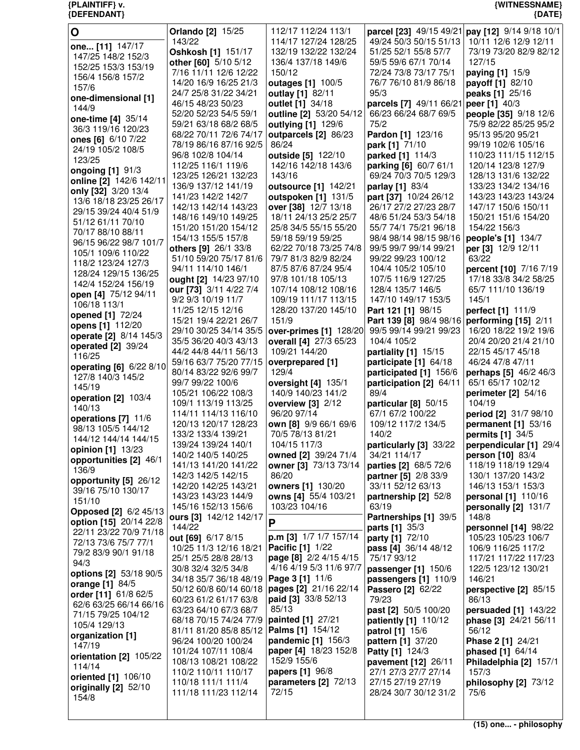| $\mathbf O$                                    | <b>Orlando</b> [2] 15/25                      | 112/17 112/24 113/1                        | parcel [23] 49/15 49/21 pay [12] 9/14 9/18 10/1 |                                                 |
|------------------------------------------------|-----------------------------------------------|--------------------------------------------|-------------------------------------------------|-------------------------------------------------|
| one [11] 147/17                                | 143/22                                        | 114/17 127/24 128/25                       | 49/24 50/3 50/15 51/13<br>51/25 52/1 55/8 57/7  | 10/11 12/6 12/9 12/11<br>73/19 73/20 82/9 82/12 |
| 147/25 148/2 152/3                             | Oshkosh [1] 151/17                            | 132/19 132/22 132/24<br>136/4 137/18 149/6 | 59/5 59/6 67/1 70/14                            | 127/15                                          |
| 152/25 153/3 153/19                            | other [60] 5/10 5/12<br>7/16 11/11 12/6 12/22 | 150/12                                     | 72/24 73/8 73/17 75/1                           | paying [1] 15/9                                 |
| 156/4 156/8 157/2                              | 14/20 16/9 16/25 21/3                         | outages [1] 100/5                          | 76/7 76/10 81/9 86/18                           | payoff [1] 82/10                                |
| 157/6                                          | 24/7 25/8 31/22 34/21                         | outlay [1] 82/11                           | 95/3                                            | peaks [1] 25/16                                 |
| one-dimensional [1]                            | 46/15 48/23 50/23                             | outlet [1] 34/18                           | parcels [7] 49/11 66/21                         | peer [1] 40/3                                   |
| 144/9                                          | 52/20 52/23 54/5 59/1                         | outline [2] 53/20 54/12                    | 66/23 66/24 68/7 69/5                           | people [35] 9/18 12/6                           |
| one-time [4] 35/14                             | 59/21 63/18 68/2 68/5                         | outlying [1] 129/6                         | 75/2                                            | 75/9 82/22 85/25 95/2                           |
| 36/3 119/16 120/23                             | 68/22 70/11 72/6 74/17                        | outparcels [2] 86/23                       | Pardon [1] 123/16                               | 95/13 95/20 95/21                               |
| ones [6] 6/10 7/22<br>24/19 105/2 108/5        | 78/19 86/16 87/16 92/5                        | 86/24                                      | park [1] 71/10                                  | 99/19 102/6 105/16                              |
| 123/25                                         | 96/8 102/8 104/14                             | outside [5] 122/10                         | parked [1] 114/3                                | 110/23 111/15 112/15                            |
| ongoing [1] 91/3                               | 112/25 116/1 119/6                            | 142/16 142/18 143/6                        | parking [6] 60/7 61/1                           | 120/14 123/8 127/9                              |
| online [2] 142/6 142/11                        | 123/25 126/21 132/23                          | 143/16                                     | 69/24 70/3 70/5 129/3                           | 128/13 131/6 132/22                             |
| only [32] 3/20 13/4                            | 136/9 137/12 141/19                           | outsource [1] 142/21                       | parlay [1] 83/4                                 | 133/23 134/2 134/16                             |
| 13/6 18/18 23/25 26/17                         | 141/23 142/2 142/7                            | outspoken [1] 131/5                        | part [37] 10/24 26/12                           | 143/23 143/23 143/24                            |
| 29/15 39/24 40/4 51/9                          | 142/13 142/14 143/23                          | over [38] 12/7 13/18                       | 26/17 27/2 27/23 28/7                           | 147/17 150/6 150/11                             |
| 51/12 61/11 70/10                              | 148/16 149/10 149/25                          | 18/11 24/13 25/2 25/7                      | 48/6 51/24 53/3 54/18                           | 150/21 151/6 154/20                             |
| 70/17 88/10 88/11                              | 151/20 151/20 154/12                          | 25/8 34/5 55/15 55/20                      | 55/7 74/1 75/21 96/18                           | 154/22 156/3                                    |
| 96/15 96/22 98/7 101/7                         | 154/13 155/5 157/8                            | 59/18 59/19 59/25                          | 98/4 98/14 98/15 98/16                          | people's [1] 134/7                              |
| 105/1 109/6 110/22                             | <b>others [9] 26/1 33/8</b>                   | 62/22 70/18 73/25 74/8                     | 99/5 99/7 99/14 99/21                           | per [3] 12/9 12/11                              |
| 118/2 123/24 127/3                             | 51/10 59/20 75/17 81/6                        | 79/7 81/3 82/9 82/24                       | 99/22 99/23 100/12                              | 63/22                                           |
| 128/24 129/15 136/25                           | 94/11 114/10 146/1                            | 87/5 87/6 87/24 95/4                       | 104/4 105/2 105/10                              | percent [10] 7/16 7/19                          |
| 142/4 152/24 156/19                            | ought [2] 14/23 97/10                         | 97/8 101/18 105/13<br>107/14 108/12 108/16 | 107/5 116/9 127/25                              | 17/18 33/8 34/2 58/25                           |
| open [4] 75/12 94/11                           | our [73] 3/11 4/22 7/4<br>9/2 9/3 10/19 11/7  | 109/19 111/17 113/15                       | 128/4 135/7 146/5<br>147/10 149/17 153/5        | 65/7 111/10 136/19<br>145/1                     |
| 106/18 113/1                                   | 11/25 12/15 12/16                             | 128/20 137/20 145/10                       | Part 121 [1] 98/15                              | perfect [1] 111/9                               |
| opened [1] 72/24                               | 15/21 19/4 22/21 26/7                         | 151/9                                      | Part 139 [8] 98/4 98/16                         | performing [15] 2/11                            |
| opens [1] 112/20                               | 29/10 30/25 34/14 35/5                        | over-primes [1] 128/20                     | 99/5 99/14 99/21 99/23                          | 16/20 18/22 19/2 19/6                           |
| operate [2] 8/14 145/3                         | 35/5 36/20 40/3 43/13                         | overall [4] 27/3 65/23                     | 104/4 105/2                                     | 20/4 20/20 21/4 21/10                           |
| operated [2] 39/24                             | 44/2 44/8 44/11 56/13                         | 109/21 144/20                              | partiality [1] 15/15                            | 22/15 45/17 45/18                               |
| 116/25                                         | 59/16 63/7 75/20 77/15                        | overprepared [1]                           | participate [1] 64/18                           | 46/24 47/8 47/11                                |
| operating [6] 6/22 8/10                        | 80/14 83/22 92/6 99/7                         | 129/4                                      | participated [1] 156/6                          | perhaps [5] 46/2 46/3                           |
| 127/8 140/3 145/2                              | 99/7 99/22 100/6                              | oversight [4] 135/1                        | participation [2] 64/11                         | 65/1 65/17 102/12                               |
| 145/19                                         | 105/21 106/22 108/3                           | 140/9 140/23 141/2                         | 89/4                                            | perimeter [2] 54/16                             |
| operation [2] 103/4<br>140/13                  | 109/1 113/19 113/25                           | overview $[3]$ 2/12                        | particular [8] 50/15                            | 104/19                                          |
| operations [7] 11/6                            | 114/11 114/13 116/10                          | 96/20 97/14                                | 67/1 67/2 100/22                                | period [2] 31/7 98/10                           |
| 98/13 105/5 144/12                             | 120/13 120/17 128/23                          | own [8] 9/9 66/1 69/6                      | 109/12 117/2 134/5                              | permanent [1] 53/16                             |
| 144/12 144/14 144/15                           | 133/2 133/4 139/21                            | 70/5 78/13 81/21                           | 140/2                                           | permits [1] 34/5                                |
| opinion [1] 13/23                              | 139/24 139/24 140/1                           | 104/15 117/3                               | particularly [3] 33/22                          | perpendicular [1] 29/4                          |
| opportunities [2] 46/1                         | 140/2 140/5 140/25                            | owned [2] 39/24 71/4                       | 34/21 114/17                                    | person [10] 83/4                                |
| 136/9                                          | 141/13 141/20 141/22                          | owner [3] 73/13 73/14                      | parties [2] 68/5 72/6                           | 118/19 118/19 129/4                             |
| opportunity [5] 26/12                          | 142/3 142/5 142/15                            | 86/20                                      | partner [5] 2/8 33/9                            | 130/1 137/20 143/2                              |
| 39/16 75/10 130/17                             | 142/20 142/25 143/21                          | owners [1] 130/20                          | 33/11 52/12 63/13                               | 146/13 153/1 153/3                              |
| 151/10                                         | 143/23 143/23 144/9                           | owns [4] 55/4 103/21                       | partnership [2] 52/8                            | personal [1] 110/16                             |
| <b>Opposed</b> [2] 6/2 45/13                   | 145/16 152/13 156/6<br>ours [3] 142/12 142/17 | 103/23 104/16                              | 63/19<br>Partnerships [1] 39/5                  | personally [2] 131/7<br>148/8                   |
| option [15] 20/14 22/8                         | 144/22                                        | P                                          | parts [1] 35/3                                  | personnel [14] 98/22                            |
| 22/11 23/22 70/9 71/18                         | out [69] 6/17 8/15                            | p.m [3] 1/7 1/7 157/14                     | <b>party</b> [1] 72/10                          | 105/23 105/23 106/7                             |
| 72/13 73/6 75/7 77/1                           | 10/25 11/3 12/16 18/21                        | <b>Pacific [1] 1/22</b>                    | pass [4] 36/14 48/12                            | 106/9 116/25 117/2                              |
| 79/2 83/9 90/1 91/18                           | 25/1 25/5 28/8 28/13                          | page [8] 2/2 4/15 4/15                     | 75/17 93/12                                     | 117/21 117/22 117/23                            |
| 94/3                                           | 30/8 32/4 32/5 34/8                           | 4/16 4/19 5/3 11/6 97/7                    | passenger [1] 150/6                             | 122/5 123/12 130/21                             |
| options [2] 53/18 90/5                         | 34/18 35/7 36/18 48/19                        | Page 3 [1] 11/6                            | passengers [1] 110/9                            | 146/21                                          |
| orange [1] 84/5                                | 50/12 60/8 60/14 60/18                        | pages [2] 21/16 22/14                      | Passero [2] 62/22                               | perspective [2] 85/15                           |
| order [11] 61/8 62/5<br>62/6 63/25 66/14 66/16 | 60/23 61/2 61/17 63/8                         | paid [3] 33/8 52/13                        | 79/23                                           | 86/13                                           |
| 71/15 79/25 104/12                             | 63/23 64/10 67/3 68/7                         | 85/13                                      | past [2] 50/5 100/20                            | persuaded $[1]$ 143/22                          |
| 105/4 129/13                                   | 68/18 70/15 74/24 77/9                        | painted [1] 27/21                          | patiently [1] 110/12                            | phase [3] 24/21 56/11                           |
| organization [1]                               | 81/11 81/20 85/8 85/12                        | <b>Palms [1] 154/12</b>                    | patrol [1] 15/6                                 | 56/12                                           |
| 147/19                                         | 96/24 100/20 100/24                           | pandemic [1] 156/3                         | pattern [1] 37/20                               | Phase 2 [1] 24/21                               |
| orientation [2] 105/22                         | 101/24 107/11 108/4                           | paper [4] 18/23 152/8                      | <b>Patty [1] 124/3</b>                          | phased [1] 64/14                                |
| 114/14                                         | 108/13 108/21 108/22                          | 152/9 155/6                                | pavement [12] 26/11                             | Philadelphia [2] 157/1                          |
| oriented [1] 106/10                            | 110/2 110/11 110/17                           | papers [1] 96/8                            | 27/1 27/3 27/7 27/14                            | 157/3                                           |
| originally [2] 52/10                           | 110/18 111/1 111/4                            | parameters [2] 72/13<br>72/15              | 27/15 27/19 27/19                               | philosophy [2] 73/12<br>75/6                    |
| 154/8                                          | 111/18 111/23 112/14                          |                                            | 28/24 30/7 30/12 31/2                           |                                                 |
|                                                |                                               |                                            |                                                 |                                                 |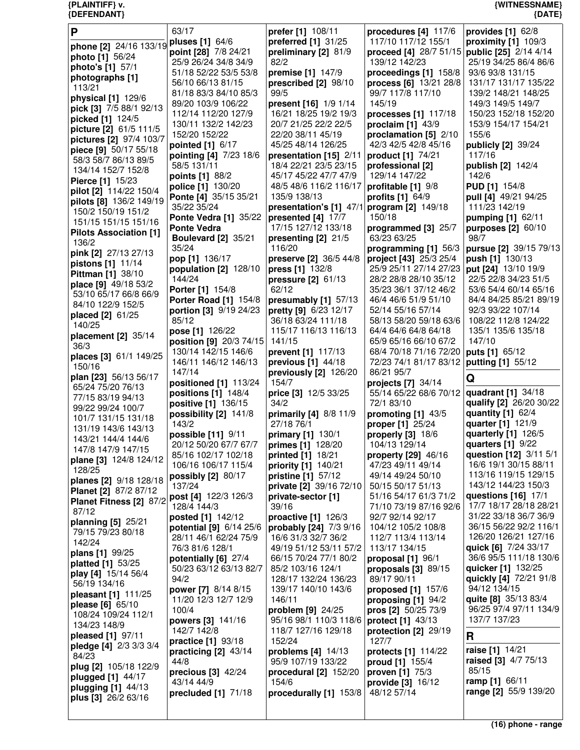| $\mathsf{P}$                           | 63/17                         | prefer [1] 108/11                           | procedures [4] 117/6                         | provides $[1]$ 62/8                  |
|----------------------------------------|-------------------------------|---------------------------------------------|----------------------------------------------|--------------------------------------|
| phone [2] 24/16 133/19                 | pluses [1] 64/6               | preferred [1] 31/25                         | 117/10 117/12 155/1                          | proximity $[1]$ 109/3                |
| photo [1] 56/24                        | point [28] 7/8 24/21          | preliminary [2] 81/9                        | proceed [4] 28/7 51/15 public [25] 2/14 4/14 |                                      |
| photo's [1] 57/1                       | 25/9 26/24 34/8 34/9          | 82/2                                        | 139/12 142/23                                | 25/19 34/25 86/4 86/6                |
|                                        | 51/18 52/22 53/5 53/8         | premise [1] 147/9                           | proceedings [1] 158/8                        | 93/6 93/8 131/15                     |
| photographs [1]                        | 56/10 66/13 81/15             | prescribed [2] 98/10                        | process [6] 13/21 28/8                       | 131/17 131/17 135/22                 |
| 113/21                                 | 81/18 83/3 84/10 85/3         | 99/5                                        | 99/7 117/8 117/10                            | 139/2 148/21 148/25                  |
| physical [1] 129/6                     | 89/20 103/9 106/22            | present [16] 1/9 1/14                       | 145/19                                       | 149/3 149/5 149/7                    |
| pick [3] 7/5 88/1 92/13                | 112/14 112/20 127/9           | 16/21 18/25 19/2 19/3                       | processes [1] 117/18                         | 150/23 152/18 152/20                 |
| picked [1] 124/5                       | 130/11 132/2 142/23           | 20/7 21/25 22/2 22/5                        | proclaim $[1]$ 43/9                          | 153/9 154/17 154/21                  |
| picture [2] 61/5 111/5                 | 152/20 152/22                 | 22/20 38/11 45/19                           | proclamation [5] 2/10                        | 155/6                                |
| pictures [2] 97/4 103/7                | pointed [1] 6/17              | 45/25 48/14 126/25                          | 42/3 42/5 42/8 45/16                         | publicly [2] 39/24                   |
| piece [9] 50/17 55/18                  | pointing [4] 7/23 18/6        | presentation [15] 2/11                      | product [1] 74/21                            | 117/16                               |
| 58/3 58/7 86/13 89/5                   | 58/5 131/11                   | 18/4 22/21 23/5 23/15                       | professional [2]                             | publish [2] 142/4                    |
| 134/14 152/7 152/8                     | points [1] 88/2               | 45/17 45/22 47/7 47/9                       | 129/14 147/22                                | 142/6                                |
| Pierce [1] 15/23                       | police [1] 130/20             | 48/5 48/6 116/2 116/17                      | profitable [1] 9/8                           | <b>PUD [1] 154/8</b>                 |
| pilot [2] 114/22 150/4                 | Ponte [4] 35/15 35/21         | 135/9 138/13                                | <b>profits</b> [1] 64/9                      | pull [4] 49/21 94/25                 |
| pilots [8] 136/2 149/19                | 35/22 35/24                   | presentation's [1] 47/1                     | program [2] 149/18                           | 111/23 142/19                        |
| 150/2 150/19 151/2                     | Ponte Vedra [1] 35/22         | presented [4] 17/7                          | 150/18                                       | pumping [1] 62/11                    |
| 151/15 151/15 151/16                   | <b>Ponte Vedra</b>            | 17/15 127/12 133/18                         | programmed [3] 25/7                          | purposes [2] 60/10                   |
| <b>Pilots Association [1]</b>          | <b>Boulevard [2] 35/21</b>    | presenting [2] 21/5                         | 63/23 63/25                                  | 98/7                                 |
| 136/2                                  | 35/24                         | 116/20                                      | programming [1] 56/3                         | pursue [2] 39/15 79/13               |
| pink [2] 27/13 27/13                   | pop [1] 136/17                | preserve [2] 36/5 44/8                      | project [43] 25/3 25/4                       | push [1] 130/13                      |
| pistons [1] 11/14                      | population [2] 128/10         | press [1] 132/8                             | 25/9 25/11 27/14 27/23                       | put [24] 13/10 19/9                  |
| Pittman [1] 38/10                      | 144/24                        | pressure [2] 61/13                          | 28/2 28/8 28/10 35/12                        | 22/5 22/8 34/23 51/5                 |
| place [9] 49/18 53/2                   | Porter [1] 154/8              | 62/12                                       | 35/23 36/1 37/12 46/2                        | 53/6 54/4 60/14 65/16                |
| 53/10 65/17 66/8 66/9                  | <b>Porter Road [1] 154/8</b>  | presumably [1] 57/13                        | 46/4 46/6 51/9 51/10                         | 84/4 84/25 85/21 89/19               |
| 84/10 122/9 152/5                      | portion [3] 9/19 24/23        | pretty [9] 6/23 12/17                       | 52/14 55/16 57/14                            | 92/3 93/22 107/14                    |
| placed [2] 61/25                       | 85/12                         | 36/18 63/24 111/18                          | 58/13 58/20 59/18 63/6                       | 108/22 112/8 124/22                  |
| 140/25                                 | pose [1] 126/22               | 115/17 116/13 116/13                        | 64/4 64/6 64/8 64/18                         | 135/1 135/6 135/18                   |
| placement [2] 35/14                    | position [9] 20/3 74/15       | 141/15                                      | 65/9 65/16 66/10 67/2                        | 147/10                               |
| 36/3                                   | 130/14 142/15 146/6           | prevent [1] 117/13                          | 68/4 70/18 71/16 72/20                       | puts [1] 65/12                       |
| places [3] 61/1 149/25                 | 146/11 146/12 146/13          | previous $[1]$ 44/18                        | 72/23 74/1 81/17 83/12                       | putting [1] 55/12                    |
| 150/16                                 | 147/14                        | previously [2] 126/20                       | 86/21 95/7                                   |                                      |
| plan [23] 56/13 56/17                  | positioned [1] 113/24         | 154/7                                       | projects [7] 34/14                           | Q                                    |
| 65/24 75/20 76/13<br>77/15 83/19 94/13 | positions $[1]$ 148/4         | price [3] 12/5 33/25                        | 55/14 65/22 68/6 70/12                       | quadrant [1] 34/18                   |
| 99/22 99/24 100/7                      | positive [1] 136/15           | 34/2                                        | 72/1 83/10                                   | qualify [2] 26/20 30/22              |
| 101/7 131/15 131/18                    | possibility [2] 141/8         | primarily [4] 8/8 11/9                      | promoting [1] 43/5                           | quantity [1] 62/4                    |
| 131/19 143/6 143/13                    | 143/2                         | 27/18 76/1                                  | proper [1] 25/24                             | quarter [1] 121/9                    |
| 143/21 144/4 144/6                     | possible [11] 9/11            | primary [1] 130/1                           | properly [3] 18/6                            | quarterly [1] 126/5                  |
| 147/8 147/9 147/15                     | 20/12 50/20 67/7 67/7         | primes [1] 128/20                           | 104/13 129/14                                | quarters [1] 9/22                    |
| plane [3] 124/8 124/12                 | 85/16 102/17 102/18           | printed [1] 18/21                           | property $[29]$ 46/16                        | question [12] 3/11 5/1               |
| 128/25                                 | 106/16 106/17 115/4           | priority [1] 140/21                         | 47/23 49/11 49/14                            | 16/6 19/1 30/15 88/11                |
| planes [2] 9/18 128/18                 | possibly [2] 80/17            | <b>pristine</b> [1] 57/12                   | 49/14 49/24 50/10                            | 113/16 119/15 129/15                 |
| Planet [2] 87/2 87/12                  | 137/24                        | private [2] 39/16 72/10                     | 50/15 50/17 51/13                            | 143/12 144/23 150/3                  |
| Planet Fitness [2] 87/2                | post [4] 122/3 126/3          | private-sector [1]                          | 51/16 54/17 61/3 71/2                        | questions $[16]$ 17/1                |
| 87/12                                  | 128/4 144/3                   | 39/16                                       | 71/10 73/19 87/16 92/6                       | 17/7 18/17 28/18 28/21               |
| planning [5] 25/21                     | posted [1] 142/12             | proactive $[1]$ 126/3                       | 92/7 92/14 92/17                             | 31/22 33/18 36/7 36/9                |
| 79/15 79/23 80/18                      | potential [9] 6/14 25/6       | probably [24] 7/3 9/16                      | 104/12 105/2 108/8                           | 36/15 56/22 92/2 116/1               |
| 142/24                                 | 28/11 46/1 62/24 75/9         | 16/6 31/3 32/7 36/2                         | 112/7 113/4 113/14                           | 126/20 126/21 127/16                 |
| plans [1] 99/25                        | 76/3 81/6 128/1               | 49/19 51/12 53/11 57/2                      | 113/17 134/15                                | quick [6] 7/24 33/17                 |
| platted [1] 53/25                      | potentially [6] 27/4          | 66/15 70/24 77/1 80/2                       | proposal $[1]$ 96/1                          | 36/6 95/5 111/18 130/6               |
| play [4] 15/14 56/4                    | 50/23 63/12 63/13 82/7        | 85/2 103/16 124/1                           | proposals $[3]$ 89/15                        | quicker [1] 132/25                   |
| 56/19 134/16                           | 94/2                          | 128/17 132/24 136/23                        | 89/17 90/11                                  | quickly [4] 72/21 91/8               |
| pleasant [1] 111/25                    | power [7] 8/14 8/15           | 139/17 140/10 143/6<br>146/11               | proposed $[1]$ 157/6                         | 94/12 134/15<br>quite [8] 35/13 83/4 |
| please [6] 65/10                       | 11/20 12/3 12/7 12/9<br>100/4 |                                             | proposing $[1]$ 94/2                         | 96/25 97/4 97/11 134/9               |
| 108/24 109/24 112/1                    | powers [3] 141/16             | problem [9] 24/25<br>95/16 98/1 110/3 118/6 | pros [2] 50/25 73/9<br>protect [1] 43/13     | 137/7 137/23                         |
| 134/23 148/9                           | 142/7 142/8                   | 118/7 127/16 129/18                         | protection [2] 29/19                         |                                      |
| pleased [1] 97/11                      | practice [1] 93/18            | 152/24                                      | 127/7                                        | R                                    |
| pledge [4] 2/3 3/3 3/4                 | practicing $[2]$ 43/14        | problems $[4]$ 14/13                        | protects [1] 114/22                          | raise [1] 14/21                      |
| 84/23                                  | 44/8                          | 95/9 107/19 133/22                          | proud [1] 155/4                              | raised [3] 4/7 75/13                 |
| plug [2] 105/18 122/9                  | precious $[3]$ 42/24          | procedural [2] 152/20                       | proven [1] 75/3                              | 85/15                                |
| plugged [1] 44/17                      | 43/14 44/9                    | 154/6                                       | provide [3] 16/12                            | ramp [1] 66/11                       |
| plugging [1] 44/13                     | precluded [1] 71/18           | procedurally [1] 153/8                      | 48/12 57/14                                  | range [2] 55/9 139/20                |
| <b>plus [3]</b> 26/2 63/16             |                               |                                             |                                              |                                      |
|                                        |                               |                                             |                                              |                                      |

**(16) phone - range**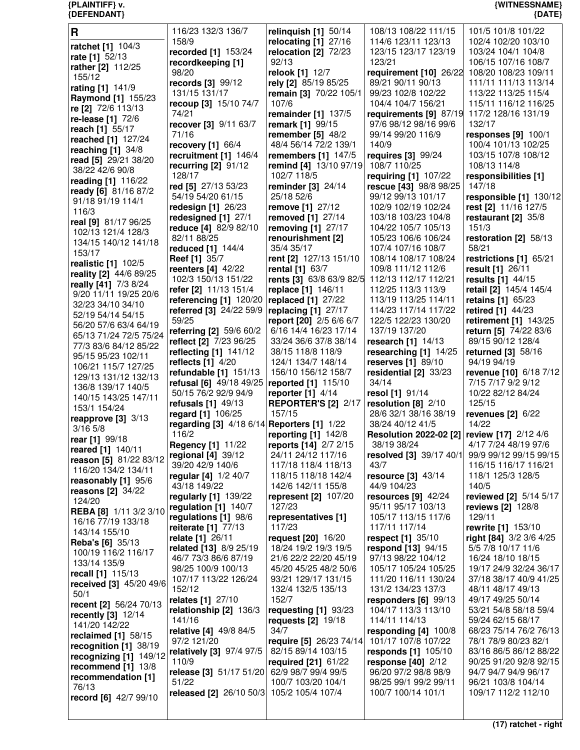| {DEFENDANT}                                   |                                                  |                                            |                                                    | ${$ (DATE)                                     |
|-----------------------------------------------|--------------------------------------------------|--------------------------------------------|----------------------------------------------------|------------------------------------------------|
| $\mathbf R$                                   | 116/23 132/3 136/7                               | relinquish $[1]$ 50/14                     | 108/13 108/22 111/15                               | 101/5 101/8 101/22                             |
| ratchet [1] 104/3                             | 158/9                                            | relocating [1] 27/16                       | 114/6 123/11 123/13                                | 102/4 102/20 103/10                            |
| rate [1] 52/13                                | recorded [1] 153/24                              | relocation [2] 72/23                       | 123/15 123/17 123/19                               | 103/24 104/1 104/8                             |
| rather [2] 112/25                             | recordkeeping [1]                                | 92/13                                      | 123/21                                             | 106/15 107/16 108/7                            |
| 155/12                                        | 98/20                                            | relook [1] 12/7                            | requirement [10] 26/22                             | 108/20 108/23 109/11                           |
| rating [1] 141/9                              | records [3] 99/12                                | rely [2] 85/19 85/25                       | 89/21 90/11 90/13                                  | 111/11 111/13 113/14                           |
| <b>Raymond [1] 155/23</b>                     | 131/15 131/17                                    | remain [3] 70/22 105/1                     | 99/23 102/8 102/22                                 | 113/22 113/25 115/4                            |
| re [2] 72/6 113/13                            | recoup [3] 15/10 74/7                            | 107/6                                      | 104/4 104/7 156/21                                 | 115/11 116/12 116/25                           |
| re-lease [1] 72/6                             | 74/21                                            | remainder [1] 137/5                        | requirements [9] 87/19                             | 117/2 128/16 131/19                            |
| reach [1] 55/17                               | recover [3] 9/11 63/7                            | remark [1] 99/15                           | 97/6 98/12 98/16 99/6                              | 132/17                                         |
| reached [1] 127/24                            | 71/16                                            | remember $[5]$ 48/2                        | 99/14 99/20 116/9                                  | responses $[9]$ 100/1                          |
| reaching $[1]$ 34/8                           | recovery $[1]$ 66/4                              | 48/4 56/14 72/2 139/1                      | 140/9                                              | 100/4 101/13 102/25                            |
| read [5] 29/21 38/20                          | recruitment [1] 146/4                            | remembers [1] 147/5                        | requires [3] 99/24                                 | 103/15 107/8 108/12                            |
| 38/22 42/6 90/8                               | recurring $[2]$ 91/12                            | remind [4] 13/10 97/19                     | 108/7 110/25                                       | 108/13 114/8                                   |
| reading [1] 116/22                            | 128/17                                           | 102/7 118/5                                | requiring [1] 107/22<br>rescue [43] 98/8 98/25     | responsibilities [1]<br>147/18                 |
| ready [6] 81/16 87/2                          | red [5] 27/13 53/23<br>54/19 54/20 61/15         | reminder [3] 24/14<br>25/18 52/6           | 99/12 99/13 101/17                                 | responsible [1] 130/12                         |
| 91/18 91/19 114/1                             | redesign $[1]$ 26/23                             | remove [1] 27/12                           | 102/9 102/19 102/24                                | rest [2] 11/16 127/5                           |
| 116/3                                         | redesigned [1] 27/1                              | removed [1] 27/14                          | 103/18 103/23 104/8                                | restaurant $[2]$ 35/8                          |
| real [9] 81/17 96/25                          | reduce [4] 82/9 82/10                            | removing [1] 27/17                         | 104/22 105/7 105/13                                | 151/3                                          |
| 102/13 121/4 128/3                            | 82/11 88/25                                      | renourishment [2]                          | 105/23 106/6 106/24                                | restoration [2] 58/13                          |
| 134/15 140/12 141/18                          | reduced [1] 144/4                                | 35/4 35/17                                 | 107/4 107/16 108/7                                 | 58/21                                          |
| 153/17                                        | <b>Reef</b> [1] 35/7                             | rent [2] 127/13 151/10                     | 108/14 108/17 108/24                               | restrictions [1] 65/21                         |
| realistic [1] 102/5                           | reenters $[4]$ 42/22                             | rental [1] 63/7                            | 109/8 111/12 112/6                                 | result [1] 26/11                               |
| reality [2] 44/6 89/25                        | 102/3 150/13 151/22                              | rents [3] 63/8 63/9 82/5                   | 112/13 112/17 112/21                               | results [1] 44/15                              |
| really [41] 7/3 8/24<br>9/20 11/11 19/25 20/6 | refer [2] 11/13 151/4                            | replace [1] 146/11                         | 112/25 113/3 113/9                                 | retail [2] 145/4 145/4                         |
| 32/23 34/10 34/10                             | referencing [1] 120/20                           | replaced $[1]$ 27/22                       | 113/19 113/25 114/11                               | retains [1] 65/23                              |
| 52/19 54/14 54/15                             | referred [3] 24/22 59/9                          | replacing [1] 27/17                        | 114/23 117/14 117/22                               | retired [1] 44/23                              |
| 56/20 57/6 63/4 64/19                         | 59/25                                            | report [20] 2/5 6/6 6/7                    | 122/5 122/23 130/20                                | retirement [1] 143/25                          |
| 65/13 71/24 72/5 75/24                        | referring [2] 59/6 60/2                          | 6/16 14/4 16/23 17/14                      | 137/19 137/20                                      | return [5] 74/22 83/6                          |
| 77/3 83/6 84/12 85/22                         | reflect [2] 7/23 96/25                           | 33/24 36/6 37/8 38/14                      | research $[1]$ 14/13                               | 89/15 90/12 128/4                              |
| 95/15 95/23 102/11                            | reflecting [1] 141/12                            | 38/15 118/8 118/9                          | researching [1] 14/25                              | returned [3] 58/16                             |
| 106/21 115/7 127/25                           | reflects $[1]$ 4/20                              | 124/1 134/7 148/14                         | reserves [1] 89/10                                 | 94/19 94/19                                    |
| 129/13 131/12 132/13                          | refundable [1] 151/13<br>refusal [6] 49/18 49/25 | 156/10 156/12 158/7<br>reported [1] 115/10 | residential [2] 33/23<br>34/14                     | revenue [10] 6/18 7/12<br>7/15 7/17 9/2 9/12   |
| 136/8 139/17 140/5                            | 50/15 76/2 92/9 94/9                             | reporter $[1]$ 4/14                        | resol [1] 91/14                                    | 10/22 82/12 84/24                              |
| 140/15 143/25 147/11                          | refusals [1] 49/13                               | <b>REPORTER'S [2] 2/17</b>                 | resolution $[8]$ 2/10                              | 125/15                                         |
| 153/1 154/24                                  | regard [1] 106/25                                | 157/15                                     | 28/6 32/1 38/16 38/19                              | revenues $[2]$ 6/22                            |
| reapprove [3] 3/13                            | regarding [3] 4/18 6/14 Reporters [1] 1/22       |                                            | 38/24 40/12 41/5                                   | 14/22                                          |
| $3/16$ 5/8                                    | 116/2                                            | reporting $[1]$ 142/8                      | <b>Resolution 2022-02 [2] review [17]</b> 2/12 4/6 |                                                |
| rear [1] 99/18                                | <b>Regency [1] 11/22</b>                         | reports [14] 2/7 2/15                      | 38/19 38/24                                        | 4/17 7/24 48/19 97/6                           |
| reared [1] 140/11<br>reason [5] 81/22 83/12   | regional [4] 39/12                               | 24/11 24/12 117/16                         | resolved [3] 39/17 40/1                            | 99/9 99/12 99/15 99/15                         |
| 116/20 134/2 134/11                           | 39/20 42/9 140/6                                 | 117/18 118/4 118/13                        | 43/7                                               | 116/15 116/17 116/21                           |
| reasonably [1] 95/6                           | regular [4] 1/2 40/7                             | 118/15 118/18 142/4                        | resource [3] 43/14                                 | 118/1 125/3 128/5                              |
| reasons $[2]$ 34/22                           | 43/18 149/22                                     | 142/6 142/11 155/8                         | 44/9 104/23                                        | 140/5                                          |
| 124/20                                        | regularly [1] 139/22                             | represent $[2]$ 107/20                     | resources $[9]$ 42/24                              | reviewed [2] 5/14 5/17                         |
| REBA [8] 1/11 3/2 3/10                        | regulation $[1]$ 140/7                           | 127/23                                     | 95/11 95/17 103/13                                 | <b>reviews [2] 128/8</b>                       |
| 16/16 77/19 133/18                            | regulations [1] 98/6                             | representatives [1]<br>117/23              | 105/17 113/15 117/6<br>117/11 117/14               | 129/11<br>rewrite [1] 153/10                   |
| 143/14 155/10                                 | reiterate [1] 77/13<br>relate [1] 26/11          | request [20] 16/20                         | respect [1] 35/10                                  | right [84] 3/2 3/6 4/25                        |
| Reba's [6] 35/13                              | <b>related</b> [13] 8/9 25/19                    | 18/24 19/2 19/3 19/5                       | respond $[13]$ 94/15                               | 5/5 7/8 10/17 11/6                             |
| 100/19 116/2 116/17                           | 46/7 73/3 86/6 87/19                             | 21/6 22/2 22/20 45/19                      | 97/13 98/22 104/12                                 | 16/24 18/10 18/15                              |
| 133/14 135/9                                  | 98/25 100/9 100/13                               | 45/20 45/25 48/2 50/6                      | 105/17 105/24 105/25                               | 19/17 24/9 32/24 36/17                         |
| recall [1] 115/13                             | 107/17 113/22 126/24                             | 93/21 129/17 131/15                        | 111/20 116/11 130/24                               | 37/18 38/17 40/9 41/25                         |
| received [3] 45/20 49/6                       | 152/12                                           | 132/4 132/5 135/13                         | 131/2 134/23 137/3                                 | 48/11 48/17 49/13                              |
| 50/1<br>recent [2] 56/24 70/13                | relates [1] 27/10                                | 152/7                                      | responders [6] 99/13                               | 49/17 49/25 50/14                              |
| recently [3] 12/14                            | relationship [2] 136/3                           | requesting $[1]$ 93/23                     | 104/17 113/3 113/10                                | 53/21 54/8 58/18 59/4                          |
| 141/20 142/22                                 | 141/16                                           | requests $[2]$ 19/18                       | 114/11 114/13                                      | 59/24 62/15 68/17                              |
| reclaimed [1] 58/15                           | relative [4] 49/8 84/5                           | 34/7                                       | responding [4] 100/8                               | 68/23 75/14 76/2 76/13                         |
| recognition [1] 38/19                         | 97/2 121/20                                      | require [5] 26/23 74/14                    | 101/17 107/8 107/22                                | 78/1 78/9 80/23 82/1                           |
| recognizing [1] 149/12                        | relatively [3] 97/4 97/5                         | 82/15 89/14 103/15                         | responds [1] 105/10                                | 83/16 86/5 86/12 88/22                         |
| recommend $[1]$ 13/8                          | 110/9                                            | required $[21]$ 61/22                      | response $[40]$ 2/12                               | 90/25 91/20 92/8 92/15<br>94/7 94/7 94/9 96/17 |
| recommendation [1]                            | release [3] 51/17 51/20<br>51/22                 | 62/9 98/7 99/4 99/5<br>100/7 103/20 104/1  | 96/20 97/2 98/8 98/9<br>98/25 99/1 99/2 99/11      | 96/21 103/8 104/14                             |
| 76/13                                         | released [2] 26/10 50/3 105/2 105/4 107/4        |                                            | 100/7 100/14 101/1                                 | 109/17 112/2 112/10                            |
| record [6] 42/7 99/10                         |                                                  |                                            |                                                    |                                                |

**{PLAINTIFF} v. {WITNESSNAME}**

**(17) ratchet - right**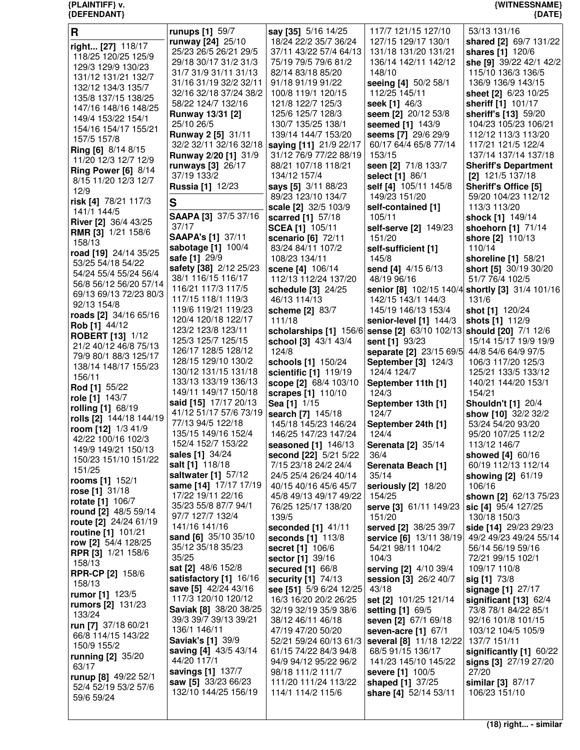| R                                             | runups [1] 59/7                           | say [35] 5/16 14/25                              | 117/7 121/15 127/10                                                | 53/13 131/16                                    |
|-----------------------------------------------|-------------------------------------------|--------------------------------------------------|--------------------------------------------------------------------|-------------------------------------------------|
| right [27] 118/17                             | runway [24] 25/10                         | 18/24 22/2 35/7 36/24                            | 127/15 129/17 130/1                                                | shared [2] 69/7 131/22                          |
| 118/25 120/25 125/9                           | 25/23 26/5 26/21 29/5                     | 37/11 43/22 57/4 64/13                           | 131/18 131/20 131/21                                               | shares [1] 120/6                                |
| 129/3 129/9 130/23                            | 29/18 30/17 31/2 31/3                     | 75/19 79/5 79/6 81/2                             | 136/14 142/11 142/12                                               | she [9] 39/22 42/1 42/2                         |
| 131/12 131/21 132/7                           | 31/7 31/9 31/11 31/13                     | 82/14 83/18 85/20                                | 148/10                                                             | 115/10 136/3 136/5                              |
| 132/12 134/3 135/7                            | 31/16 31/19 32/2 32/11                    | 91/18 91/19 91/22                                | seeing [4] 50/2 58/1                                               | 136/9 136/9 143/15                              |
| 135/8 137/15 138/25                           | 32/16 32/18 37/24 38/2                    | 100/8 119/1 120/15                               | 112/25 145/11                                                      | sheet [2] 6/23 10/25                            |
| 147/16 148/16 148/25                          | 58/22 124/7 132/16                        | 121/8 122/7 125/3                                | seek [1] 46/3                                                      | sheriff [1] 101/17                              |
| 149/4 153/22 154/1                            | <b>Runway 13/31 [2]</b>                   | 125/6 125/7 128/3                                | seem [2] 20/12 53/8                                                | sheriff's [13] 59/20                            |
| 154/16 154/17 155/21                          | 25/10 26/5                                | 130/7 135/25 138/1                               | seemed [1] 143/9                                                   | 104/23 105/23 106/21                            |
| 157/5 157/8                                   | <b>Runway 2 [5] 31/11</b>                 | 139/14 144/7 153/20                              | seems [7] 29/6 29/9                                                | 112/12 113/3 113/20<br>117/21 121/5 122/4       |
| Ring [6] 8/14 8/15                            | 32/2 32/11 32/16 32/18                    | saying [11] 21/9 22/17<br>31/12 76/9 77/22 88/19 | 60/17 64/4 65/8 77/14<br>153/15                                    | 137/14 137/14 137/18                            |
| 11/20 12/3 12/7 12/9                          | Runway 2/20 [1] 31/9                      | 88/21 107/18 118/21                              | seen [2] 71/8 133/7                                                | <b>Sheriff's Department</b>                     |
| <b>Ring Power [6] 8/14</b>                    | runways [3] 26/17<br>37/19 133/2          | 134/12 157/4                                     | <b>select</b> [1] 86/1                                             | $[2]$ 121/5 137/18                              |
| 8/15 11/20 12/3 12/7                          | <b>Russia [1] 12/23</b>                   | says [5] 3/11 88/23                              | self [4] 105/11 145/8                                              | Sheriff's Office [5]                            |
| 12/9                                          |                                           | 89/23 123/10 134/7                               | 149/23 151/20                                                      | 59/20 104/23 112/12                             |
| risk [4] 78/21 117/3                          | S                                         | scale [2] 32/5 103/9                             | self-contained [1]                                                 | 113/3 113/20                                    |
| 141/1 144/5                                   | SAAPA [3] 37/5 37/16                      | scarred [1] 57/18                                | 105/11                                                             | shock [1] 149/14                                |
| River [2] 36/4 43/25                          | 37/17                                     | <b>SCEA [1] 105/11</b>                           | self-serve [2] 149/23                                              | shoehorn [1] 71/14                              |
| <b>RMR [3] 1/21 158/6</b>                     | <b>SAAPA's [1] 37/11</b>                  | scenario [6] 72/11                               | 151/20                                                             | shore [2] 110/13                                |
| 158/13                                        | sabotage [1] 100/4                        | 83/24 84/11 107/2                                | self-sufficient [1]                                                | 110/14                                          |
| road [19] 24/14 35/25                         | <b>safe [1] 29/9</b>                      | 108/23 134/11                                    | 145/8                                                              | shoreline [1] 58/21                             |
| 53/25 54/18 54/22                             | safety [38] 2/12 25/23                    | scene [4] 106/14                                 | send [4] 4/15 6/13                                                 | short [5] 30/19 30/20                           |
| 54/24 55/4 55/24 56/4                         | 38/1 116/15 116/17                        | 112/13 112/24 137/20                             | 48/19 96/16                                                        | 51/7 76/4 102/5                                 |
| 56/8 56/12 56/20 57/14                        | 116/21 117/3 117/5                        | schedule [3] 24/25                               |                                                                    | senior [8] 102/15 140/4 shortly [3] 31/4 101/16 |
| 69/13 69/13 72/23 80/3                        | 117/15 118/1 119/3                        | 46/13 114/13                                     | 142/15 143/1 144/3                                                 | 131/6                                           |
| 92/13 154/8                                   | 119/6 119/21 119/23                       | scheme [2] 83/7                                  | 145/19 146/13 153/4                                                | shot [1] 120/24                                 |
| roads [2] 34/16 65/16<br>Rob [1] 44/12        | 120/4 120/18 122/17                       | 111/18                                           | senior-level [1] 144/3                                             | shots [1] 112/9                                 |
| <b>ROBERT [13] 1/12</b>                       | 123/2 123/8 123/11                        |                                                  | scholarships [1] 156/6 sense [2] 63/10 102/13 should [20] 7/1 12/6 |                                                 |
| 21/2 40/12 46/8 75/13                         | 125/3 125/7 125/15                        | school [3] 43/1 43/4                             | sent [1] 93/23                                                     | 15/14 15/17 19/9 19/9                           |
| 79/9 80/1 88/3 125/17                         | 126/17 128/5 128/12                       | 124/8                                            | separate [2] 23/15 69/5                                            | 44/8 54/6 64/9 97/5                             |
| 138/14 148/17 155/23                          | 128/15 129/10 130/2                       | schools [1] 150/24                               | September [3] 124/3                                                | 106/3 117/20 125/3                              |
|                                               | 130/12 131/15 131/18                      | scientific [1] 119/19                            | 124/4 124/7                                                        | 125/21 133/5 133/12                             |
|                                               |                                           |                                                  |                                                                    |                                                 |
| 156/11                                        | 133/13 133/19 136/13                      | scope [2] 68/4 103/10                            | September 11th [1]                                                 | 140/21 144/20 153/1                             |
| Rod [1] 55/22                                 | 149/11 149/17 150/18                      | scrapes [1] 110/10                               | 124/3                                                              | 154/21                                          |
| role [1] 143/7                                | said [15] 17/17 20/13                     | Sea [1] 1/15                                     | September 13th [1]                                                 | <b>Shouldn't [1] 20/4</b>                       |
| <b>rolling [1] 68/19</b>                      | 41/12 51/17 57/6 73/19                    | search [7] 145/18                                | 124/7                                                              | show [10] 32/2 32/2                             |
| rolls [2] 144/18 144/19<br>room [12] 1/3 41/9 | 77/13 94/5 122/18                         | 145/18 145/23 146/24                             | September 24th [1]                                                 | 53/24 54/20 93/20                               |
| 42/22 100/16 102/3                            | 135/15 149/16 152/4                       | 146/25 147/23 147/24                             | 124/4                                                              | 95/20 107/25 112/2                              |
| 149/9 149/21 150/13                           | 152/4 152/7 153/22                        | seasoned [1] 146/13                              | <b>Serenata [2] 35/14</b>                                          | 113/12 146/7                                    |
| 150/23 151/10 151/22                          | sales [1] 34/24                           | second [22] 5/21 5/22                            | 36/4                                                               | showed [4] 60/16                                |
| 151/25                                        | salt [1] 118/18                           | 7/15 23/18 24/2 24/4                             | Serenata Beach [1]                                                 | 60/19 112/13 112/14                             |
| rooms [1] 152/1                               | saltwater [1] 57/12                       | 24/5 25/4 26/24 40/14                            | 35/14                                                              | showing [2] 61/19                               |
| rose [1] 31/18                                | same [14] 17/17 17/19                     | 40/15 40/16 45/6 45/7                            | seriously [2] 18/20                                                | 106/16                                          |
| <b>rotate [1]</b> 106/7                       | 17/22 19/11 22/16                         | 45/8 49/13 49/17 49/22                           | 154/25                                                             | shown [2] 62/13 75/23                           |
| round [2] 48/5 59/14                          | 35/23 55/8 87/7 94/1                      | 76/25 125/17 138/20                              | serve [3] 61/11 149/23                                             | sic [4] 95/4 127/25                             |
| route $[2]$ 24/24 61/19                       | 97/7 127/7 132/4                          | 139/5                                            | 151/20                                                             | 130/18 150/3                                    |
| routine [1] 101/21                            | 141/16 141/16                             | seconded [1] 41/11                               | served [2] 38/25 39/7                                              | side [14] 29/23 29/23                           |
| row [2] 54/4 128/25                           | sand [6] 35/10 35/10<br>35/12 35/18 35/23 | seconds [1] 113/8                                | service [6] 13/11 38/19                                            | 49/2 49/23 49/24 55/14                          |
| RPR [3] 1/21 158/6                            | 35/25                                     | <b>secret</b> [1] 106/6                          | 54/21 98/11 104/2<br>104/3                                         | 56/14 56/19 59/16<br>72/21 99/15 102/1          |
| 158/13                                        | sat [2] 48/6 152/8                        | sector [1] 39/16                                 |                                                                    | 109/17 110/8                                    |
| <b>RPR-CP [2] 158/6</b>                       | satisfactory [1] 16/16                    | secured [1] 66/8<br>security [1] 74/13           | serving [2] 4/10 39/4<br>session [3] 26/2 40/7                     |                                                 |
| 158/13                                        | save [5] 42/24 43/16                      | see [51] 5/9 6/24 12/25                          | 43/18                                                              | sig [1] 73/8<br>signage [1] 27/17               |
| rumor [1] 123/5                               | 117/3 120/10 120/12                       | 16/3 16/20 20/2 26/25                            | set [2] 101/25 121/14                                              | significant [13] 62/4                           |
| <b>rumors</b> [2] 131/23                      | Saviak [8] 38/20 38/25                    | 32/19 32/19 35/9 38/6                            | setting [1] 69/5                                                   | 73/8 78/1 84/22 85/1                            |
| 133/24                                        | 39/3 39/7 39/13 39/21                     | 38/12 46/11 46/18                                | seven [2] 67/1 69/18                                               | 92/16 101/8 101/15                              |
| run [7] 37/18 60/21                           | 136/1 146/11                              | 47/19 47/20 50/20                                | seven-acre [1] 67/1                                                | 103/12 104/5 105/9                              |
| 66/8 114/15 143/22                            | <b>Saviak's [1] 39/9</b>                  | 52/21 59/24 60/13 61/3                           | several [8] 11/18 12/22                                            | 137/7 151/11                                    |
| 150/9 155/2                                   | saving [4] 43/5 43/14                     | 61/15 74/22 84/3 94/8                            | 68/5 91/15 136/17                                                  | significantly [1] 60/22                         |
| running [2] 35/20<br>63/17                    | 44/20 117/1                               | 94/9 94/12 95/22 96/2                            | 141/23 145/10 145/22                                               | signs [3] 27/19 27/20                           |
|                                               | savings [1] 137/7                         | 98/18 111/2 111/7                                | severe [1] 100/5                                                   | 27/20                                           |
| runup [8] 49/22 52/1<br>52/4 52/19 53/2 57/6  | saw [5] 33/23 66/23                       | 111/20 111/24 113/22                             | shaped [1] 37/25                                                   | similar [3] 87/17                               |
| 59/6 59/24                                    | 132/10 144/25 156/19                      | 114/1 114/2 115/6                                | share [4] 52/14 53/11                                              | 106/23 151/10                                   |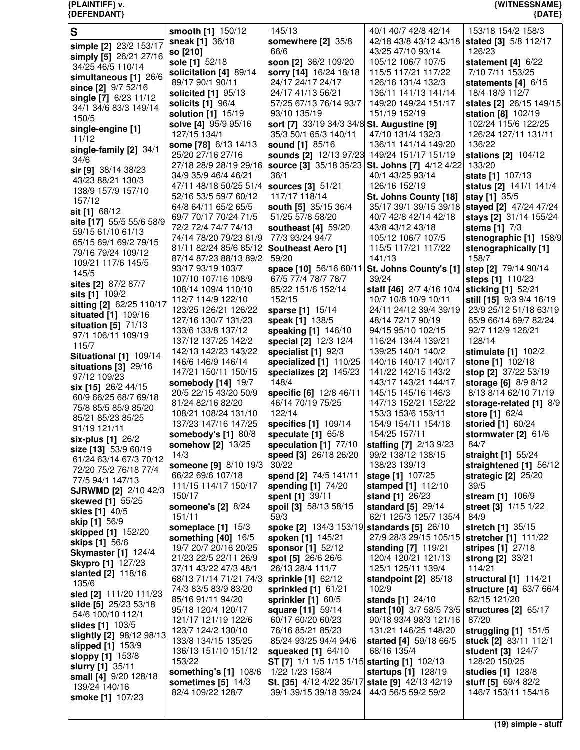| $\mathbf S$                                    | smooth [1] 150/12                              | 145/13                                                          | 40/1 40/7 42/8 42/14                           | 153/18 154/2 158/3                           |
|------------------------------------------------|------------------------------------------------|-----------------------------------------------------------------|------------------------------------------------|----------------------------------------------|
|                                                | sneak [1] 36/18                                | somewhere [2] 35/8                                              | 42/18 43/8 43/12 43/18                         | stated [3] 5/8 112/17                        |
| simple [2] 23/2 153/17                         | so [210]                                       | 66/6                                                            | 43/25 47/10 93/14                              | 126/23                                       |
| simply [5] 26/21 27/16                         | sole [1] 52/18                                 | soon [2] 36/2 109/20                                            | 105/12 106/7 107/5                             | statement $[4]$ 6/22                         |
| 34/25 46/5 110/14                              | solicitation [4] 89/14                         | sorry [14] 16/24 18/18                                          | 115/5 117/21 117/22                            | 7/10 7/11 153/25                             |
| simultaneous [1] 26/6                          | 89/17 90/1 90/11                               | 24/17 24/17 24/17                                               | 126/16 131/4 132/3                             | statements [4] 6/15                          |
| since [2] 9/7 52/16                            | solicited [1] 95/13                            | 24/17 41/13 56/21                                               | 136/11 141/13 141/14                           | 18/4 18/9 112/7                              |
| single [7] 6/23 11/12<br>34/1 34/6 83/3 149/14 | solicits [1] 96/4                              | 57/25 67/13 76/14 93/7                                          | 149/20 149/24 151/17                           | states [2] 26/15 149/15                      |
| 150/5                                          | solution [1] 15/19                             | 93/10 135/19                                                    | 151/19 152/19                                  | station [8] 102/19                           |
| single-engine [1]                              | solve [4] 95/9 95/16                           | sort [7] 33/19 34/3 34/8 St. Augustine [9]                      |                                                | 102/24 115/6 122/25                          |
| 11/12                                          | 127/15 134/1                                   | 35/3 50/1 65/3 140/11                                           | 47/10 131/4 132/3                              | 126/24 127/11 131/11                         |
| single-family [2] 34/1                         | some [78] 6/13 14/13                           | sound [1] 85/16                                                 | 136/11 141/14 149/20                           | 136/22                                       |
| 34/6                                           | 25/20 27/16 27/16                              | sounds [2] 12/13 97/23 149/24 151/17 151/19                     |                                                | stations [2] 104/12                          |
| sir [9] 38/14 38/23                            | 27/18 28/9 28/19 29/16                         |                                                                 | source [3] 35/18 35/23 St. Johns [7] 4/12 4/22 | 133/20                                       |
| 43/23 88/21 130/3                              | 34/9 35/9 46/4 46/21                           | 36/1                                                            | 40/1 43/25 93/14                               | stats [1] 107/13                             |
| 138/9 157/9 157/10                             | 47/11 48/18 50/25 51/4   sources [3] 51/21     |                                                                 | 126/16 152/19                                  | status [2] 141/1 141/4                       |
| 157/12                                         | 52/16 53/5 59/7 60/12                          | 117/17 118/14                                                   | St. Johns County [18]                          | stay [1] 35/5                                |
| sit [1] 68/12                                  | 64/8 64/11 65/2 65/5                           | south [5] 35/15 36/4                                            | 35/17 39/1 39/15 39/18                         | stayed [2] 47/24 47/24                       |
| site [17] 55/5 55/6 58/9                       | 69/7 70/17 70/24 71/5                          | 51/25 57/8 58/20                                                | 40/7 42/8 42/14 42/18                          | stays [2] 31/14 155/24                       |
| 59/15 61/10 61/13                              | 72/2 72/4 74/7 74/13<br>74/14 78/20 79/23 81/9 | southeast [4] 59/20<br>77/3 93/24 94/7                          | 43/8 43/12 43/18<br>105/12 106/7 107/5         | stems [1] 7/3                                |
| 65/15 69/1 69/2 79/15                          | 81/11 82/24 85/6 85/12 Southeast Aero [1]      |                                                                 | 115/5 117/21 117/22                            | stenographic [1] 158/9                       |
| 79/16 79/24 109/12                             | 87/14 87/23 88/13 89/2                         | 59/20                                                           | 141/13                                         | stenographically [1]<br>158/7                |
| 109/21 117/6 145/5                             | 93/17 93/19 103/7                              | space [10] 56/16 60/11                                          | St. Johns County's [1]                         | step [2] 79/14 90/14                         |
| 145/5                                          | 107/10 107/16 108/9                            | 67/5 77/4 78/7 78/7                                             | 39/24                                          | steps [1] 110/23                             |
| sites [2] 87/2 87/7                            | 108/14 109/4 110/10                            | 85/22 151/6 152/14                                              | staff [46] 2/7 4/16 10/4                       | sticking [1] 52/21                           |
| sits [1] 109/2                                 | 112/7 114/9 122/10                             | 152/15                                                          | 10/7 10/8 10/9 10/11                           | still [15] 9/3 9/4 16/19                     |
| sitting [2] 62/25 110/17                       | 123/25 126/21 126/22                           | sparse [1] 15/14                                                | 24/11 24/12 39/4 39/19                         | 23/9 25/12 51/18 63/19                       |
| situated [1] 109/16                            | 127/16 130/7 131/23                            | speak [1] 138/5                                                 | 48/14 72/17 90/19                              | 65/9 66/14 69/7 82/24                        |
| situation $[5]$ 71/13<br>97/1 106/11 109/19    | 133/6 133/8 137/12                             | speaking [1] 146/10                                             | 94/15 95/10 102/15                             | 92/7 112/9 126/21                            |
| 115/7                                          | 137/12 137/25 142/2                            | special [2] 12/3 12/4                                           | 116/24 134/4 139/21                            | 128/14                                       |
| Situational [1] 109/14                         | 142/13 142/23 143/22                           | specialist [1] 92/3                                             | 139/25 140/1 140/2                             | stimulate [1] 102/2                          |
| situations [3] 29/16                           | 146/6 146/9 146/14                             | specialized [1] 110/25                                          | 140/16 140/17 140/17                           | stone [1] 102/18                             |
| 97/12 109/23                                   | 147/21 150/11 150/15                           | specializes [2] 145/23                                          | 141/22 142/15 143/2                            | stop [2] 37/22 53/19                         |
| six [15] 26/2 44/15                            | somebody $[14]$ 19/7                           | 148/4                                                           | 143/17 143/21 144/17                           | storage [6] 8/9 8/12                         |
| 60/9 66/25 68/7 69/18                          | 20/5 22/15 43/20 50/9                          | specific [6] 12/8 46/11                                         | 145/15 145/16 146/3                            | 8/13 8/14 62/10 71/19                        |
| 75/8 85/5 85/9 85/20                           | 81/24 82/16 82/20                              | 46/14 70/19 75/25                                               | 147/13 152/21 152/22                           | storage-related [1] 8/9                      |
| 85/21 85/23 85/25                              | 108/21 108/24 131/10                           | 122/14                                                          | 153/3 153/6 153/11                             | store [1] 62/4                               |
| 91/19 121/11                                   | 137/23 147/16 147/25                           | specifics [1] 109/14                                            | 154/9 154/11 154/18                            | storied [1] 60/24                            |
| six-plus [1] 26/2                              | somebody's [1] 80/8                            | speculate [1] 65/8                                              | 154/25 157/11                                  | stormwater [2] 61/6                          |
| size [13] 53/9 60/19                           | somehow [2] 13/25<br>14/3                      | speculation [1] 77/10                                           | staffing [7] 2/13 9/23                         | 84/7                                         |
| 61/24 63/14 67/3 70/12                         | someone [9] 8/10 19/3                          | speed [3] 26/18 26/20<br>30/22                                  | 99/2 138/12 138/15<br>138/23 139/13            | straight [1] 55/24<br>straightened [1] 56/12 |
| 72/20 75/2 76/18 77/4                          | 66/22 69/6 107/18                              | spend [2] 74/5 141/11                                           | stage [1] 107/25                               | strategic [2] 25/20                          |
| 77/5 94/1 147/13                               | 111/15 114/17 150/17                           | spending [1] 74/20                                              | stamped [1] 112/10                             | 39/5                                         |
| <b>SJRWMD [2] 2/10 42/3</b>                    | 150/17                                         | spent [1] 39/11                                                 | stand [1] 26/23                                | stream [1] 106/9                             |
| skewed [1] 55/25                               | <b>someone's [2] 8/24</b>                      | spoil [3] 58/13 58/15                                           | standard [5] 29/14                             | street [3] 1/15 1/22                         |
| skies [1] 40/5                                 | 151/11                                         | 59/3                                                            | 62/1 125/3 125/7 135/4                         | 84/9                                         |
| skip [1] 56/9                                  | someplace $[1]$ 15/3                           | spoke [2] 134/3 153/19 standards [5] 26/10                      |                                                | stretch [1] 35/15                            |
| skipped [1] 152/20                             | something $[40]$ 16/5                          | spoken [1] 145/21                                               | 27/9 28/3 29/15 105/15                         | stretcher [1] 111/22                         |
| skips [1] 56/6<br><b>Skymaster</b> [1] 124/4   | 19/7 20/7 20/16 20/25                          | sponsor [1] 52/12                                               | standing [7] 119/21                            | stripes [1] 27/18                            |
| <b>Skypro [1] 127/23</b>                       | 21/23 22/5 22/11 26/9                          | spot [5] 26/6 26/6                                              | 120/4 120/21 121/13                            | strong [2] 33/21                             |
| slanted [2] 118/16                             | 37/11 43/22 47/3 48/1                          | 26/13 28/4 111/7                                                | 125/1 125/11 139/4                             | 114/21                                       |
| 135/6                                          | 68/13 71/14 71/21 74/3   sprinkle [1] 62/12    |                                                                 | standpoint [2] 85/18                           | structural [1] 114/21                        |
| sled [2] 111/20 111/23                         | 74/3 83/5 83/9 83/20                           | sprinkled [1] 61/21                                             | 102/9                                          | structure [4] 63/7 66/4                      |
| slide [5] 25/23 53/18                          | 85/16 91/11 94/20                              | sprinkler [1] 60/5                                              | stands [1] 24/10                               | 82/15 121/20                                 |
| 54/6 100/10 112/1                              | 95/18 120/4 120/17                             | square [11] 59/14                                               | start [10] 3/7 58/5 73/5                       | structures $[2]$ 65/17                       |
| slides [1] 103/5                               | 121/17 121/19 122/6                            | 60/17 60/20 60/23                                               | 90/18 93/4 98/3 121/16                         | 87/20                                        |
| slightly [2] 98/12 98/13                       | 123/7 124/2 130/10                             | 76/16 85/21 85/23                                               | 131/21 146/25 148/20                           | struggling [1] 151/5                         |
| slipped [1] 153/9                              | 133/8 134/15 135/25                            | 85/24 93/25 94/4 94/6                                           | started [4] 59/18 66/5                         | stuck [2] 83/11 112/1                        |
| <b>sloppy [1]</b> 153/8                        | 136/13 151/10 151/12                           | squeaked [1] 64/10                                              | 68/16 135/4                                    | <b>student [3] 124/7</b>                     |
| slurry [1] 35/11                               | 153/22<br>something's [1] 108/6                | ST [7] 1/1 1/5 1/15 1/15 starting [1] 102/13<br>1/22 1/23 158/4 |                                                | 128/20 150/25<br>studies [1] 128/8           |
| small [4] 9/20 128/18                          | sometimes $[5]$ 14/3                           | St. [35] 4/12 4/22 35/17                                        | startups [1] 128/19<br>state [9] 42/13 42/19   | stuff [5] 69/4 82/2                          |
| 139/24 140/16                                  | 82/4 109/22 128/7                              | 39/1 39/15 39/18 39/24                                          | 44/3 56/5 59/2 59/2                            | 146/7 153/11 154/16                          |
| smoke [1] 107/23                               |                                                |                                                                 |                                                |                                              |
|                                                |                                                |                                                                 |                                                |                                              |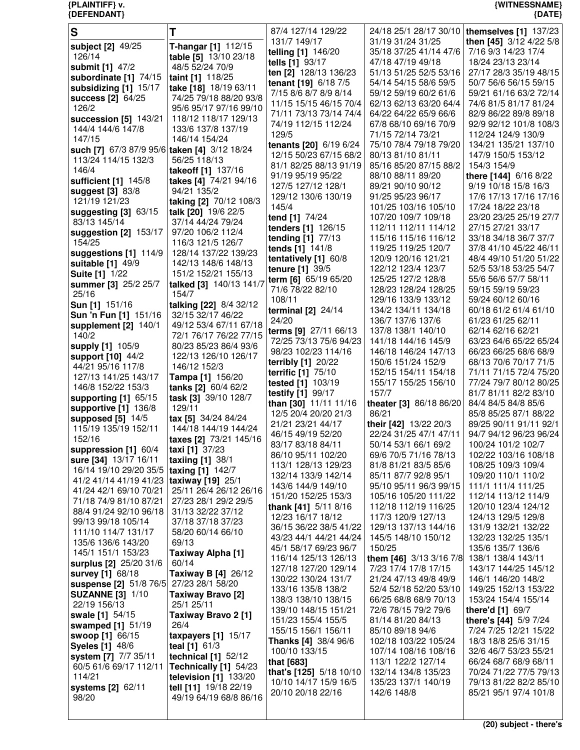| S                                               |                                                  | 87/4 127/14 129/22                                 | 24/18 25/1 28/17 30/10                          | themselves $[1]$ 137/23                         |
|-------------------------------------------------|--------------------------------------------------|----------------------------------------------------|-------------------------------------------------|-------------------------------------------------|
| subject [2] 49/25                               | T-hangar [1] 112/15                              | 131/7 149/17<br>telling [1] 146/20                 | 31/19 31/24 31/25<br>35/18 37/25 41/14 47/6     | then [45] 3/12 4/22 5/8<br>7/16 9/3 14/23 17/4  |
| 126/14                                          | table [5] 13/10 23/18                            | tells [1] 93/17                                    | 47/18 47/19 49/18                               | 18/24 23/13 23/14                               |
| submit [1] 47/2                                 | 48/5 52/24 70/9                                  | ten [2] 128/13 136/23                              | 51/13 51/25 52/5 53/16                          | 27/17 28/3 35/19 48/15                          |
| subordinate [1] 74/15<br>subsidizing [1] 15/17  | taint [1] 118/25<br>take [18] 18/19 63/11        | tenant [19] 6/18 7/5                               | 54/14 54/15 58/6 59/5                           | 50/7 56/6 56/15 59/15                           |
| success $[2]$ 64/25                             | 74/25 79/18 88/20 93/8                           | 7/15 8/6 8/7 8/9 8/14                              | 59/12 59/19 60/2 61/6                           | 59/21 61/16 63/2 72/14                          |
| 126/2                                           | 95/6 95/17 97/16 99/10                           | 11/15 15/15 46/15 70/4                             | 62/13 62/13 63/20 64/4                          | 74/6 81/5 81/17 81/24                           |
| succession [5] 143/21                           | 118/12 118/17 129/13                             | 71/11 73/13 73/14 74/4                             | 64/22 64/22 65/9 66/6                           | 82/9 86/22 89/8 89/18                           |
| 144/4 144/6 147/8                               | 133/6 137/8 137/19                               | 74/19 112/15 112/24<br>129/5                       | 67/8 68/10 69/16 70/9<br>71/15 72/14 73/21      | 92/9 92/12 101/8 108/3<br>112/24 124/9 130/9    |
| 147/15                                          | 146/14 154/24                                    | tenants [20] 6/19 6/24                             | 75/10 78/4 79/18 79/20                          | 134/21 135/21 137/10                            |
| such [7] 67/3 87/9 95/6 taken [4] 3/12 18/24    |                                                  | 12/15 50/23 67/15 68/2                             | 80/13 81/10 81/11                               | 147/9 150/5 153/12                              |
| 113/24 114/15 132/3<br>146/4                    | 56/25 118/13<br>takeoff [1] 137/16               | 81/1 82/25 88/13 91/19                             | 85/16 85/20 87/15 88/2                          | 154/3 154/9                                     |
| sufficient [1] 145/8                            | takes [4] 74/21 94/16                            | 91/19 95/19 95/22                                  | 88/10 88/11 89/20                               | there [144] 6/16 8/22                           |
| suggest [3] 83/8                                | 94/21 135/2                                      | 127/5 127/12 128/1                                 | 89/21 90/10 90/12                               | 9/19 10/18 15/8 16/3                            |
| 121/19 121/23                                   | taking [2] 70/12 108/3                           | 129/12 130/6 130/19<br>145/4                       | 91/25 95/23 96/17<br>101/25 103/16 105/10       | 17/6 17/13 17/16 17/16<br>17/24 18/22 23/18     |
| suggesting [3] 63/15                            | talk [20] 19/6 22/5                              | tend [1] 74/24                                     | 107/20 109/7 109/18                             | 23/20 23/25 25/19 27/7                          |
| 83/13 145/14                                    | 37/14 44/24 79/24                                | tenders [1] 126/15                                 | 112/11 112/11 114/12                            | 27/15 27/21 33/17                               |
| suggestion [2] 153/17<br>154/25                 | 97/20 106/2 112/4<br>116/3 121/5 126/7           | tending [1] 77/13                                  | 115/16 115/16 116/12                            | 33/18 34/18 36/7 37/7                           |
| suggestions [1] 114/9                           | 128/14 137/22 139/23                             | tends [1] 141/8                                    | 119/25 119/25 120/7                             | 37/8 41/10 45/22 46/11                          |
| suitable [1] 49/9                               | 142/13 148/6 148/13                              | tentatively [1] 60/8                               | 120/9 120/16 121/21                             | 48/4 49/10 51/20 51/22                          |
| <b>Suite [1] 1/22</b>                           | 151/2 152/21 155/13                              | tenure [1] 39/5                                    | 122/12 123/4 123/7<br>125/25 127/2 128/8        | 52/5 53/18 53/25 54/7<br>55/6 56/6 57/7 58/11   |
| summer [3] 25/2 25/7                            | talked [3] 140/13 141/7                          | term [6] 65/19 65/20<br>71/6 78/22 82/10           | 128/23 128/24 128/25                            | 59/15 59/19 59/23                               |
| 25/16                                           | 154/7                                            | 108/11                                             | 129/16 133/9 133/12                             | 59/24 60/12 60/16                               |
| Sun [1] 151/16                                  | talking [22] 8/4 32/12                           | terminal $[2]$ 24/14                               | 134/2 134/11 134/18                             | 60/18 61/2 61/4 61/10                           |
| Sun 'n Fun [1] 151/16<br>supplement $[2]$ 140/1 | 32/15 32/17 46/22<br>49/12 53/4 67/11 67/18      | 24/20                                              | 136/7 137/6 137/6                               | 61/23 61/25 62/11                               |
| 140/2                                           | 72/1 76/17 76/22 77/15                           | terms [9] 27/11 66/13                              | 137/8 138/1 140/10                              | 62/14 62/16 62/21                               |
| supply [1] 105/9                                | 80/23 85/23 86/4 93/6                            | 72/25 73/13 75/6 94/23                             | 141/18 144/16 145/9                             | 63/23 64/6 65/22 65/24                          |
| support [10] 44/2                               | 122/13 126/10 126/17                             | 98/23 102/23 114/16<br>terribly [1] 20/22          | 146/18 146/24 147/13<br>150/6 151/24 152/9      | 66/23 66/25 68/6 68/9<br>68/13 70/6 70/17 71/5  |
| 44/21 95/16 117/8                               | 146/12 152/3                                     | terrific [1] 75/10                                 | 152/15 154/11 154/18                            | 71/11 71/15 72/4 75/20                          |
| 127/13 141/25 143/17                            | Tampa [1] 156/20                                 | tested [1] 103/19                                  | 155/17 155/25 156/10                            | 77/24 79/7 80/12 80/25                          |
| 146/8 152/22 153/3<br>supporting [1] 65/15      | tanks [2] 60/4 62/2<br>task [3] 39/10 128/7      | testify [1] 99/17                                  | 157/7                                           | 81/7 81/11 82/2 83/10                           |
| supportive [1] 136/8                            | 129/11                                           | than [30] 11/11 11/16                              | theater [3] 86/18 86/20                         | 84/4 84/5 84/8 85/6                             |
| supposed $[5]$ 14/5                             | tax [5] 34/24 84/24                              | 12/5 20/4 20/20 21/3<br>21/21 23/21 44/17          | 86/21                                           | 85/8 85/25 87/1 88/22<br>89/25 90/11 91/11 92/1 |
| 115/19 135/19 152/11                            | 144/18 144/19 144/24                             | 46/15 49/19 52/20                                  | their [42] 13/22 20/3<br>22/24 31/25 47/1 47/11 | 94/7 94/12 96/23 96/24                          |
| 152/16                                          | taxes [2] 73/21 145/16                           | 83/17 83/18 84/11                                  | 50/14 53/1 66/1 69/2                            | 100/24 101/2 102/7                              |
| suppression [1] 60/4<br>sure [34] 13/17 16/11   | taxi [1] 37/23<br>taxiing $[1]$ 38/1             | 86/10 95/11 102/20                                 | 69/6 70/5 71/16 78/13                           | 102/22 103/16 108/18                            |
| 16/14 19/10 29/20 35/5                          | taxing [1] 142/7                                 | 113/1 128/13 129/23                                | 81/8 81/21 83/5 85/6                            | 108/25 109/3 109/4                              |
| 41/2 41/14 41/19 41/23   taxiway [19] 25/1      |                                                  | 132/14 133/9 142/14                                | 85/11 87/7 92/8 95/1                            | 109/20 110/1 110/2                              |
| 41/24 42/1 69/10 70/21                          | 25/11 26/4 26/12 26/16                           | 143/6 144/9 149/10<br>151/20 152/25 153/3          | 95/10 95/11 96/3 99/15<br>105/16 105/20 111/22  | 111/1 111/4 111/25<br>112/14 113/12 114/9       |
| 71/18 74/9 81/10 87/21                          | 27/23 28/1 29/2 29/5                             | thank [41] 5/11 8/16                               | 112/18 112/19 116/25                            | 120/10 123/4 124/12                             |
| 88/4 91/24 92/10 96/18                          | 31/13 32/22 37/12                                | 12/23 16/17 18/12                                  | 117/3 120/9 127/13                              | 124/13 129/5 129/8                              |
| 99/13 99/18 105/14<br>111/10 114/7 131/17       | 37/18 37/18 37/23<br>58/20 60/14 66/10           | 36/15 36/22 38/5 41/22                             | 129/13 137/13 144/16                            | 131/9 132/21 132/22                             |
| 135/6 136/6 143/20                              | 69/13                                            | 43/23 44/1 44/21 44/24                             | 145/5 148/10 150/12                             | 132/23 132/25 135/1                             |
| 145/1 151/1 153/23                              | Taxiway Alpha [1]                                | 45/1 58/17 69/23 96/7                              | 150/25                                          | 135/6 135/7 136/6                               |
| surplus [2] 25/20 31/6                          | 60/14                                            | 116/14 125/13 126/13<br>127/18 127/20 129/14       | them [46] 3/13 3/16 7/8<br>7/23 17/4 17/8 17/15 | 138/1 138/4 143/11<br>143/17 144/25 145/12      |
| survey [1] 68/18                                | Taxiway B [4] 26/12                              | 130/22 130/24 131/7                                | 21/24 47/13 49/8 49/9                           | 146/1 146/20 148/2                              |
| suspense [2] 51/8 76/5                          | 27/23 28/1 58/20                                 | 133/16 135/8 138/2                                 | 52/4 52/18 52/20 53/10                          | 149/25 152/13 153/22                            |
| <b>SUZANNE [3] 1/10</b><br>22/19 156/13         | Taxiway Bravo [2]<br>25/1 25/11                  | 138/3 138/10 138/15                                | 66/25 68/8 68/9 70/13                           | 153/24 154/4 155/14                             |
| swale [1] 54/15                                 | Taxiway Bravo 2 [1]                              | 139/10 148/15 151/21                               | 72/6 78/15 79/2 79/6                            | there'd [1] 69/7                                |
| swamped [1] 51/19                               | 26/4                                             | 151/23 155/4 155/5                                 | 81/14 81/20 84/13                               | there's [44] 5/9 7/24                           |
| swoop [1] 66/15                                 | taxpayers $[1]$ 15/17                            | 155/15 156/1 156/11<br><b>Thanks [4] 38/4 96/6</b> | 85/10 89/18 94/6<br>102/18 103/22 105/24        | 7/24 7/25 12/21 15/22<br>18/3 18/8 25/6 31/15   |
| <b>Syeles [1] 48/6</b>                          | teal $[1]$ 61/3                                  | 100/10 133/15                                      | 107/14 108/16 108/16                            | 32/6 46/7 53/23 55/21                           |
| system [7] 7/7 35/11                            | technical [1] 52/12                              | that [683]                                         | 113/1 122/2 127/14                              | 66/24 68/7 68/9 68/11                           |
| 60/5 61/6 69/17 112/11<br>114/21                | Technically [1] 54/23<br>television $[1]$ 133/20 | that's [125] 5/18 10/10                            | 132/14 134/8 135/23                             | 70/24 71/22 77/5 79/13                          |
| systems [2] 62/11                               | tell [11] 19/18 22/19                            | 10/10 14/17 15/9 16/5                              | 135/23 137/1 140/19                             | 79/13 81/22 82/2 85/10                          |
| 98/20                                           | 49/19 64/19 68/8 86/16                           | 20/10 20/18 22/16                                  | 142/6 148/8                                     | 85/21 95/1 97/4 101/8                           |
|                                                 |                                                  |                                                    |                                                 |                                                 |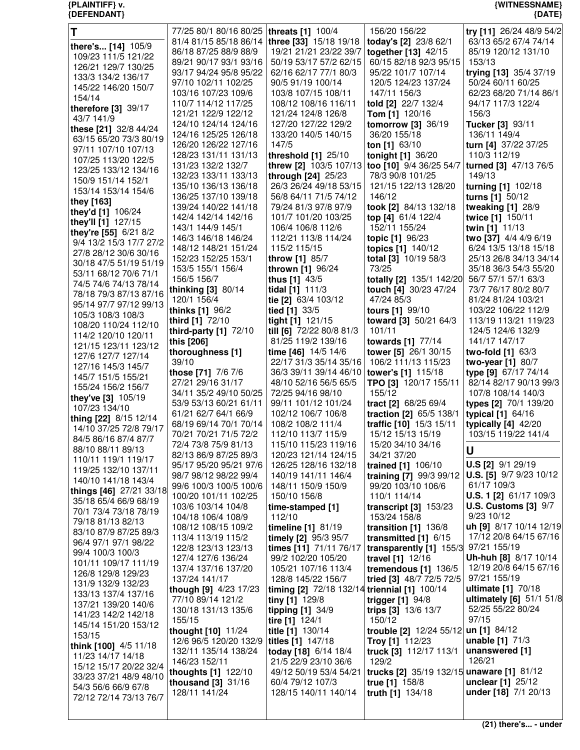| T                                              | 77/25 80/1 80/16 80/25   threats [1] 100/4      |                                                | 156/20 156/22                                      | try [11] 26/24 48/9 54/2                        |
|------------------------------------------------|-------------------------------------------------|------------------------------------------------|----------------------------------------------------|-------------------------------------------------|
| there's [14] 105/9                             | 81/4 81/15 85/18 86/14   three [33] 15/18 19/18 |                                                | today's [2] 23/8 62/1                              | 63/13 65/2 67/4 74/14                           |
| 109/23 111/5 121/22                            | 86/18 87/25 88/9 88/9                           | 19/21 21/21 23/22 39/7                         | together [13] 42/15                                | 85/19 120/12 131/10                             |
| 126/21 129/7 130/25                            | 89/21 90/17 93/1 93/16                          | 50/19 53/17 57/2 62/15                         | 60/15 82/18 92/3 95/15                             | 153/13                                          |
| 133/3 134/2 136/17                             | 93/17 94/24 95/8 95/22                          | 62/16 62/17 77/1 80/3                          | 95/22 101/7 107/14                                 | trying [13] 35/4 37/19                          |
| 145/22 146/20 150/7                            | 97/10 102/11 102/25<br>103/16 107/23 109/6      | 90/5 91/19 100/14<br>103/8 107/15 108/11       | 120/5 124/23 137/24<br>147/11 156/3                | 50/24 60/11 60/25<br>62/23 68/20 71/14 86/1     |
| 154/14                                         | 110/7 114/12 117/25                             | 108/12 108/16 116/11                           | told [2] 22/7 132/4                                | 94/17 117/3 122/4                               |
| therefore [3] 39/17                            | 121/21 122/9 122/12                             | 121/24 124/8 126/8                             | Tom [1] 120/16                                     | 156/3                                           |
| 43/7 141/9                                     | 124/10 124/14 124/16                            | 127/20 127/22 129/2                            | tomorrow [3] 36/19                                 | Tucker [3] 93/11                                |
| these [21] 32/8 44/24                          | 124/16 125/25 126/18                            | 133/20 140/5 140/15                            | 36/20 155/18                                       | 136/11 149/4                                    |
| 63/15 65/20 73/3 80/19                         | 126/20 126/22 127/16                            | 147/5                                          | ton [1] $63/10$                                    | turn [4] 37/22 37/25                            |
| 97/11 107/10 107/13<br>107/25 113/20 122/5     | 128/23 131/11 131/13                            | threshold $[1]$ 25/10                          | tonight [1] 36/20                                  | 110/3 112/19                                    |
| 123/25 133/12 134/16                           | 131/23 132/2 132/7                              |                                                | threw [2] 103/5 107/13 too [10] 9/4 36/25 54/7     | turned [3] 47/13 76/5                           |
| 150/9 151/14 152/1                             | 132/23 133/11 133/13                            | through [24] 25/23                             | 78/3 90/8 101/25                                   | 149/13                                          |
| 153/14 153/14 154/6                            | 135/10 136/13 136/18                            | 26/3 26/24 49/18 53/15                         | 121/15 122/13 128/20                               | turning [1] 102/18                              |
| they [163]                                     | 136/25 137/10 139/18                            | 56/8 64/11 71/5 74/12                          | 146/12                                             | turns $[1]$ 50/12                               |
| they'd [1] 106/24                              | 139/24 140/22 141/18                            | 79/24 81/3 97/8 97/9                           | took [2] 84/13 132/18                              | tweaking [1] 28/9                               |
| they'll [1] 127/15                             | 142/4 142/14 142/16<br>143/1 144/9 145/1        | 101/7 101/20 103/25<br>106/4 106/8 112/6       | top [4] 61/4 122/4<br>152/11 155/24                | twice [1] 150/11<br>twin [1] 11/13              |
| they're [55] 6/21 8/2                          | 146/3 146/18 146/24                             | 112/21 113/8 114/24                            | topic [1] 96/23                                    | two [37] 4/4 4/9 6/19                           |
| 9/4 13/2 15/3 17/7 27/2                        | 148/12 148/21 151/24                            | 115/2 115/15                                   | topics [1] 140/12                                  | 6/24 13/5 13/18 15/18                           |
| 27/8 28/12 30/6 30/16                          | 152/23 152/25 153/1                             | throw [1] 85/7                                 | total [3] 10/19 58/3                               | 25/13 26/8 34/13 34/14                          |
| 30/18 47/5 51/19 51/19                         | 153/5 155/1 156/4                               | thrown [1] 96/24                               | 73/25                                              | 35/18 36/3 54/3 55/20                           |
| 53/11 68/12 70/6 71/1<br>74/5 74/6 74/13 78/14 | 156/5 156/7                                     | thus [1] 43/5                                  | totally [2] 135/1 142/20                           | 56/7 57/1 57/1 63/3                             |
| 78/18 79/3 87/13 87/16                         | thinking [3] 80/14                              | tidal [1] 111/3                                | touch [4] 30/23 47/24                              | 73/7 76/17 80/2 80/7                            |
| 95/14 97/7 97/12 99/13                         | 120/1 156/4                                     | tie [2] 63/4 103/12                            | 47/24 85/3                                         | 81/24 81/24 103/21                              |
| 105/3 108/3 108/3                              | thinks [1] 96/2                                 | tied [1] 33/5                                  | tours [1] 99/10                                    | 103/22 106/22 112/9                             |
| 108/20 110/24 112/10                           | third [1] 72/10                                 | tight [1] 121/15                               | toward [3] 50/21 64/3                              | 113/19 113/21 119/23                            |
| 114/2 120/10 120/11                            | third-party $[1]$ 72/10                         | till [6] 72/22 80/8 81/3                       | 101/11                                             | 124/5 124/6 132/9                               |
| 121/15 123/11 123/12                           | this [206]<br>thoroughness [1]                  | 81/25 119/2 139/16<br>time [46] 14/5 14/6      | towards [1] 77/14<br>tower [5] 26/1 30/15          | 141/17 147/17<br>two-fold [1] 63/3              |
| 127/6 127/7 127/14                             | 39/10                                           | 22/17 31/3 35/14 35/16                         | 106/2 111/13 115/23                                | two-year [1] 80/7                               |
| 127/16 145/3 145/7                             | those [71] 7/6 7/6                              | 36/3 39/11 39/14 46/10   tower's [1] 115/18    |                                                    | type [9] 67/17 74/14                            |
| 145/7 151/5 155/21                             | 27/21 29/16 31/17                               | 48/10 52/16 56/5 65/5                          | TPO [3] 120/17 155/11                              | 82/14 82/17 90/13 99/3                          |
| 155/24 156/2 156/7                             | 34/11 35/2 49/10 50/25                          | 72/25 94/16 98/10                              | 155/12                                             | 107/8 108/14 140/3                              |
| they've [3] 105/19<br>107/23 134/10            | 53/9 53/13 60/21 61/11                          | 99/11 101/12 101/24                            | tract [2] 68/25 69/4                               | types [2] 70/1 139/20                           |
| thing [22] 8/15 12/14                          | 61/21 62/7 64/1 66/9                            | 102/12 106/7 106/8                             | traction [2] 65/5 138/1                            | typical $[1]$ 64/16                             |
| 14/10 37/25 72/8 79/17                         | 68/19 69/14 70/1 70/14                          | 108/2 108/2 111/4                              | traffic [10] 15/3 15/11                            | typically $[4]$ 42/20                           |
| 84/5 86/16 87/4 87/7                           | 70/21 70/21 71/5 72/2                           | 112/10 113/7 115/9                             | 15/12 15/13 15/19                                  | 103/15 119/22 141/4                             |
| 88/10 88/11 89/13                              | 72/4 73/8 75/9 81/13                            | 115/10 115/23 119/16                           | 15/20 34/10 34/16                                  | U                                               |
| 110/11 119/1 119/17                            | 82/13 86/9 87/25 89/3<br>95/17 95/20 95/21 97/6 | 120/23 121/14 124/15<br>126/25 128/16 132/18   | 34/21 37/20<br>trained [1] 106/10                  | <b>U.S [2]</b> 9/1 29/19                        |
| 119/25 132/10 137/11                           | 98/7 98/12 98/22 99/4                           | 140/19 141/11 146/4                            | training [7] 99/3 99/12                            | <b>U.S.</b> [5] 9/7 9/23 10/12                  |
| 140/10 141/18 143/4                            | 99/6 100/3 100/5 100/6                          | 148/11 150/9 150/9                             | 99/20 103/10 106/6                                 | 61/17 109/3                                     |
| things [46] 27/21 33/18                        | 100/20 101/11 102/25                            | 150/10 156/8                                   | 110/1 114/14                                       | <b>U.S. 1 [2]</b> 61/17 109/3                   |
| 35/18 65/4 66/9 68/19<br>70/1 73/4 73/18 78/19 | 103/6 103/14 104/8                              | time-stamped [1]                               | transcript $[3]$ 153/23                            | <b>U.S. Customs [3] 9/7</b>                     |
| 79/18 81/13 82/13                              | 104/18 106/4 108/9                              | 112/10                                         | 153/24 158/8                                       | 9/23 10/12                                      |
| 83/10 87/9 87/25 89/3                          | 108/12 108/15 109/2                             | timeline [1] 81/19                             | transition $[1]$ 136/8                             | uh [9] 8/17 10/14 12/19                         |
| 96/4 97/1 97/1 98/22                           | 113/4 113/19 115/2                              | timely [2] 95/3 95/7                           | transmitted $[1]$ 6/15                             | 17/12 20/8 64/15 67/16                          |
| 99/4 100/3 100/3                               | 122/8 123/13 123/13                             | times [11] 71/11 76/17                         | transparently [1] 155/3                            | 97/21 155/19                                    |
| 101/11 109/17 111/19                           | 127/4 127/6 136/24<br>137/4 137/16 137/20       | 99/2 102/20 105/20<br>105/21 107/16 113/4      | travel [1] 12/16<br>tremendous $[1]$ 136/5         | Uh-huh [8] 8/17 10/14<br>12/19 20/8 64/15 67/16 |
| 126/8 129/8 129/23                             | 137/24 141/17                                   | 128/8 145/22 156/7                             | tried [3] 48/7 72/5 72/5                           | 97/21 155/19                                    |
| 131/9 132/9 132/23                             | though [9] 4/23 17/23                           | timing [2] 72/18 132/14 triennial [1] 100/14   |                                                    | ultimate [1] 70/18                              |
| 133/13 137/4 137/16                            | 77/10 89/14 121/2                               | tiny [1] 129/8                                 | trigger [1] 94/8                                   | ultimately [6] 51/1 51/8                        |
| 137/21 139/20 140/6<br>141/23 142/2 142/18     | 130/18 131/13 135/6                             | tipping [1] 34/9                               | trips [3] 13/6 13/7                                | 52/25 55/22 80/24                               |
| 145/14 151/20 153/12                           | 155/15                                          | tire [1] 124/1                                 | 150/12                                             | 97/15                                           |
| 153/15                                         | thought [10] 11/24                              | title [1] 130/14                               | trouble [2] 12/24 55/12 un [1] 84/12               |                                                 |
| think [100] 4/5 11/18                          | 12/6 96/5 120/20 132/9                          | titles [1] 147/18                              | Troy [1] 112/23                                    | unable [1] 71/3                                 |
| 11/23 14/17 14/18                              | 132/11 135/14 138/24                            | today [18] 6/14 18/4                           | truck [3] 112/17 113/1                             | unanswered [1]<br>126/21                        |
| 15/12 15/17 20/22 32/4                         | 146/23 152/11<br>thoughts [1] 122/10            | 21/5 22/9 23/10 36/6<br>49/12 50/19 53/4 54/21 | 129/2<br>trucks [2] 35/19 132/15 unaware [1] 81/12 |                                                 |
| 33/23 37/21 48/9 48/10                         | thousand $[3]$ 31/16                            | 60/4 79/12 107/3                               | true [1] 158/8                                     | unclear [1] 25/12                               |
| 54/3 56/6 66/9 67/8                            | 128/11 141/24                                   | 128/15 140/11 140/14                           | truth [1] 134/18                                   | under [18] 7/1 20/13                            |
| 72/12 72/14 73/13 76/7                         |                                                 |                                                |                                                    |                                                 |
|                                                |                                                 |                                                |                                                    |                                                 |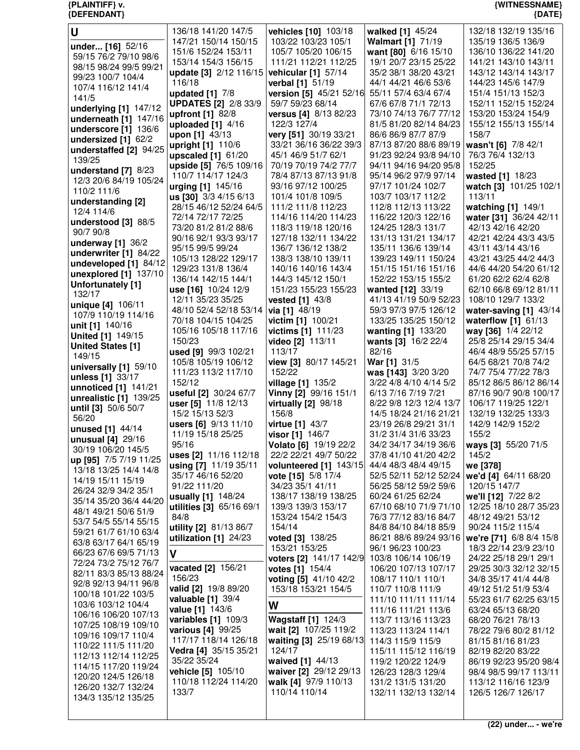| U                        | 136/18 141/20 147/5                        | vehicles [10] 103/18                           | walked [1] 45/24                           | 132/18 132/19 135/16                          |
|--------------------------|--------------------------------------------|------------------------------------------------|--------------------------------------------|-----------------------------------------------|
|                          | 147/21 150/14 150/15                       | 103/22 103/23 105/1                            | Walmart [1] 71/19                          | 135/19 136/5 136/9                            |
| under [16] 52/16         | 151/6 152/24 153/11                        | 105/7 105/20 106/15                            | want [80] 6/16 15/10                       | 136/10 136/22 141/20                          |
| 59/15 76/2 79/10 98/6    | 153/14 154/3 156/15                        | 111/21 112/21 112/25                           | 19/1 20/7 23/15 25/22                      | 141/21 143/10 143/11                          |
| 98/15 98/24 99/5 99/21   | update [3] 2/12 116/15                     | vehicular [1] 57/14                            | 35/2 38/1 38/20 43/21                      | 143/12 143/14 143/17                          |
| 99/23 100/7 104/4        | 116/18                                     | verbal [1] 51/19                               | 44/1 44/21 46/6 53/6                       | 144/23 145/6 147/9                            |
| 107/4 116/12 141/4       | updated $[1]$ $7/8$                        | version [5] 45/21 52/16                        | 55/11 57/4 63/4 67/4                       | 151/4 151/13 152/3                            |
| 141/5                    | <b>UPDATES [2] 2/8 33/9</b>                | 59/7 59/23 68/14                               | 67/6 67/8 71/1 72/13                       | 152/11 152/15 152/24                          |
| underlying [1] 147/12    | upfront [1] 82/8                           | versus [4] 8/13 82/23                          | 73/10 74/13 76/7 77/12                     | 153/20 153/24 154/9                           |
| underneath [1] 147/16    | uploaded $[1]$ 4/16                        | 122/3 127/4                                    | 81/5 81/20 82/14 84/23                     | 155/12 155/13 155/14                          |
| underscore [1] 136/6     | upon [1] 43/13                             | very [51] 30/19 33/21                          | 86/6 86/9 87/7 87/9                        | 158/7                                         |
| undersized $[1]$ 62/2    | upright [1] 110/6                          | 33/21 36/16 36/22 39/3                         | 87/13 87/20 88/6 89/19                     | wasn't [6] 7/8 42/1                           |
| understaffed [2] 94/25   | upscaled $[1]$ 61/20                       | 45/1 46/9 51/7 62/1                            | 91/23 92/24 93/8 94/10                     | 76/3 76/4 132/13                              |
| 139/25                   | upside [5] 76/5 109/16                     | 70/19 70/19 74/2 77/7                          | 94/11 94/16 94/20 95/8                     | 152/25                                        |
| understand $[7]$ 8/23    | 110/7 114/17 124/3                         | 78/4 87/13 87/13 91/8                          | 95/14 96/2 97/9 97/14                      | wasted [1] 18/23                              |
| 12/3 20/6 84/19 105/24   | urging [1] 145/16                          | 93/16 97/12 100/25                             | 97/17 101/24 102/7                         | watch [3] 101/25 102/1                        |
| 110/2 111/6              | us [30] 3/3 4/15 6/13                      | 101/4 101/8 109/5                              | 103/7 103/17 112/2                         | 113/11                                        |
| understanding [2]        | 28/15 46/12 52/24 64/5                     | 111/2 111/8 112/23                             | 112/8 112/13 113/22                        |                                               |
| 12/4 114/6               | 72/14 72/17 72/25                          | 114/16 114/20 114/23                           | 116/22 120/3 122/16                        | watching [1] 149/1<br>water [31] 36/24 42/11  |
| understood [3] 88/5      |                                            |                                                |                                            |                                               |
| 90/7 90/8                | 73/20 81/2 81/2 88/6                       | 118/3 119/18 120/16<br>127/18 132/11 134/22    | 124/25 128/3 131/7<br>131/13 131/21 134/17 | 42/13 42/16 42/20                             |
| underway $[1]$ 36/2      | 90/16 92/1 93/3 93/17                      |                                                |                                            | 42/21 42/24 43/3 43/5                         |
| underwriter [1] 84/22    | 95/15 99/5 99/24                           | 136/7 136/12 138/2                             | 135/11 136/6 139/14                        | 43/11 43/14 43/16                             |
| undeveloped [1] 84/12    | 105/13 128/22 129/17                       | 138/3 138/10 139/11                            | 139/23 149/11 150/24                       | 43/21 43/25 44/2 44/3                         |
| unexplored [1] 137/10    | 129/23 131/8 136/4                         | 140/16 140/16 143/4                            | 151/15 151/16 151/16                       | 44/6 44/20 54/20 61/12                        |
| Unfortunately [1]        | 136/14 142/15 144/1                        | 144/3 145/12 150/1                             | 152/22 153/15 155/2                        | 61/20 62/2 62/4 62/8                          |
| 132/17                   | use [16] 10/24 12/9                        | 151/23 155/23 155/23                           | wanted [12] 33/19                          | 62/10 66/8 69/12 81/11                        |
| unique [4] 106/11        | 12/11 35/23 35/25                          | vested [1] 43/8                                | 41/13 41/19 50/9 52/23                     | 108/10 129/7 133/2                            |
| 107/9 110/19 114/16      | 48/10 52/4 52/18 53/14                     | via [1] 48/19                                  | 59/3 97/3 97/5 126/12                      | water-saving [1] 43/14                        |
| unit [1] 140/16          | 70/18 104/15 104/25                        | victim [1] 100/21                              | 133/25 135/25 150/12                       | waterflow $[1]$ 61/13                         |
| <b>United [1] 149/15</b> | 105/16 105/18 117/16                       | victims [1] 111/23                             | wanting [1] 133/20                         | way [36] 1/4 22/12                            |
| <b>United States [1]</b> | 150/23                                     | video [2] 113/11                               | wants [3] 16/2 22/4                        | 25/8 25/14 29/15 34/4                         |
| 149/15                   | used [9] 99/3 102/21                       | 113/17                                         | 82/16                                      | 46/4 48/9 55/25 57/15                         |
| universally [1] 59/10    | 105/8 105/19 106/12                        | view [3] 80/17 145/21                          | War [1] 31/5                               | 64/5 68/21 70/8 74/2                          |
| unless [1] 33/17         | 111/23 113/2 117/10                        | 152/22                                         | was [143] 3/20 3/20                        | 74/7 75/4 77/22 78/3                          |
| unnoticed [1] 141/21     | 152/12                                     | village [1] 135/2                              | 3/22 4/8 4/10 4/14 5/2                     | 85/12 86/5 86/12 86/14                        |
| unrealistic [1] 139/25   | useful [2] 30/24 67/7                      | Vinny [2] 99/16 151/1                          | 6/13 7/16 7/19 7/21                        | 87/16 90/7 90/8 100/17                        |
| until [3] 50/6 50/7      | user [5] 11/8 12/13                        | virtually $[2]$ 98/18                          | 8/22 9/8 12/3 12/4 13/7                    | 106/17 119/25 122/1                           |
| 56/20                    | 15/2 15/13 52/3                            | 156/8                                          | 14/5 18/24 21/16 21/21                     | 132/19 132/25 133/3                           |
| unused [1] 44/14         | users [6] 9/13 11/10                       | virtue [1] 43/7                                | 23/19 26/8 29/21 31/1                      | 142/9 142/9 152/2                             |
| unusual [4] 29/16        | 11/19 15/18 25/25                          | visor [1] 146/7                                | 31/2 31/4 31/6 33/23                       | 155/2                                         |
| 30/19 106/20 145/5       | 95/16                                      | Volato [6] 19/19 22/2                          | 34/2 34/17 34/19 36/6                      | ways [3] 55/20 71/5                           |
| up [95] 7/5 7/19 11/25   | uses [2] 11/16 112/18                      | 22/2 22/21 49/7 50/22                          | 37/8 41/10 41/20 42/2                      | 145/2                                         |
| 13/18 13/25 14/4 14/8    | using [7] 11/19 35/11                      | volunteered [1] 143/15                         | 44/4 48/3 48/4 49/15                       | we [378]                                      |
| 14/19 15/11 15/19        | 35/17 46/16 52/20                          | vote [15] 5/8 17/4                             | 52/5 52/11 52/12 52/24                     | we'd [4] 64/11 68/20                          |
| 26/24 32/9 34/2 35/1     | 91/22 111/20                               | 34/23 35/1 41/11                               | 56/25 58/12 59/2 59/6                      | 120/15 147/7                                  |
| 35/14 35/20 36/4 44/20   | usually [1] 148/24                         | 138/17 138/19 138/25                           | 60/24 61/25 62/24                          | we'll [12] 7/22 8/2                           |
| 48/1 49/21 50/6 51/9     | utilities [3] 65/16 69/1                   | 139/3 139/3 153/17                             | 67/10 68/10 71/9 71/10                     | 12/25 18/10 28/7 35/23                        |
| 53/7 54/5 55/14 55/15    | 84/8                                       | 153/24 154/2 154/3                             | 76/3 77/12 83/16 84/7                      | 48/12 49/21 53/12                             |
| 59/21 61/7 61/10 63/4    | utility [2] 81/13 86/7                     | 154/14                                         | 84/8 84/10 84/18 85/9                      | 90/24 115/2 115/4                             |
| 63/8 63/17 64/1 65/19    | utilization $[1]$ 24/23                    |                                                |                                            | we're [71] 6/8 8/4 15/8                       |
| 66/23 67/6 69/5 71/13    |                                            | voted [3] 138/25                               | 86/21 88/6 89/24 93/16                     |                                               |
| 72/24 73/2 75/12 76/7    |                                            | 153/21 153/25                                  | 96/1 96/23 100/23                          | 18/3 22/14 23/9 23/10                         |
| 82/11 83/3 85/13 88/24   | $\mathbf v$                                | voters [2] 141/17 142/9                        | 103/8 106/14 106/19                        | 24/22 25/18 29/1 29/1                         |
|                          | vacated [2] 156/21                         | votes [1] 154/4                                | 106/20 107/13 107/17                       | 29/25 30/3 32/12 32/15                        |
| 92/8 92/13 94/11 96/8    | 156/23                                     | voting [5] 41/10 42/2                          | 108/17 110/1 110/1                         | 34/8 35/17 41/4 44/8                          |
| 100/18 101/22 103/5      | valid [2] 19/8 89/20                       | 153/18 153/21 154/5                            | 110/7 110/8 111/9                          | 49/12 51/2 51/9 53/4                          |
| 103/6 103/12 104/4       | valuable $[1]$ 39/4                        |                                                | 111/10 111/11 111/14                       | 55/23 61/7 62/25 63/15                        |
| 106/16 106/20 107/13     | value [1] 143/6                            | W                                              | 111/16 111/21 113/6                        | 63/24 65/13 68/20                             |
| 107/25 108/19 109/10     | variables [1] 109/3                        | <b>Wagstaff [1] 124/3</b>                      | 113/7 113/16 113/23                        | 68/20 76/21 78/13                             |
| 109/16 109/17 110/4      | various [4] 99/25                          | wait [2] 107/25 119/2                          | 113/23 113/24 114/1                        | 78/22 79/6 80/2 81/12                         |
| 110/22 111/5 111/20      | 117/17 118/14 126/18                       | waiting [3] 25/19 68/13                        | 114/3 115/9 115/9                          | 81/15 81/16 81/23                             |
| 112/13 112/14 112/25     | Vedra [4] 35/15 35/21                      | 124/17                                         | 115/11 115/12 116/19                       | 82/19 82/20 83/22                             |
| 114/15 117/20 119/24     | 35/22 35/24                                | waived [1] 44/13                               | 119/2 120/22 124/9                         | 86/19 92/23 95/20 98/4                        |
| 120/20 124/5 126/18      | vehicle [5] 105/10<br>110/18 112/24 114/20 | waiver [2] 29/12 29/13<br>walk [4] 97/9 110/13 | 126/23 128/3 129/4<br>131/2 131/5 131/20   | 98/4 98/5 99/17 113/11<br>113/12 116/16 123/9 |

**{PLAINTIFF} v. {WITNESSNAME}**

110/14 110/14

132/11 132/13 132/14

 126/20 132/7 132/24 134/3 135/12 135/25

 ${$ <sup>{</sup>DEFENDANT}

133/7

126/5 126/7 126/17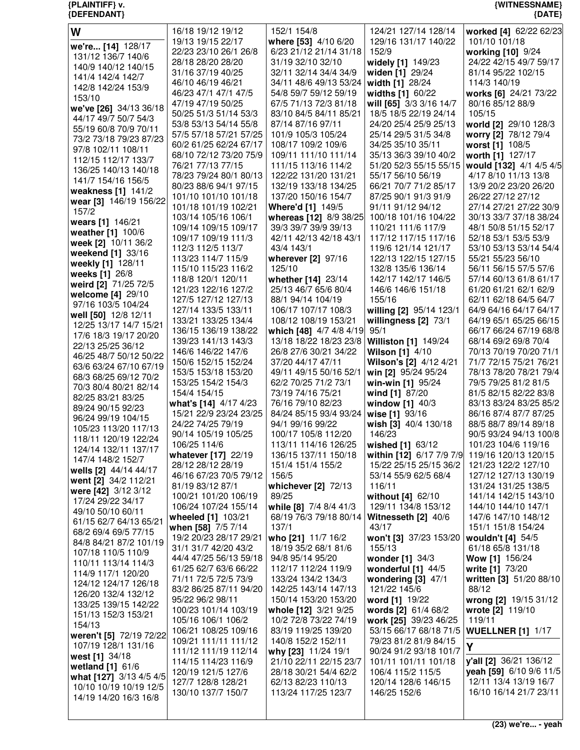**{PLAINTIFF} v. {WITNESSNAME} {DEFENDANT} {DATE}**

| W                                               | 16/18 19/12 19/12                               | 152/1 154/8                                  | 124/21 127/14 128/14                          | worked [4] 62/22 62/23                          |
|-------------------------------------------------|-------------------------------------------------|----------------------------------------------|-----------------------------------------------|-------------------------------------------------|
| we're [14] 128/17                               | 19/13 19/15 22/17                               | where [53] 4/10 6/20                         | 129/16 131/17 140/22                          | 101/10 101/18                                   |
| 131/12 136/7 140/6                              | 22/23 23/10 26/1 26/8                           | 6/23 21/12 21/14 31/18                       | 152/9                                         | working [10] 9/24                               |
| 140/9 140/12 140/15                             | 28/18 28/20 28/20                               | 31/19 32/10 32/10                            | widely [1] 149/23                             | 24/22 42/15 49/7 59/17                          |
| 141/4 142/4 142/7                               | 31/16 37/19 40/25                               | 32/11 32/14 34/4 34/9                        | widen [1] 29/24                               | 81/14 95/22 102/15                              |
| 142/8 142/24 153/9                              | 46/10 46/19 46/21                               | 34/11 48/6 49/13 53/24                       | width [1] 28/24                               | 114/3 140/19                                    |
| 153/10                                          | 46/23 47/1 47/1 47/5                            | 54/8 59/7 59/12 59/19                        | widths [1] 60/22                              | works [6] 24/21 73/22                           |
| we've [26] 34/13 36/18                          | 47/19 47/19 50/25                               | 67/5 71/13 72/3 81/18                        | will [65] 3/3 3/16 14/7                       | 80/16 85/12 88/9                                |
| 44/17 49/7 50/7 54/3                            | 50/25 51/3 51/14 53/3                           | 83/10 84/5 84/11 85/21                       | 18/5 18/5 22/19 24/14                         | 105/15                                          |
| 55/19 60/8 70/9 70/11                           | 53/8 53/13 54/14 55/8<br>57/5 57/18 57/21 57/25 | 87/14 87/16 97/11<br>101/9 105/3 105/24      | 24/20 25/4 25/9 25/13<br>25/14 29/5 31/5 34/8 | world [2] 29/10 128/3<br>worry [2] 78/12 79/4   |
| 73/2 73/18 79/23 87/23                          | 60/2 61/25 62/24 67/17                          | 108/17 109/2 109/6                           | 34/25 35/10 35/11                             | worst [1] 108/5                                 |
| 97/8 102/11 108/11                              | 68/10 72/12 73/20 75/9                          | 109/11 111/10 111/14                         | 35/13 36/3 39/10 40/2                         | worth [1] 127/17                                |
| 112/15 112/17 133/7                             | 76/21 77/13 77/15                               | 111/15 113/16 114/2                          | 51/20 52/3 55/15 55/15                        | would [132] 4/1 4/5 4/5                         |
| 136/25 140/13 140/18                            | 78/23 79/24 80/1 80/13                          | 122/22 131/20 131/21                         | 55/17 56/10 56/19                             | 4/17 8/10 11/13 13/8                            |
| 141/7 154/16 156/5                              | 80/23 88/6 94/1 97/15                           | 132/19 133/18 134/25                         | 66/21 70/7 71/2 85/17                         | 13/9 20/2 23/20 26/20                           |
| weakness [1] 141/2                              | 101/10 101/10 101/18                            | 137/20 150/16 154/7                          | 87/25 90/1 91/3 91/9                          | 26/22 27/12 27/12                               |
| wear [3] 146/19 156/22<br>157/2                 | 101/18 101/19 102/21                            | Where'd [1] 149/5                            | 91/11 91/12 94/12                             | 27/14 27/21 27/22 30/9                          |
| wears [1] 146/21                                | 103/14 105/16 106/1                             | whereas [12] 8/9 38/25                       | 100/18 101/16 104/22                          | 30/13 33/7 37/18 38/24                          |
| weather [1] 100/6                               | 109/14 109/15 109/17                            | 39/3 39/7 39/9 39/13                         | 110/21 111/6 117/9                            | 48/1 50/8 51/15 52/17                           |
| week [2] 10/11 36/2                             | 109/17 109/19 111/3                             | 42/11 42/13 42/18 43/1                       | 117/12 117/15 117/16                          | 52/18 53/1 53/5 53/9                            |
| weekend [1] 33/16                               | 112/3 112/5 113/7                               | 43/4 143/1                                   | 119/6 121/14 121/17                           | 53/10 53/13 53/14 54/4                          |
| weekly [1] 128/11                               | 113/23 114/7 115/9                              | wherever [2] 97/16                           | 122/13 122/15 127/15                          | 55/21 55/23 56/10                               |
| weeks [1] 26/8                                  | 115/10 115/23 116/2                             | 125/10                                       | 132/8 135/6 136/14                            | 56/11 56/15 57/5 57/6                           |
| weird [2] 71/25 72/5                            | 118/8 120/1 120/11                              | whether [14] 23/14                           | 142/17 142/17 146/5                           | 57/14 60/13 61/8 61/17                          |
| welcome $[4]$ 29/10                             | 121/23 122/16 127/2                             | 25/13 46/7 65/6 80/4<br>88/1 94/14 104/19    | 146/6 146/6 151/18<br>155/16                  | 61/20 61/21 62/1 62/9                           |
| 97/16 103/5 104/24                              | 127/5 127/12 127/13<br>127/14 133/5 133/11      | 106/17 107/17 108/3                          | willing [2] 95/14 123/1                       | 62/11 62/18 64/5 64/7<br>64/9 64/16 64/17 64/17 |
| well [50] 12/8 12/11                            | 133/21 133/25 134/4                             | 108/12 108/19 153/21                         | willingness $[2]$ 73/1                        | 64/19 65/1 65/25 66/15                          |
| 12/25 13/17 14/7 15/21                          | 136/15 136/19 138/22                            | which [48] 4/7 4/8 4/19                      | 95/1                                          | 66/17 66/24 67/19 68/8                          |
| 17/6 18/3 19/17 20/20                           | 139/23 141/13 143/3                             | 13/18 18/22 18/23 23/8                       | <b>Williston [1] 149/24</b>                   | 68/14 69/2 69/8 70/4                            |
| 22/13 25/25 36/12                               | 146/6 146/22 147/6                              | 26/8 27/6 30/21 34/22                        | <b>Wilson [1] 4/10</b>                        | 70/13 70/19 70/20 71/1                          |
| 46/25 48/7 50/12 50/22                          | 150/6 152/15 152/24                             | 37/20 44/17 47/11                            | Wilson's [2] 4/12 4/21                        | 71/7 72/15 75/21 76/21                          |
| 63/6 63/24 67/10 67/19<br>68/3 68/25 69/12 70/2 | 153/5 153/18 153/20                             | 49/11 49/15 50/16 52/1                       | win [2] 95/24 95/24                           | 78/13 78/20 78/21 79/4                          |
| 70/3 80/4 80/21 82/14                           | 153/25 154/2 154/3                              | 62/2 70/25 71/2 73/1                         | win-win [1] 95/24                             | 79/5 79/25 81/2 81/5                            |
| 82/25 83/21 83/25                               | 154/4 154/15                                    | 73/19 74/16 75/21                            | wind [1] 87/20                                | 81/5 82/15 82/22 83/8                           |
| 89/24 90/15 92/23                               | what's [14] 4/17 4/23                           | 76/16 79/10 82/23                            | window $[1]$ 40/3                             | 83/13 83/24 83/25 85/2                          |
| 96/24 99/19 104/15                              | 15/21 22/9 23/24 23/25                          | 84/24 85/15 93/4 93/24                       | wise [1] 93/16                                | 86/16 87/4 87/7 87/25                           |
| 105/23 113/20 117/13                            | 24/22 74/25 79/19                               | 94/1 99/16 99/22                             | wish [3] 40/4 130/18                          | 88/5 88/7 89/14 89/18                           |
| 118/11 120/19 122/24                            | 90/14 105/19 105/25                             | 100/17 105/8 112/20                          | 146/23                                        | 90/5 93/24 94/13 100/8                          |
| 124/14 132/11 137/17                            | 106/25 114/6<br>whatever [17] 22/19             | 113/11 114/16 126/25                         | wished [1] 63/12<br>within [12] 6/17 7/9 7/9  | 101/23 104/6 119/16                             |
| 147/4 148/2 152/7                               | 28/12 28/12 28/19                               | 136/15 137/11 150/18<br>151/4 151/4 155/2    | 15/22 25/15 25/15 36/2                        | 119/16 120/13 120/15<br>121/23 122/2 127/10     |
| wells [2] 44/14 44/17                           | 46/16 67/23 70/5 79/12                          | 156/5                                        | 53/14 55/9 62/5 68/4                          | 127/12 127/13 130/19                            |
| went [2] 34/2 112/21                            | 81/19 83/12 87/1                                | whichever [2] 72/13                          | 116/11                                        | 131/24 131/25 138/5                             |
| were [42] 3/12 3/12                             | 100/21 101/20 106/19                            | 89/25                                        | without [4] 62/10                             | 141/14 142/15 143/10                            |
| 17/24 29/22 34/17                               | 106/24 107/24 155/14                            | while [8] 7/4 8/4 41/3                       | 129/11 134/8 153/12                           | 144/10 144/10 147/1                             |
| 49/10 50/10 60/11<br>61/15 62/7 64/13 65/21     | wheeled [1] 103/21                              | 68/19 76/3 79/18 80/14   Witnesseth [2] 40/6 |                                               | 147/6 147/10 148/12                             |
| 68/2 69/4 69/5 77/15                            | when [58] 7/5 7/14                              | 137/1                                        | 43/17                                         | 151/1 151/8 154/24                              |
| 84/8 84/21 87/2 101/19                          | 19/2 20/23 28/17 29/21                          | who [21] 11/7 16/2                           | won't [3] 37/23 153/20                        | wouldn't [4] 54/5                               |
| 107/18 110/5 110/9                              | 31/1 31/7 42/20 43/2                            | 18/19 35/2 68/1 81/6                         | 155/13                                        | 61/18 65/8 131/18                               |
| 110/11 113/14 114/3                             | 44/4 47/25 56/13 59/18                          | 94/8 95/14 95/20                             | wonder [1] 34/3                               | Wow [1] 156/24                                  |
| 114/9 117/1 120/20                              | 61/25 62/7 63/6 66/22                           | 112/17 112/24 119/9                          | wonderful $[1]$ 44/5                          | write [1] 73/20                                 |
| 124/12 124/17 126/18                            | 71/11 72/5 72/5 73/9                            | 133/24 134/2 134/3                           | wondering $[3]$ 47/1                          | written [3] 51/20 88/10                         |
| 126/20 132/4 132/12                             | 83/2 86/25 87/11 94/20<br>95/22 96/2 98/11      | 142/25 143/14 147/13<br>150/14 153/20 153/20 | 121/22 145/6<br>word [1] 19/22                | 88/12<br>wrong [2] 19/15 31/12                  |
| 133/25 139/15 142/22                            | 100/23 101/14 103/19                            | whole [12] 3/21 9/25                         | words [2] 61/4 68/2                           | wrote [2] 119/10                                |
| 151/13 152/3 153/21                             | 105/16 106/1 106/2                              | 10/2 72/8 73/22 74/19                        | work [25] 39/23 46/25                         | 119/11                                          |
| 154/13                                          | 106/21 108/25 109/16                            | 83/19 119/25 139/20                          | 53/15 66/17 68/18 71/5                        | <b>WUELLNER [1] 1/17</b>                        |
| weren't [5] 72/19 72/22                         | 109/21 111/11 111/12                            | 140/8 152/2 152/11                           | 79/23 81/2 81/9 84/15                         |                                                 |
| 107/19 128/1 131/16                             | 111/12 111/19 112/14                            | why [23] 11/24 19/1                          | 90/24 91/2 93/18 101/7                        | Y                                               |
| west [1] 34/18<br>wetland [1] 61/6              | 114/15 114/23 116/9                             | 21/10 22/11 22/15 23/7                       | 101/11 101/11 101/18                          | y'all [2] 36/21 136/12                          |
| what [127] 3/13 4/5 4/5                         |                                                 |                                              | 106/4 115/2 115/5                             | yeah [59] 6/10 9/6 11/5                         |
|                                                 | 120/19 121/5 127/6                              | 28/18 30/21 54/4 62/2                        |                                               |                                                 |
|                                                 | 127/7 128/8 128/21                              | 62/13 82/23 110/13                           | 120/14 128/6 146/15                           | 12/11 13/4 13/19 16/7                           |
| 10/10 10/19 10/19 12/5                          | 130/10 137/7 150/7                              | 113/24 117/25 123/7                          | 146/25 152/6                                  | 16/10 16/14 21/7 23/11                          |
| 14/19 14/20 16/3 16/8                           |                                                 |                                              |                                               |                                                 |